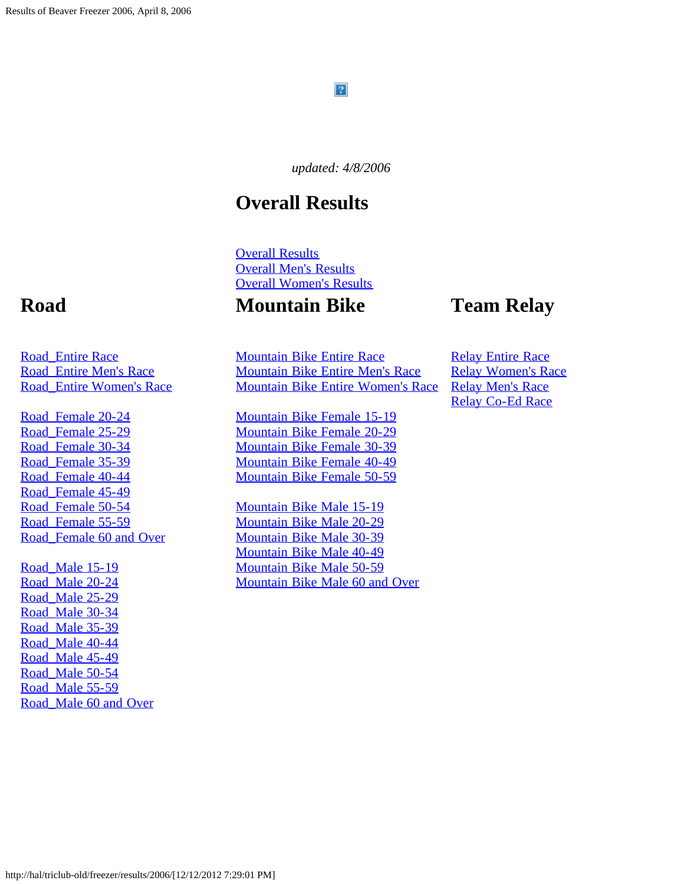#### $\mathbf{P}$

*updated: 4/8/2006*

### **Overall Results**

[Overall Results](#page-1-0) [Overall Men's Results](#page-19-0) [Overall Women's Results](#page-27-0)

#### **Mountain Bike**

### **Team Relay**

[Mountain Bike Entire Race](#page-88-0) [Mountain Bike Entire Men's Race](#page-92-0) [Mountain Bike Entire Women's Race](#page-94-0)

[Mountain Bike Female 15-19](#page-97-0) [Mountain Bike Female 20-29](#page-98-0) [Mountain Bike Female 30-39](#page-100-0) [Mountain Bike Female 40-49](#page-102-0) [Mountain Bike Female 50-59](#page-103-0)

[Mountain Bike Male 15-19](#page-104-0) [Mountain Bike Male 20-29](#page-105-0) [Mountain Bike Male 30-39](#page-106-0) [Mountain Bike Male 40-49](#page-107-0) [Mountain Bike Male 50-59](#page-108-0) [Mountain Bike Male 60 and Over](#page-109-0)

[Relay Entire Race](#page-110-0) [Relay Women's Race](#page-112-0) [Relay Men's Race](#page-113-0) [Relay Co-Ed Race](#page-114-0)

### **Road**

[Road\\_Entire Race](#page-35-0) [Road\\_Entire Men's Race](#page-47-0) [Road\\_Entire Women's Race](#page-54-0)

[Road\\_Female 20-24](#page-60-0) Road Female 25-29 [Road\\_Female 30-34](#page-64-0) [Road\\_Female 35-39](#page-66-0) [Road\\_Female 40-44](#page-68-0) Road Female 45-49 Road Female 50-54 Road Female 55-59 [Road\\_Female 60 and Over](#page-72-0)

Road Male 15-19 [Road\\_Male 20-24](#page-74-0) Road Male 25-29 [Road\\_Male 30-34](#page-78-0) [Road\\_Male 35-39](#page-80-0) [Road\\_Male 40-44](#page-81-0) Road Male 45-49 [Road\\_Male 50-54](#page-85-0) Road Male 55-59 [Road\\_Male 60 and Over](#page-87-0)

http://hal/triclub-old/freezer/results/2006/[12/12/2012 7:29:01 PM]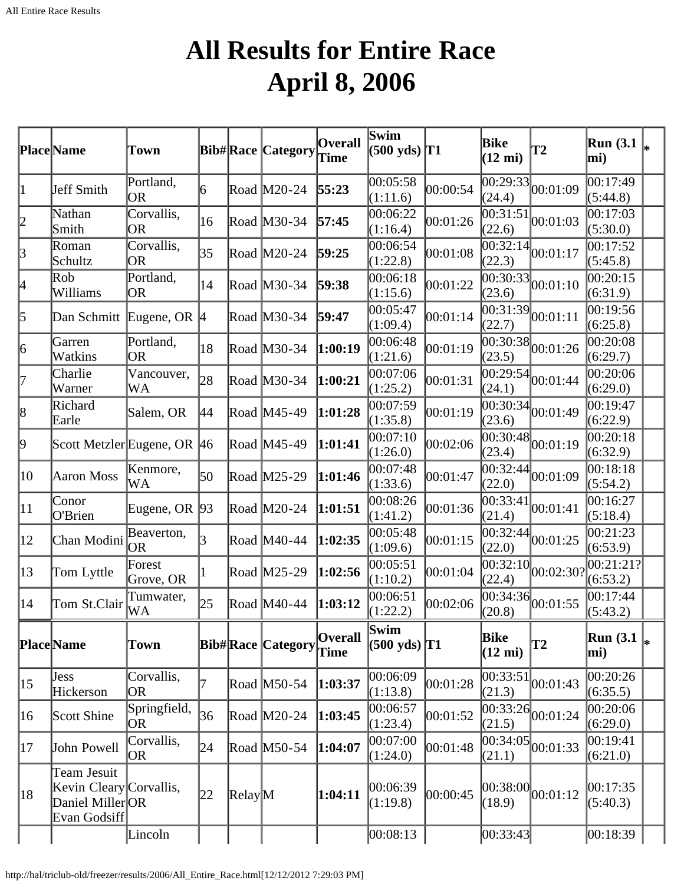## **All Results for Entire Race April 8, 2006**

<span id="page-1-0"></span>

|                 | Place Name                                                                | Town                      |                         |                  | <b>Bib#Race Category</b> | <b>Overall</b><br><b>Time</b> | $\overline{\mathbf{Swin}}$<br>$(500 \text{ yds})$ T1 |          | Bike<br>$(12 \text{ mi})$ | <b>T2</b>                                 | <b>Run</b> (3.1)<br>mi) | l∗ |
|-----------------|---------------------------------------------------------------------------|---------------------------|-------------------------|------------------|--------------------------|-------------------------------|------------------------------------------------------|----------|---------------------------|-------------------------------------------|-------------------------|----|
| 1               | Jeff Smith                                                                | Portland,<br><b>OR</b>    | 6                       |                  | Road M20-24              | 55:23                         | 00:05:58<br>(1:11.6)                                 | 00:00:54 | (24.4)                    | $\overline{00:29:33}$ 00:01:09            | 00:17:49<br>(5:44.8)    |    |
| 2               | Nathan<br>Smith                                                           | Corvallis,<br>OR          | 16                      |                  | Road M30-34              | 57:45                         | 00:06:22<br>(1:16.4)                                 | 00:01:26 | 00:31:51<br>(22.6)        | 00:01:03                                  | 00:17:03<br>(5:30.0)    |    |
| $\beta$         | Roman<br>Schultz                                                          | Corvallis,<br>OR          | 35                      |                  | Road M20-24              | 59:25                         | 00:06:54<br>(1:22.8)                                 | 00:01:08 | (22.3)                    | $\sqrt{00:32:14}$ 00:01:17                | 00:17:52<br>(5:45.8)    |    |
| 4               | Rob<br>Williams                                                           | Portland,<br><b>OR</b>    | 14                      |                  | Road M30-34              | 59:38                         | 00:06:18<br>(1:15.6)                                 | 00:01:22 | (23.6)                    | $\sqrt{00:30:33}$ 00:01:10                | 00:20:15<br>(6:31.9)    |    |
| 5               | Dan Schmitt Eugene, OR 4                                                  |                           |                         |                  | Road M30-34              | 59:47                         | 00:05:47<br>(1:09.4)                                 | 00:01:14 | 00:31:39<br>(22.7)        | 00:01:11                                  | 00:19:56<br>(6:25.8)    |    |
| $\vert 6 \vert$ | Garren<br>Watkins                                                         | Portland,<br><b>OR</b>    | 18                      |                  | Road M30-34              | 1:00:19                       | 00:06:48<br>(1:21.6)                                 | 00:01:19 | (23.5)                    | $\overline{00:30:38}$ 00:01:26            | 00:20:08<br>(6:29.7)    |    |
| 17              | Charlie<br>Warner                                                         | Vancouver,<br>WA          | 28                      |                  | Road M30-34              | 1:00:21                       | 00:07:06<br>(1:25.2)                                 | 00:01:31 | (24.1)                    | $\overline{00:29:54}$ <sub>00:01:44</sub> | 00:20:06<br>(6:29.0)    |    |
| $\vert 8$       | Richard<br>Earle                                                          | Salem, OR                 | 44                      |                  | Road M45-49              | 1:01:28                       | 00:07:59<br>(1:35.8)                                 | 00:01:19 | (23.6)                    | $\overline{00:30:34}$ 00:01:49            | 00:19:47<br>(6:22.9)    |    |
| þ,              | Scott Metzler Eugene, OR 46                                               |                           |                         |                  | Road M45-49              | 1:01:41                       | 00:07:10<br>(1:26.0)                                 | 00:02:06 | (23.4)                    | $\sqrt{00:30:48}$ 00:01:19                | 00:20:18<br>(6:32.9)    |    |
| 10              | Aaron Moss                                                                | Kenmore,<br>WA            | 50                      |                  | Road M25-29              | 1:01:46                       | 00:07:48<br>(1:33.6)                                 | 00:01:47 | 00:32:44<br>(22.0)        | 00:01:09                                  | 00:18:18<br>(5:54.2)    |    |
| $ 11\rangle$    | Conor<br>O'Brien                                                          | Eugene, OR 93             |                         |                  | Road M20-24              | 1:01:51                       | 00:08:26<br>(1:41.2)                                 | 00:01:36 | (21.4)                    | $\frac{1}{100:33:41}$ 00:01:41            | 00:16:27<br>(5:18.4)    |    |
| $ 12\rangle$    | Chan Modini                                                               | Beaverton,<br><b>OR</b>   | $\overline{\mathbf{3}}$ |                  | Road M40-44              | 1:02:35                       | 00:05:48<br>(1:09.6)                                 | 00:01:15 | (22.0)                    | $\sqrt{00:32:44}$ 00:01:25                | 00:21:23<br>(6:53.9)    |    |
| $ 13\rangle$    | Tom Lyttle                                                                | Forest<br>Grove, OR       |                         |                  | Road M25-29              | 1:02:56                       | 00:05:51<br>(1:10.2)                                 | 00:01:04 | 00:32:10<br>(22.4)        | 00:02:30?                                 | 00:21:21?<br>(6:53.2)   |    |
| $ 14\rangle$    | Tom St.Clair                                                              | Tumwater,<br>WA           | 25                      |                  | Road M40-44              | 1:03:12                       | 00:06:51<br>(1:22.2)                                 | 00:02:06 | (20.8)                    | $\overline{00:34:36}$ 00:01:55            | 00:17:44<br>(5:43.2)    |    |
|                 | Place Name                                                                | <b>Town</b>               |                         |                  | <b>Bib#Race Category</b> | <b>Overall</b><br>Time        | Swim<br>$(500 \text{ yds})$ T1                       |          | Bike<br>$(12 \text{ mi})$ | T2                                        | <b>Run</b> (3.1)<br>mi) | I∗ |
| $ 15\rangle$    | <b>Jess</b><br>Hickerson                                                  | Corvallis,<br>OR          |                         |                  | Road M50-54              | 1:03:37                       | 00:06:09<br>(1:13.8)                                 | 00:01:28 | 00:33:51<br>(21.3)        | 00:01:43                                  | 00:20:26<br>(6:35.5)    |    |
| 16              | Scott Shine                                                               | Springfield,<br><b>OR</b> | 36                      |                  | Road M20-24              | 1:03:45                       | 00:06:57<br>(1:23.4)                                 | 00:01:52 | (21.5)                    | $\overline{00:33:26}$ 00:01:24            | 00:20:06<br>(6:29.0)    |    |
| 17              | John Powell                                                               | Corvallis,<br>OR          | 24                      |                  | Road M50-54              | 1:04:07                       | 00:07:00<br>(1:24.0)                                 | 00:01:48 | (21.1)                    | $\frac{1}{100:34:05}$ <sub>00:01:33</sub> | 00:19:41<br>(6:21.0)    |    |
| 18              | Team Jesuit<br>Kevin Cleary Corvallis,<br>Daniel MillerOR<br>Evan Godsiff |                           | 22                      | $\text{Relay}$ M |                          | 1:04:11                       | 00:06:39<br>(1:19.8)                                 | 00:00:45 | (18.9)                    | $ 00:38:00 $ $ 00:01:12$                  | 00:17:35<br>(5:40.3)    |    |
|                 |                                                                           | Lincoln                   |                         |                  |                          |                               | 00:08:13                                             |          | 00:33:43                  |                                           | 00:18:39                |    |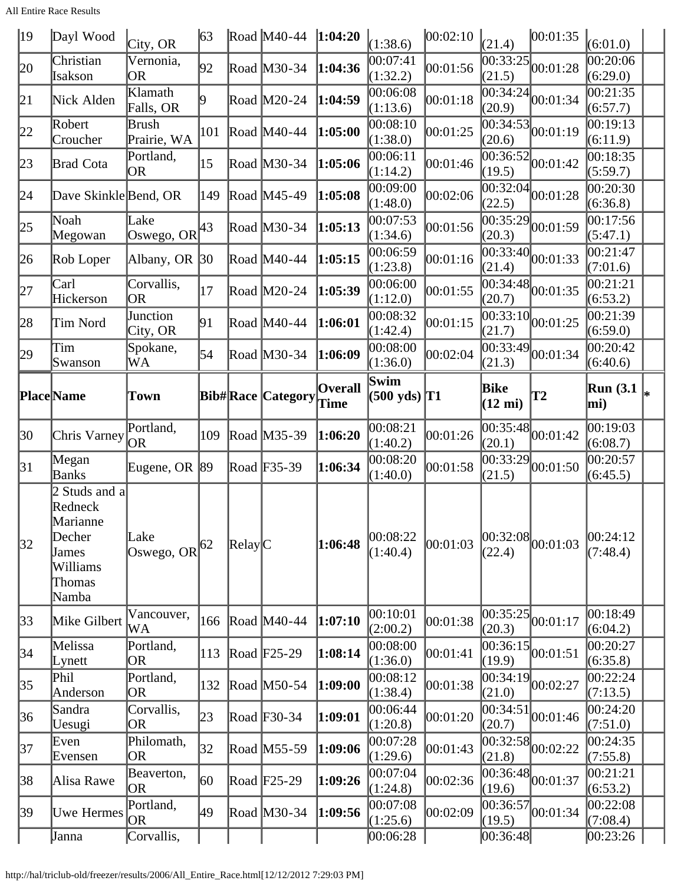All Entire Race Results

| $ 19\rangle$ | Dayl Wood                                                                              | City, OR                       | $\sqrt{63}$ |                                | Road $M40-44$            | 1:04:20                | (1:38.6)                          | 00:02:10 | (21.4)                    | 00:01:35                                  | (6:01.0)                          |    |
|--------------|----------------------------------------------------------------------------------------|--------------------------------|-------------|--------------------------------|--------------------------|------------------------|-----------------------------------|----------|---------------------------|-------------------------------------------|-----------------------------------|----|
| 20           | Christian<br>Isakson                                                                   | Vernonia,<br><b>OR</b>         | 92          |                                | Road M30-34              | 1:04:36                | 00:07:41<br>(1:32.2)              | 00:01:56 | 00:33:25<br>(21.5)        | 00:01:28                                  | 00:20:06<br>(6:29.0)              |    |
| 21           | Nick Alden                                                                             | Klamath<br>Falls, OR           | 19          |                                | Road M20-24              | 1:04:59                | 00:06:08<br>(1:13.6)              | 00:01:18 | (20.9)                    | $\overline{00:34:24}\vert_{00:01:34}$     | 00:21:35<br>(6:57.7)              |    |
| 22           | Robert<br>Croucher                                                                     | Brush<br>Prairie, WA           | 101         |                                | Road M40-44              | 1:05:00                | 00:08:10<br>(1:38.0)              | 00:01:25 | 00:34:53 <br>(20.6)       | 00:01:19                                  | 00:19:13<br>(6:11.9)              |    |
| 23           | <b>Brad Cota</b>                                                                       | Portland,<br><b>OR</b>         | 15          |                                | Road M30-34              | 1:05:06                | 00:06:11<br>(1:14.2)              | 00:01:46 | (19.5)                    | $\overline{00:36:52}$ 00:01:42            | 00:18:35<br>(5:59.7)              |    |
| 24           | Dave Skinkle Bend, OR                                                                  |                                | 149         |                                | Road M45-49              | 1:05:08                | 00:09:00<br>(1:48.0)              | 00:02:06 | (22.5)                    | $\overline{00:32:04}$ 00:01:28            | 00:20:30<br>(6:36.8)              |    |
| 25           | Noah<br>Megowan                                                                        | Lake<br>Oswego, OR $ 43 $      |             |                                | Road M30-34              | 1:05:13                | 00:07:53<br>(1:34.6)              | 00:01:56 | 00:35:29<br>(20.3)        | 00:01:59                                  | 00:17:56<br>(5:47.1)              |    |
| 26           | Rob Loper                                                                              | Albany, OR 30                  |             |                                | Road M40-44              | 1:05:15                | 00:06:59<br>(1:23.8)              | 00:01:16 | 00:33:40<br>(21.4)        | 00:01:33                                  | 00:21:47<br>(7:01.6)              |    |
| 27           | Carl<br>Hickerson                                                                      | Corvallis,<br><b>OR</b>        | 17          |                                | Road M20-24              | 1:05:39                | 00:06:00<br>(1:12.0)              | 00:01:55 | (20.7)                    | $\sqrt{00:34:48}$ 00:01:35                | 00:21:21<br>(6:53.2)              |    |
| 28           | Tim Nord                                                                               | Junction<br>City, OR           | 91          |                                | Road M40-44              | 1:06:01                | 00:08:32<br>(1:42.4)              | 00:01:15 | (21.7)                    | $\overline{00:33:10}$ $00:01:25$          | 00:21:39<br>(6:59.0)              |    |
| 29           | Tim<br>Swanson                                                                         | Spokane,<br>WA                 | 54          |                                | Road M30-34              | 1:06:09                | 00:08:00<br>(1:36.0)              | 00:02:04 | 00:33:49 <br>(21.3)       | 00:01:34                                  | 00:20:42<br>(6:40.6)              |    |
|              | <b>Place</b> Name                                                                      | <b>Town</b>                    |             |                                | <b>Bib#Race Category</b> | <b>Overall</b><br>Time | Swim<br>$(500 \text{ yds})$ T1    |          | Bike<br>$(12 \text{ mi})$ | <b>T2</b>                                 | <b>Run</b> (3.1)<br>mi)           | l∗ |
| 30           | Chris Varney                                                                           | Portland,<br><b>OR</b>         | 109         |                                | Road M35-39              | 1:06:20                | 00:08:21<br>(1:40.2)              | 00:01:26 | (20.1)                    | $\overline{00:35:48}$ 00:01:42            | 00:19:03<br>(6:08.7)              |    |
|              | Megan                                                                                  |                                |             |                                |                          |                        |                                   |          |                           |                                           |                                   |    |
| 31           | Banks                                                                                  | Eugene, OR 89                  |             |                                | Road F35-39              | 1:06:34                | 00:08:20<br>(1:40.0)              | 00:01:58 | 00:33:29<br>(21.5)        | 00:01:50                                  | 00:20:57<br>(6:45.5)              |    |
| 32           | 2 Studs and a<br>Redneck<br>Marianne<br>Decher<br>James<br>Williams<br>Thomas<br>Namba | Lake<br>Oswego, OR $ 62 $      |             | $\mathbb{R}$ elay $\mathbb{C}$ |                          | 1:06:48                | 00:08:22<br>(1:40.4)              | 00:01:03 | (22.4)                    | 00:32:08 00:01:03                         | 00:24:12<br>(7:48.4)              |    |
| $ 33\rangle$ | Mike Gilbert                                                                           | Vancouver,<br>WA               | 166         |                                | Road M40-44              | 1:07:10                | 00:10:01<br>(2:00.2)              | 00:01:38 | 00:35:25<br>(20.3)        | 00:01:17                                  | 00:18:49<br>(6:04.2)              |    |
| 34           | Melissa<br>Lynett                                                                      | Portland,<br> OR               | 113         |                                | Road $F25-29$            | 1:08:14                | 00:08:00<br>(1:36.0)              | 00:01:41 | (19.9)                    | $\overline{00:36:15}$ 00:01:51            | 00:20:27<br>(6:35.8)              |    |
| 35           | Phil<br>Anderson                                                                       | Portland,<br><b>OR</b>         | 132         |                                | Road M50-54              | 1:09:00                | 00:08:12<br>(1:38.4)              | 00:01:38 | (21.0)                    | $\overline{00:34:19}$ 00:02:27            | 00:22:24<br>(7:13.5)              |    |
| 36           | Sandra<br>Uesugi                                                                       | Corvallis,<br><b>OR</b>        | 23          |                                | Road F30-34              | 1:09:01                | 00:06:44<br>(1:20.8)              | 00:01:20 | 00:34:51<br>(20.7)        | 00:01:46                                  | 00:24:20<br>(7:51.0)              |    |
| 37           | Even<br>Evensen                                                                        | Philomath,<br> OR              | 32          |                                | Road M55-59              | 1:09:06                | 00:07:28<br>(1:29.6)              | 00:01:43 | (21.8)                    | $\overline{00:32:58}$ 00:02:22            | 00:24:35<br>(7:55.8)              |    |
| 38           | Alisa Rawe                                                                             | Beaverton,<br> OR              | 60          |                                | Road $F25-29$            | 1:09:26                | 00:07:04<br>(1:24.8)              | 00:02:36 | (19.6)                    | $\overline{00:36:48}$ 00:01:37            | 00:21:21<br>(6:53.2)              |    |
| 39           | Uwe Hermes<br>Janna                                                                    | Portland,<br> OR<br>Corvallis, | 49          |                                | Road M30-34              | 1:09:56                | 00:07:08<br>(1:25.6)<br> 00:06:28 | 00:02:09 | (19.5)<br>[00:36:48]      | $\frac{1}{000:36:57}$ <sub>00:01:34</sub> | 00:22:08<br>(7:08.4)<br> 00:23:26 |    |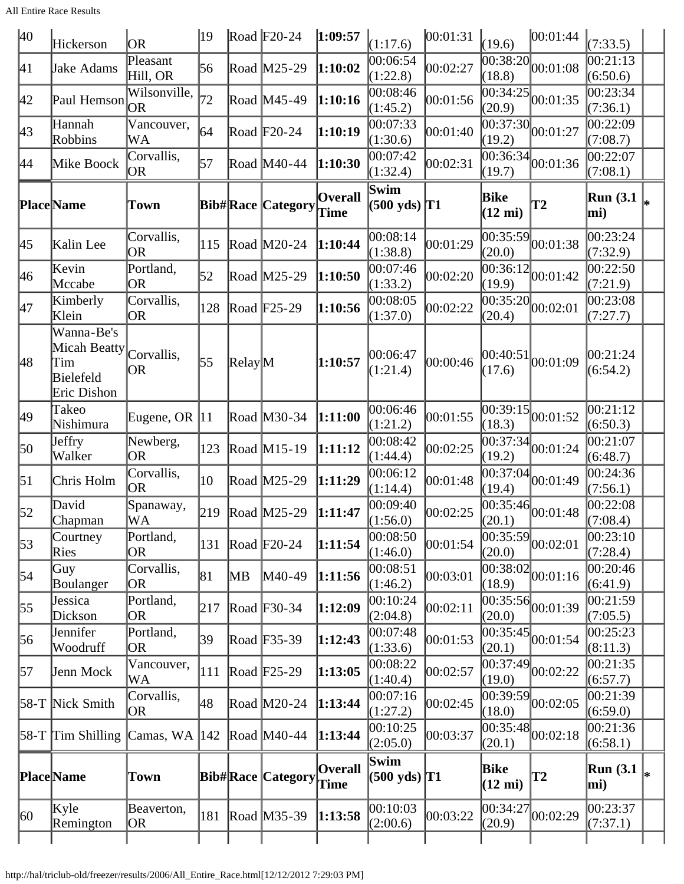| 40               | Hickerson                                                     | <b>OR</b>               | 19  |                  | Road $F20-24$            | 1:09:57                | (1:17.6)                                  | 00:01:31 | (19.6)                    | 00:01:44                                  | (7:33.5)                |    |
|------------------|---------------------------------------------------------------|-------------------------|-----|------------------|--------------------------|------------------------|-------------------------------------------|----------|---------------------------|-------------------------------------------|-------------------------|----|
| 41               | Jake Adams                                                    | Pleasant<br>Hill, OR    | 56  |                  | Road M25-29              | 1:10:02                | 00:06:54<br>(1:22.8)                      | 00:02:27 | 00:38:20<br>(18.8)        | 00:01:08                                  | 00:21:13<br>(6:50.6)    |    |
| 42               | Paul Hemson                                                   | Wilsonville,<br>OR.     | 72  |                  | Road M45-49              | 1:10:16                | 00:08:46<br>(1:45.2)                      | 00:01:56 | (20.9)                    | $\overline{00:34:25}$ 00:01:35            | 00:23:34<br>(7:36.1)    |    |
| 43               | Hannah<br>Robbins                                             | Vancouver,<br>WA        | 164 |                  | Road $F20-24$            | 1:10:19                | 00:07:33<br>(1:30.6)                      | 00:01:40 | (19.2)                    | $\overline{00:37:30}$ 00:01:27            | 00:22:09<br>(7:08.7)    |    |
| 44               | Mike Boock                                                    | Corvallis,<br><b>OR</b> | 57  |                  | Road M40-44              | 1:10:30                | 00:07:42<br>(1:32.4)                      | 00:02:31 | (19.7)                    | $\overline{00:36:34}$ 00:01:36            | 00:22:07<br>(7:08.1)    |    |
|                  | Place Name                                                    | Town                    |     |                  | <b>Bib#Race Category</b> | <b>Overall</b><br>Time | Swim<br>$(500 \text{ yds})$ <sup>T1</sup> |          | Bike<br>$(12 \text{ mi})$ | <b>T2</b>                                 | <b>Run (3.1)</b><br>mi) |    |
| 45               | Kalin Lee                                                     | Corvallis,<br>OR        | 115 |                  | Road M20-24              | 1:10:44                | 00:08:14<br>(1:38.8)                      | 00:01:29 | (20.0)                    | $\overline{00:35:59}$ 00:01:38            | 00:23:24<br>(7:32.9)    |    |
| 46               | Kevin<br>Mccabe                                               | Portland,<br><b>OR</b>  | 52  |                  | Road M25-29              | 1:10:50                | 00:07:46<br>(1:33.2)                      | 00:02:20 | (19.9)                    | $\sqrt{00:36:12}\big  00:01:42$           | 00:22:50<br>(7:21.9)    |    |
| 47               | Kimberly<br>Klein                                             | Corvallis,<br> OR       | 128 |                  | Road $F25-29$            | 1:10:56                | 00:08:05<br>(1:37.0)                      | 00:02:22 | 00:35:20 <br>(20.4)       | 00:02:01                                  | 00:23:08<br>(7:27.7)    |    |
| 48               | Wanna-Be's<br>Micah Beatty<br>Tim<br>Bielefeld<br>Eric Dishon | Corvallis,<br>OR        | 55  | $\text{Relay}$ M |                          | 1:10:57                | 00:06:47<br>(1:21.4)                      | 00:00:46 | 00:40:51<br>(17.6)        | 00:01:09                                  | 00:21:24<br>(6:54.2)    |    |
| 49               | Takeo<br>Nishimura                                            | Eugene, OR $ 11$        |     |                  | Road M30-34              | 1:11:00                | 00:06:46<br>(1:21.2)                      | 00:01:55 | 00:39:15<br>(18.3)        | 00:01:52                                  | 00:21:12<br>(6:50.3)    |    |
| 50               | Jeffry<br>Walker                                              | Newberg,<br>OR          | 123 |                  | Road M15-19              | 1:11:12                | 00:08:42<br>(1:44.4)                      | 00:02:25 | (19.2)                    | $\overline{00:37:34}$ $\big  00:01:24$    | 00:21:07<br>(6:48.7)    |    |
| $\vert 51 \vert$ | Chris Holm                                                    | Corvallis,<br>OR        | 10  |                  | Road M25-29              | 1:11:29                | 00:06:12<br>(1:14.4)                      | 00:01:48 | (19.4)                    | $\overline{00:37:04}$ $\big  00:01:49$    | 00:24:36<br>(7:56.1)    |    |
| $\vert 52 \vert$ | David<br>Chapman                                              | Spanaway,<br>WA         | 219 |                  | Road M25-29              | 1:11:47                | 00:09:40<br>(1:56.0)                      | 00:02:25 | (20.1)                    | $\overline{00:35:46}$ 00:01:48            | 00:22:08<br>(7:08.4)    |    |
| 53               | Courtney<br>Ries                                              | Portland,<br>OR.        | 131 |                  | Road $F20-24$            | 1:11:54                | 00:08:50<br>(1:46.0)                      | 00:01:54 | 00:35:59<br>(20.0)        | 00:02:01                                  | 00:23:10<br>(7:28.4)    |    |
| 54               | Guy<br>Boulanger                                              | Corvallis,<br>OR        | 81  | MB               | M40-49                   | 1:11:56                | 00:08:51<br>(1:46.2)                      | 00:03:01 | (18.9)                    | $\sqrt{00:38:02}$ 00:01:16                | 00:20:46<br>(6:41.9)    |    |
| 55               | Jessica<br>Dickson                                            | Portland,<br>OR         | 217 |                  | Road F30-34              | 1:12:09                | 00:10:24<br>(2:04.8)                      | 00:02:11 | (20.0)                    | $\overline{00:35:56}$ 00:01:39            | 00:21:59<br>(7:05.5)    |    |
| 56               | Jennifer<br>Woodruff                                          | Portland,<br>OR         | 39  |                  | Road F35-39              | 1:12:43                | 00:07:48<br>(1:33.6)                      | 00:01:53 | (20.1)                    | $\frac{1}{100:35:45}$ <sub>00:01:54</sub> | 00:25:23<br>(8:11.3)    |    |
| 57               | Jenn Mock                                                     | Vancouver,<br>WA        | 111 |                  | Road $F25-29$            | 1:13:05                | 00:08:22<br>(1:40.4)                      | 00:02:57 | 00:37:49 <br>(19.0)       | 00:02:22                                  | 00:21:35<br>(6:57.7)    |    |
|                  | 58-T Nick Smith                                               | Corvallis,<br>OR        | 48  |                  | Road M20-24              | 1:13:44                | 00:07:16<br>(1:27.2)                      | 00:02:45 | 00:39:59<br>(18.0)        | 00:02:05                                  | 00:21:39<br>(6:59.0)    |    |
|                  | $58-T$ Tim Shilling                                           | Camas, WA  142          |     |                  | Road $M40-44$            | 1:13:44                | 00:10:25<br>(2:05.0)                      | 00:03:37 | (20.1)                    | $\overline{00:35:48}$ 00:02:18            | 00:21:36<br>(6:58.1)    |    |
|                  | Place Name                                                    | Town                    |     |                  | <b>Bib#Race Category</b> | <b>Overall</b><br>Time | Swim<br>$(500 \text{ yds})$ T1            |          | Bike<br>$(12 \text{ mi})$ | T2                                        | <b>Run</b> (3.1)<br>mi) | l∗ |
| 60               | Kyle<br>Remington                                             | Beaverton,<br> OR       | 181 |                  | Road M35-39              | 1:13:58                | 00:10:03<br>(2:00.6)                      | 00:03:22 | 00:34:27<br>(20.9)        | 00:02:29                                  | 00:23:37<br>(7:37.1)    |    |
|                  |                                                               |                         |     |                  |                          |                        |                                           |          |                           |                                           |                         |    |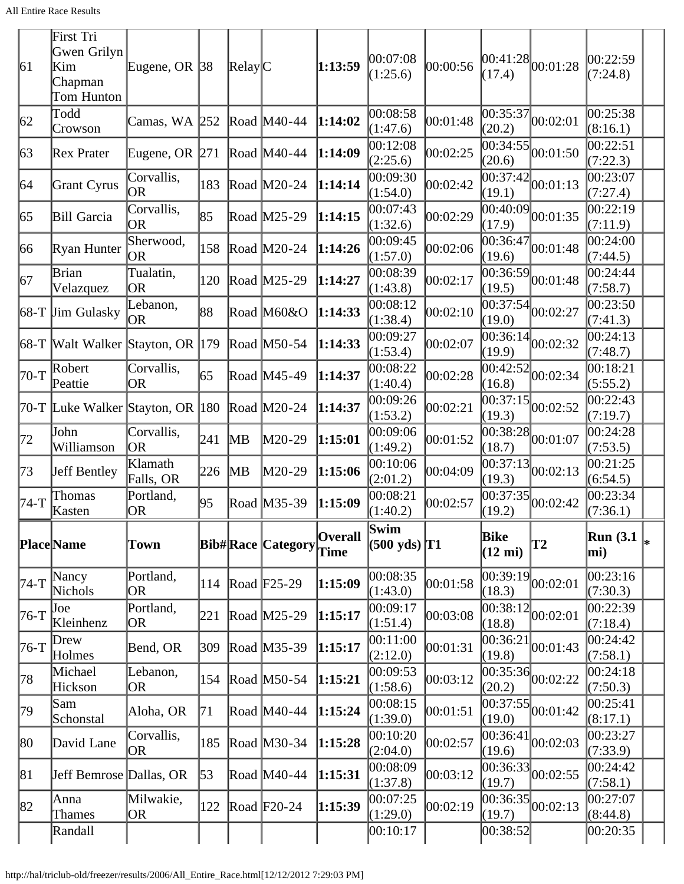| 61          | First Tri<br>Gwen Grilyn<br>Kim<br>Chapman<br>Tom Hunton | Eugene, OR $ 38 $       |               | Relay C |                          | 1:13:59                | 00:07:08<br>(1:25.6)           | 00:00:56 | (17.4)                    | $ 00:41:28 $ $ 00:01:28$                  | 00:22:59<br>(7:24.8)    |  |
|-------------|----------------------------------------------------------|-------------------------|---------------|---------|--------------------------|------------------------|--------------------------------|----------|---------------------------|-------------------------------------------|-------------------------|--|
| 62          | Todd<br>Crowson                                          | Camas, WA 252           |               |         | Road M40-44              | 1:14:02                | 00:08:58<br>(1:47.6)           | 00:01:48 | 00:35:37<br>(20.2)        | 00:02:01                                  | 00:25:38<br>(8:16.1)    |  |
| $\sqrt{63}$ | Rex Prater                                               | Eugene, OR $ 271 $      |               |         | Road $M40-44$            | 1:14:09                | 00:12:08<br>(2:25.6)           | 00:02:25 | (20.6)                    | $\sqrt{00:34:55}$ 00:01:50                | 00:22:51<br>(7:22.3)    |  |
| 64          | Grant Cyrus                                              | Corvallis,<br><b>OR</b> | 183           |         | Road M20-24              | 1:14:14                | 00:09:30<br>(1:54.0)           | 00:02:42 | 00:37:42<br>(19.1)        | 00:01:13                                  | 00:23:07<br>(7:27.4)    |  |
| 65          | Bill Garcia                                              | Corvallis,<br><b>OR</b> | 85            |         | Road M25-29              | 1:14:15                | 00:07:43<br>(1:32.6)           | 00:02:29 | 00:40:09 <br>(17.9)       | 00:01:35                                  | 00:22:19<br>(7:11.9)    |  |
| 66          | Ryan Hunter                                              | Sherwood,<br>OR         | 158           |         | Road M20-24              | 1:14:26                | 00:09:45<br>(1:57.0)           | 00:02:06 | 00:36:47<br>(19.6)        | 00:01:48                                  | 00:24:00<br>(7:44.5)    |  |
| 67          | Brian<br>Velazquez                                       | Tualatin,<br><b>OR</b>  | 120           |         | Road M25-29              | 1:14:27                | 00:08:39<br>(1:43.8)           | 00:02:17 | 00:36:59<br>(19.5)        | 00:01:48                                  | 00:24:44<br>(7:58.7)    |  |
|             | $68-T$ Jim Gulasky                                       | Lebanon,<br><b>OR</b>   | 88            |         | Road M60&O               | 1:14:33                | 00:08:12<br>(1:38.4)           | 00:02:10 | 00:37:54<br>(19.0)        | 00:02:27                                  | 00:23:50<br>(7:41.3)    |  |
|             | 68-T Walt Walker Stayton, OR 179                         |                         |               |         | Road M50-54              | 1:14:33                | 00:09:27<br>(1:53.4)           | 00:02:07 | (19.9)                    | $\overline{00:36:14}$ 00:02:32            | 00:24:13<br>(7:48.7)    |  |
| 70-T        | Robert<br>Peattie                                        | Corvallis,<br><b>OR</b> | 65            |         | Road M45-49              | 1:14:37                | 00:08:22<br>(1:40.4)           | 00:02:28 | 00:42:52<br>(16.8)        | 00:02:34                                  | 00:18:21<br>(5:55.2)    |  |
|             | 70-T Luke Walker Stayton, OR 180                         |                         |               |         | Road M20-24              | 1:14:37                | 00:09:26<br>(1:53.2)           | 00:02:21 | 00:37:15<br>(19.3)        | 00:02:52                                  | 00:22:43<br>(7:19.7)    |  |
| 72          | John<br>Williamson                                       | Corvallis,<br><b>OR</b> | 241           | MВ      | M20-29                   | 1:15:01                | 00:09:06<br>(1:49.2)           | 00:01:52 | 00:38:28 <br>(18.7)       | 00:01:07                                  | 00:24:28<br>(7:53.5)    |  |
| 73          | Jeff Bentley                                             | Klamath<br>Falls, OR    | 226           | MВ      | M20-29                   | 1:15:06                | 00:10:06<br>(2:01.2)           | 00:04:09 | (19.3)                    | $\overline{00:37:13}$ 00:02:13            | 00:21:25<br>(6:54.5)    |  |
| 74-T        | Thomas<br>Kasten                                         | Portland,<br><b>OR</b>  | 95            |         | Road M35-39              | 1:15:09                | 00:08:21<br>(1:40.2)           | 00:02:57 | 00:37:35 <br>(19.2)       | 00:02:42                                  | 00:23:34<br>(7:36.1)    |  |
|             | Place Name                                               | <b>Town</b>             |               |         | <b>Bib#Race Category</b> | <b>Overall</b><br>Time | Swim<br>$(500 \text{ yds})$ T1 |          | Bike<br>$(12 \text{ mi})$ | $\overline{12}$                           | <b>Run</b> (3.1)<br>mi) |  |
| $74-T$      | Nancy<br>Nichols                                         | Portland,<br><b>OR</b>  | $ 114\rangle$ |         | Road F25-29              | 1:15:09                | 00:08:35<br>(1:43.0)           | 00:01:58 | 00:39:19<br>(18.3)        | 00:02:01                                  | 00:23:16<br>(7:30.3)    |  |
| $76-T$      | Joe<br>Kleinhenz                                         | Portland,<br>OR         | 221           |         | Road M25-29              | 1:15:17                | 00:09:17<br>(1:51.4)           | 00:03:08 | 00:38:12<br>(18.8)        | 00:02:01                                  | 00:22:39<br>(7:18.4)    |  |
| 76-T        | Drew<br>Holmes                                           | Bend, OR                | 309           |         | Road $M35-39$            | 1:15:17                | 00:11:00<br>(2:12.0)           | 00:01:31 | 00:36:21<br>(19.8)        | 00:01:43                                  | 00:24:42<br>(7:58.1)    |  |
| 78          | Michael<br>Hickson                                       | Lebanon,<br>OR          | 154           |         | Road $M50-54$            | 1:15:21                | 00:09:53<br>(1:58.6)           | 00:03:12 | (20.2)                    | $\overline{00:35:36}$ 00:02:22            | 00:24:18<br>(7:50.3)    |  |
| 79          | Sam<br>Schonstal                                         | Aloha, OR               | 71            |         | Road M40-44              | 1:15:24                | 00:08:15<br>(1:39.0)           | 00:01:51 | 00:37:55<br>(19.0)        | 00:01:42                                  | 00:25:41<br>(8:17.1)    |  |
| 80          | David Lane                                               | Corvallis,<br><b>OR</b> | 185           |         | Road M30-34              | 1:15:28                | 00:10:20<br>(2:04.0)           | 00:02:57 | 00:36:41<br>(19.6)        | 00:02:03                                  | 00:23:27<br>(7:33.9)    |  |
| 81          | Jeff Bemrose Dallas, OR                                  |                         | 53            |         | Road M40-44              | 1:15:31                | 00:08:09<br>(1:37.8)           | 00:03:12 | (19.7)                    | $\overline{00:36:33}$ 00:02:55            | 00:24:42<br>(7:58.1)    |  |
| 82          | Anna<br><b>Thames</b>                                    | Milwakie,<br><b>OR</b>  | 122           |         | Road F20-24              | 1:15:39                | 00:07:25<br>(1:29.0)           | 00:02:19 | (19.7)                    | $\frac{1}{100:36:35}$ <sub>00:02:13</sub> | 00:27:07<br>(8:44.8)    |  |
|             | Randall                                                  |                         |               |         |                          |                        | 00:10:17                       |          | 00:38:52                  |                                           | 00:20:35                |  |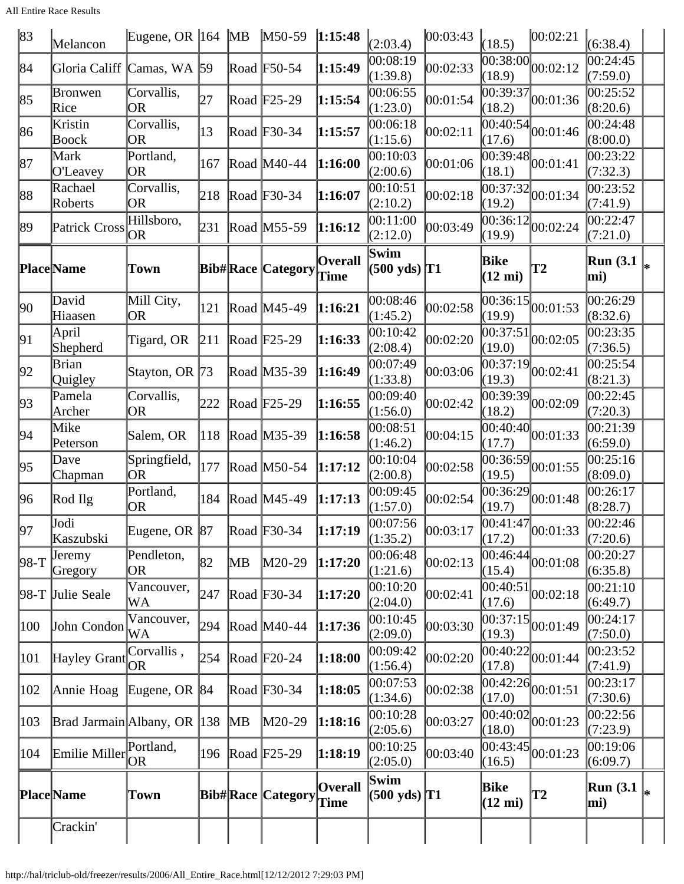All Entire Race Results

| 83           | Melancon                                 | Eugene, OR $ 164 \rangle$ MB |     |    | $M50-59$                 | 1:15:48                | (2:03.4)                       | 00:03:43 | (18.5)                           | 00:02:21                                    | (6:38.4)                |   |
|--------------|------------------------------------------|------------------------------|-----|----|--------------------------|------------------------|--------------------------------|----------|----------------------------------|---------------------------------------------|-------------------------|---|
| 84           | Gloria Califf                            | Camas, WA $\vert$ 59         |     |    | Road F50-54              | 1:15:49                | 00:08:19<br>(1:39.8)           | 00:02:33 | (18.9)                           | $\overline{00:38:00}$ 00:02:12              | 00:24:45<br>(7:59.0)    |   |
| 85           | Bronwen<br>Rice                          | Corvallis,<br><b>OR</b>      | 27  |    | Road F25-29              | 1:15:54                | 00:06:55<br>(1:23.0)           | 00:01:54 | 00:39:37<br>(18.2)               | 00:01:36                                    | 00:25:52<br>(8:20.6)    |   |
| 86           | Kristin<br>Boock                         | Corvallis,<br>OR             | 13  |    | Road F30-34              | 1:15:57                | 00:06:18<br>(1:15.6)           | 00:02:11 | 00:40:54<br>(17.6)               | 00:01:46                                    | 00:24:48<br>(8:00.0)    |   |
| 87           | Mark<br>O'Leavey                         | Portland,<br> OR             | 167 |    | Road M40-44              | 1:16:00                | 00:10:03<br>(2:00.6)           | 00:01:06 | (18.1)                           | $\overline{00:39:48}$ 00:01:41              | 00:23:22<br>(7:32.3)    |   |
| 88           | Rachael<br>Roberts                       | Corvallis,<br><b>OR</b>      | 218 |    | Road $F30-34$            | 1:16:07                | 00:10:51<br>(2:10.2)           | 00:02:18 | (19.2)                           | $\overline{00:37:32}$ 00:01:34              | 00:23:52<br>(7:41.9)    |   |
| 89           | Patrick Cross                            | Hillsboro,<br><b>OR</b>      | 231 |    | Road M55-59              | 1:16:12                | 00:11:00<br>(2:12.0)           | 00:03:49 | 00:36:12<br>(19.9)               | 00:02:24                                    | 00:22:47<br>(7:21.0)    |   |
|              | <b>Place</b> Name                        | Town                         |     |    | <b>Bib#Race Category</b> | <b>Overall</b><br>Time | Swim<br>(500 yds)  T1          |          | <b>Bike</b><br>$(12 \text{ mi})$ | <b>T2</b>                                   | <b>Run</b> (3.1)<br>mi) |   |
| $ 90\rangle$ | David<br>Hiaasen                         | Mill City,<br><b>OR</b>      | 121 |    | Road M45-49              | 1:16:21                | 00:08:46<br>(1:45.2)           | 00:02:58 | (19.9)                           | $\overline{00:36:15}\big 00:01:53$          | 00:26:29<br>(8:32.6)    |   |
| 91           | April<br>Shepherd                        | Tigard, OR                   | 211 |    | Road F <sub>25</sub> -29 | 1:16:33                | 00:10:42<br>(2:08.4)           | 00:02:20 | 00:37:51<br>(19.0)               | 00:02:05                                    | 00:23:35<br>(7:36.5)    |   |
| 92           | Brian<br>Quigley                         | Stayton, OR 73               |     |    | Road M35-39              | 1:16:49                | 00:07:49<br>(1:33.8)           | 00:03:06 | 00:37:19<br>(19.3)               | 00:02:41                                    | 00:25:54<br>(8:21.3)    |   |
| 93           | Pamela<br>Archer                         | Corvallis,<br>OR             | 222 |    | Road F <sub>25</sub> -29 | 1:16:55                | 00:09:40<br>(1:56.0)           | 00:02:42 | (18.2)                           | $\overline{00:39:39}$ 00:02:09              | 00:22:45<br>(7:20.3)    |   |
| 94           | Mike<br>Peterson                         | Salem, OR                    | 118 |    | Road M35-39              | 1:16:58                | 00:08:51<br>(1:46.2)           | 00:04:15 | (17.7)                           | $\frac{1}{100:40:40}$ 00:01:33              | 00:21:39<br>(6:59.0)    |   |
| 95           | Dave<br>Chapman                          | Springfield,<br> OR          | 177 |    | Road M50-54              | 1:17:12                | 00:10:04<br>(2:00.8)           | 00:02:58 | 00:36:59<br>(19.5)               | 00:01:55                                    | 00:25:16<br>(8:09.0)    |   |
| 96           | Rod Ilg                                  | Portland,<br><b>OR</b>       | 184 |    | Road M45-49              | 1:17:13                | 00:09:45<br>(1:57.0)           | 00:02:54 | (19.7)                           | $\overline{[00:36:29]} 00:01:48$            | 00:26:17<br>(8:28.7)    |   |
| 97           | Jodi<br>Kaszubski                        | Eugene, OR 87                |     |    | Road F30-34              | 1:17:19                | 00:07:56<br>(1:35.2)           | 00:03:17 | (17.2)                           | $\frac{124}{00:41:47}$ <sub>00</sub> :01:33 | 00:22:46<br>(7:20.6)    |   |
| $ 98-T$      | <b>Jeremy</b><br>Gregory                 | Pendleton,<br> OR            | 82  | MВ | $M20-29$                 | 1:17:20                | 00:06:48<br>(1:21.6)           | 00:02:13 | (15.4)                           | $\overline{ 00:46:44 }_{00:01:08}$          | 00:20:27<br>(6:35.8)    |   |
|              | 98-T Julie Seale                         | Vancouver,<br>WA             | 247 |    | Road $F30-34$            | 1:17:20                | 00:10:20<br>(2:04.0)           | 00:02:41 | 00:40:51 <br>(17.6)              | 00:02:18                                    | 00:21:10<br>(6:49.7)    |   |
| 100          | John Condon                              | Vancouver,<br>WA             | 294 |    | Road M40-44              | 1:17:36                | 00:10:45<br>(2:09.0)           | 00:03:30 | (19.3)                           | $\frac{1}{100:37:15}$ <sub>00:01:49</sub>   | 00:24:17<br>(7:50.0)    |   |
| 101          | Hayley Grant                             | Corvallis,<br> OR            | 254 |    | Road F20-24              | 1:18:00                | 00:09:42<br>(1:56.4)           | 00:02:20 | (17.8)                           | $\frac{1}{100:40:22}$ 00:01:44              | 00:23:52<br>(7:41.9)    |   |
| 102          | Annie Hoag                               | Eugene, OR 84                |     |    | Road F30-34              | 1:18:05                | 00:07:53<br>(1:34.6)           | 00:02:38 | (17.0)                           | $\overline{00:42:26}$ <sub>00:01:51</sub>   | 00:23:17<br>(7:30.6)    |   |
| 103          | Brad Jarmain Albany, OR 138              |                              |     | MВ | M20-29                   | 1:18:16                | 00:10:28<br>(2:05.6)           | 00:03:27 | (18.0)                           | $\overline{00:40:02}$ <sub>00:01:23</sub>   | 00:22:56<br>(7:23.9)    |   |
| 104          | $\lim i$ Miller $\bigcap_{n=1}^{\infty}$ | Portland,                    | 196 |    | Road $F25-29$            | 1:18:19                | 00:10:25<br>(2:05.0)           | 00:03:40 | 00:43:45<br>(16.5)               | 00:01:23                                    | 00:19:06<br>(6:09.7)    |   |
|              | <b>Place</b> Name                        | <b>Town</b>                  |     |    | <b>Bib#Race Category</b> | <b>Overall</b><br>Time | Swim<br>$(500 \text{ yds})$ T1 |          | Bike<br>$(12 \text{ mi})$        | <b>T2</b>                                   | <b>Run</b> (3.1)<br>mi) | ∗ |
|              | Crackin'                                 |                              |     |    |                          |                        |                                |          |                                  |                                             |                         |   |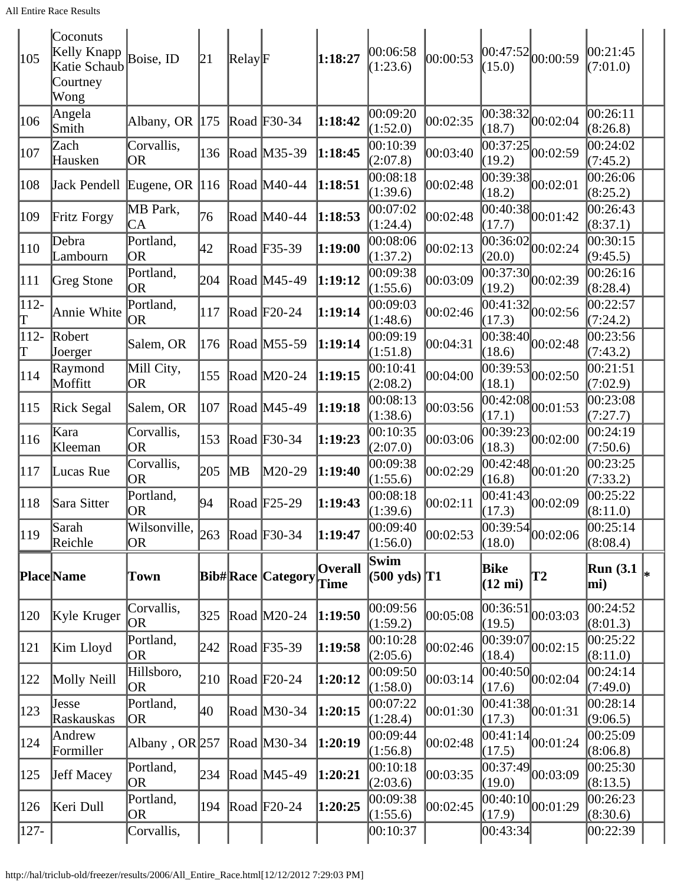| 105          | Coconuts<br>Kelly Knapp<br>Katie Schaub<br>Courtney<br>Wong | Boise, ID                                                   | 21  | $\mathbb{R}$ elay $\mathbb{F}$ |                          | 1:18:27                | 00:06:58<br>(1:23.6)           | 00:00:53 | (15.0)                    | 00:47:52 00:00:59                               | 00:21:45<br>(7:01.0)    |    |
|--------------|-------------------------------------------------------------|-------------------------------------------------------------|-----|--------------------------------|--------------------------|------------------------|--------------------------------|----------|---------------------------|-------------------------------------------------|-------------------------|----|
| 106          | Angela<br>Smith                                             | Albany, OR  175                                             |     |                                | Road F30-34              | 1:18:42                | 00:09:20<br>(1:52.0)           | 00:02:35 | 00:38:32<br>(18.7)        | 00:02:04                                        | 00:26:11<br>(8:26.8)    |    |
| 107          | Zach<br>Hausken                                             | Corvallis,<br>OR                                            | 136 |                                | Road M35-39              | 1:18:45                | 00:10:39<br>(2:07.8)           | 00:03:40 | (19.2)                    | $\overline{00:37:25}$ 00:02:59                  | 00:24:02<br>(7:45.2)    |    |
| 108          | Jack Pendell Eugene, OR $ 116 $                             |                                                             |     |                                | Road M40-44              | 1:18:51                | 00:08:18<br>(1:39.6)           | 00:02:48 | (18.2)                    | $\overline{00:39:38}$ 00:02:01                  | 00:26:06<br>(8:25.2)    |    |
| 109          | Fritz Forgy                                                 | MB Park,<br>CA                                              | 76  |                                | Road M40-44              | 1:18:53                | 00:07:02<br>(1:24.4)           | 00:02:48 | (17.7)                    | $\frac{1}{100:40:38}$ 00:01:42                  | 00:26:43<br>(8:37.1)    |    |
| 110          | Debra<br>Lambourn                                           | Portland,<br><b>OR</b>                                      | 42  |                                | Road F35-39              | 1:19:00                | 00:08:06<br>(1:37.2)           | 00:02:13 | (20.0)                    | $\overline{00:36:02}$ 00:02:24                  | 00:30:15<br>(9:45.5)    |    |
| 111          | Greg Stone                                                  | Portland,<br>OR                                             | 204 |                                | Road M45-49              | 1:19:12                | 00:09:38<br>(1:55.6)           | 00:03:09 | (19.2)                    | $\overline{00:37:30}$ $\vert 00:02:39 \vert$    | 00:26:16<br>(8:28.4)    |    |
| $112 -$<br>Τ | Annie White                                                 | Portland,<br><b>OR</b>                                      | 117 |                                | Road $F20-24$            | 1:19:14                | 00:09:03<br>(1:48.6)           | 00:02:46 | (17.3)                    | $\frac{1}{100:41:32}$ 00:02:56                  | 00:22:57<br>(7:24.2)    |    |
| 112-<br>T    | Robert<br>Joerger                                           | Salem, OR                                                   | 176 |                                | Road M55-59              | 1:19:14                | 00:09:19<br>(1:51.8)           | 00:04:31 | (18.6)                    | $\overline{00:38:40}$ 00:02:48                  | 00:23:56<br>(7:43.2)    |    |
| 114          | Raymond<br>Moffitt                                          | Mill City,<br>OR                                            | 155 |                                | Road M20-24              | 1:19:15                | 00:10:41<br>(2:08.2)           | 00:04:00 | 00:39:53<br>(18.1)        | 00:02:50                                        | 00:21:51<br>(7:02.9)    |    |
| 115          | Rick Segal                                                  | Salem, OR                                                   | 107 |                                | Road M45-49              | 1:19:18                | 00:08:13<br>(1:38.6)           | 00:03:56 | (17.1)                    | $\overline{00:42:08}$ 00:01:53                  | 00:23:08<br>(7:27.7)    |    |
| 116          | Kara<br>Kleeman                                             | Corvallis,<br><b>OR</b>                                     | 153 |                                | Road F30-34              | 1:19:23                | 00:10:35<br>(2:07.0)           | 00:03:06 | (18.3)                    | $\overline{[00:39:23]}_{00:02:00}$              | 00:24:19<br>(7:50.6)    |    |
| 117          | Lucas Rue                                                   | Corvallis,<br><b>OR</b>                                     | 205 | MB                             | M20-29                   | 1:19:40                | 00:09:38<br>(1:55.6)           | 00:02:29 | 00:42:48<br>(16.8)        | 00:01:20                                        | 00:23:25<br>(7:33.2)    |    |
| 118          | Sara Sitter                                                 | Portland,<br><b>OR</b>                                      | 94  |                                | Road $F25-29$            | 1:19:43                | 00:08:18<br>(1:39.6)           | 00:02:11 | (17.3)                    | $\frac{1}{00:41:43}$ 00:02:09                   | 00:25:22<br>(8:11.0)    |    |
| 119          | Sarah<br>Reichle                                            | Wilsonville, $ _{263}$ $ _{\text{Road}}$ $ _{F30-34}$<br>OR |     |                                |                          | 1:19:47                | 00:09:40<br>(1:56.0)           | 00:02:53 | (18.0)                    | $\frac{(11.12)}{00:39:54}$ <sub>00</sub> :02:06 | 00:25:14<br>(8:08.4)    |    |
|              | Place Name                                                  | Town                                                        |     |                                | <b>Bib#Race Category</b> | <b>Overall</b><br>Time | Swim<br>$(500 \text{ yds})$ T1 |          | Bike<br>$(12 \text{ mi})$ | T2                                              | <b>Run</b> (3.1)<br>mi) | l* |
| 120          | Kyle Kruger                                                 | Corvallis,<br>OR                                            | 325 |                                | Road $M20-24$            | 1:19:50                | 00:09:56<br>(1:59.2)           | 00:05:08 | 00:36:51 <br>(19.5)       | 00:03:03                                        | 00:24:52<br>(8:01.3)    |    |
| 121          | Kim Lloyd                                                   | Portland,<br><b>OR</b>                                      | 242 |                                | Road F35-39              | 1:19:58                | 00:10:28<br>(2:05.6)           | 00:02:46 | 00:39:07<br>(18.4)        | 00:02:15                                        | 00:25:22<br>(8:11.0)    |    |
| 122          | Molly Neill                                                 | Hillsboro,<br><b>OR</b>                                     | 210 |                                | Road $F20-24$            | 1:20:12                | 00:09:50<br>(1:58.0)           | 00:03:14 | 00:40:50<br>(17.6)        | 00:02:04                                        | 00:24:14<br>(7:49.0)    |    |
| 123          | Jesse<br>Raskauskas                                         | Portland,<br><b>OR</b>                                      | 40  |                                | Road M30-34              | 1:20:15                | 00:07:22<br>(1:28.4)           | 00:01:30 | (17.3)                    | $\overline{00:41:38}$ 00:01:31                  | 00:28:14<br>(9:06.5)    |    |
| 124          | Andrew<br>Formiller                                         | Albany, $OR 257$                                            |     |                                | Road $M30-34$            | 1:20:19                | 00:09:44<br>(1:56.8)           | 00:02:48 | (17.5)                    | $\overline{00:41:14}$ $00:01:24$                | 00:25:09<br>(8:06.8)    |    |
| 125          | Jeff Macey                                                  | Portland,<br><b>OR</b>                                      | 234 |                                | Road M45-49              | 1:20:21                | 00:10:18<br>(2:03.6)           | 00:03:35 | 00:37:49<br>(19.0)        | 00:03:09                                        | 00:25:30<br>(8:13.5)    |    |
| 126          | Keri Dull                                                   | Portland,<br><b>OR</b>                                      | 194 |                                | Road $F20-24$            | 1:20:25                | 00:09:38<br>(1:55.6)           | 00:02:45 | (17.9)                    | $\overline{ 00:40:10 }_{00:01:29}$              | 00:26:23<br>(8:30.6)    |    |
| $ 127-$      |                                                             | Corvallis,                                                  |     |                                |                          |                        | 00:10:37                       |          | 00:43:34                  |                                                 | 00:22:39                |    |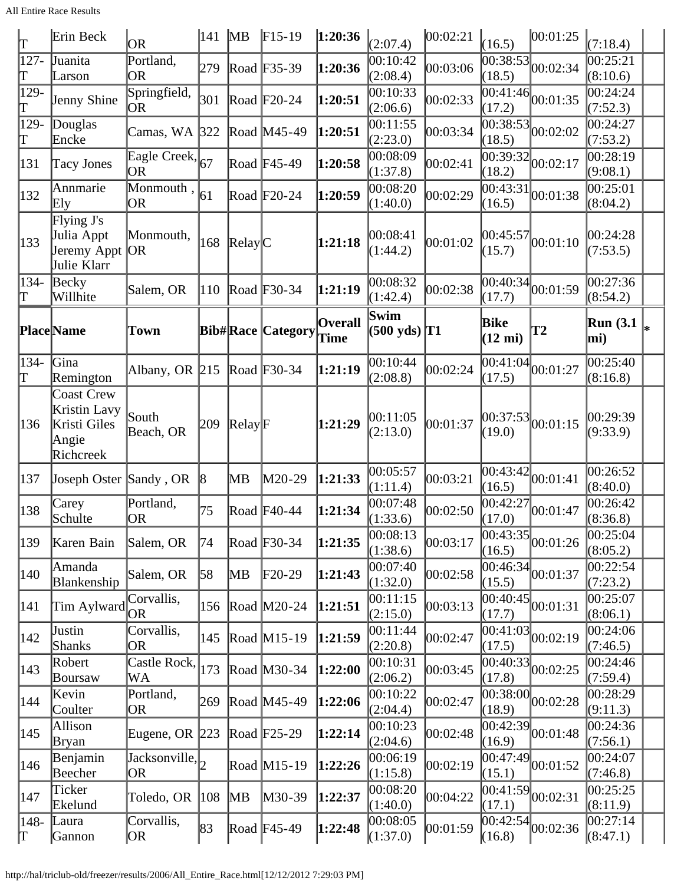All Entire Race Results

| lΤ           | Erin Beck                                                               | <b>OR</b>                                   | 141       | <b>MB</b>                      | $F15-19$                 | 1:20:36                | (2:07.4)                                  | 00:02:21 | (16.5)                            | 00:01:25                                        | (7:18.4)                          |  |
|--------------|-------------------------------------------------------------------------|---------------------------------------------|-----------|--------------------------------|--------------------------|------------------------|-------------------------------------------|----------|-----------------------------------|-------------------------------------------------|-----------------------------------|--|
| $127 -$<br>T | Juanita<br>Larson                                                       | Portland,<br><b>OR</b>                      | 279       |                                | Road F35-39              | 1:20:36                | 00:10:42<br>(2:08.4)                      | 00:03:06 | 00:38:53<br>(18.5)                | 00:02:34                                        | 00:25:21<br>(8:10.6)              |  |
| 129-<br>T    | Jenny Shine                                                             | Springfield,<br> OR                         | 301       |                                | Road $F20-24$            | 1:20:51                | 00:10:33<br>(2:06.6)                      | 00:02:33 | (17.2)                            | $\sqrt{00:41:46}$ 00:01:35                      | $\overline{00:}24:24$<br>(7:52.3) |  |
| 129-<br>lΤ   | Douglas<br>Encke                                                        | Camas, WA                                   | $322$     |                                | Road M45-49              | 1:20:51                | 00:11:55<br>(2:23.0)                      | 00:03:34 | $\overline{00}$ :38:53 <br>(18.5) | 00:02:02                                        | 00:24:27<br>(7:53.2)              |  |
| 131          | Tacy Jones                                                              | Eagle Creek, 67<br>OR                       |           |                                | Road $F45-49$            | 1:20:58                | 00:08:09<br>(1:37.8)                      | 00:02:41 | 00:39:32<br>(18.2)                | 00:02:17                                        | 00:28:19<br>(9:08.1)              |  |
| 132          | Annmarie<br>Ely                                                         | Monmouth, $\vert_{61}$<br><b>OR</b>         |           |                                | Road F20-24              | 1:20:59                | 00:08:20<br>(1:40.0)                      | 00:02:29 | 00:43:31<br>(16.5)                | 00:01:38                                        | 00:25:01<br>(8:04.2)              |  |
| 133          | Flying J's<br>Julia Appt<br>Jeremy Appt<br>Julie Klarr                  | Monmouth,<br><b>OR</b>                      | 168       | $\text{Relay}$ $\text{C}$      |                          | 1:21:18                | 00:08:41<br>(1:44.2)                      | 00:01:02 | 00:45:57<br>(15.7)                | 00:01:10                                        | 00:24:28<br>(7:53.5)              |  |
| $134-$<br>T  | Becky<br>Willhite                                                       | Salem, OR                                   | 110       |                                | Road F30-34              | 1:21:19                | 00:08:32<br>(1:42.4)                      | 00:02:38 | (17.7)                            | $\overline{00:40:34}\big  00:01:59$             | 00:27:36<br>(8:54.2)              |  |
|              | Place Name                                                              | Town                                        |           |                                | <b>Bib#Race Category</b> | <b>Overall</b><br>Time | Swim<br>$(500 \text{ yds})$ <sup>T1</sup> |          | Bike<br>$(12 \text{ mi})$         | $\mathbf{T2}$                                   | Run (3.1 $\vert_{*}$ )<br>mi)     |  |
| $134-$<br>lΤ | Gina<br>Remington                                                       | Albany, OR 215                              |           |                                | Road $F30-34$            | 1:21:19                | 00:10:44<br>(2:08.8)                      | 00:02:24 | (17.5)                            | $\overline{00:41:04}$ $00:01:27$                | 00:25:40<br>(8:16.8)              |  |
| 136          | <b>Coast Crew</b><br>Kristin Lavy<br>Kristi Giles<br>Angie<br>Richcreek | South<br>Beach, OR                          | 209       | $\mathbb{R}$ elay $\mathbb{F}$ |                          | 1:21:29                | 00:11:05<br>(2:13.0)                      | 00:01:37 | (19.0)                            | 00:37:53 00:01:15                               | 00:29:39<br>(9:33.9)              |  |
| 137          | Joseph Oster Sandy, OR                                                  |                                             | $\vert 8$ | MВ                             | M20-29                   | 1:21:33                | 00:05:57<br>(1:11.4)                      | 00:03:21 | 00:43:42<br>(16.5)                | 00:01:41                                        | 00:26:52<br>(8:40.0)              |  |
| 138          | Carey<br>Schulte                                                        | Portland,<br><b>OR</b>                      | 75        |                                | Road $F40-44$            | 1:21:34                | 00:07:48<br>(1:33.6)                      | 00:02:50 | 00:42:27<br>(17.0)                | 00:01:47                                        | 00:26:42<br>(8:36.8)              |  |
| 139          | Karen Bain                                                              | Salem, OR                                   | 74        |                                | Road F30-34              | 1:21:35                | 00:08:13<br>(1:38.6)                      | 00:03:17 | (16.5)                            | $\left  \overline{00:43:35} \right _{00:01:26}$ | 00:25:04<br>(8:05.2)              |  |
| 140          | Amanda<br>Blankenship                                                   | Salem, OR                                   | 58        | MВ                             | $F20-29$                 | 1:21:43                | 00:07:40<br>(1:32.0)                      | 00:02:58 | 00:46:34<br>(15.5)                | 00:01:37                                        | 00:22:54<br>(7:23.2)              |  |
| 141          | Tim Aylward                                                             | Corvallis,<br><b>OR</b>                     | 156       |                                | Road M20-24              | 1:21:51                | 00:11:15<br>(2:15.0)                      | 00:03:13 | (17.7)                            | $\frac{12}{100:40:45}$ <sub>00:01:31</sub>      | 00:25:07<br>(8:06.1)              |  |
| 142          | Justin<br>Shanks                                                        | Corvallis,<br><b>OR</b>                     | 145       |                                | Road $M15-19$            | 1:21:59                | 00:11:44<br>(2:20.8)                      | 00:02:47 | 00:41:03<br>(17.5)                | 00:02:19                                        | 00:24:06<br>(7:46.5)              |  |
| 143          | Robert<br>Boursaw                                                       | Castle Rock,<br>WA                          | 173       |                                | Road M30-34              | 1:22:00                | 00:10:31<br>(2:06.2)                      | 00:03:45 | (17.8)                            | $\frac{1}{000:40:33}$ 00:02:25                  | 00:24:46<br>(7:59.4)              |  |
| 144          | Kevin<br>Coulter                                                        | Portland,<br>OR                             | 269       |                                | Road M45-49              | 1:22:06                | 00:10:22<br>(2:04.4)                      | 00:02:47 | 00:38:00<br>(18.9)                | 00:02:28                                        | 00:28:29<br>(9:11.3)              |  |
| 145          | Allison<br> Bryan                                                       | Eugene, OR $ 223 $                          |           |                                | Road $F25-29$            | 1:22:14                | 00:10:23<br>(2:04.6)                      | 00:02:48 | 00:42:39 <br>(16.9)               | 00:01:48                                        | 00:24:36<br>(7:56.1)              |  |
| 146          | Benjamin<br>Beecher                                                     | Jacksonville, $\vert \mathcal{E}_{2}$<br>OR |           |                                | Road M15-19              | 1:22:26                | 00:06:19<br>(1:15.8)                      | 00:02:19 | 00:47:49 <br>(15.1)               | 00:01:52                                        | 00:24:07<br>(7:46.8)              |  |
| 147          | Ticker<br>Ekelund                                                       | Toledo, OR                                  | 108       | MB                             | M30-39                   | 1:22:37                | 00:08:20<br>(1:40.0)                      | 00:04:22 | 00:41:59<br>(17.1)                | 00:02:31                                        | 00:25:25<br>(8:11.9)              |  |
| 148-<br>T    | Laura<br>Gannon                                                         | Corvallis,<br> OR                           | 83        |                                | Road $F45-49$            | 1:22:48                | 00:08:05<br>(1:37.0)                      | 00:01:59 | 00:42:54]<br>(16.8)               | 00:02:36                                        | 00:27:14<br>(8:47.1)              |  |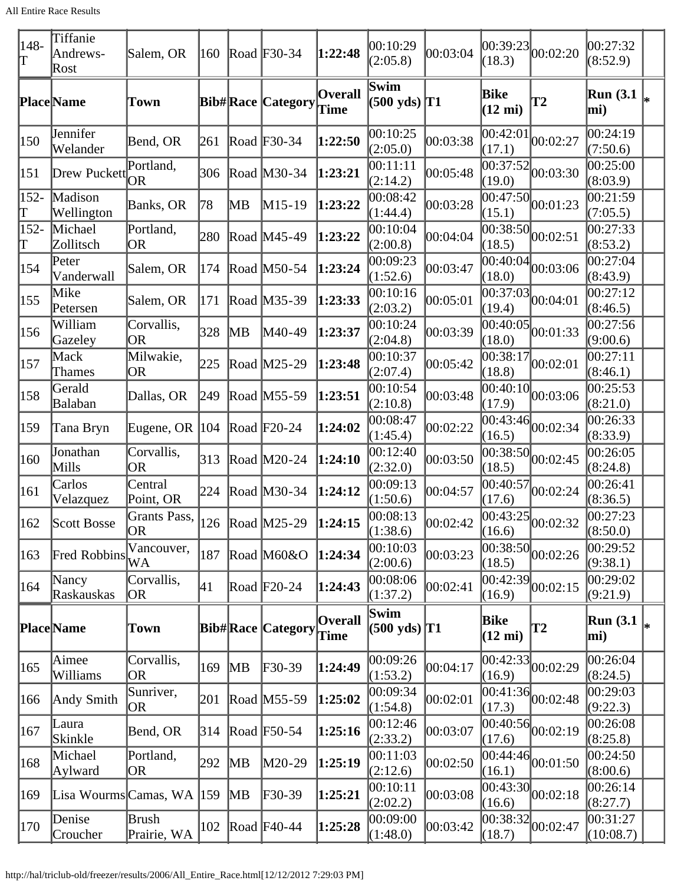| $ 148-$<br>lΤ     | Tiffanie<br>Andrews-<br>Rost        | Salem, OR                                                 | 160 |           | Road F30-34              | 1:22:48                | 00:10:29<br>(2:05.8)                      | 00:03:04 | 00:39:23 <br>(18.3)       | 00:02:20                               | 00:27:32<br>(8:52.9)    |    |
|-------------------|-------------------------------------|-----------------------------------------------------------|-----|-----------|--------------------------|------------------------|-------------------------------------------|----------|---------------------------|----------------------------------------|-------------------------|----|
|                   | <b>Place</b> Name                   | <b>Town</b>                                               |     |           | <b>Bib#Race Category</b> | <b>Overall</b><br>Time | Swim<br>$(500 \text{ yds})$ <sup>T1</sup> |          | Bike<br>$(12 \text{ mi})$ | <b>T2</b>                              | <b>Run</b> (3.1)<br>mi) |    |
| 150               | Jennifer<br>Welander                | Bend, OR                                                  | 261 |           | Road F30-34              | 1:22:50                | 00:10:25<br>(2:05.0)                      | 00:03:38 | 00:42:01<br>(17.1)        | 00:02:27                               | 00:24:19<br>(7:50.6)    |    |
| 151               | Drew Puckett                        | Portland,<br>OR                                           | 306 |           | Road M30-34              | 1:23:21                | 00:11:11<br>(2:14.2)                      | 00:05:48 | 00:37:52<br>(19.0)        | 00:03:30                               | 00:25:00<br>(8:03.9)    |    |
| 152-<br>Τ         | Madison<br>Wellington               | Banks, OR                                                 | 78  | MВ        | $M15-19$                 | 1:23:22                | 00:08:42<br>(1:44.4)                      | 00:03:28 | 00:47:50 <br>(15.1)       | 00:01:23                               | 00:21:59<br>(7:05.5)    |    |
| $152 -$<br>Τ      | Michael<br>Zollitsch                | Portland,<br>OR                                           | 280 |           | Road M45-49              | 1:23:22                | 00:10:04<br>(2:00.8)                      | 00:04:04 | (18.5)                    | $\overline{00:38:50}$ 00:02:51         | 00:27:33<br>(8:53.2)    |    |
| 154               | Peter<br>Vanderwall                 | Salem, OR                                                 | 174 |           | Road M50-54              | 1:23:24                | 00:09:23<br>(1:52.6)                      | 00:03:47 | 00:40:04<br>(18.0)        | 00:03:06                               | 00:27:04<br>(8:43.9)    |    |
| 155               | Mike<br>Petersen                    | Salem, OR                                                 | 171 |           | Road M35-39              | 1:23:33                | 00:10:16<br>(2:03.2)                      | 00:05:01 | (19.4)                    | $\overline{00:37:03}$ 00:04:01         | 00:27:12<br>(8:46.5)    |    |
| 156               | William<br>Gazeley                  | Corvallis,<br><b>OR</b>                                   | 328 | MВ        | M40-49                   | 1:23:37                | 00:10:24<br>(2:04.8)                      | 00:03:39 | 00:40:05<br>(18.0)        | 00:01:33                               | 00:27:56<br>(9:00.6)    |    |
| $\vert 157 \vert$ | Mack<br>Thames                      | Milwakie,<br><b>OR</b>                                    | 225 |           | Road M25-29              | 1:23:48                | 00:10:37<br>(2:07.4)                      | 00:05:42 | (18.8)                    | $\frac{1}{100:38:17}$ 00:02:01         | 00:27:11<br>(8:46.1)    |    |
| 158               | Gerald<br>Balaban                   | Dallas, OR                                                | 249 |           | Road M55-59              | 1:23:51                | 00:10:54<br>(2:10.8)                      | 00:03:48 | 00:40:10<br>(17.9)        | 00:03:06                               | 00:25:53<br>(8:21.0)    |    |
| 159               | Tana Bryn                           | Eugene, OR $ 104 $                                        |     |           | Road $F20-24$            | 1:24:02                | 00:08:47<br>(1:45.4)                      | 00:02:22 | 00:43:46<br>(16.5)        | 00:02:34                               | 00:26:33<br>(8:33.9)    |    |
| 160               | Jonathan<br>Mills                   | Corvallis,<br><b>OR</b>                                   | 313 |           | Road M20-24              | 1:24:10                | 00:12:40<br>(2:32.0)                      | 00:03:50 | (18.5)                    | $\frac{1}{100:38:50}$ 00:02:45         | 00:26:05<br>(8:24.8)    |    |
| 161               | Carlos<br>Velazquez                 | Central<br>Point, OR                                      | 224 |           | Road M30-34              | 1:24:12                | 00:09:13<br>(1:50.6)                      | 00:04:57 | (17.6)                    | $\frac{1}{100:40:57}$ 00:02:24         | 00:26:41<br>(8:36.5)    |    |
| $ 162\rangle$     | Scott Bosse                         | Grants Pass, $ 126 $ Road $ M25-29 $ 1:24:15<br><b>OR</b> |     |           |                          |                        | 00:08:13<br>(1:38.6)                      | 00:02:42 | (16.6)                    | $\overline{ 00:43:25 }_{00:02:32}$     | 00:27:23<br>(8:50.0)    |    |
| 163               | <b>Fred Robbins</b>                 | Vancouver,<br>WA                                          | 187 |           | Road $M60&O$             | 1:24:34                | 00:10:03<br>(2:00.6)                      | 00:03:23 | 00:38:50<br>(18.5)        | 00:02:26                               | 00:29:52<br>(9:38.1)    |    |
| 164               | Nancy<br>Raskauskas                 | Corvallis,<br> OR                                         | 41  |           | Road $F20-24$            | 1:24:43                | 00:08:06<br>(1:37.2)                      | 00:02:41 | 00:42:39<br>(16.9)        | 00:02:15                               | 00:29:02<br>(9:21.9)    |    |
|                   | Place Name                          | <b>Town</b>                                               |     |           | <b>Bib#Race Category</b> | <b>Overall</b><br>Time | Swim<br>$(500 \text{ yds})$ T1            |          | Bike<br>$(12 \text{ mi})$ | <b>T2</b>                              | <b>Run</b> (3.1)<br>mi) | l∗ |
| $ 165\rangle$     | Aimee<br>Williams                   | Corvallis,<br><b>OR</b>                                   | 169 | MB        | F30-39                   | 1:24:49                | 00:09:26<br>(1:53.2)                      | 00:04:17 | (16.9)                    | $\overline{00:42:33}$ $\big  00:02:29$ | 00:26:04<br>(8:24.5)    |    |
| 166               | Andy Smith                          | Sunriver,<br><b>OR</b>                                    | 201 |           | Road M55-59              | 1:25:02                | 00:09:34<br>(1:54.8)                      | 00:02:01 | (17.3)                    | $\overline{ 00:41:36 }_{00:02:48}$     | 00:29:03<br>(9:22.3)    |    |
| 167               | Laura<br>Skinkle                    | Bend, OR                                                  | 314 |           | Road $F50-54$            | 1:25:16                | 00:12:46<br>(2:33.2)                      | 00:03:07 | (17.6)                    | $\overline{ 00:40:56 }_{00:02:19}$     | 00:26:08<br>(8:25.8)    |    |
| 168               | Michael<br>Aylward                  | Portland,<br><b>OR</b>                                    | 292 | MВ        | M20-29                   | 1:25:19                | 00:11:03<br>(2:12.6)                      | 00:02:50 | (16.1)                    | $\frac{1}{100:44:46}$ 00:01:50         | 00:24:50<br>(8:00.6)    |    |
| 169               | Lisa Wourms Camas, WA $ 159\rangle$ |                                                           |     | <b>MB</b> | F30-39                   | 1:25:21                | 00:10:11<br>(2:02.2)                      | 00:03:08 | (16.6)                    | $\frac{1}{100:43:30}$ 00:02:18         | 00:26:14<br>(8:27.7)    |    |
| 170               | Denise<br>Croucher                  | Brush<br>Prairie, WA                                      | 102 |           | Road $F40-44$            | 1:25:28                | 00:09:00<br>(1:48.0)                      | 00:03:42 | (18.7)                    | $\frac{1}{100:38:32}$ 00:02:47         | 00:31:27<br>(10:08.7)   |    |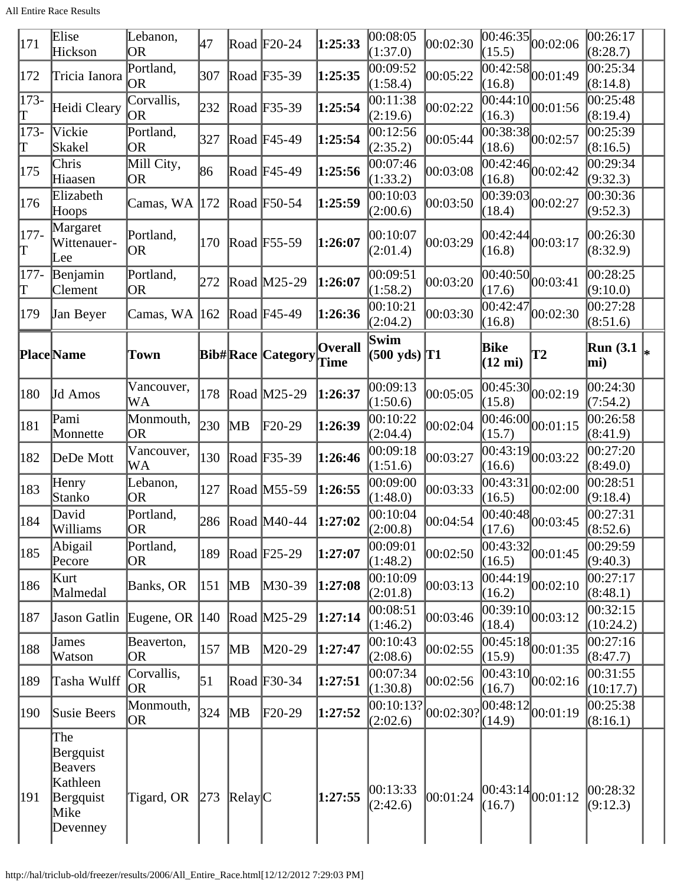All Entire Race Results

| 171          | Elise<br>Hickson                   | Lebanon,<br><b>OR</b>    | 47  |                        | Road $F20-24$            | 1:25:33                | 00:08:05<br>(1:37.0)                            | 00:02:30 | (15.5)                    | $\overline{00:46:35}\Big  00:02:06$           | 00:26:17<br>(8:28.7)    |    |
|--------------|------------------------------------|--------------------------|-----|------------------------|--------------------------|------------------------|-------------------------------------------------|----------|---------------------------|-----------------------------------------------|-------------------------|----|
| 172          | Tricia Ianora                      | Portland,<br>OR          | 307 |                        | Road F35-39              | 1:25:35                | 00:09:52<br>(1:58.4)                            | 00:05:22 | (16.8)                    | $\frac{12}{100:42:58}$ <sub>00:01:49</sub>    | 0.25:34<br>(8:14.8)     |    |
| $173-$<br>Τ  | Heidi Cleary                       | Corvallis,<br><b>OR</b>  | 232 |                        | Road F35-39              | 1:25:54                | 00:11:38<br>(2:19.6)                            | 00:02:22 | 00:44:10 <br>(16.3)       | 00:01:56                                      | 00:25:48<br>(8:19.4)    |    |
| $173-$<br>Γ  | Vickie<br>Skakel                   | Portland,<br><b>OR</b>   | 327 |                        | Road F45-49              | 1:25:54                | 00:12:56<br>(2:35.2)                            | 00:05:44 | (18.6)                    | $\overline{00:38:38}$ 00:02:57                | 00:25:39<br>(8:16.5)    |    |
| 175          | Chris<br>Hiaasen                   | Mill City,<br>OR         | 86  |                        | Road F45-49              | 1:25:56                | 00:07:46<br>(1:33.2)                            | 00:03:08 | 00:42:46 <br>(16.8)       | 00:02:42                                      | 00:29:34<br>(9:32.3)    |    |
| 176          | Elizabeth<br>Hoops                 | Camas, WA                | 172 |                        | Road F50-54              | 1:25:59                | 00:10:03<br>(2:00.6)                            | 00:03:50 | (18.4)                    | $\overline{ 00:39:03 }_{00:02:27}$            | 00:30:36<br>(9:52.3)    |    |
| $177-$<br>T  | Margaret<br>Wittenauer-<br>Lee     | Portland,<br><b>OR</b>   | 170 |                        | Road F55-59              | 1:26:07                | 00:10:07<br>(2:01.4)                            | 00:03:29 | (16.8)                    | 00:42:44 00:03:17                             | 00:26:30<br>(8:32.9)    |    |
| $177 -$<br>Τ | Benjamin<br>Clement                | Portland,<br>OR          | 272 |                        | Road M25-29              | 1:26:07                | 00:09:51<br>(1:58.2)                            | 00:03:20 | (17.6)                    | $\overline{00:40:50}$ <sub>00:03:41</sub>     | 00:28:25<br>(9:10.0)    |    |
| 179          | Jan Beyer                          | Camas, WA  162           |     |                        | Road F45-49              | 1:26:36                | 00:10:21<br>(2:04.2)                            | 00:03:30 | (16.8)                    | $\overline{ 00:42:47 }_{00:02:30}$            | 00:27:28<br>(8:51.6)    |    |
|              | <b>Place</b> Name                  | Town                     |     |                        | <b>Bib#Race Category</b> | <b>Overall</b><br>Time | Swim<br>$(500 \text{ yds})$ <sup>T1</sup>       |          | Bike<br>$(12 \text{ mi})$ | T2                                            | <b>Run</b> (3.1)<br>mi) | ∦∗ |
| 180          | Jd Amos                            | Vancouver,<br>WA         | 178 |                        | Road M25-29              | 1:26:37                | 00:09:13<br>(1:50.6)                            | 00:05:05 | (15.8)                    | $\overline{00:45:30}$ $00:02:19$              | 00:24:30<br>(7:54.2)    |    |
| 181          | Pami<br>Monnette                   | Monmouth,<br><b>OR</b>   | 230 | MВ                     | $F20-29$                 | 1:26:39                | 00:10:22<br>(2:04.4)                            | 00:02:04 | 00:46:00 <br>(15.7)       | 00:01:15                                      | 00:26:58<br>(8:41.9)    |    |
| 182          | DeDe Mott                          | Vancouver,<br>WA         | 130 |                        | Road F35-39              | 1:26:46                | 00:09:18<br>(1:51.6)                            | 00:03:27 | (16.6)                    | $\frac{12}{100:43:19}$ <sub>00:03:22</sub>    | 00:27:20<br>(8:49.0)    |    |
| 183          | Henry<br>Stanko                    | Lebanon,<br>OR           | 127 |                        | Road M55-59              | 1:26:55                | 00:09:00<br>(1:48.0)                            | 00:03:33 | (16.5)                    | $\overline{ 00:43:31 }_{00:02:00}$            | 00:28:51<br>(9:18.4)    |    |
| 184          | David<br>Williams                  | Portland,<br> OR         |     |                        | 286   Road   M40-44      | 1:27:02                | 00:10:04<br>(2:00.8)                            | 00:04:54 | (17.6)                    | $\left  \overline{00:40:48} \right  00:03:45$ | 00:27:31<br>(8:52.6)    |    |
| 185          | Abigail<br>Pecore                  | Portland,<br><b>OR</b>   | 189 |                        | Road $F25-29$            | 1:27:07                | 00:09:01<br>(1:48.2)                            | 00:02:50 | (16.5)                    | $\frac{1}{00:43:32}$ <sub>00:01:45</sub>      | 00:29:59<br>(9:40.3)    |    |
| 186          | Kurt<br>Malmedal                   | Banks, OR                | 151 | $\overline{\text{MB}}$ | $M30-39$                 | 1:27:08                | 00:10:09<br>(2:01.8)                            | 00:03:13 | (16.2)                    | $\overline{ 00:44:19 }$ 00:02:10              | 00:27:17<br>(8:48.1)    |    |
| 187          | Jason Gatlin                       | Eugene, OR $ 140\rangle$ |     |                        | Road $M25-29$            | 1:27:14                | 00:08:51<br>(1:46.2)                            | 00:03:46 | (18.4)                    | $\overline{00:39:10}$ <sub>00:03:12</sub>     | 00:32:15<br>(10:24.2)   |    |
| 188          | James<br>Watson                    | Beaverton,<br><b>OR</b>  | 157 | $\mathbb{M}$ B         | $M20-29$                 | 1:27:47                | 00:10:43<br>(2:08.6)                            | 00:02:55 | (15.9)                    | $\overline{ 00:45:18 }_{00:01:35}$            | 00:27:16<br>(8:47.7)    |    |
| 189          | Tasha Wulff                        | Corvallis,<br>OR         | 51  |                        | Road F30-34              | 1:27:51                | 00:07:34<br>(1:30.8)                            | 00:02:56 | (16.7)                    | $\overline{ 00:43:10 }$ 00:02:16              | 00:31:55<br>(10:17.7)   |    |
| 190          | Susie Beers                        | Monmouth,<br><b>OR</b>   | 324 | $\overline{\text{MB}}$ | $F20-29$                 | 1:27:52                | $\overline{ 00:10:13} _{00:02:30?}$<br>(2:02.6) |          | (14.9)                    | $\frac{1}{100:48:12}$ 00:01:19                | 00:25:38<br>(8:16.1)    |    |
|              | The<br>Bergquist<br><b>Beavers</b> |                          |     |                        |                          |                        |                                                 |          |                           |                                               |                         |    |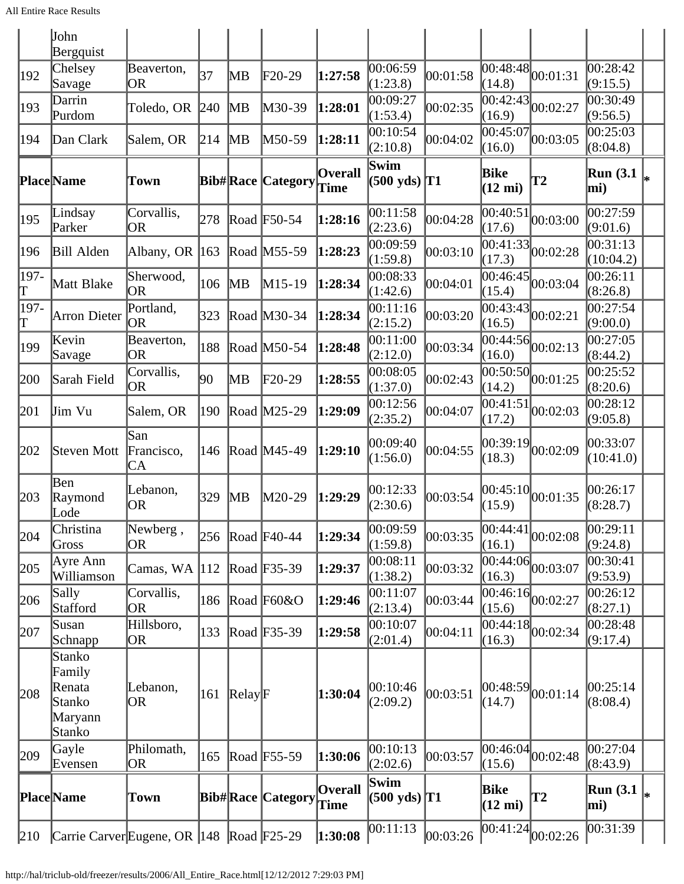|           | John<br>Bergquist                                         |                         |     |                  |                          |                        |                                |          |                                 |                                           |                        |    |
|-----------|-----------------------------------------------------------|-------------------------|-----|------------------|--------------------------|------------------------|--------------------------------|----------|---------------------------------|-------------------------------------------|------------------------|----|
| 192       | Chelsey<br>Savage                                         | Beaverton,<br><b>OR</b> | 37  | MВ               | $F20-29$                 | 1:27:58                | 00:06:59<br>(1:23.8)           | 00:01:58 | (14.8)                          | $\overline{00:48:48}$ <sub>00:01:31</sub> | 00:28:42<br>(9:15.5)   |    |
| 193       | Darrin<br>Purdom                                          | Toledo, OR              | 240 | MВ               | M30-39                   | 1:28:01                | 00:09:27<br>(1:53.4)           | 00:02:35 | $\overline{0}0:42:43$<br>(16.9) | 00:02:27                                  | 00:30:49<br>(9:56.5)   |    |
| 194       | Dan Clark                                                 | Salem, OR               | 214 | MВ               | M50-59                   | 1:28:11                | 00:10:54<br>(2:10.8)           | 00:04:02 | 00:45:07 <br>(16.0)             | 00:03:05                                  | 00:25:03<br>(8:04.8)   |    |
|           | <b>PlaceName</b>                                          | Town                    |     |                  | <b>Bib#Race Category</b> | <b>Overall</b><br>Time | Swim<br>$(500 \text{ yds})$ T1 |          | Bike<br>$(12 \text{ mi})$       | <b>T2</b>                                 | <b>Run</b> (3.1<br>mi) | I∗ |
| 195       | Lindsay<br>Parker                                         | Corvallis,<br><b>OR</b> | 278 |                  | Road $F50-54$            | 1:28:16                | 00:11:58<br>(2:23.6)           | 00:04:28 | 00:40:51<br>(17.6)              | 00:03:00                                  | 00:27:59<br>(9:01.6)   |    |
| 196       | Bill Alden                                                | Albany, OR $ $          | 163 |                  | Road M55-59              | 1:28:23                | 00:09:59<br>(1:59.8)           | 00:03:10 | (17.3)                          | $\overline{ 00:41:33 }_{00:02:28}$        | 00:31:13<br>(10:04.2)  |    |
| 197-<br>T | Matt Blake                                                | Sherwood,<br><b>OR</b>  | 106 | MВ               | $M15-19$                 | 1:28:34                | 00:08:33<br>(1:42.6)           | 00:04:01 | 00:46:45 <br>(15.4)             | 00:03:04                                  | 00:26:11<br>(8:26.8)   |    |
| 197-<br>T | Arron Dieter                                              | Portland,<br><b>OR</b>  | 323 |                  | Road M30-34              | 1:28:34                | 00:11:16<br>(2:15.2)           | 00:03:20 | (16.5)                          | $\overline{00:43:43}$ 00:02:21            | 00:27:54<br>(9:00.0)   |    |
| 199       | Kevin<br>Savage                                           | Beaverton,<br><b>OR</b> | 188 |                  | Road M50-54              | 1:28:48                | 00:11:00<br>(2:12.0)           | 00:03:34 | 00:44:56 <br>(16.0)             | 00:02:13                                  | 00:27:05<br>(8:44.2)   |    |
| 200       | Sarah Field                                               | Corvallis,<br>OR        | 90  | MВ               | $F20-29$                 | 1:28:55                | 00:08:05<br>(1:37.0)           | 00:02:43 | (14.2)                          | $\overline{ 00:50:50 }_{00:01:25}$        | 00:25:52<br>(8:20.6)   |    |
| 201       | Jim Vu                                                    | Salem, OR               | 190 |                  | Road M25-29              | 1:29:09                | 00:12:56<br>(2:35.2)           | 00:04:07 | 00:41:51<br>(17.2)              | 00:02:03                                  | 00:28:12<br>(9:05.8)   |    |
| 202       | Steven Mott                                               | San<br>Francisco,<br>CA | 146 |                  | Road M45-49              | 1:29:10                | 00:09:40<br>(1:56.0)           | 00:04:55 | 00:39:19 <br>(18.3)             | 00:02:09                                  | 00:33:07<br>(10:41.0)  |    |
| 203       | Ben<br>Raymond<br>Lode                                    | Lebanon,<br><b>OR</b>   | 329 | MВ               | M20-29                   | 1:29:29                | 00:12:33<br>(2:30.6)           | 00:03:54 | (15.9)                          | 00:45:10 00:01:35                         | 00:26:17<br>(8:28.7)   |    |
| 204       | Christina<br>Gross                                        | Newberg,<br><b>OR</b>   |     |                  | 256 Road F40-44          | 1:29:34                | 00:09:59<br>(1:59.8)           | 00:03:35 | (16.1)                          | $\overline{00:}44:41\vert_{00:02:08}$     | 00:29:11<br>(9:24.8)   |    |
| 205       | Ayre Ann<br>Williamson                                    | Camas, WA               | 112 |                  | Road F35-39              | 1:29:37                | 00:08:11<br>(1:38.2)           | 00:03:32 | 00:44:06 <br>(16.3)             | 00:03:07                                  | 00:30:41<br>(9:53.9)   |    |
| 206       | Sally<br>Stafford                                         | Corvallis,<br>OR        | 186 |                  | Road F60&O               | 1:29:46                | 00:11:07<br>(2:13.4)           | 00:03:44 | (15.6)                          | $\overline{00:46:}16\overline{00:02:27}$  | 00:26:12<br>(8:27.1)   |    |
| 207       | Susan<br>Schnapp                                          | Hillsboro,<br><b>OR</b> | 133 |                  | Road $F35-39$            | 1:29:58                | 00:10:07<br>(2:01.4)           | 00:04:11 | (16.3)                          | $\overline{00:44:18}$ 00:02:34            | 00:28:48<br>(9:17.4)   |    |
| 208       | Stanko<br>Family<br>Renata<br>Stanko<br>Maryann<br>Stanko | Lebanon,<br><b>OR</b>   | 161 | $\text{Relay}$ F |                          | 1:30:04                | 00:10:46<br>(2:09.2)           | 00:03:51 | (14.7)                          | $\left  00:48:59 \right  00:01:14$        | 00:25:14<br>(8:08.4)   |    |
| 209       | Gayle<br>Evensen                                          | Philomath,<br><b>OR</b> | 165 |                  | Road F55-59              | 1:30:06                | 00:10:13<br>(2:02.6)           | 00:03:57 | 00:46:04 <br>(15.6)             | 00:02:48                                  | 00:27:04<br>(8:43.9)   |    |
|           | <b>Place</b> Name                                         | Town                    |     |                  | <b>Bib#Race Category</b> | <b>Overall</b><br>Time | Swim<br>$(500 \text{ yds})$ T1 |          | Bike<br>$(12 \text{ mi})$       | <b>T2</b>                                 | Run $(3.1)$<br>mi)     |    |
| 210       | Carrie Carver Eugene, OR  148   Road   F25-29             |                         |     |                  |                          | 1:30:08                | 00:11:13                       | 00:03:26 |                                 | $\overline{00:41:24}\vert_{00:02:26}$     | 00:31:39               |    |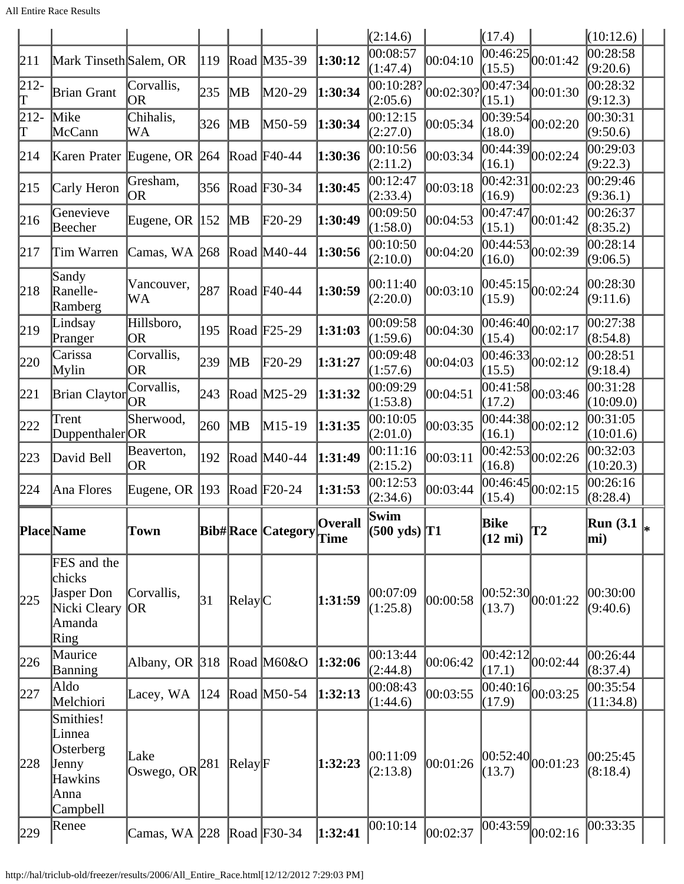All Entire Race Results

|               |                                                                          |                            |               |                  |                          |                        | (2:14.6)                       |           | (17.4)                    |                                           | (10:12.6)             |  |
|---------------|--------------------------------------------------------------------------|----------------------------|---------------|------------------|--------------------------|------------------------|--------------------------------|-----------|---------------------------|-------------------------------------------|-----------------------|--|
| 211           | Mark Tinseth Salem, OR                                                   |                            | 119           |                  | Road M35-39              | 1:30:12                | 00:08:57<br>(1:47.4)           | 00:04:10  | (15.5)                    | $\overline{ 00:46:25 }_{00:01:42}$        | 00:28:58<br>(9:20.6)  |  |
| $212-$<br>π   | Brian Grant                                                              | Corvallis,<br><b>OR</b>    | 235           | MВ               | M20-29                   | 1:30:34                | 00:10:28?<br>(2:05.6)          | 00:02:30? | 00:47:34<br>(15.1)        | 00:01:30                                  | 00:28:32<br>(9:12.3)  |  |
| 212-<br>Τ     | Mike<br>McCann                                                           | Chihalis,<br>WA            | 326           | MB               | M50-59                   | 1:30:34                | 00:12:15<br>(2:27.0)           | 00:05:34  | 00:39:54<br>(18.0)        | 00:02:20                                  | 00:30:31<br>(9:50.6)  |  |
| 214           | Karen Prater Eugene, OR 264                                              |                            |               |                  | Road F40-44              | 1:30:36                | 00:10:56<br>(2:11.2)           | 00:03:34  | (16.1)                    | $\overline{00:44:39}$ 00:02:24            | 00:29:03<br>(9:22.3)  |  |
| 215           | Carly Heron                                                              | Gresham,<br><b>OR</b>      | 356           |                  | Road F30-34              | 1:30:45                | 00:12:47<br>(2:33.4)           | 00:03:18  | 00:42:31<br>(16.9)        | 00:02:23                                  | 00:29:46<br>(9:36.1)  |  |
| 216           | Genevieve<br>Beecher                                                     | Eugene, OR $ 152 $         |               | MВ               | F20-29                   | 1:30:49                | 00:09:50<br>(1:58.0)           | 00:04:53  | 00:47:47<br>(15.1)        | 00:01:42                                  | 00:26:37<br>(8:35.2)  |  |
| 217           | Tim Warren                                                               | Camas, WA 268              |               |                  | Road M40-44              | 1:30:56                | 00:10:50<br>(2:10.0)           | 00:04:20  | 00:44:53<br>(16.0)        | 00:02:39                                  | 00:28:14<br>(9:06.5)  |  |
| 218           | Sandy<br>Ranelle-<br>Ramberg                                             | Vancouver,<br>WA           | 287           |                  | Road $F40-44$            | 1:30:59                | 00:11:40<br>(2:20.0)           | 00:03:10  | 00:45:15<br>(15.9)        | 00:02:24                                  | 00:28:30<br>(9:11.6)  |  |
| $ 219\rangle$ | Lindsay<br>Pranger                                                       | Hillsboro,<br><b>OR</b>    | 195           |                  | Road F <sub>25</sub> -29 | 1:31:03                | 00:09:58<br>(1:59.6)           | 00:04:30  | (15.4)                    | $\overline{00:46:40}$ 00:02:17            | 00:27:38<br>(8:54.8)  |  |
| 220           | Carissa<br>Mylin                                                         | Corvallis,<br><b>OR</b>    | 239           | MВ               | $F20-29$                 | 1:31:27                | 00:09:48<br>(1:57.6)           | 00:04:03  | (15.5)                    | $\overline{ 00:46:33 }_{00:02:12}$        | 00:28:51<br>(9:18.4)  |  |
| 221           | <b>Brian Claytor</b>                                                     | Corvallis,<br><b>OR</b>    | 243           |                  | Road M25-29              | 1:31:32                | 00:09:29<br>(1:53.8)           | 00:04:51  | (17.2)                    | $\overline{00:41:58}$ 00:03:46            | 00:31:28<br>(10:09.0) |  |
| 222           | Trent<br>Duppenthaler <sub>OR</sub>                                      | Sherwood,                  | 260           | $\mathbb{M}$ B   | $M15-19$                 | 1:31:35                | 00:10:05<br>(2:01.0)           | 00:03:35  | 00:44:38 <br>(16.1)       | 00:02:12                                  | 00:31:05<br>(10:01.6) |  |
| 223           | David Bell                                                               | Beaverton,<br><b>OR</b>    | 192           |                  | Road M40-44              | 1:31:49                | 00:11:16<br>(2:15.2)           | 00:03:11  | (16.8)                    | $\frac{1}{100:42:53}$ <sub>00:02:26</sub> | 00:32:03<br>(10:20.3) |  |
| 224           | Ana Flores                                                               | Eugene, OR $ 193 $         |               |                  | Road F20-24              | 1:31:53                | 00:12:53<br>(2:34.6)           | 00:03:44  | (15.4)                    | $\overline{ 00:46:45 }_{00:02:15}$        | 00:26:16<br>(8:28.4)  |  |
|               | Place Name                                                               | <b>Town</b>                |               |                  | <b>Bib#Race Category</b> | <b>Overall</b><br>Time | Swim<br>$(500 \text{ yds})$ T1 |           | Bike<br>$(12 \text{ mi})$ | T2                                        | Run $(3.1)$<br>mi)    |  |
| 225           | FES and the<br>chicks<br>Jasper Don<br>Nicki Cleary<br>Amanda<br>Ring    | Corvallis,<br> OR          | 31            | Relay C          |                          | 1:31:59                | 00:07:09<br>(1:25.8)           | 00:00:58  | 00:52:30 <br>(13.7)       | 00:01:22                                  | 00:30:00<br>(9:40.6)  |  |
| 226           | Maurice<br>Banning                                                       | Albany, OR 318             |               |                  | Road $M60&O$             | 1:32:06                | 00:13:44<br>(2:44.8)           | 00:06:42  | 00:42:12<br>(17.1)        | 00:02:44                                  | 00:26:44<br>(8:37.4)  |  |
| 227           | Aldo<br>Melchiori                                                        | Lacey, WA                  | $ 124\rangle$ |                  | Road M50-54              | 1:32:13                | 00:08:43<br>(1:44.6)           | 00:03:55  | (17.9)                    | $\overline{00:40:16}$ $00:03:25$          | 00:35:54<br>(11:34.8) |  |
| 228           | Smithies!<br>Linnea<br>Osterberg<br>Jenny<br>Hawkins<br>Anna<br>Campbell | Lake<br>Oswego, OR $ 281 $ |               | $\text{Relay}$ F |                          | 1:32:23                | 00:11:09<br>(2:13.8)           | 00:01:26  | (13.7)                    | 00:52:40 00:01:23                         | 00:25:45<br>(8:18.4)  |  |
| 229           | Renee                                                                    | Camas, WA 228              |               |                  | Road F30-34              | 1:32:41                | 00:10:14                       | 00:02:37  | 00:43:59                  | 00:02:16                                  | 00:33:35              |  |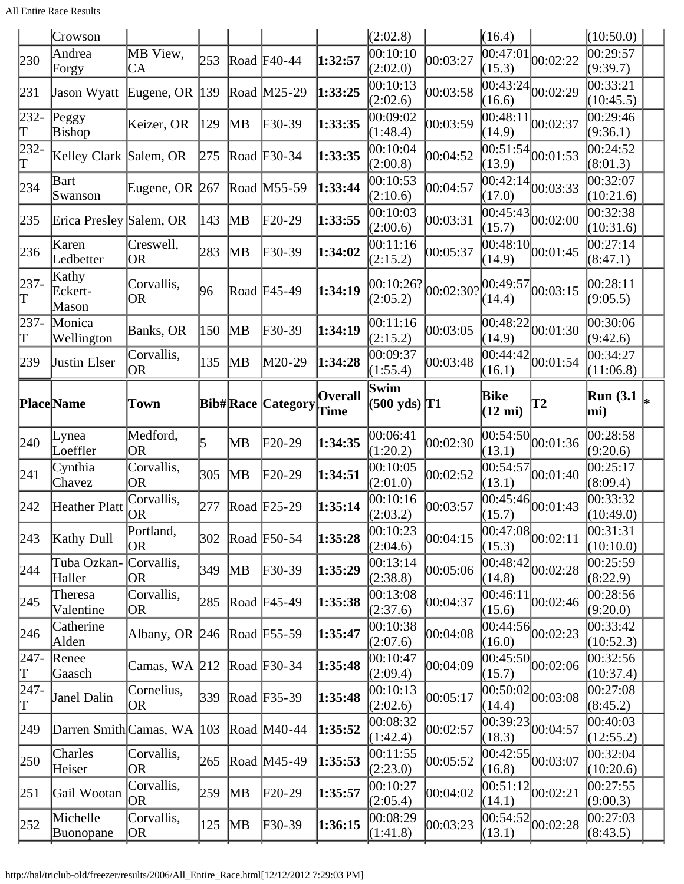All Entire Race Results

|                           | Crowson                    |                         |               |                        |                          |                        | (2:02.8)                                   |           | (16.4)                                   |                                              | (10:50.0)               |  |
|---------------------------|----------------------------|-------------------------|---------------|------------------------|--------------------------|------------------------|--------------------------------------------|-----------|------------------------------------------|----------------------------------------------|-------------------------|--|
| 230                       | Andrea<br>Forgy            | MB View,<br>CA          | 253           |                        | Road $F40-44$            | 1:32:57                | 00:10:10<br>(2:02.0)                       | 00:03:27  | $\overline{00}$ :47:01 $\vert$<br>(15.3) | 00:02:22                                     | 00:29:57<br>(9:39.7)    |  |
| 231                       | Jason Wyatt                | Eugene, OR $ 139 $      |               |                        | Road M25-29              | 1:33:25                | 00:10:13<br>(2:02.6)                       | 00:03:58  | 00:43:24<br>(16.6)                       | 00:02:29                                     | 00:33:21<br>(10:45.5)   |  |
| $232 -$<br>$ \mathrm{T} $ | Peggy<br>Bishop            | Keizer, OR              | 129           | $\mathbb{M}$ B         | $F30-39$                 | 1:33:35                | 00:09:02<br>(1:48.4)                       | 00:03:59  | 00:48:11<br>(14.9)                       | 00:02:37                                     | 00:29:46<br>(9:36.1)    |  |
| 232-<br>T                 | Kelley Clark Salem, OR     |                         | 275           |                        | Road F30-34              | 1:33:35                | 00:10:04<br>(2:00.8)                       | 00:04:52  | (13.9)                                   | $\overline{00:51:54}$ $\vert 00:01:53 \vert$ | 00:24:52<br>(8:01.3)    |  |
| 234                       | Bart<br>Swanson            | Eugene, OR $ 267 $      |               |                        | Road M55-59              | 1:33:44                | 00:10:53<br>(2:10.6)                       | 00:04:57  | 00:42:14<br>(17.0)                       | 00:03:33                                     | 00:32:07<br>(10:21.6)   |  |
| 235                       | Erica Presley Salem, OR    |                         | 143           | MВ                     | $F20-29$                 | 1:33:55                | 00:10:03<br>(2:00.6)                       | 00:03:31  | 00:45:43<br>(15.7)                       | 00:02:00                                     | 00:32:38<br>(10:31.6)   |  |
| 236                       | Karen<br>Ledbetter         | Creswell,<br>OR         | 283           | MВ                     | $F30-39$                 | 1:34:02                | 00:11:16<br>(2:15.2)                       | 00:05:37  | (14.9)                                   | $\overline{00:48:10}$ 00:01:45               | 00:27:14<br>(8:47.1)    |  |
| $237-$<br>T               | Kathy<br>Eckert-<br>Mason  | Corvallis,<br><b>OR</b> | 96            |                        | Road F45-49              | 1:34:19                | 00:10:26?<br>(2:05.2)                      | 00:02:30? | (14.4)                                   | 00:49:57 00:03:15                            | 00:28:11<br>(9:05.5)    |  |
| 237-<br>T                 | Monica<br>Wellington       | Banks, OR               | 150           | MВ                     | F30-39                   | 1:34:19                | 00:11:16<br>(2:15.2)                       | 00:03:05  | 00:48:22<br>(14.9)                       | 00:01:30                                     | 00:30:06<br>(9:42.6)    |  |
| 239                       | <b>Justin Elser</b>        | Corvallis,<br><b>OR</b> | 135           | MВ                     | M20-29                   | 1:34:28                | 00:09:37<br>(1:55.4)                       | 00:03:48  | 00:44:42<br>(16.1)                       | 00:01:54                                     | 00:34:27<br>(11:06.8)   |  |
|                           | <b>Place</b> Name          | Town                    |               |                        | <b>Bib#Race Category</b> | <b>Overall</b><br>Time | Swim<br>$(500 \text{ yds})$ T <sub>1</sub> |           | Bike<br>$(12 \text{ mi})$                | T2                                           | <b>Run</b> (3.1)<br>mi) |  |
| 240                       | Lynea<br>Loeffler          | Medford,<br><b>OR</b>   | 5             | MВ                     | $F20-29$                 | 1:34:35                | 00:06:41<br>(1:20.2)                       | 00:02:30  | 00:54:50<br>(13.1)                       | 00:01:36                                     | 00:28:58<br>(9:20.6)    |  |
| 241                       | Cynthia<br>Chavez          | Corvallis,<br><b>OR</b> | 305           | MВ                     | $F20-29$                 | 1:34:51                | 00:10:05<br>(2:01.0)                       | 00:02:52  | 00:54:57<br>(13.1)                       | 00:01:40                                     | 00:25:17<br>(8:09.4)    |  |
| 242                       | Heather Platt              | Corvallis,<br>OR        | 277           |                        | Road $F25-29$            | 1:35:14                | 00:10:16<br>(2:03.2)                       | 00:03:57  | (15.7)                                   | $\overline{00:45:46}$ <sub>00:01:43</sub>    | 00:33:32<br>(10:49.0)   |  |
| $ 243\rangle$             | <b>Kathy Dull</b>          | Portland,<br><b>OR</b>  | 302           |                        | Road F50-54              | 1:35:28                | 00:10:23<br>(2:04.6)                       | 00:04:15  | (15.3)                                   | $\overline{ 00:47:08 }_{00:02:11}$           | 00:31:31<br>(10:10.0)   |  |
| 244                       | Tuba Ozkan-<br>Haller      | Corvallis,<br><b>OR</b> | 349           | <b>MB</b>              | F30-39                   | 1:35:29                | 00:13:14<br>(2:38.8)                       | 00:05:06  | 00:48:42<br>(14.8)                       | 00:02:28                                     | 00:25:59<br>(8:22.9)    |  |
| 245                       | Theresa<br>Valentine       | Corvallis,<br>OR        | 285           |                        | Road $F45-49$            | 1:35:38                | 00:13:08<br>(2:37.6)                       | 00:04:37  | 00:46:11<br>(15.6)                       | 00:02:46                                     | 00:28:56<br>(9:20.0)    |  |
| 246                       | Catherine<br>Alden         | Albany, OR 246          |               |                        | Road $F55-59$            | 1:35:47                | 00:10:38<br>(2:07.6)                       | 00:04:08  | (16.0)                                   | $\frac{1}{100:44:56}$ 00:02:23               | 00:33:42<br>(10:52.3)   |  |
| $ 247-$<br>$ \mathrm{T} $ | Renee<br>Gaasch            | Camas, WA 212           |               |                        | Road $F30-34$            | 1:35:48                | 00:10:47<br>(2:09.4)                       | 00:04:09  | 00:45:50<br>(15.7)                       | 00:02:06                                     | 00:32:56<br>(10:37.4)   |  |
| 247-<br>T                 | Janel Dalin                | Cornelius,<br><b>OR</b> | 339           |                        | Road F35-39              | 1:35:48                | 00:10:13<br>(2:02.6)                       | 00:05:17  | (14.4)                                   | $\frac{1}{100:50:02}$ 00:03:08               | 00:27:08<br>(8:45.2)    |  |
| 249                       | Darren Smith Camas, WA 103 |                         |               |                        | Road M40-44              | 1:35:52                | 00:08:32<br>(1:42.4)                       | 00:02:57  | 00:39:23<br>(18.3)                       | 00:04:57                                     | 00:40:03<br>(12:55.2)   |  |
| 250                       | Charles<br>Heiser          | Corvallis,<br><b>OR</b> | 265           |                        | Road M45-49              | 1:35:53                | 00:11:55<br>(2:23.0)                       | 00:05:52  | 00:42:55 <br>(16.8)                      | 00:03:07                                     | 00:32:04<br>(10:20.6)   |  |
| 251                       | Gail Wootan                | Corvallis,<br><b>OR</b> | 259           | MB                     | F20-29                   | 1:35:57                | 00:10:27<br>(2:05.4)                       | 00:04:02  | 00:51:12<br>(14.1)                       | 00:02:21                                     | 00:27:55<br>(9:00.3)    |  |
| 252                       | Michelle<br>Buonopane      | Corvallis,<br>OR        | $ 125\rangle$ | $\overline{\text{MB}}$ | F30-39                   | 1:36:15                | 00:08:29<br>(1:41.8)                       | 00:03:23  | (13.1)                                   | $\frac{1}{100:54:52}$ 00:02:28               | 00:27:03<br>(8:43.5)    |  |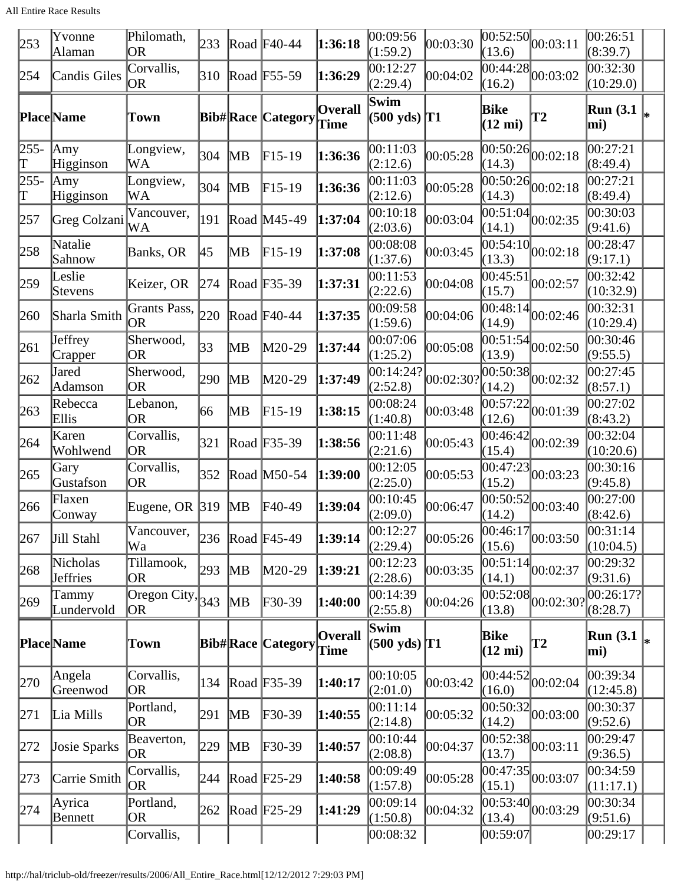All Entire Race Results

| 253         | Yvonne<br>Alaman                          | Philomath,<br>OR          | 233 |    | Road $F40-44$            | 1:36:18                | 00:09:56<br>(1:59.2)                       | 00:03:30  | (13.6)                    | $\overline{00:52:50}$ $_{00:03:11}$          | 00:26:51<br>(8:39.7)    |    |
|-------------|-------------------------------------------|---------------------------|-----|----|--------------------------|------------------------|--------------------------------------------|-----------|---------------------------|----------------------------------------------|-------------------------|----|
| 254         | Candis Giles                              | Corvallis,<br>OR          | 310 |    | Road F55-59              | 1:36:29                | 00:12:27<br>(2:29.4)                       | 00:04:02  | (16.2)                    | $\frac{12}{100:44:28}$ 00:03:02              | 00:32:30<br>(10:29.0)   |    |
|             | Place Name                                | Town                      |     |    | <b>Bib#Race Category</b> | <b>Overall</b><br>Time | Swim<br>$(500 \text{ yds})$ T <sub>1</sub> |           | Bike<br>$(12 \text{ mi})$ | $\bf{T2}$                                    | <b>Run</b> (3.1<br>mi)  |    |
| $255-$<br>Τ | Amy<br>Higginson                          | Longview,<br>WA           | 304 | MВ | $F15-19$                 | 1:36:36                | 00:11:03<br>(2:12.6)                       | 00:05:28  | (14.3)                    | $\overline{00:50:26}$ 00:02:18               | 00:27:21<br>(8:49.4)    |    |
| 255-<br>Τ   | $\mathop{\rm  Amy}\nolimits$<br>Higginson | Longview,<br>WA           | 304 | MВ | $F15-19$                 | 1:36:36                | 00:11:03<br>(2:12.6)                       | 00:05:28  | 00:50:26<br>(14.3)        | 00:02:18                                     | 00:27:21<br>(8:49.4)    |    |
| 257         | Greg Colzani                              | Vancouver,<br>WA          | 191 |    | Road M45-49              | 1:37:04                | 00:10:18<br>(2:03.6)                       | 00:03:04  | (14.1)                    | $\overline{00:51:04}$ $\vert 00:02:35 \vert$ | 00:30:03<br>(9:41.6)    |    |
| $ 258$      | Natalie<br>Sahnow                         | <b>Banks</b> , OR         | 45  | MВ | $F15-19$                 | 1:37:08                | 00:08:08<br>(1:37.6)                       | 00:03:45  | 00:54:10<br>(13.3)        | 00:02:18                                     | 00:28:47<br>(9:17.1)    |    |
| 259         | Leslie<br>Stevens                         | Keizer, OR                | 274 |    | Road F35-39              | 1:37:31                | 00:11:53<br>(2:22.6)                       | 00:04:08  | 00:45:51<br>(15.7)        | 00:02:57                                     | 00:32:42<br>(10:32.9)   |    |
| 260         | Sharla Smith                              | Grants Pass,<br> OR       | 220 |    | Road F40-44              | 1:37:35                | 00:09:58<br>(1:59.6)                       | 00:04:06  | (14.9)                    | $\frac{1}{100:48:14}$ 00:02:46               | 00:32:31<br>(10:29.4)   |    |
| 261         | Jeffrey<br>Crapper                        | Sherwood,<br><b>OR</b>    | 33  | MВ | M20-29                   | 1:37:44                | 00:07:06<br>(1:25.2)                       | 00:05:08  | 00:51:54<br>(13.9)        | 00:02:50                                     | 00:30:46<br>(9:55.5)    |    |
| 262         | Jared<br>Adamson                          | Sherwood,<br>OR           | 290 | MВ | M20-29                   | 1:37:49                | 00:14:24?<br>(2:52.8)                      | 00:02:30? | (14.2)                    | $\overline{00:50:38}$ 00:02:32               | 00:27:45<br>(8:57.1)    |    |
| 263         | Rebecca<br>Ellis                          | Lebanon,<br><b>OR</b>     | 66  | MВ | $F15-19$                 | 1:38:15                | 00:08:24<br>(1:40.8)                       | 00:03:48  | 00:57:22<br>(12.6)        | 00:01:39                                     | 00:27:02<br>(8:43.2)    |    |
| 264         | Karen<br>Wohlwend                         | Corvallis,<br>OR          | 321 |    | Road F35-39              | 1:38:56                | 00:11:48<br>(2:21.6)                       | 00:05:43  | 00:46:42<br>(15.4)        | 00:02:39                                     | 00:32:04<br>(10:20.6)   |    |
| 265         | Gary<br>Gustafson                         | Corvallis,<br>OR          | 352 |    | Road M50-54              | 1:39:00                | 00:12:05<br>(2:25.0)                       | 00:05:53  | 00:47:23<br>(15.2)        | 00:03:23                                     | 00:30:16<br>(9:45.8)    |    |
| 266         | Flaxen<br>Conway                          | Eugene, OR $ 319$         |     | MВ | F40-49                   | 1:39:04                | 00:10:45<br>(2:09.0)                       | 00:06:47  | 00:50:52<br>(14.2)        | 00:03:40                                     | 00:27:00<br>(8:42.6)    |    |
| 267         | Jill Stahl                                | Vancouver,<br>Wa          | 236 |    | Road $F45-49$            | 1:39:14                | 00:12:27<br>(2:29.4)                       | 00:05:26  | (15.6)                    | $\overline{00:46:17}_{00:03:50}$             | 00:31:14<br>(10:04.5)   |    |
| 268         | Nicholas<br>Jeffries                      | Tillamook,<br>OR.         | 293 | MB | M20-29                   | 1:39:21                | 00:12:23<br>(2:28.6)                       | 00:03:35  | 00:51:14<br>(14.1)        | 00:02:37                                     | 00:29:32<br>(9:31.6)    |    |
| 269         | Tammy<br>Lundervold                       | Oregon City, $343$<br> OR |     | MВ | F30-39                   | 1:40:00                | 00:14:39<br>(2:55.8)                       | 00:04:26  | 00:52:08<br>(13.8)        | 00:02:30?                                    | 00:26:17? <br>(8:28.7)  |    |
|             | <b>Place</b> Name                         | Town                      |     |    | <b>Bib#Race Category</b> | <b>Overall</b><br>Time | Swim<br>$(500 \text{ yds})$ T1             |           | Bike<br>$(12 \text{ mi})$ | $\mathbf{T2}$                                | <b>Run</b> (3.1)<br>mi) | l∗ |
| 270         | Angela<br>Greenwod                        | Corvallis,<br>OR          | 134 |    | Road F35-39              | 1:40:17                | 00:10:05<br>(2:01.0)                       | 00:03:42  | (16.0)                    | $\overline{00:44:52}$ 00:02:04               | 00:39:34<br>(12:45.8)   |    |
| 271         | Lia Mills                                 | Portland,<br><b>OR</b>    | 291 | MВ | F30-39                   | 1:40:55                | 00:11:14<br>(2:14.8)                       | 00:05:32  | 00:50:32<br>(14.2)        | 00:03:00                                     | 00:30:37<br>(9:52.6)    |    |
| 272         | Josie Sparks                              | Beaverton,<br> OR         | 229 | MВ | $F30-39$                 | 1:40:57                | 00:10:44<br>(2:08.8)                       | 00:04:37  | (13.7)                    | $\overline{ 00:52:38 }_{00:03:11}$           | 00:29:47<br>(9:36.5)    |    |
| 273         | Carrie Smith                              | Corvallis,<br><b>OR</b>   | 244 |    | Road F25-29              | 1:40:58                | 00:09:49<br>(1:57.8)                       | 00:05:28  | (15.1)                    | $\overline{ 00:47:35 }_{00:03:07}$           | 00:34:59<br>(11:17.1)   |    |
| 274         | Ayrica<br>Bennett                         | Portland,<br><b>OR</b>    | 262 |    | Road $F25-29$            | 1:41:29                | 00:09:14<br>(1:50.8)                       | 00:04:32  | 00:53:40<br>(13.4)        | 00:03:29                                     | 00:30:34<br>(9:51.6)    |    |
|             |                                           | Corvallis,                |     |    |                          |                        | 00:08:32                                   |           | 00:59:07                  |                                              | 00:29:17                |    |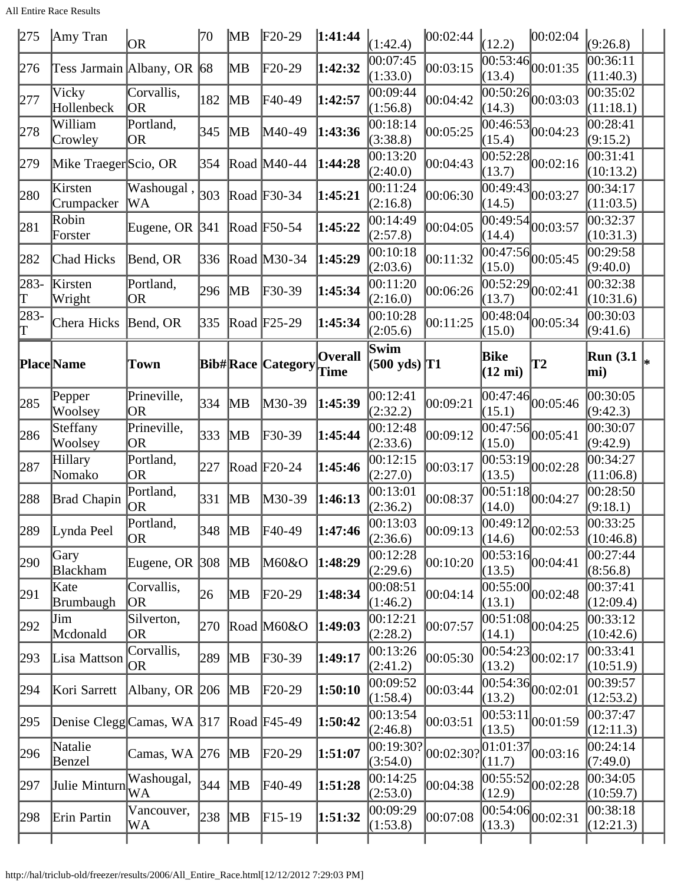All Entire Race Results

| 275        | Amy Tran                       | <b>OR</b>                | 70       | MВ                      | $F20-29$                 | 1:41:44                | (1:42.4)                       | 00:02:44  | (12.2)                    | 00:02:04                                    | (9:26.8)                            |
|------------|--------------------------------|--------------------------|----------|-------------------------|--------------------------|------------------------|--------------------------------|-----------|---------------------------|---------------------------------------------|-------------------------------------|
| 276        | Tess Jarmain Albany, OR 68     |                          |          | MВ                      | F20-29                   | 1:42:32                | 00:07:45<br>(1:33.0)           | 00:03:15  | (13.4)                    | $\overline{00:53:46}$ 00:01:35              | $\overline{00}$ :36:11<br>(11:40.3) |
| 277        | Vicky<br>Hollenbeck            | Corvallis,<br>OR         | 182      | MВ                      | F40-49                   | 1:42:57                | 00:09:44<br>(1:56.8)           | 00:04:42  | (14.3)                    | $\overline{00:50:26}$ 00:03:03              | 00:35:02<br>(11:18.1)               |
| 278        | William<br>Crowley             | Portland,<br><b>OR</b>   | 345      | $\mathbb{M} \mathsf{B}$ | M40-49                   | 1:43:36                | 00:18:14<br>(3:38.8)           | 00:05:25  | (15.4)                    | $\frac{1}{100:46:53}$ 00:04:23              | 00:28:41<br>(9:15.2)                |
| 279        | Mike Traeger Scio, OR          |                          | 354      |                         | Road M40-44              | 1:44:28                | 00:13:20<br>(2:40.0)           | 00:04:43  | (13.7)                    | $\sqrt{00:52:28}$ 00:02:16                  | $\overline{0}0:31:41$<br>(10:13.2)  |
| 280        | Kirsten<br>Crumpacker          | Washougal,<br>WA         | 303      |                         | Road $F30-34$            | 1:45:21                | 00:11:24<br>(2:16.8)           | 00:06:30  | (14.5)                    | $\sqrt{00:49:43}$ 00:03:27                  | 00:34:17<br>(11:03.5)               |
| 281        | Robin<br>Forster               | Eugene, OR 341           |          |                         | Road F50-54              | 1:45:22                | 00:14:49<br>(2:57.8)           | 00:04:05  | 00:49:54<br>(14.4)        | 00:03:57                                    | 00:32:37<br>(10:31.3)               |
| 282        | <b>Chad Hicks</b>              | Bend, OR                 | 336      |                         | Road M30-34              | 1:45:29                | 00:10:18<br>(2:03.6)           | 00:11:32  | (15.0)                    | $\overline{00:47:56}$ <sub>00</sub> :05:45  | 00:29:58<br>(9:40.0)                |
| 283-<br>ľΤ | Kirsten<br>Wright              | Portland,<br><b>OR</b>   | 296      | $\mathbb{M} \mathsf{B}$ | F30-39                   | 1:45:34                | 00:11:20<br>(2:16.0)           | 00:06:26  | (13.7)                    | $\frac{1}{100:52:29}$ 00:02:41              | 00:32:38<br>(10:31.6)               |
| 283-<br>lΤ | Chera Hicks                    | Bend, OR                 | 335      |                         | Road F25-29              | 1:45:34                | 00:10:28<br>(2:05.6)           | 00:11:25  | (15.0)                    | $\overline{00:48:04}$ 00:05:34              | 00:30:03<br>(9:41.6)                |
|            | <b>Place</b> Name              | Town                     |          |                         | <b>Bib#Race Category</b> | <b>Overall</b><br>Time | Swim<br>$(500 \text{ yds})$ T1 |           | Bike<br>$(12 \text{ mi})$ | T2                                          | <b>Run</b> (3.1)<br>mi)             |
| 285        | Pepper<br>Woolsey              | Prineville,<br><b>OR</b> | 334      | MВ                      | $M30-39$                 | 1:45:39                | 00:12:41<br>(2:32.2)           | 00:09:21  | (15.1)                    | $\overline{00:47:}46\Big 00:05:46$          | 00:30:05<br>(9:42.3)                |
| 286        | Steffany<br>Woolsey            | Prineville,<br><b>OR</b> | 333      | MВ                      | F30-39                   | 1:45:44                | 00:12:48<br>(2:33.6)           | 00:09:12  | (15.0)                    | $\overline{00:47:56}$ <sub>00</sub> :05:41  | 00:30:07<br>(9:42.9)                |
| 287        | Hillary<br>Nomako              | Portland,<br><b>OR</b>   | 227      |                         | Road $F20-24$            | 1:45:46                | 00:12:15<br>(2:27.0)           | 00:03:17  | 00:53:19<br>(13.5)        | 00:02:28                                    | 00:34:27<br>(11:06.8)               |
| 288        | Brad Chapin                    | Portland,<br><b>OR</b>   | 331      | MВ                      | M30-39                   | 1:46:13                | 00:13:01<br>(2:36.2)           | 00:08:37  | (14.0)                    | $\frac{1}{100:51:18}$ 00:04:27              | 00:28:50<br>(9:18.1)                |
| 289        | Lynda Peel                     | Portland,<br><b>OR</b>   | 348   MB |                         | $FA0-49$                 | 1:47:46                | 00:13:03<br>(2:36.6)           | 00:09:13  | (14.6)                    | $\frac{(1)}{00:49:12}$ <sub>00</sub> :02:53 | 00:33:25<br>(10:46.8)               |
| 290        | Gary<br><b>Blackham</b>        | Eugene, OR $ 308 $       |          | $\mathbb{M}$ B          | M60&O                    | 1:48:29                | 00:12:28<br>(2:29.6)           | 00:10:20  | (13.5)                    | $\sqrt{00:53:16}$ 00:04:41                  | 00:27:44<br>(8:56.8)                |
| 291        | Kate<br><b>Brumbaugh</b>       | Corvallis,<br>OR         | 26       | MВ                      | $F20-29$                 | 1:48:34                | 00:08:51<br>(1:46.2)           | 00:04:14  | (13.1)                    | $\overline{00:55:00}$ $00:02:48$            | 00:37:41<br>(12:09.4)               |
| 292        | Jim<br>Mcdonald                | Silverton,<br><b>OR</b>  | 270      |                         | Road M60&O               | 1:49:03                | 00:12:21<br>(2:28.2)           | 00:07:57  | (14.1)                    | $\frac{1}{100:51:08}$ 00:04:25              | 00:33:12<br>(10:42.6)               |
| 293        | Lisa Mattson                   | Corvallis,<br><b>OR</b>  | 289      | $\overline{\text{MB}}$  | $\text{F}30-39$          | 1:49:17                | 00:13:26<br>(2:41.2)           | 00:05:30  | (13.2)                    | $\frac{1}{100:54:23}$ 00:02:17              | 00:33:41<br>(10:51.9)               |
| 294        | Kori Sarrett                   | Albany, OR $ 206 MB$     |          |                         | $F20-29$                 | 1:50:10                | 00:09:52<br>(1:58.4)           | 00:03:44  | (13.2)                    | $\overline{00:54:36}$ 00:02:01              | 00:39:57<br>(12:53.2)               |
| 295        | Denise Clegg Camas, WA $ 317 $ |                          |          |                         | Road F45-49              | 1:50:42                | 00:13:54<br>(2:46.8)           | 00:03:51  | 00:53:11<br>(13.5)        | 00:01:59                                    | 00:37:47<br>(12:11.3)               |
| 296        | Natalie<br>Benzel              | Camas, WA 276 MB         |          |                         | $F20-29$                 | 1:51:07                | 00:19:30?<br>(3:54.0)          | 00:02:30? | 01:01:37<br>(11.7)        | 00:03:16                                    | 00:24:14<br>(7:49.0)                |
| 297        | Julie Minturn WA               | Washougal,               | 344      | MB                      | F40-49                   | 1:51:28                | 00:14:25<br>(2:53.0)           | 00:04:38  | (12.9)                    | $\frac{1}{100:55:52}$ 00:02:28              | 00:34:05<br>(10:59.7)               |
| 298        | Erin Partin                    | Vancouver,<br>WA         | 238      | $\overline{\text{MB}}$  | $F15-19$                 | 1:51:32                | 00:09:29<br>(1:53.8)           | 00:07:08  | (13.3)                    | $\overline{00:54:06}$ 00:02:31              | 00:38:18<br>(12:21.3)               |
|            |                                |                          |          |                         |                          |                        |                                |           |                           |                                             |                                     |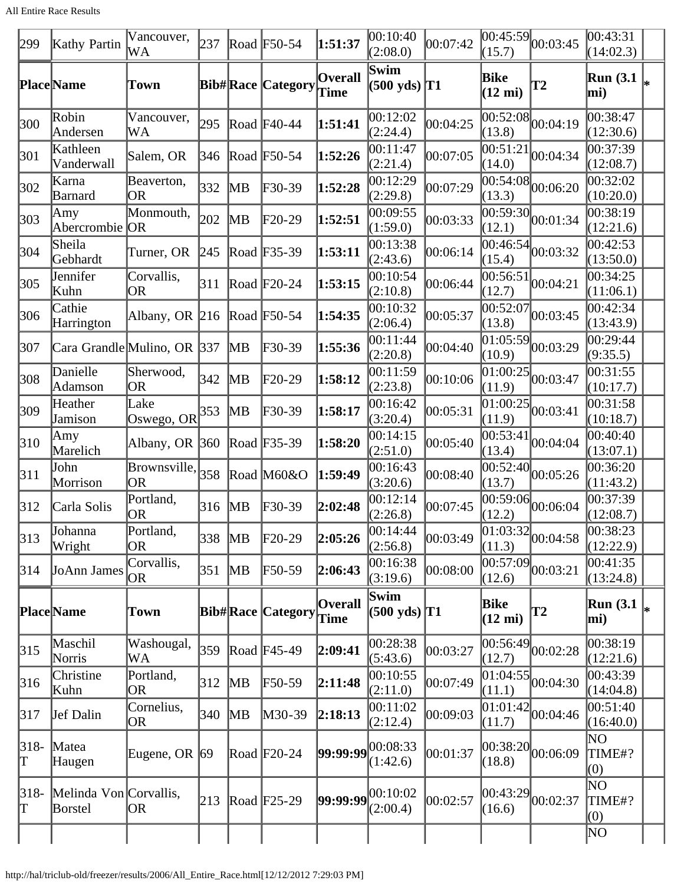All Entire Race Results

| 299        | Kathy Partin                      | Vancouver,<br>WА                                | 237           |                        | Road F50-54              | 1:51:37                | 00:10:40<br>(2:08.0)                      | 00:07:42 | 00:45:59 <br>(15.7)       | 00:03:45                           | 00:43:31<br>(14:02.3)     |    |
|------------|-----------------------------------|-------------------------------------------------|---------------|------------------------|--------------------------|------------------------|-------------------------------------------|----------|---------------------------|------------------------------------|---------------------------|----|
|            | <b>Place</b> Name                 | Town                                            |               |                        | <b>Bib#Race Category</b> | <b>Overall</b><br>Time | Swim<br>$(500 \text{ yds})$ T1            |          | Bike<br>$(12 \text{ mi})$ | <b>T2</b>                          | <b>Run</b> (3.1)<br>mi)   | l∗ |
| 300        | Robin<br>Andersen                 | Vancouver,<br>WA                                | 295           |                        | Road $F40-44$            | 1:51:41                | 00:12:02<br>(2:24.4)                      | 00:04:25 | 00:52:08<br>(13.8)        | 00:04:19                           | 00:38:47<br>(12:30.6)     |    |
| 301        | Kathleen<br>Vanderwall            | Salem, OR                                       | 346           |                        | Road F50-54              | 1:52:26                | 00:11:47<br>(2:21.4)                      | 00:07:05 | 00:51:21<br>(14.0)        | 00:04:34                           | 00:37:39<br>(12:08.7)     |    |
| 302        | Karna<br>Barnard                  | Beaverton,<br><b>OR</b>                         | 332           | MВ                     | $F30-39$                 | 1:52:28                | 00:12:29<br>(2:29.8)                      | 00:07:29 | 00:54:08<br>(13.3)        | 00:06:20                           | 00:32:02<br>(10:20.0)     |    |
| 303        | Amy<br>Abercrombie                | Monmouth,<br> OR                                | 202           | MВ                     | F20-29                   | 1:52:51                | 00:09:55<br>(1:59.0)                      | 00:03:33 | (12.1)                    | $\overline{00:59:30}$ 00:01:34     | 00:38:19<br>(12:21.6)     |    |
| 304        | Sheila<br>Gebhardt                | Turner, OR                                      | 245           |                        | Road F35-39              | 1:53:11                | 00:13:38<br>(2:43.6)                      | 00:06:14 | 00:46:54<br>(15.4)        | 00:03:32                           | 00:42:53<br>(13:50.0)     |    |
| 305        | Jennifer<br>Kuhn                  | Corvallis,<br>OR                                | 311           |                        | Road $F20-24$            | 1:53:15                | 00:10:54<br>(2:10.8)                      | 00:06:44 | 00:56:51<br>(12.7)        | 00:04:21                           | 00:34:25<br>(11:06.1)     |    |
| 306        | Cathie<br>Harrington              | Albany, OR 216 Road F50-54                      |               |                        |                          | 1:54:35                | 00:10:32<br>(2:06.4)                      | 00:05:37 | 00:52:07<br>(13.8)        | 00:03:45                           | 00:42:34<br>(13:43.9)     |    |
| 307        | Cara Grandle Mulino, OR 337       |                                                 |               | MВ                     | $F30-39$                 | 1:55:36                | 00:11:44<br>(2:20.8)                      | 00:04:40 | 01:05:59 <br>(10.9)       | 00:03:29                           | 00:29:44<br>(9:35.5)      |    |
| 308        | Danielle<br>Adamson               | Sherwood,<br> OR                                | 342           | MВ                     | F20-29                   | 1:58:12                | 00:11:59<br>(2:23.8)                      | 00:10:06 | 01:00:25<br>(11.9)        | 00:03:47                           | 00:31:55<br>(10:17.7)     |    |
| 309        | Heather<br>Jamison                | Lake<br>Oswego, OR $ 353 $                      |               | MВ                     | $F30-39$                 | 1:58:17                | 00:16:42<br>(3:20.4)                      | 00:05:31 | [01:00:25]<br>(11.9)      | 00:03:41                           | 00:31:58<br>(10:18.7)     |    |
| 310        | Amy<br>Marelich                   | Albany, OR $ 360 $                              |               |                        | Road F35-39              | 1:58:20                | 00:14:15<br>(2:51.0)                      | 00:05:40 | 00:53:41<br>(13.4)        | 00:04:04                           | 00:40:40<br>(13:07.1)     |    |
| 311        | John<br>Morrison                  | $\boxed{\text{Browsville},}_{358}$<br><b>OR</b> |               |                        | Road M60&O               | 1:59:49                | 00:16:43<br>(3:20.6)                      | 00:08:40 | 00:52:40<br>(13.7)        | 00:05:26                           | 00:36:20<br>(11:43.2)     |    |
| 312        | Carla Solis                       | Portland,<br> OR                                | 316           | $\overline{\text{MB}}$ | $F30-39$                 | 2:02:48                | 00:12:14<br>(2:26.8)                      | 00:07:45 | 00:59:06<br>(12.2)        | 00:06:04                           | 00:37:39<br>(12:08.7)     |    |
| 313        | Johanna<br>Wright                 | Portland,<br><b>OR</b>                          | 338           | $\mathbb{M}$ B         | $F20-29$                 | 2:05:26                | 00:14:44<br>(2:56.8)                      | 00:03:49 | (11.3)                    | $\overline{ 01:03:32 }_{00:04:58}$ | 00:38:23<br>(12:22.9)     |    |
| 314        | JoAnn James                       | Corvallis,<br><b>OR</b>                         | 351           | MB                     | $F50-59$                 | 2:06:43                | 00:16:38<br>(3:19.6)                      | 00:08:00 | 00:57:09 <br>(12.6)       | 00:03:21                           | 00:41:35<br>(13:24.8)     |    |
|            | <b>Place</b> Name                 | <b>Town</b>                                     |               |                        | <b>Bib#Race Category</b> | <b>Overall</b><br>Time | Swim<br>$(500 \text{ yds})$ <sup>T1</sup> |          | Bike<br>$(12 \text{ mi})$ | <b>T2</b>                          | <b>Run</b> (3.1)<br>mi)   |    |
| 315        | Maschil<br>Norris                 | Washougal,<br>WA                                | 359           |                        | Road F45-49              | 2:09:41                | 00:28:38<br>(5:43.6)                      | 00:03:27 | 00:56:49 <br>(12.7)       | 00:02:28                           | 00:38:19<br>(12:21.6)     |    |
| 316        | Christine<br>Kuhn                 | Portland,<br> OR                                | $ 312\rangle$ | MВ                     | F50-59                   | 2:11:48                | 00:10:55<br>(2:11.0)                      | 00:07:49 | 01:04:55<br>(11.1)        | 00:04:30                           | 00:43:39<br>(14:04.8)     |    |
| 317        | <b>Jef Dalin</b>                  | Cornelius,<br><b>OR</b>                         | 340           | $\overline{\text{MB}}$ | M30-39                   | 2:18:13                | 00:11:02<br>(2:12.4)                      | 00:09:03 | 01:01:42<br>(11.7)        | 00:04:46                           | 00:51:40<br>(16:40.0)     |    |
| 318-<br>Γ  | Matea<br>Haugen                   | Eugene, OR $ 69 $                               |               |                        | Road $F20-24$            |                        | $ 99:99:99 ^{00:08:33}$<br>(1:42.6)       | 00:01:37 | (18.8)                    | 00:38:20 00:06:09                  | NO<br>TIME#?<br>(0)       |    |
| 318-<br>IT | Melinda Von Corvallis,<br>Borstel | OR                                              | 213           |                        | Road $F25-29$            |                        | $99:99:99^{[00:10:02]}$<br>(2:00.4)       | 00:02:57 | 00:43:29<br>(16.6)        | 00:02:37                           | NO<br>TIME#?<br>(0)<br>NΟ |    |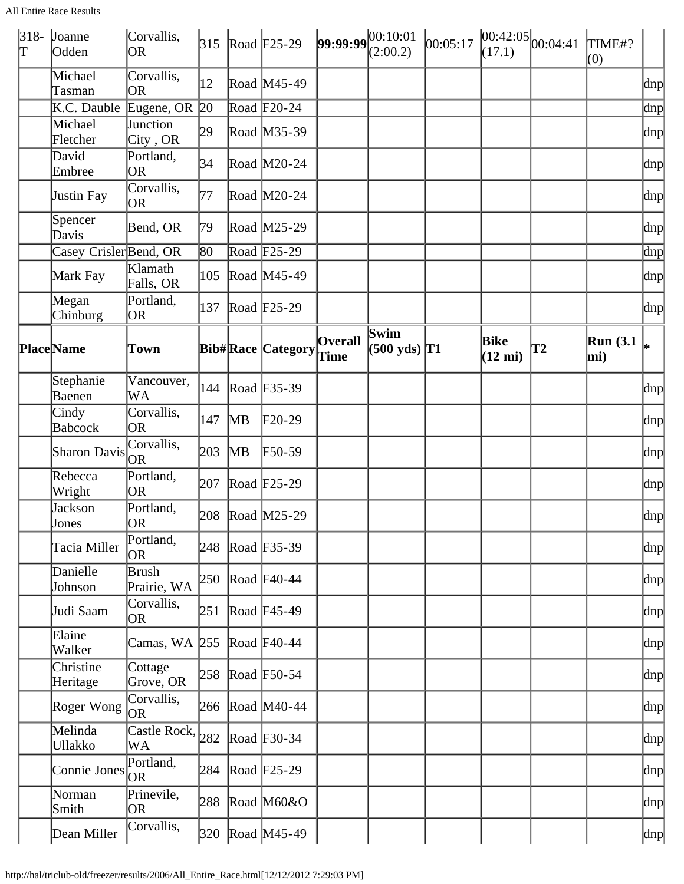All Entire Race Results

| $318-$<br>lΤ | Joanne<br>Odden           | Corvallis,<br><b>OR</b>      | 315 |    | Road $F25-29$                        | $99:99:99^{[00:10:01]}$ | (2:00.2)                              | 00:05:17 | (17.1)                    | $ 00:42:05 $ <sub>00:04:41</sub> | TIME#?<br>(0)          |               |
|--------------|---------------------------|------------------------------|-----|----|--------------------------------------|-------------------------|---------------------------------------|----------|---------------------------|----------------------------------|------------------------|---------------|
|              | Michael<br>Tasman         | Corvallis,<br>OR             | 12  |    | Road M45-49                          |                         |                                       |          |                           |                                  |                        | dnp           |
|              | K.C. Dauble               | Eugene, OR 20                |     |    | Road $F20-24$                        |                         |                                       |          |                           |                                  |                        | $\text{dnp}$  |
|              | Michael<br>Fletcher       | Junction<br>City, OR         | 29  |    | Road M35-39                          |                         |                                       |          |                           |                                  |                        | dnp           |
|              | David<br>Embree           | Portland,<br><b>OR</b>       | 34  |    | Road M20-24                          |                         |                                       |          |                           |                                  |                        | dnp           |
|              | Justin Fay                | Corvallis,<br><b>OR</b>      | 77  |    | Road M20-24                          |                         |                                       |          |                           |                                  |                        | dnp           |
|              | Spencer<br>Davis          | Bend, OR                     | 79  |    | Road M25-29                          |                         |                                       |          |                           |                                  |                        | dnp           |
|              | Casey Crisler Bend, OR    |                              | 80  |    | Road $\sqrt{F25-29}$                 |                         |                                       |          |                           |                                  |                        | dnp           |
|              | Mark Fay                  | Klamath<br>Falls, OR         | 105 |    | Road M45-49                          |                         |                                       |          |                           |                                  |                        | dnp           |
|              | Megan<br>Chinburg         | Portland,<br>OR              | 137 |    | Road $F25-29$                        |                         |                                       |          |                           |                                  |                        | dnp           |
|              | <b>Place</b> Name         | Town                         |     |    | <b>Bib#Race Category</b>             | <b>Overall</b><br>Time  | <b>Swim</b><br>$(500 \text{ yds})$ T1 |          | Bike<br>$(12 \text{ mi})$ | T2                               | <b>Run</b> (3.1<br>mi) |               |
|              | Stephanie<br>Baenen       | Vancouver,<br>WA             | 144 |    | Road F35-39                          |                         |                                       |          |                           |                                  |                        | dnp           |
|              | Cindy<br><b>Babcock</b>   | Corvallis,<br>OR             | 147 | MВ | $F20-29$                             |                         |                                       |          |                           |                                  |                        | dnp           |
|              | Sharon Davis OR           | Corvallis,                   | 203 | MВ | $\textcolor{blue}{\mathbf{F50}}$ -59 |                         |                                       |          |                           |                                  |                        | dnp           |
|              | Rebecca<br>Wright         | Portland,<br>OR.             | 207 |    | Road $F25-29$                        |                         |                                       |          |                           |                                  |                        | dnp           |
|              | Jackson<br>Jones          | Portland,<br> OR             |     |    | 208 Road M25-29                      |                         |                                       |          |                           |                                  |                        | dnp           |
|              | Tacia Miller              | Portland,<br>OR              | 248 |    | Road F35-39                          |                         |                                       |          |                           |                                  |                        | dnp           |
|              | Danielle<br>Johnson       | Brush<br>Prairie, WA         | 250 |    | Road $F40-44$                        |                         |                                       |          |                           |                                  |                        | dnp           |
|              | Judi Saam                 | Corvallis,<br>OR             | 251 |    | Road F45-49                          |                         |                                       |          |                           |                                  |                        | dnp           |
|              | Elaine<br>Walker          | Camas, WA 255                |     |    | Road $F40-44$                        |                         |                                       |          |                           |                                  |                        | dnp           |
|              | Christine<br>Heritage     | Cottage<br>Grove, OR         | 258 |    | Road F50-54                          |                         |                                       |          |                           |                                  |                        | dnp           |
|              | Roger Wong                | Corvallis,<br><b>OR</b>      |     |    | 266 Road M40-44                      |                         |                                       |          |                           |                                  |                        | dnp           |
|              | Melinda<br><b>Ullakko</b> | Castle Rock, $ _{282}$<br>WA |     |    | Road $F30-34$                        |                         |                                       |          |                           |                                  |                        | dnp           |
|              | Connie Jones              | Portland,<br>OR              | 284 |    | Road $F25-29$                        |                         |                                       |          |                           |                                  |                        | dnp           |
|              | Norman<br>Smith           | Prinevile,<br>OR             | 288 |    | Road M60&O                           |                         |                                       |          |                           |                                  |                        | dnp           |
|              | Dean Miller               | Corvallis,                   |     |    | 320 Road M45-49                      |                         |                                       |          |                           |                                  |                        | $ {\rm dnp} $ |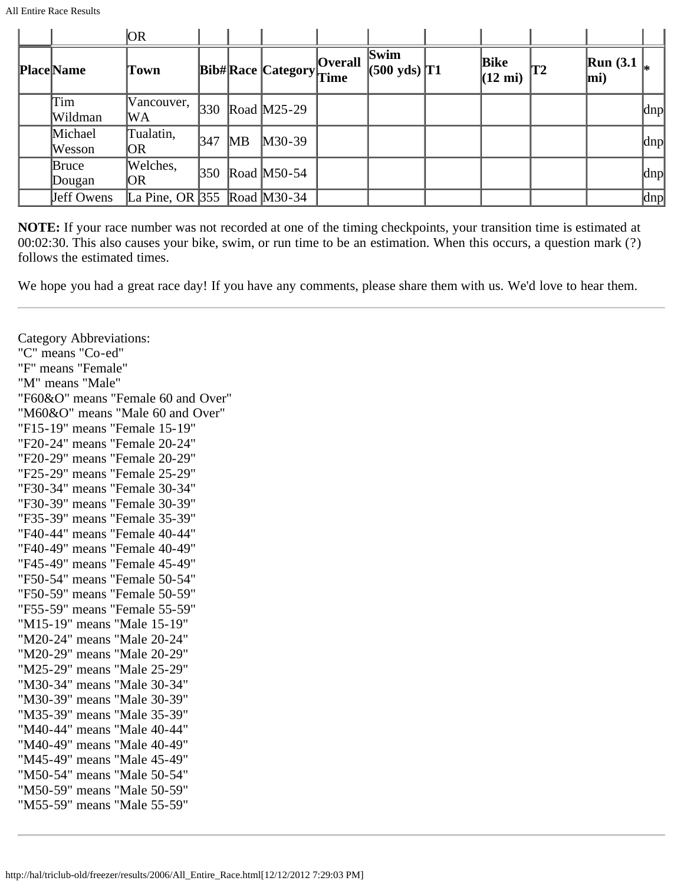|                   | OR.                                               |                 |           |                   |                |                                |                           |    |                             |     |
|-------------------|---------------------------------------------------|-----------------|-----------|-------------------|----------------|--------------------------------|---------------------------|----|-----------------------------|-----|
| <b>Place</b> Name | Town                                              |                 |           | Bib#Race Category | <b>Overall</b> | Swim<br>$(500 \text{ yds})$ T1 | Bike<br>$(12 \text{ mi})$ | T2 | $\mathbf{Run}$ (3.1)<br>mi) |     |
| Tim<br>Wildman    | Vancouver,<br>WA                                  | 330             |           | Road M25-29       |                |                                |                           |    |                             | dnp |
| Michael<br>Wesson | Tualatin,<br> OR                                  | $\frac{347}{2}$ | <b>MB</b> | $M30-39$          |                |                                |                           |    |                             | dnp |
| Bruce<br>Dougan   | Welches,<br>OR                                    | $ 350\rangle$   |           | Road $M50-54$     |                |                                |                           |    |                             | dnp |
| Jeff Owens        | La Pine, OR 355 $\sqrt{350}$ Road $\sqrt{30}$ -34 |                 |           |                   |                |                                |                           |    |                             | dnp |

**NOTE:** If your race number was not recorded at one of the timing checkpoints, your transition time is estimated at 00:02:30. This also causes your bike, swim, or run time to be an estimation. When this occurs, a question mark (?) follows the estimated times.

We hope you had a great race day! If you have any comments, please share them with us. We'd love to hear them.

Category Abbreviations: "C" means "Co-ed" "F" means "Female" "M" means "Male" "F60&O" means "Female 60 and Over" "M60&O" means "Male 60 and Over" "F15-19" means "Female 15-19" "F20-24" means "Female 20-24" "F20-29" means "Female 20-29" "F25-29" means "Female 25-29" "F30-34" means "Female 30-34" "F30-39" means "Female 30-39" "F35-39" means "Female 35-39" "F40-44" means "Female 40-44" "F40-49" means "Female 40-49" "F45-49" means "Female 45-49" "F50-54" means "Female 50-54" "F50-59" means "Female 50-59" "F55-59" means "Female 55-59" "M15-19" means "Male 15-19" "M20-24" means "Male 20-24" "M20-29" means "Male 20-29" "M25-29" means "Male 25-29" "M30-34" means "Male 30-34" "M30-39" means "Male 30-39" "M35-39" means "Male 35-39" "M40-44" means "Male 40-44" "M40-49" means "Male 40-49" "M45-49" means "Male 45-49" "M50-54" means "Male 50-54" "M50-59" means "Male 50-59" "M55-59" means "Male 55-59"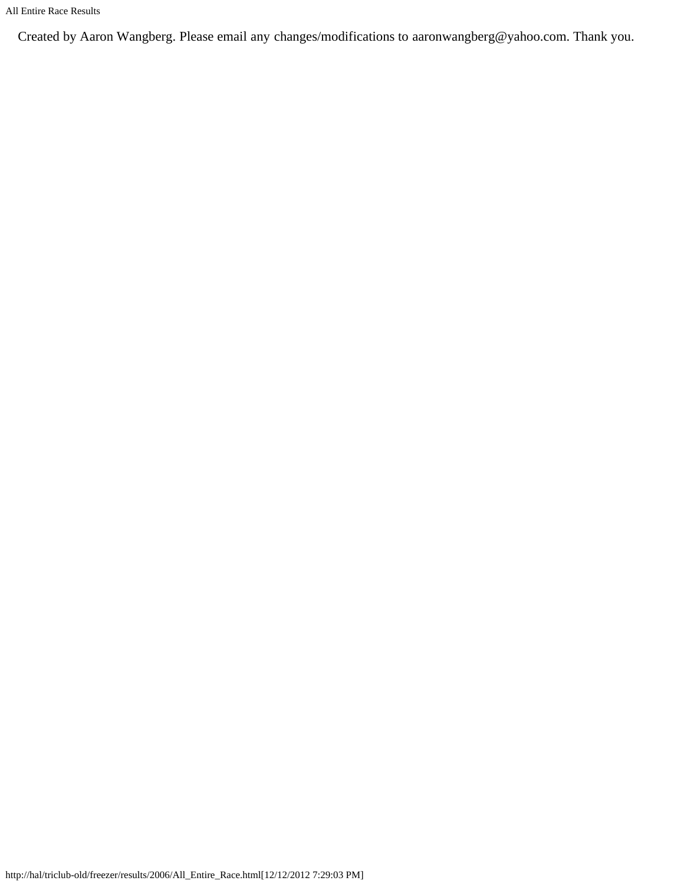Created by Aaron Wangberg. Please email any changes/modifications to aaronwangberg@yahoo.com. Thank you.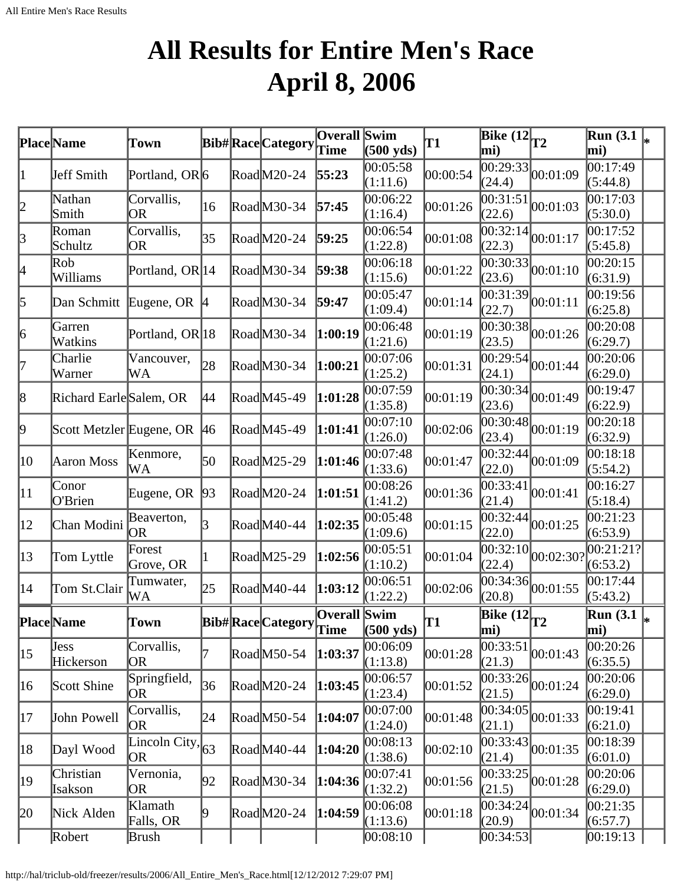## **All Results for Entire Men's Race April 8, 2006**

<span id="page-19-0"></span>

|                 | Place Name               | Town                                                          |           | <b>Bib#RaceCategory</b> | Overall Swim<br>Time        | $(500 \text{ yds})$  | T1       | Bike $(12)$ <sub>T2</sub><br>mi)                |                                        | <b>Run</b> (3.1<br>mi)                        |  |
|-----------------|--------------------------|---------------------------------------------------------------|-----------|-------------------------|-----------------------------|----------------------|----------|-------------------------------------------------|----------------------------------------|-----------------------------------------------|--|
| 1               | Jeff Smith               | Portland, OR6                                                 |           | RoadM20-24              | 55:23                       | 00:05:58<br>(1:11.6) | 00:00:54 | (24.4)                                          | $\overline{00:29:33}$ 00:01:09         | 00:17:49<br>(5:44.8)                          |  |
| $\vert$ 2       | Nathan<br>Smith          | Corvallis,<br>OR                                              | 16        | RoadM30-34              | 57:45                       | 00:06:22<br>(1:16.4) | 00:01:26 | 00:31:51<br>(22.6)                              | 00:01:03                               | 00:17:03<br>(5:30.0)                          |  |
| $\beta$         | Roman<br>Schultz         | Corvallis,<br>OR                                              | 35        | RoadM20-24              | 59:25                       | 00:06:54<br>(1:22.8) | 00:01:08 | (22.3)                                          | $\overline{00:32:14}_{00:01:17}$       | 00:17:52<br>(5:45.8)                          |  |
| 4               | Rob<br>Williams          | Portland, OR 14                                               |           | RoadM30-34              | 59:38                       | 00:06:18<br>(1:15.6) | 00:01:22 | (23.6)                                          | $\overline{00:30:33}$ 0.01:10          | 00:20:15<br>(6:31.9)                          |  |
| 5               | Dan Schmitt              | Eugene, OR $ 4$                                               |           | RoadM30-34              | 59:47                       | 00:05:47<br>(1:09.4) | 00:01:14 | 00:31:39 <br>(22.7)                             | 00:01:11                               | 00:19:56<br>(6:25.8)                          |  |
| $\vert 6 \vert$ | Garren<br>Watkins        | Portland, OR 18                                               |           | RoadM30-34              | 1:00:19                     | 00:06:48<br>(1:21.6) | 00:01:19 | (23.5)                                          | $\overline{00:30:38}$ 0.01:26          | 00:20:08<br>(6:29.7)                          |  |
| 17              | Charlie<br>Warner        | Vancouver,<br>WA                                              | 28        | RoadM30-34              | 1:00:21                     | 00:07:06<br>(1:25.2) | 00:01:31 | (24.1)                                          | $\overline{00:29:54}_{00:01:44}$       | 00:20:06<br>(6:29.0)                          |  |
| $\vert 8 \vert$ | Richard Earle Salem, OR  |                                                               | 44        | RoadM45-49              | 1:01:28                     | 00:07:59<br>(1:35.8) | 00:01:19 | (23.6)                                          | $\overline{00:30:34}_{00:01:49}$       | 00:19:47<br>(6:22.9)                          |  |
| þ.              | Scott Metzler Eugene, OR |                                                               | <b>46</b> | RoadM45-49              | 1:01:41                     | 00:07:10<br>(1:26.0) | 00:02:06 | (23.4)                                          | $\overline{00:30:48}$ 00:01:19         | 00:20:18<br>(6:32.9)                          |  |
| $ 10\rangle$    | Aaron Moss               | Kenmore,<br>WA                                                | 50        | RoadM25-29              | 1:01:46                     | 00:07:48<br>(1:33.6) | 00:01:47 | 00:32:44<br>(22.0)                              | 00:01:09                               | 00:18:18<br>(5:54.2)                          |  |
| $ 11\rangle$    | Conor<br>O'Brien         | Eugene, OR $ 93 $                                             |           | RoadM20-24              | 1:01:51                     | 00:08:26<br>(1:41.2) | 00:01:36 | $\overline{0}0:33:41$<br>(21.4)                 | 00:01:41                               | 00:16:27<br>(5:18.4)                          |  |
| $ 12\rangle$    | Chan Modini              | Beaverton,<br>OR                                              | 3         | RoadM40-44              | 1:02:35                     | 00:05:48<br>(1:09.6) | 00:01:15 | (22.0)                                          | $\overline{00:32:44}\big  00:01:25$    | 00:21:23<br>(6:53.9)                          |  |
| $ 13\rangle$    | Tom Lyttle               | Forest<br>Grove, OR                                           |           | RoadM25-29              | 1:02:56                     | 00:05:51<br>(1:10.2) | 00:01:04 | $\bar{0}0:32:10$<br>(22.4)                      | 00:02:30?                              | 00:21:21?<br>(6:53.2)                         |  |
| 14              | Tom St.Clair             | Tumwater,<br>WA                                               | 25        | $\text{Rad}$ M40-44     | 1:03:12                     | 00:06:51<br>(1:22.2) | 00:02:06 | 00:34:36<br>(20.8)                              | 00:01:55                               | 00:17:44<br>(5:43.2)                          |  |
|                 | <b>Place</b> Name        | Town                                                          |           | Bib# Race Category      | <b>Overall</b> Swim<br>Time | $(500 \text{ yds})$  | T1       | $\overline{\text{Bike} (12)}_{T2}$<br>$\bf{mi}$ |                                        | $\overline{\text{Run}}$ (3.1 $\vert_*$<br>mi) |  |
| $ 15\rangle$    | <b>Jess</b><br>Hickerson | Corvallis,<br>OR                                              | 7         | RoadM50-54              | 1:03:37                     | 00:06:09<br>(1:13.8) | 00:01:28 | (21.3)                                          | $\overline{00:33:51}$ $\big  00:01:43$ | 00:20:26<br>(6:35.5)                          |  |
| 16              | Scott Shine              | Springfield,<br><b>OR</b>                                     | 36        | RoadM20-24              | 1:03:45                     | 00:06:57<br>(1:23.4) | 00:01:52 | (21.5)                                          | $\overline{00:33:26}\big _{00:01:24}$  | 00:20:06<br>(6:29.0)                          |  |
| 17              | John Powell              | Corvallis,<br>OR                                              | 24        | RoadM50-54              | 1:04:07                     | 00:07:00<br>(1:24.0) | 00:01:48 | (21.1)                                          | $\overline{00:34:05}$ 0.01:33          | 00:19:41<br>(6:21.0)                          |  |
| 18              | Dayl Wood                | <b>Lincoln</b> City, $\begin{bmatrix} 63 \end{bmatrix}$<br>OR |           | RoadM40-44              | 1:04:20                     | 00:08:13<br>(1:38.6) | 00:02:10 | (21.4)                                          | $\overline{00:33:43}$ 00:01:35         | 00:18:39<br>(6:01.0)                          |  |
| 19              | Christian<br>Isakson     | Vernonia,<br>OR                                               | 92        | RoadM30-34              | 1:04:36                     | 00:07:41<br>(1:32.2) | 00:01:56 | (21.5)                                          | $\overline{00:33:25}\big _{00:01:28}$  | 00:20:06<br>(6:29.0)                          |  |
| 20              | Nick Alden               | Klamath<br>Falls, OR                                          | 19        | $\text{Rad}$ M20-24     | 1:04:59                     | 00:06:08<br>(1:13.6) | 00:01:18 | (20.9)                                          | $\overline{00:34:24}_{00:01:34}$       | 00:21:35<br>(6:57.7)                          |  |
|                 | Robert                   | Brush                                                         |           |                         |                             | 00:08:10             |          | 00:34:53                                        |                                        | 00:19:13                                      |  |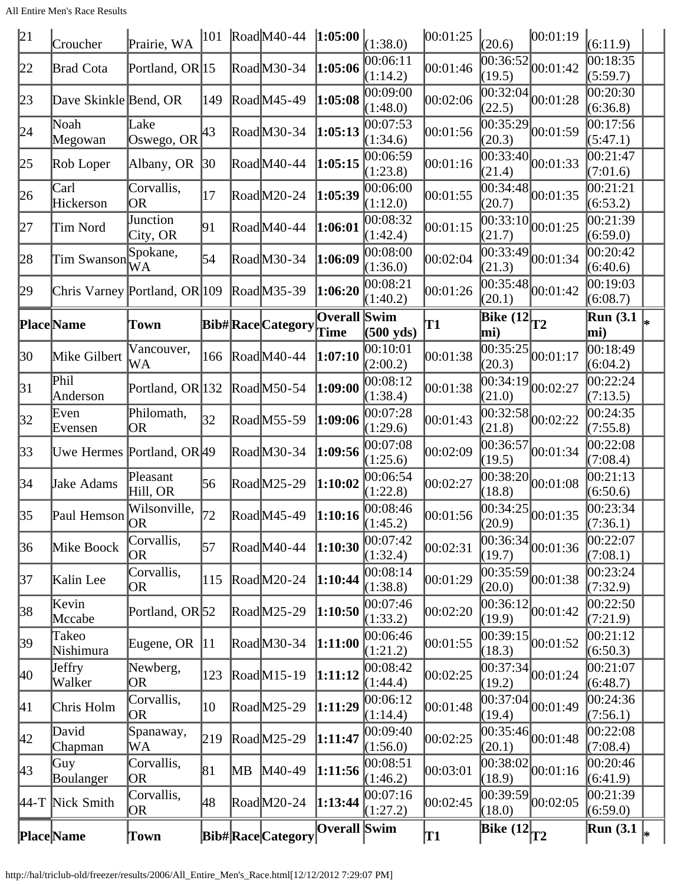All Entire Men's Race Results

| 21           | Croucher                                          | Prairie, WA                |              |    | $ 101 \text{ Road}$ M40-44 $ 1:05:00 $ |                             | (1:38.0)             | 00:01:25 | (20.6)                                       | 00:01:19                              | (6:11.9)                                          |  |
|--------------|---------------------------------------------------|----------------------------|--------------|----|----------------------------------------|-----------------------------|----------------------|----------|----------------------------------------------|---------------------------------------|---------------------------------------------------|--|
| 22           | <b>Brad Cota</b>                                  | Portland, OR 15            |              |    | RoadM30-34                             | 1:05:06                     | 00:06:11<br>(1:14.2) | 00:01:46 | $\overline{00:3}6:52$<br>(19.5)              | 00:01:42                              | 00:18:35<br>(5:59.7)                              |  |
| 23           | Dave Skinkle Bend, OR                             |                            | 149          |    | RoadM45-49                             | 1:05:08                     | 00:09:00<br>(1:48.0) | 00:02:06 | 00:32:04 <br>(22.5)                          | 00:01:28                              | 00:20:30<br>(6:36.8)                              |  |
| 24           | Noah<br>Megowan                                   | Lake<br>Oswego, OR         | 43           |    | RoadM30-34                             | 1:05:13                     | 00:07:53<br>(1:34.6) | 00:01:56 | 00:35:29<br>(20.3)                           | 00:01:59                              | 00:17:56<br>(5:47.1)                              |  |
| 25           | Rob Loper                                         | Albany, OR                 | $ 30\rangle$ |    | $\text{Rad}$ M40-44                    | 1:05:15                     | 00:06:59<br>(1:23.8) | 00:01:16 | (21.4)                                       | $\overline{00:33:40}$ 00:01:33        | 00:21:47<br>(7:01.6)                              |  |
| 26           | Carl<br>Hickerson                                 | Corvallis,<br>OR           | 17           |    | $\text{Rad}$ M20-24                    | 1:05:39                     | 00:06:00<br>(1:12.0) | 00:01:55 | (20.7)                                       | $\overline{00:34:48}$ 00:01:35        | 00:21:21<br>(6:53.2)                              |  |
| 27           | Tim Nord                                          | Junction<br>City, OR       | 91           |    | RoadM40-44                             | 1:06:01                     | 00:08:32<br>(1:42.4) | 00:01:15 | 00:33:10<br>(21.7)                           | 00:01:25                              | 00:21:39<br>(6:59.0)                              |  |
| 28           | Tim Swanson                                       | Spokane,<br>WA             | 54           |    | RoadM30-34                             | 1:06:09                     | 00:08:00<br>(1:36.0) | 00:02:04 | 00:33:49<br>(21.3)                           | 00:01:34                              | 00:20:42<br>(6:40.6)                              |  |
| 29           | Chris Varney Portland, OR 109                     |                            |              |    | $\text{Read}$ M35-39                   | 1:06:20                     | 00:08:21<br>(1:40.2) | 00:01:26 | (20.1)                                       | $\overline{00:35:48}$ 00:01:42        | 00:19:03<br>(6:08.7)                              |  |
|              | <b>Place</b> Name                                 | Town                       |              |    | <b>Bib#RaceCategory</b>                | <b>Overall</b> Swim<br>Time | $(500 \text{ yds})$  | T1       | Bike $(12)$ <sub>T2</sub><br>mi)             |                                       | $\overline{\text{Run}}$ (3.1 $\vert_{*}$ )<br>mi) |  |
| 30           | Mike Gilbert                                      | Vancouver,<br>WA           | 166          |    | $\text{Rad}$ M40-44                    | 1:07:10                     | 00:10:01<br>(2:00.2) | 00:01:38 | 00:35:25 <br>(20.3)                          | 00:01:17                              | 00:18:49<br>(6:04.2)                              |  |
| 31           | Phil<br>Anderson                                  | Portland, OR 132           |              |    | RoadM50-54                             | 1:09:00                     | 00:08:12<br>(1:38.4) | 00:01:38 | 00:34:19<br>(21.0)                           | 00:02:27                              | 00:22:24<br>(7:13.5)                              |  |
| 32           | Even<br>Evensen                                   | Philomath,<br>OR           | 32           |    | RoadM55-59                             | 1:09:06                     | 00:07:28<br>(1:29.6) | 00:01:43 | (21.8)                                       | $\overline{00:32:58}$ 00:02:22        | 00:24:35<br>(7:55.8)                              |  |
| $ 33\rangle$ | Uwe Hermes Portland, OR49                         |                            |              |    | RoadM30-34                             | 1:09:56                     | 00:07:08<br>(1:25.6) | 00:02:09 | 00:36:57<br>(19.5)                           | 00:01:34                              | 00:22:08<br>(7:08.4)                              |  |
| 34           | Jake Adams                                        | Pleasant<br>Hill, OR       | 56           |    | RoadM25-29                             | 1:10:02                     | 00:06:54<br>(1:22.8) | 00:02:27 | 00:38:20 <br>(18.8)                          | 00:01:08                              | 00:21:13<br>(6:50.6)                              |  |
| 35           | $\left \text{Paul Henson}\right \over{\text{OR}}$ | Wilsonville,               | 72           |    | RoadM45-49                             | 1:10:16                     | 00:08:46<br>(1:45.2) | 00:01:56 | (20.9)                                       | $\overline{00:34:25}\big _{00:01:35}$ | 00:23:34<br>(7:36.1)                              |  |
| 36           | Mike Boock                                        | Corvallis,<br> OR          | 57           |    | RoadM40-44                             | 1:10:30                     | 00:07:42<br>(1:32.4) | 00:02:31 | 00:36:34 <br>(19.7)                          | 00:01:36                              | 00:22:07<br>(7:08.1)                              |  |
| 37           | Kalin Lee                                         | Corvallis,<br>OR           | 115          |    | $\text{Rad}$ M20-24                    | 1:10:44                     | 00:08:14<br>(1:38.8) | 00:01:29 | (20.0)                                       | $\overline{ 00:35:59 }_{00:01:38}$    | 00:23:24<br>(7:32.9)                              |  |
| 38           | Kevin<br>Mccabe                                   | Portland, OR <sup>52</sup> |              |    | RoadM25-29                             | 1:10:50                     | 00:07:46<br>(1:33.2) | 00:02:20 | 00:36:12 <br>(19.9)                          | 00:01:42                              | 00:22:50<br>(7:21.9)                              |  |
| 39           | Takeo<br>Nishimura                                | Eugene, OR                 | 11           |    | RoadM30-34                             | 1:11:00                     | 00:06:46<br>(1:21.2) | 00:01:55 | 00:39:15<br>(18.3)                           | 00:01:52                              | 00:21:12<br>(6:50.3)                              |  |
| $ 40\rangle$ | <b>J</b> effry<br>Walker                          | Newberg,<br>OR             | 123          |    | RoadM15-19                             | 1:11:12                     | 00:08:42<br>(1:44.4) | 00:02:25 | 00:37:34<br>(19.2)                           | 00:01:24                              | 00:21:07<br>(6:48.7)                              |  |
| 41           | Chris Holm                                        | Corvallis,<br> OR          | 10           |    | RoadM25-29                             | 1:11:29                     | 00:06:12<br>(1:14.4) | 00:01:48 | 00:37:04<br>(19.4)                           | 00:01:49                              | 00:24:36<br>(7:56.1)                              |  |
| 42           | David<br>Chapman                                  | Spanaway,<br>WА            | 219          |    | RoadM25-29                             | 1:11:47                     | 00:09:40<br>(1:56.0) | 00:02:25 | (20.1)                                       | $\overline{00:35:46}\big  00:01:48$   | 00:22:08<br>(7:08.4)                              |  |
| 43           | Guy<br>Boulanger                                  | Corvallis,<br>OR           | 81           | MВ | $M40-49$                               | 1:11:56                     | 00:08:51<br>(1:46.2) | 00:03:01 | 00:38:02 <br>(18.9)                          | 00:01:16                              | 00:20:46<br>(6:41.9)                              |  |
|              | 44-T Nick Smith                                   | Corvallis,<br>OR)          | 48           |    | RoadM20-24                             | 1:13:44                     | 00:07:16<br>(1:27.2) | 00:02:45 | 00:39:59<br>(18.0)                           | 00:02:05                              | 00:21:39<br>(6:59.0)                              |  |
|              | Place Name                                        | Town                       |              |    | <b>Bib#RaceCategory</b>                | Overall Swim                |                      | T1       | $\overline{\text{Bike} (12)}$ T <sub>2</sub> |                                       | $\overline{\text{Run}}(3.1\vert_{*})$             |  |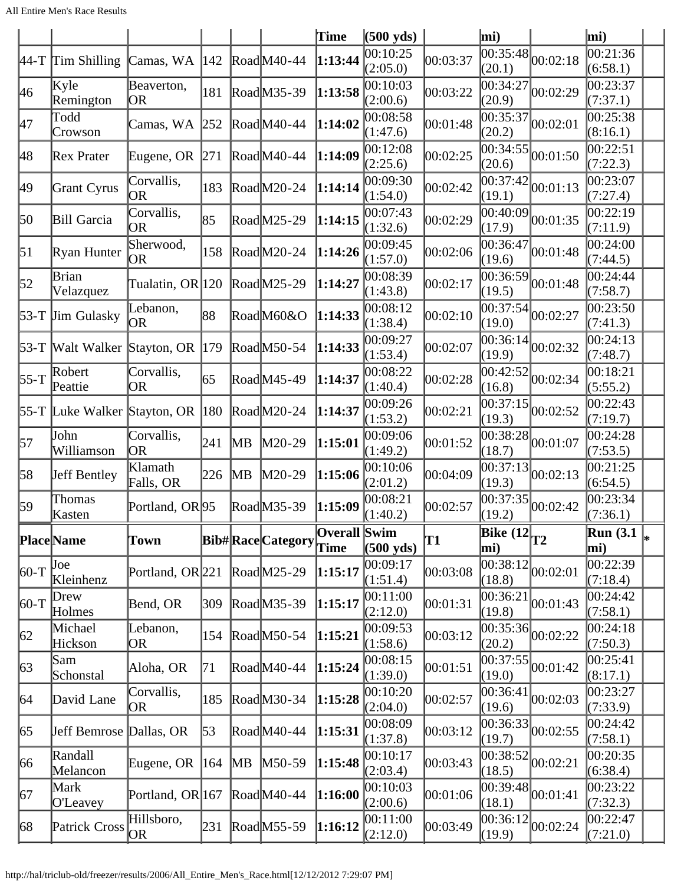|                  |                                  |                               |     |               |                         | Time                 | $(500 \text{ yds})$  |          | mi)                                       |                                           | mi)                                           |  |
|------------------|----------------------------------|-------------------------------|-----|---------------|-------------------------|----------------------|----------------------|----------|-------------------------------------------|-------------------------------------------|-----------------------------------------------|--|
| $ 44-T$          | <b>Tim Shilling</b>              | Camas, WA                     | 142 |               | Road M40-44             | 1:13:44              | 00:10:25<br>(2:05.0) | 00:03:37 | 00:35:48 <br>(20.1)                       | 00:02:18                                  | 00:21:36<br>(6:58.1)                          |  |
| 46               | Kyle<br>Remington                | Beaverton,<br><b>OR</b>       | 181 |               | RoadM35-39              | 1:13:58              | 00:10:03<br>(2:00.6) | 00:03:22 | (20.9)                                    | $\overline{ 00:34:27 }_{00:02:29}$        | 00:23:37<br>(7:37.1)                          |  |
| 47               | Todd<br>Crowson                  | Camas, WA                     | 252 |               | RoadM40-44              | 1:14:02              | 00:08:58<br>(1:47.6) | 00:01:48 | 00:35:37<br>(20.2)                        | 00:02:01                                  | 00:25:38<br>(8:16.1)                          |  |
| 48               | Rex Prater                       | Eugene, OR                    | 271 |               | RoadM40-44              | 1:14:09              | 00:12:08<br>(2:25.6) | 00:02:25 | 00:34:55 <br>(20.6)                       | 00:01:50                                  | 00:22:51<br>(7:22.3)                          |  |
| 49               | Grant Cyrus                      | Corvallis,<br><b>OR</b>       | 183 |               | RoadM20-24              | 1:14:14              | 00:09:30<br>(1:54.0) | 00:02:42 | 00:37:42 <br>(19.1)                       | 00:01:13                                  | 00:23:07<br>(7:27.4)                          |  |
| 50               | Bill Garcia                      | Corvallis,<br>OR              | 85  |               | RoadM25-29              | 1:14:15              | 00:07:43<br>(1:32.6) | 00:02:29 | (17.9)                                    | $\frac{1}{00:40:09}$ 00:01:35             | 00:22:19<br>(7:11.9)                          |  |
| $\vert 51 \vert$ | Ryan Hunter                      | Sherwood,<br><b>OR</b>        | 158 |               | RoadM20-24              | 1:14:26              | 00:09:45<br>(1:57.0) | 00:02:06 | 00:36:47<br>(19.6)                        | 00:01:48                                  | 00:24:00<br>(7:44.5)                          |  |
| 52               | Brian<br>Velazquez               | Tualatin, OR 120              |     |               | RoadM25-29              | 1:14:27              | 00:08:39<br>(1:43.8) | 00:02:17 | 00:36:59<br>(19.5)                        | 00:01:48                                  | 00:24:44<br>(7:58.7)                          |  |
|                  | 53-T Jim Gulasky                 | Lebanon,<br>lor               | 88  |               | RoadM60&O               | 1:14:33              | 00:08:12<br>(1:38.4) | 00:02:10 | (19.0)                                    | $\overline{00:37:54}_{00:02:27}$          | 00:23:50<br>(7:41.3)                          |  |
|                  | 53-T Walt Walker Stayton, OR 179 |                               |     |               | RoadM50-54              | 1:14:33              | 00:09:27<br>(1:53.4) | 00:02:07 | 00:36:14 <br>(19.9)                       | 00:02:32                                  | 00:24:13<br>(7:48.7)                          |  |
| $55-T$           | Robert<br>Peattie                | Corvallis,<br><b>OR</b>       | 65  |               | RoadM45-49              | 1:14:37              | 00:08:22<br>(1:40.4) | 00:02:28 | (16.8)                                    | $\overline{ 00:42:52 }_{00:02:34}$        | 00:18:21<br>(5:55.2)                          |  |
|                  | 55-T Luke Walker Stayton, OR     |                               | 180 |               | RoadM20-24              | 1:14:37              | 00:09:26<br>(1:53.2) | 00:02:21 | 00:37:15 <br>(19.3)                       | 00:02:52                                  | 00:22:43<br>(7:19.7)                          |  |
| 57               | John<br>Williamson               | Corvallis,<br> OR             | 241 | $\mathbf{MB}$ | M20-29                  | 1:15:01              | 00:09:06<br>(1:49.2) | 00:01:52 | 00:38:28<br>(18.7)                        | 00:01:07                                  | 00:24:28<br>(7:53.5)                          |  |
| 58               | <b>Jeff Bentley</b>              | Klamath<br>Falls, OR          | 226 | MВ            | M20-29                  | 1:15:06              | 00:10:06<br>(2:01.2) | 00:04:09 | 00:37:13 <br>(19.3)                       | 00:02:13                                  | 00:21:25<br>(6:54.5)                          |  |
| 59               | Thomas<br>Kasten                 | Portland, OR <sub>95</sub>    |     |               | RoadM35-39              | 1:15:09              | 00:08:21<br>(1:40.2) | 00:02:57 | 00:37:35<br>(19.2)                        | 00:02:42                                  | 00:23:34<br>(7:36.1)                          |  |
|                  | Place Name                       | Town                          |     |               | <b>Bib#RaceCategory</b> | Overall Swim<br>Time | $(500 \text{ yds})$  | T1       | $\overline{\text{Bike} (12)}_{T2}$<br>mi) |                                           | $\overline{\text{Run}}$ (3.1 $\vert_*$<br>mi) |  |
| $ 60-T$          | Joe<br>Kleinhenz                 | Portland, OR <sub>221</sub>   |     |               | RoadM25-29              | 1:15:17              | 00:09:17<br>(1:51.4) | 00:03:08 | [00:38:12]<br>(18.8)                      | 00:02:01                                  | 00:22:39<br>(7:18.4)                          |  |
| $60-T$           | Drew<br>Holmes                   | Bend, OR                      | 309 |               | RoadM35-39              | 1:15:17              | 00:11:00<br>(2:12.0) | 00:01:31 | 00:36:21<br>(19.8)                        | 00:01:43                                  | 00:24:42<br>(7:58.1)                          |  |
| 62               | Michael<br>Hickson               | Lebanon,<br>OR)               | 154 |               | $\text{Rad}$ M50-54     | 1:15:21              | 00:09:53<br>(1:58.6) | 00:03:12 | [00:35:36]<br>(20.2)                      | 00:02:22                                  | 00:24:18<br>(7:50.3)                          |  |
| 63               | Sam<br>Schonstal                 | Aloha, OR                     | 71  |               | RoadM40-44              | 1:15:24              | 00:08:15<br>(1:39.0) | 00:01:51 | (19.0)                                    | $\overline{00:37:55}$ <sub>00:01:42</sub> | 00:25:41<br>(8:17.1)                          |  |
| 64               | David Lane                       | Corvallis,<br>OR              | 185 |               | RoadM30-34              | 1:15:28              | 00:10:20<br>(2:04.0) | 00:02:57 | 00:36:41 <br>(19.6)                       | 00:02:03                                  | 00:23:27<br>(7:33.9)                          |  |
| 65               | Jeff Bemrose Dallas, OR          |                               | 53  |               | RoadM40-44              | 1:15:31              | 00:08:09<br>(1:37.8) | 00:03:12 | (19.7)                                    | $\overline{00:36:33}$ 00:02:55            | 00:24:42<br>(7:58.1)                          |  |
| 66               | Randall<br>Melancon              | Eugene, OR                    | 164 | MB            | $M50-59$                | 1:15:48              | 00:10:17<br>(2:03.4) | 00:03:43 | (18.5)                                    | $\overline{00:38:52}_{00:02:21}$          | 00:20:35<br>(6:38.4)                          |  |
| 67               | Mark<br>O'Leavey                 | Portland, OR 167              |     |               | $\text{Rad}$ M40-44     | 1:16:00              | 00:10:03<br>(2:00.6) | 00:01:06 | (18.1)                                    | $\overline{00:39:48}$ <sub>00:01:41</sub> | 00:23:22<br>(7:32.3)                          |  |
| 68               | Patrick Cross                    | Hillsboro,<br>OR <sub>1</sub> | 231 |               | RoadM55-59              | 1:16:12              | 00:11:00<br>(2:12.0) | 00:03:49 | (19.9)                                    | $\overline{00:36:12}_{00:02:24}$          | 00:22:47<br>(7:21.0)                          |  |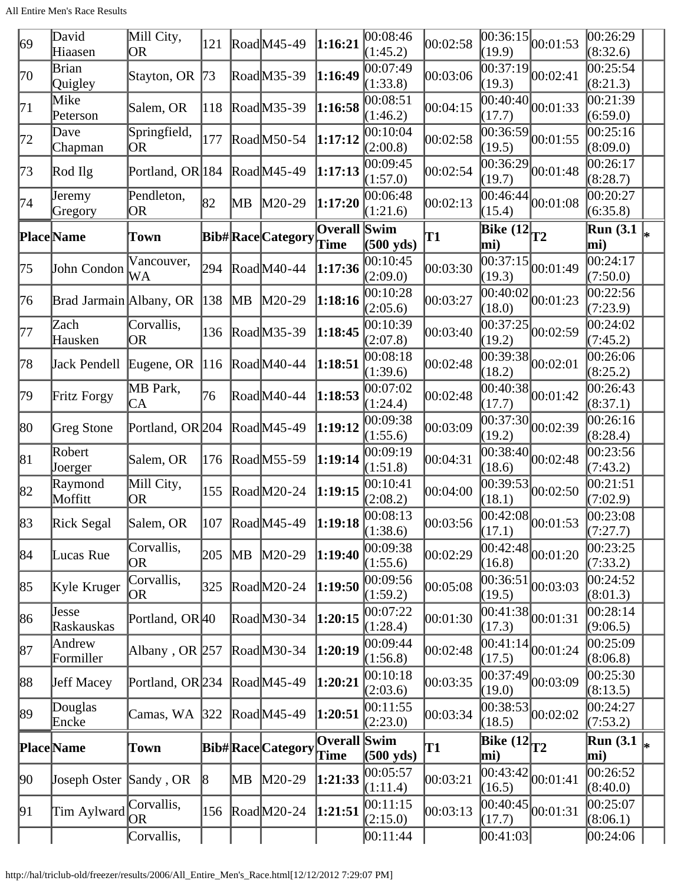| 69 | David<br>Hiaasen            | Mill City,<br><b>OR</b>     | 121 |    | $\text{Rad}$ $\text{M}45-49$ | 1:16:21                     | 00:08:46<br>(1:45.2) | 00:02:58 | (19.9)                                                   | $\overline{00:36:15}\vert_{00:01:53}$ | 00:26:29<br>(8:32.6)              |  |
|----|-----------------------------|-----------------------------|-----|----|------------------------------|-----------------------------|----------------------|----------|----------------------------------------------------------|---------------------------------------|-----------------------------------|--|
| 70 | Brian<br>Quigley            | Stayton, OR                 | 73  |    | RoadM35-39                   | 1:16:49                     | 00:07:49<br>(1:33.8) | 00:03:06 | 00:37:19<br>(19.3)                                       | 00:02:41                              | 00:25:54<br>(8:21.3)              |  |
| 71 | Mike<br>Peterson            | Salem, OR                   | 118 |    | RoadM35-39                   | 1:16:58                     | 00:08:51<br>(1:46.2) | 00:04:15 | $\overline{00}$ :40:40<br>(17.7)                         | 00:01:33                              | 00:21:39<br>(6:59.0)              |  |
| 72 | Dave<br>Chapman             | Springfield,<br>OR          | 177 |    | $\text{Rad}$ M50-54          | 1:17:12                     | 00:10:04<br>(2:00.8) | 00:02:58 | (19.5)                                                   | $\overline{ 00:36:59 }_{00:01:55}$    | $\overline{00:}25:16$<br>(8:09.0) |  |
| 73 | Rod Ilg                     | Portland, OR 184            |     |    | RoadM45-49                   | 1:17:13                     | 00:09:45<br>(1:57.0) | 00:02:54 | (19.7)                                                   | $\overline{ 00:36:29 }_{00:01:48}$    | 00:26:17<br>(8:28.7)              |  |
| 74 | Jeremy<br>Gregory           | Pendleton,<br><b>OR</b>     | 82  | MВ | $M20-29$                     | 1:17:20                     | 00:06:48<br>(1:21.6) | 00:02:13 | 00:46:44 <br>(15.4)                                      | 00:01:08                              | 00:20:27<br>(6:35.8)              |  |
|    | <b>Place</b> Name           | Town                        |     |    | <b>Bib#RaceCategory</b>      | <b>Overall Swim</b><br>Time | $(500 \text{ yds})$  | T1       | $\overline{\text{Bike} (12)}_{T2}$<br>mi)                |                                       | <b>Run</b> (3.1)<br>mi)           |  |
| 75 | John Condon                 | Vancouver,<br>WА            | 294 |    | RoadM40-44                   | 1:17:36                     | 00:10:45<br>(2:09.0) | 00:03:30 | 00:37:15 <br>(19.3)                                      | 00:01:49                              | 00:24:17<br>(7:50.0)              |  |
| 76 | Brad Jarmain Albany, OR 138 |                             |     | MВ | $M20-29$                     | 1:18:16                     | 00:10:28<br>(2:05.6) | 00:03:27 | (18.0)                                                   | $\overline{00:40:02}$ 0.01:23         | 00:22:56<br>(7:23.9)              |  |
| 77 | Zach<br>Hausken             | Corvallis,<br>OR            | 136 |    | RoadM35-39                   | 1:18:45                     | 00:10:39<br>(2:07.8) | 00:03:40 | (19.2)                                                   | $\overline{00:37:25}\big _{00:02:59}$ | 00:24:02<br>(7:45.2)              |  |
| 78 | Jack Pendell                | Eugene, OR $ 116$           |     |    | RoadM40-44                   | 1:18:51                     | 00:08:18<br>(1:39.6) | 00:02:48 | 00:39:38<br>(18.2)                                       | 00:02:01                              | 00:26:06<br>(8:25.2)              |  |
| 79 | Fritz Forgy                 | MB Park,<br>CA              | 76  |    | RoadM40-44                   | 1:18:53                     | 00:07:02<br>(1:24.4) | 00:02:48 | (17.7)                                                   | $\overline{ 00:40:38 }_{00:01:42}$    | 00:26:43<br>(8:37.1)              |  |
| 80 | Greg Stone                  | Portland, OR 204            |     |    | $\text{road}$ M45-49         | 1:19:12                     | 00:09:38<br>(1:55.6) | 00:03:09 | 00:37:30<br>(19.2)                                       | 00:02:39                              | 00:26:16<br>(8:28.4)              |  |
| 81 | Robert<br>Joerger           | Salem, OR                   | 176 |    | RoadM55-59                   | 1:19:14                     | 00:09:19<br>(1:51.8) | 00:04:31 | (18.6)                                                   | $\overline{00:38:40}$ 00:02:48        | 00:23:56<br>(7:43.2)              |  |
| 82 | Raymond<br>Moffitt          | Mill City,<br>OR            | 155 |    | $\text{Rad}$ M20-24          | 1:19:15                     | 00:10:41<br>(2:08.2) | 00:04:00 | (18.1)                                                   | $\overline{00:39:53}$ 00:02:50        | 00:21:51<br>(7:02.9)              |  |
| 83 | Rick Segal                  | Salem, OR                   |     |    | 107 RoadM45-49 1:19:18       |                             | 00:08:13<br>(1:38.6) | 00:03:56 | (17.1)                                                   | $\overline{00:42:08}$ 00:01:53        | 00:23:08<br>(7:27.7)              |  |
| 84 | Lucas Rue                   | Corvallis,<br>OR            | 205 | MВ | $M20-29$                     | 1:19:40                     | 00:09:38<br>(1:55.6) | 00:02:29 | 00:42:48<br>(16.8)                                       | 00:01:20                              | 00:23:25<br>(7:33.2)              |  |
| 85 | Kyle Kruger                 | Corvallis,<br>OR            | 325 |    | $\text{Rad}$ M20-24          | 1:19:50                     | 00:09:56<br>(1:59.2) | 00:05:08 | 00:36:51<br>(19.5)                                       | 00:03:03                              | 00:24:52<br>(8:01.3)              |  |
| 86 | Jesse<br>Raskauskas         | Portland, OR40              |     |    | RoadM30-34                   | 1:20:15                     | 00:07:22<br>(1:28.4) | 00:01:30 | (17.3)                                                   | $\overline{00:41:38}$ 00:01:31        | 00:28:14<br>(9:06.5)              |  |
| 87 | Andrew<br>Formiller         | Albany, OR $ 257 $          |     |    | RoadM30-34                   | 1:20:19                     | 00:09:44<br>(1:56.8) | 00:02:48 | 00:41:14<br>(17.5)                                       | 00:01:24                              | 00:25:09<br>(8:06.8)              |  |
| 88 | <b>Jeff Macey</b>           | Portland, OR <sub>234</sub> |     |    | RoadM45-49                   | 1:20:21                     | 00:10:18<br>(2:03.6) | 00:03:35 | 00:37:49 <br>(19.0)                                      | 00:03:09                              | 00:25:30<br>(8:13.5)              |  |
| 89 | Douglas<br>Encke            | Camas, WA 322               |     |    | $\text{Rad}$ M45-49          | 1:20:51                     | 00:11:55<br>(2:23.0) | 00:03:34 | (18.5)                                                   | $\overline{00:38:53}$ 00:02:02        | 00:24:27<br>(7:53.2)              |  |
|    | <b>Place</b> Name           | Town                        |     |    | <b>Bib#RaceCategory</b>      | Overall Swim<br>Time        | $(500 \text{ yds})$  | T1       | $\left  \overline{\text{Bike} (12)} \right _{T2}$<br>mi) |                                       | <b>Run</b> (3.1)<br>mi)           |  |
| 90 | Joseph Oster Sandy, OR      |                             | 18  | MВ | $M20-29$                     | 1:21:33                     | 00:05:57<br>(1:11.4) | 00:03:21 | (16.5)                                                   | $\overline{00:43:42}_{00:01:41}$      | 00:26:52<br>(8:40.0)              |  |
| 91 | Tim Aylward                 | Corvallis,<br>OR.           | 156 |    | $\text{Rad}$ M20-24          | 1:21:51                     | 00:11:15<br>(2:15.0) | 00:03:13 | 00:40:45 <br>(17.7)                                      | 00:01:31                              | 00:25:07<br>(8:06.1)              |  |
|    |                             | Corvallis,                  |     |    |                              |                             | [00:11:44]           |          | 00:41:03                                                 |                                       | 00:24:06                          |  |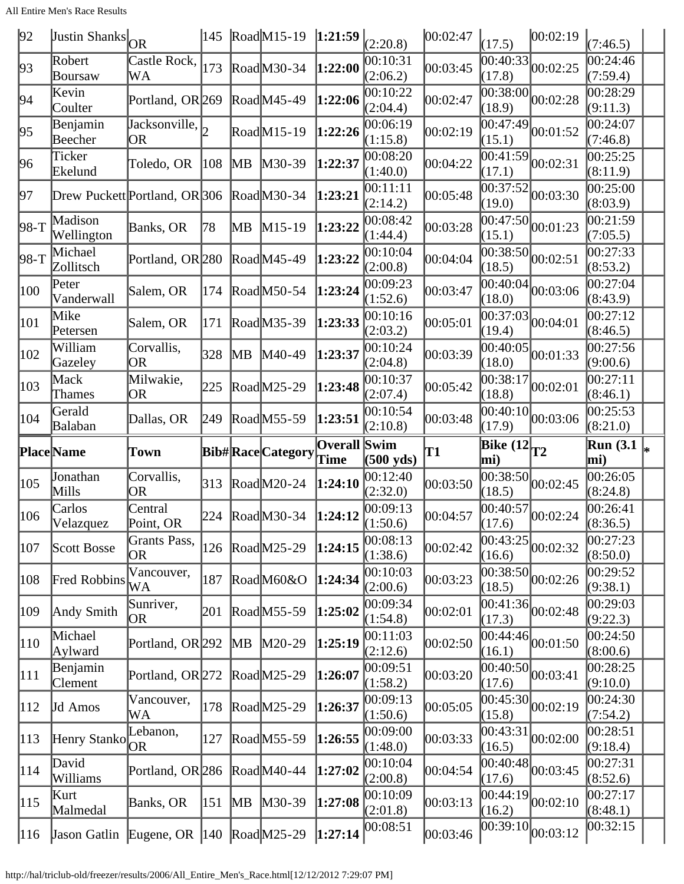All Entire Men's Race Results

| 92            | <b>Justin Shanks</b> OR       |                                                 | 145        |    | $\text{ Road}$ M15-19   |                     | $\left 1:21:59\right _{(2:\underline{20.8})}$ | 00:02:47 | (17.5)                             | 00:02:19                               | (7:46.5)                                   |  |
|---------------|-------------------------------|-------------------------------------------------|------------|----|-------------------------|---------------------|-----------------------------------------------|----------|------------------------------------|----------------------------------------|--------------------------------------------|--|
| 93            | Robert<br>Boursaw             | Castle Rock,<br>WA                              | 173        |    | RoadM30-34              | 1:22:00             | 00:10:31<br>(2:06.2)                          | 00:03:45 | 00:40:33 <br>(17.8)                | 00:02:25                               | 00:24:46<br>(7:59.4)                       |  |
| 94            | Kevin<br>Coulter              | Portland, OR 269                                |            |    | RoadM45-49              | 1:22:06             | 00:10:22<br>(2:04.4)                          | 00:02:47 | 00:38:00 <br>(18.9)                | 00:02:28                               | 00:28:29<br>(9:11.3)                       |  |
| 95            | Benjamin<br>Beecher           | $\overline{\text{Jacksonville}}, \vert_2$<br>OR |            |    | RoadM15-19              | 1:22:26             | 00:06:19<br>(1:15.8)                          | 00:02:19 | 00:47:49 <br>(15.1)                | 00:01:52                               | 00:24:07<br>(7:46.8)                       |  |
| 96            | Ticker<br>Ekelund             | Toledo, OR                                      | 108        | MВ | M30-39                  | 1:22:37             | 00:08:20<br>(1:40.0)                          | 00:04:22 | $\overline{0}0:41:59$<br>(17.1)    | 00:02:31                               | 00:25:25<br>(8:11.9)                       |  |
| 97            | Drew Puckett Portland, OR 306 |                                                 |            |    | RoadM30-34              | 1:23:21             | 00:11:11<br>(2:14.2)                          | 00:05:48 | [00:37:52]<br>(19.0)               | 00:03:30                               | $\bar{0}0:25:00$<br>(8:03.9)               |  |
| 98-T          | Madison<br>Wellington         | Banks, OR                                       | 78         | MВ | M15-19                  | 1:23:22             | 00:08:42<br>(1:44.4)                          | 00:03:28 | 00:47:50<br>(15.1)                 | 00:01:23                               | 00:21:59<br>(7:05.5)                       |  |
| 98-T          | Michael<br>Zollitsch          | Portland, OR 280                                |            |    | RoadM45-49              | 1:23:22             | 00:10:04<br>(2:00.8)                          | 00:04:04 | 00:38:50 <br>(18.5)                | 00:02:51                               | 00:27:33<br>(8:53.2)                       |  |
| 100           | Peter<br>Vanderwall           | Salem, OR                                       | 174        |    | $\text{Rad}$ M50-54     | 1:23:24             | 00:09:23<br>(1:52.6)                          | 00:03:47 | (18.0)                             | $\overline{00:40:04}$ 00:03:06         | 00:27:04<br>(8:43.9)                       |  |
| 101           | Mike<br>Petersen              | Salem, OR                                       | 171        |    | RoadM35-39              | 1:23:33             | 00:10:16<br>(2:03.2)                          | 00:05:01 | 00:37:03 <br>(19.4)                | 00:04:01                               | 00:27:12<br>(8:46.5)                       |  |
| 102           | William<br>Gazeley            | Corvallis,<br>OR                                | 328        | MВ | M40-49                  | 1:23:37             | 00:10:24<br>(2:04.8)                          | 00:03:39 | 00:40:05 <br>(18.0)                | 00:01:33                               | 00:27:56<br>(9:00.6)                       |  |
| 103           | Mack<br>Thames                | Milwakie,<br>OR                                 | 225        |    | RoadM25-29              | 1:23:48             | 00:10:37<br>(2:07.4)                          | 00:05:42 | 00:38:17<br>(18.8)                 | 00:02:01                               | 00:27:11<br>(8:46.1)                       |  |
| 104           | Gerald<br>Balaban             | Dallas, OR                                      | 249        |    | Road M55-59             | 1:23:51             | 00:10:54<br>(2:10.8)                          | 00:03:48 | (17.9)                             | $\overline{00:40:10}$ 0.03:06          | 00:25:53<br>(8:21.0)                       |  |
|               |                               |                                                 |            |    |                         |                     |                                               |          |                                    |                                        |                                            |  |
|               | <b>Place</b> Name             | Town                                            |            |    | <b>Bib#RaceCategory</b> | <b>Overall Swim</b> |                                               | T1       | $\overline{\text{Bike} (12)}_{T2}$ |                                        | $\overline{\text{Run}}$ (3.1 $\vert_{*}$ ) |  |
| 105           | Jonathan<br>Mills             | Corvallis,<br><b>OR</b>                         | $\beta$ 13 |    | $\text{Rad}$ M20-24     | Time<br>1:24:10     | $(500 \text{ yds})$<br>00:12:40               | 00:03:50 | mi)<br> 00:38:50                   | 00:02:45                               | mi)<br>00:26:05                            |  |
| 106           | Carlos                        | Central                                         | 224        |    | $\text{Read}$ M30-34    | 1:24:12             | (2:32.0)<br>00:09:13                          | 00:04:57 | (18.5)                             | $\overline{ 00:40:57 }_{00:02:24}$     | (8:24.8)<br>00:26:41                       |  |
| 107           | Velazquez<br>Scott Bosse      | Point, OR<br>Grants Pass,<br>OR                 | 126        |    | $\text{Rad}$ M25-29     | 1:24:15             | (1:50.6)<br>00:08:13<br>(1:38.6)              | 00:02:42 | (17.6)<br> 00:43:25 <br>(16.6)     | 00:02:32                               | (8:36.5)<br> 00:27:23                      |  |
| 108           | <b>Fred Robbins</b>           | Vancouver,<br>WА                                | 187        |    | RoadM60&O               | 1:24:34             | 00:10:03                                      | 00:03:23 |                                    | $\overline{00:38:50}$ $\vert 00:02:26$ | (8:50.0)<br>00:29:52<br>(9:38.1)           |  |
| 109           | Andy Smith                    | Sunriver,<br>OR.                                | 201        |    | RoadM55-59              | 1:25:02             | (2:00.6)<br>00:09:34                          | 00:02:01 | (18.5)<br>[00:41:36]               | 00:02:48                               | 00:29:03                                   |  |
| 110           | Michael                       | Portland, OR 292                                |            | MВ | M20-29                  | 1:25:19             | (1:54.8)<br>00:11:03                          | 00:02:50 | (17.3)<br> 00:44:46                | 00:01:50                               | (9:22.3)<br>00:24:50                       |  |
| 111           | Aylward<br>Benjamin           | Portland, OR 272                                |            |    | RoadM25-29              | 1:26:07             | (2:12.6)<br>00:09:51                          | 00:03:20 | (16.1)<br> 00:40:50                | 00:03:41                               | (8:00.6)<br>00:28:25                       |  |
| 112           | <b>Clement</b><br>Jd Amos     | Vancouver,                                      | 178        |    | RoadM25-29              | 1:26:37             | (1:58.2)<br> 00:09:13                         | 00:05:05 | (17.6)<br> 00:45:30                | 00:02:19                               | (9:10.0)<br>00:24:30                       |  |
| $ 113\rangle$ |                               | WA<br>Lebanon,                                  | 127        |    | RoadM55-59              | 1:26:55             | (1:50.6)<br> 00:09:00                         | 00:03:33 | (15.8)<br> 00:43:31                | 00:02:00                               | (7:54.2)<br>00:28:51                       |  |
| 114           | Henry Stanko<br>David         | Portland, OR <sub>286</sub>                     |            |    | RoadM40-44              | 1:27:02             | (1:48.0)<br>00:10:04                          | 00:04:54 | (16.5)<br> 00:40:48                | 00:03:45                               | (9:18.4)<br>00:27:31                       |  |
| 115           | Williams<br>Kurt<br>Malmedal  | Banks, OR                                       | 151        | MВ | $M30-39$                | 1:27:08             | (2:00.8)<br> 00:10:09<br>(2:01.8)             | 00:03:13 | (17.6)<br> 00:44:19 <br>(16.2)     | 00:02:10                               | (8:52.6)<br>00:27:17<br>(8:48.1)           |  |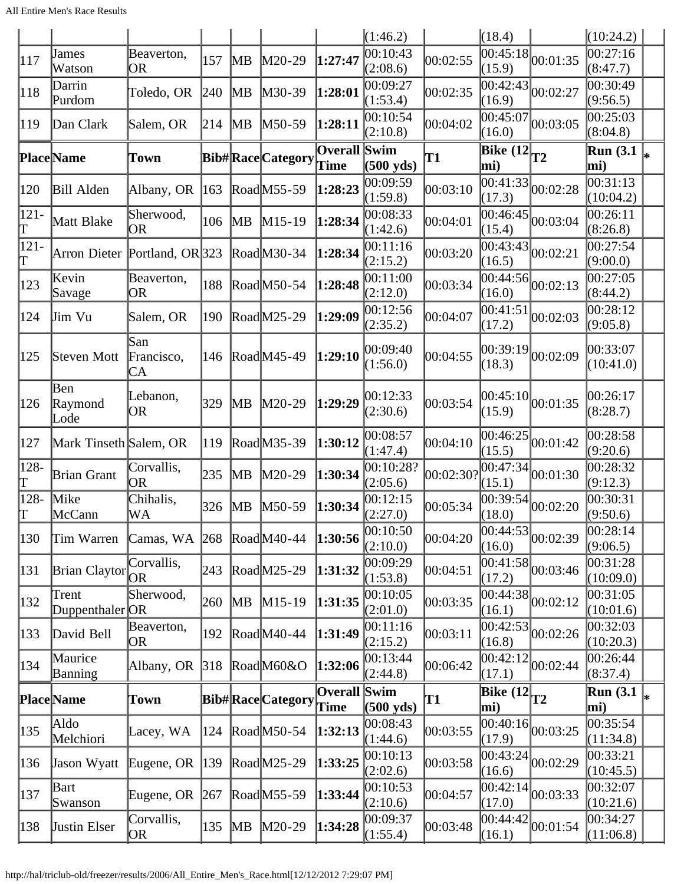|               |                          |                         |     |                         |                         |                             | (1:46.2)               |           | (18.4)                                                   |                                | (10:24.2)                                     |  |
|---------------|--------------------------|-------------------------|-----|-------------------------|-------------------------|-----------------------------|------------------------|-----------|----------------------------------------------------------|--------------------------------|-----------------------------------------------|--|
| 117           | James<br>Watson          | Beaverton,<br>OR        | 157 | MВ                      | $M20-29$                | 1:27:47                     | 00:10:43<br>(2:08.6)   | 00:02:55  | 00:45:18 <br>(15.9)                                      | 00:01:35                       | 00:27:16<br>(8:47.7)                          |  |
| 118           | Darrin<br>Purdom         | Toledo, OR              | 240 | $\mathbb{M}$ B          | $M30-39$                | 1:28:01                     | 00:09:27<br>(1:53.4)   | 00:02:35  | 00:42:43 <br>(16.9)                                      | 00:02:27                       | 00:30:49<br>(9:56.5)                          |  |
| 119           | Dan Clark                | Salem, OR               | 214 | <b>MB</b>               | $M50-59$                | 1:28:11                     | 00:10:54<br>(2:10.8)   | 00:04:02  | 00:45:07<br>(16.0)                                       | 00:03:05                       | 00:25:03<br>(8:04.8)                          |  |
|               | <b>Place</b> Name        | Town                    |     |                         | <b>Bib#RaceCategory</b> | Overall Swim<br>Time        | $(500 \text{ yds})$    | T1        | $\overline{\text{Bike} (12)}_{T2}$<br>mi)                |                                | $\overline{\text{Run}}$ (3.1 $\vert_*$<br>mi) |  |
| 120           | <b>Bill Alden</b>        | Albany, OR              | 163 |                         | RoadM55-59              | 1:28:23                     | 00:09:59<br>(1:59.8)   | 00:03:10  | 00:41:33 <br>(17.3)                                      | 00:02:28                       | 00:31:13<br>(10:04.2)                         |  |
| $121 -$<br>Τ  | Matt Blake               | Sherwood,<br>OR         | 106 | $\mathbb{M} \mathsf{B}$ | $M15-19$                | 1:28:34                     | 00:08:33<br>(1:42.6)   | 00:04:01  | 00:46:45 <br>(15.4)                                      | 00:03:04                       | 00:26:11<br>(8:26.8)                          |  |
| $ 121 -$<br>Γ | Arron Dieter             | Portland, OR 323        |     |                         | RoadM30-34              | 1:28:34                     | 00:11:16<br>(2:15.2)   | 00:03:20  | 00:43:43 <br>(16.5)                                      | 00:02:21                       | 00:27:54<br>(9:00.0)                          |  |
| 123           | Kevin<br>Savage          | Beaverton,<br>OR        | 188 |                         | RoadM50-54              | 1:28:48                     | 00:11:00<br>(2:12.0)   | 00:03:34  | 00:44:56 <br>(16.0)                                      | 00:02:13                       | 00:27:05<br>(8:44.2)                          |  |
| 124           | Jim Vu                   | Salem, OR               | 190 |                         | RoadM25-29              | 1:29:09                     | 00:12:56<br>(2:35.2)   | 00:04:07  | 00:41:51<br>(17.2)                                       | 00:02:03                       | 00:28:12<br>(9:05.8)                          |  |
| 125           | Steven Mott              | San<br>Francisco,<br>СA | 146 |                         | RoadM45-49              | 1:29:10                     | 00:09:40<br>(1:56.0)   | 00:04:55  | 00:39:19 <br>(18.3)                                      | 00:02:09                       | 00:33:07<br>(10:41.0)                         |  |
| 126           | Ben<br>Raymond<br>Lode   | Lebanon,<br><b>OR</b>   | 329 | MB                      | $M20-29$                | 1:29:29                     | 00:12:33<br>(2:30.6)   | 00:03:54  | 00:45:10<br>(15.9)                                       | 00:01:35                       | 00:26:17<br>(8:28.7)                          |  |
| 127           | Mark Tinseth Salem, OR   |                         | 119 |                         | RoadM35-39              | 1:30:12                     | 00:08:57<br>(1:47.4)   | 00:04:10  | 00:46:25<br>(15.5)                                       | 00:01:42                       | 00:28:58<br>(9:20.6)                          |  |
| 128-<br>Τ     | <b>Brian Grant</b>       | Corvallis,<br> OR       | 235 | MВ                      | $M20-29$                | 1:30:34                     | 00:10:28?<br>(2:05.6)  | 00:02:30? | 00:47:34<br>(15.1)                                       | 00:01:30                       | 00:28:32<br>(9:12.3)                          |  |
| 128-<br>Π     | Mike<br>McCann           | Chihalis,<br>WA         | 326 | $\mathbb{M} \mathsf{B}$ | $M50-59$                | 1:30:34                     | 00:12:15<br>(2:27.0)   | 00:05:34  | 00:39:54<br>(18.0)                                       | 00:02:20                       | 00:30:31<br>(9:50.6)                          |  |
| 130           | Tim Warren               | Camas, WA               | 268 |                         | RoadM40-44              | 1:30:56                     | 00:10:50<br>(2:10.0)   | 00:04:20  | (16.0)                                                   | $\overline{00:44:53}$ 00:02:39 | 00:28:14<br>(9:06.5)                          |  |
| 131           | <b>Brian Claytor</b>     | Corvallis,<br>OR        | 243 |                         | RoadM25-29              | 1:31:32                     | 00:09:29<br>(1:53.8)   | 00:04:51  | 00:41:58 <br>(17.2)                                      | 00:03:46                       | 00:31:28<br>(10:09.0)                         |  |
| 132           | Trent<br>Duppenthaler OR | Sherwood,               | 260 | $\mathbb{M}$ B          | $M15-19$                | 1:31:35                     | 00:10:05<br>(2:01.0)   | 00:03:35  | 00:44:38<br>(16.1)                                       | 00:02:12                       | 00:31:05<br>(10:01.6)                         |  |
| 133           | David Bell               | Beaverton,<br>OR.       | 192 |                         | RoadM40-44              | 1:31:49                     | 00:11:16<br>(2:15.2)   | 00:03:11  | (16.8)                                                   | $\overline{00:42:53}$ 00:02:26 | 00:32:03<br>(10:20.3)                         |  |
| 134           | Maurice<br>Banning       | Albany, OR $ 318 $      |     |                         | $\text{Read}$ M60&O     | 1:32:06                     | 00:13:44<br>(2:44.8)   | 00:06:42  | [00:42:12]<br>(17.1)                                     | 00:02:44                       | 00:26:44<br>(8:37.4)                          |  |
|               | <b>Place</b> Name        | Town                    |     |                         | <b>Bib#RaceCategory</b> | <b>Overall Swim</b><br>Time | $(500 \text{ yds})$    | T1        | $\left  \overline{\text{Bike} (12)} \right _{T2}$<br>mi) |                                | $\overline{\text{Run}}$ (3.1 $\vert_*$<br>mi) |  |
| 135           | Aldo<br>Melchiori        | Lacey, WA               | 124 |                         | RoadM50-54              | 1:32:13                     | 00:08:43<br>(1:44.6)   | 00:03:55  | [00:40:16]<br>(17.9)                                     | 00:03:25                       | 00:35:54<br>(11:34.8)                         |  |
| 136           | Jason Wyatt              | Eugene, OR              | 139 |                         | RoadM25-29              | 1:33:25                     | [00:10:13]<br>(2:02.6) | 00:03:58  | 00:43:24<br>(16.6)                                       | 00:02:29                       | 00:33:21<br>(10:45.5)                         |  |
| 137           | Bart<br>Swanson          | Eugene, OR              | 267 |                         | RoadM55-59              | 1:33:44                     | 00:10:53<br>(2:10.6)   | 00:04:57  | 00:42:14<br>(17.0)                                       | 00:03:33                       | 00:32:07<br>(10:21.6)                         |  |
| 138           | <b>Justin Elser</b>      | Corvallis,<br>OR        | 135 | MB                      | $M20-29$                | 1:34:28                     | 00:09:37<br>(1:55.4)   | 00:03:48  | 00:44:42 <br>(16.1)                                      | 00:01:54                       | 00:34:27<br>(11:06.8)                         |  |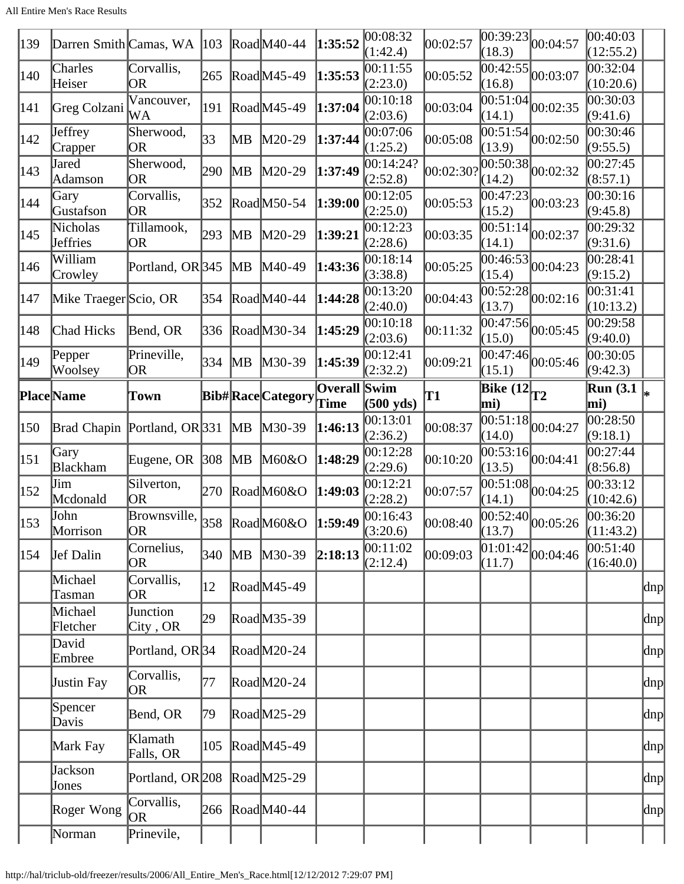| 139 | Darren Smith Camas, WA       |                                                                  | 103    |    | $\text{Rad}$ M40-44     | 1:35:52                     | 00:08:32<br>(1:42.4)  | 00:02:57  | (18.3)                                                   | $\overline{00:39:23}\vert_{00:04:57}$       | 00:40:03<br>(12:55.2)   |               |
|-----|------------------------------|------------------------------------------------------------------|--------|----|-------------------------|-----------------------------|-----------------------|-----------|----------------------------------------------------------|---------------------------------------------|-------------------------|---------------|
| 140 | Charles<br>Heiser            | Corvallis,<br><b>OR</b>                                          | 265    |    | RoadM45-49              | 1:35:53                     | 00:11:55<br>(2:23.0)  | 00:05:52  | 00:42:55<br>(16.8)                                       | 00:03:07                                    | 00:32:04<br>(10:20.6)   |               |
| 141 | Greg Colzani                 | Vancouver,<br>WA                                                 | 191    |    | RoadM45-49              | 1:37:04                     | 00:10:18<br>(2:03.6)  | 00:03:04  | 00:51:04<br>(14.1)                                       | 00:02:35                                    | 00:30:03<br>(9:41.6)    |               |
| 142 | Jeffrey<br>Crapper           | Sherwood,<br><b>OR</b>                                           | 33     | MВ | $M20-29$                | 1:37:44                     | 00:07:06<br>(1:25.2)  | 00:05:08  | (13.9)                                                   | $\overline{ 00:51:54 }_{00:02:50}$          | 00:30:46<br>(9:55.5)    |               |
| 143 | Jared<br>Adamson             | Sherwood,<br><b>OR</b>                                           | 290    | MВ | $M20-29$                | 1:37:49                     | 00:14:24?<br>(2:52.8) | 00:02:30? | (14.2)                                                   | $\frac{12}{100:50:38}$ <sub>00</sub> :02:32 | 00:27:45<br>(8:57.1)    |               |
| 144 | Gary<br>Gustafson            | Corvallis,<br>OR                                                 | 352    |    | RoadM50-54              | 1:39:00                     | 00:12:05<br>(2:25.0)  | 00:05:53  | 00:47:23<br>(15.2)                                       | 00:03:23                                    | 00:30:16<br>(9:45.8)    |               |
| 145 | Nicholas<br>Jeffries         | Tillamook,<br>OR                                                 | 293    | MВ | $M20-29$                | 1:39:21                     | 00:12:23<br>(2:28.6)  | 00:03:35  | 00:51:14<br>(14.1)                                       | 00:02:37                                    | 00:29:32<br>(9:31.6)    |               |
| 146 | William<br>Crowley           | Portland, OR 345                                                 |        | MВ | $M40-49$                | 1:43:36                     | 00:18:14<br>(3:38.8)  | 00:05:25  | 00:46:53<br>(15.4)                                       | 00:04:23                                    | 00:28:41<br>(9:15.2)    |               |
| 147 | Mike Traeger Scio, OR        |                                                                  | 354    |    | RoadM40-44              | 1:44:28                     | 00:13:20<br>(2:40.0)  | 00:04:43  | (13.7)                                                   | $\overline{00:52:28}$ 00:02:16              | 00:31:41<br>(10:13.2)   |               |
| 148 | Chad Hicks                   | Bend, OR                                                         | 336    |    | RoadM30-34              | 1:45:29                     | 00:10:18<br>(2:03.6)  | 00:11:32  | 00:47:56<br>(15.0)                                       | 00:05:45                                    | 00:29:58<br>(9:40.0)    |               |
| 149 | Pepper<br>Woolsey            | Prineville,<br>OR                                                | 334    | MB | $M30-39$                | 1:45:39                     | 00:12:41<br>(2:32.2)  | 00:09:21  | 00:47:46<br>(15.1)                                       | 00:05:46                                    | 00:30:05<br>(9:42.3)    |               |
|     | Place Name                   | Town                                                             |        |    | <b>Bib#RaceCategory</b> | <b>Overall Swim</b><br>Time | $(500 \text{ yds})$   | T1        | $\left  \overline{\text{Bike} (12)} \right _{T2}$<br>mi) |                                             | <b>Run (3.1)</b><br>mi) | ∗             |
| 150 | Brad Chapin Portland, OR 331 |                                                                  |        | MB | $M30-39$                | 1:46:13                     | 00:13:01<br>(2:36.2)  | 00:08:37  | 00:51:18<br>(14.0)                                       | 00:04:27                                    | 00:28:50<br>(9:18.1)    |               |
| 151 | Gary<br>Blackham             | Eugene, OR $ 308 $                                               |        | MB | M60&O                   | 1:48:29                     | 00:12:28<br>(2:29.6)  | 00:10:20  | (13.5)                                                   | $\overline{00:53:16}$ <sub>00:04:41</sub>   | 00:27:44<br>(8:56.8)    |               |
|     | Jim                          | Silverton,                                                       | 270    |    |                         | 1:49:03                     | 00:12:21              |           |                                                          | $\frac{1}{00:51:08}$ 00:04:25               | 00:33:12                |               |
| 152 | Mcdonald                     | OR                                                               |        |    | RoadM60&O               |                             | (2:28.2)              | 00:07:57  | (14.1)                                                   |                                             | (10:42.6)               |               |
| 153 | John<br>Morrison             | Brownsville, $358 \text{ }$ Road M60&O $\text{ }$ 1:59:49<br> OR |        |    |                         |                             | 00:16:43<br>(3:20.6)  | 00:08:40  | (13.7)                                                   | $\overline{00:52:40}$ 0.05:26               | 00:36:20<br>(11:43.2)   |               |
| 154 | Jef Dalin                    | Cornelius,<br>OR                                                 | 340 MB |    | $M30-39$                | 2:18:13                     | 00:11:02<br>(2:12.4)  | 00:09:03  | (11.7)                                                   | $\overline{01:01:42}\big  00:04:46$         | 00:51:40<br>(16:40.0)   |               |
|     | Michael<br>Tasman            | Corvallis,<br>OR                                                 | 12     |    | RoadM45-49              |                             |                       |           |                                                          |                                             |                         | dnp           |
|     | Michael<br>Fletcher          | Junction                                                         | 29     |    | RoadM35-39              |                             |                       |           |                                                          |                                             |                         | dnp           |
|     | David<br>Embree              | City, OR<br>Portland, OR <sub>34</sub>                           |        |    | $\text{Rad}$ M20-24     |                             |                       |           |                                                          |                                             |                         | dnp           |
|     | Justin Fay                   | Corvallis,<br>OR                                                 | 77     |    | RoadM20-24              |                             |                       |           |                                                          |                                             |                         | dnp           |
|     | Spencer<br>Davis             | Bend, OR                                                         | 79     |    | RoadM25-29              |                             |                       |           |                                                          |                                             |                         | $\text{dnpl}$ |
|     | Mark Fay                     | Klamath<br>Falls, OR                                             | 105    |    | RoadM45-49              |                             |                       |           |                                                          |                                             |                         | dnp           |
|     | Jackson<br>Jones             | Portland, OR <sub>208</sub>                                      |        |    | $\text{Rad}$ M25-29     |                             |                       |           |                                                          |                                             |                         | dnp           |
|     | Roger Wong                   | Corvallis,<br>OR                                                 | 266    |    | $\text{road}$ M40-44    |                             |                       |           |                                                          |                                             |                         | $\text{dnpl}$ |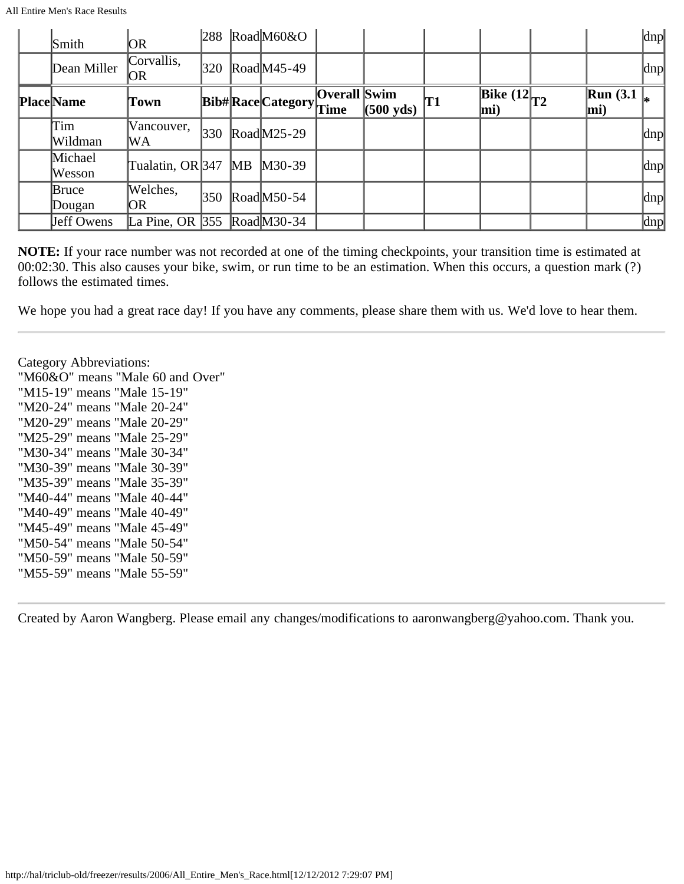All Entire Men's Race Results

| Smith             | OR.                                                      |     |    | $288$ RoadM60&O       |              |                     |    |                                                   |                        | dnp                 |
|-------------------|----------------------------------------------------------|-----|----|-----------------------|--------------|---------------------|----|---------------------------------------------------|------------------------|---------------------|
| Dean Miller       | Corvallis,<br>OR.                                        | 320 |    | $\text{Road}$ M45-49  |              |                     |    |                                                   |                        | dnp                 |
| <b>Place Name</b> | Town                                                     |     |    | Bib#RaceCategoryTime  | Overall Swim | $(500 \text{ yds})$ | T1 | $\overline{\text{Bike} (12)}_{T2}$<br>$\vert$ mi) | Run $(3.1)$<br>$ mi$ ) |                     |
| Tim<br>Wildman    | Vancouver,<br>lWΑ                                        | 330 |    | $\text{ Road}$ M25-29 |              |                     |    |                                                   |                        | dnp                 |
| Michael<br>Wesson | Tualatin, OR 347                                         |     | MB | $M30-39$              |              |                     |    |                                                   |                        | dnp                 |
| Bruce<br>Dougan   | Welches,<br> OR                                          | 350 |    | $\text{Read}$ M50-54  |              |                     |    |                                                   |                        | $\alpha$            |
| Jeff Owens        | La Pine, OR $ 355 \text{ Road} \text{M} 30-34 \text{ A}$ |     |    |                       |              |                     |    |                                                   |                        | $\vert$ dnp $\vert$ |

**NOTE:** If your race number was not recorded at one of the timing checkpoints, your transition time is estimated at 00:02:30. This also causes your bike, swim, or run time to be an estimation. When this occurs, a question mark (?) follows the estimated times.

We hope you had a great race day! If you have any comments, please share them with us. We'd love to hear them.

Category Abbreviations: "M60&O" means "Male 60 and Over" "M15-19" means "Male 15-19" "M20-24" means "Male 20-24" "M20-29" means "Male 20-29" "M25-29" means "Male 25-29" "M30-34" means "Male 30-34" "M30-39" means "Male 30-39" "M35-39" means "Male 35-39" "M40-44" means "Male 40-44" "M40-49" means "Male 40-49" "M45-49" means "Male 45-49" "M50-54" means "Male 50-54" "M50-59" means "Male 50-59" "M55-59" means "Male 55-59"

Created by Aaron Wangberg. Please email any changes/modifications to aaronwangberg@yahoo.com. Thank you.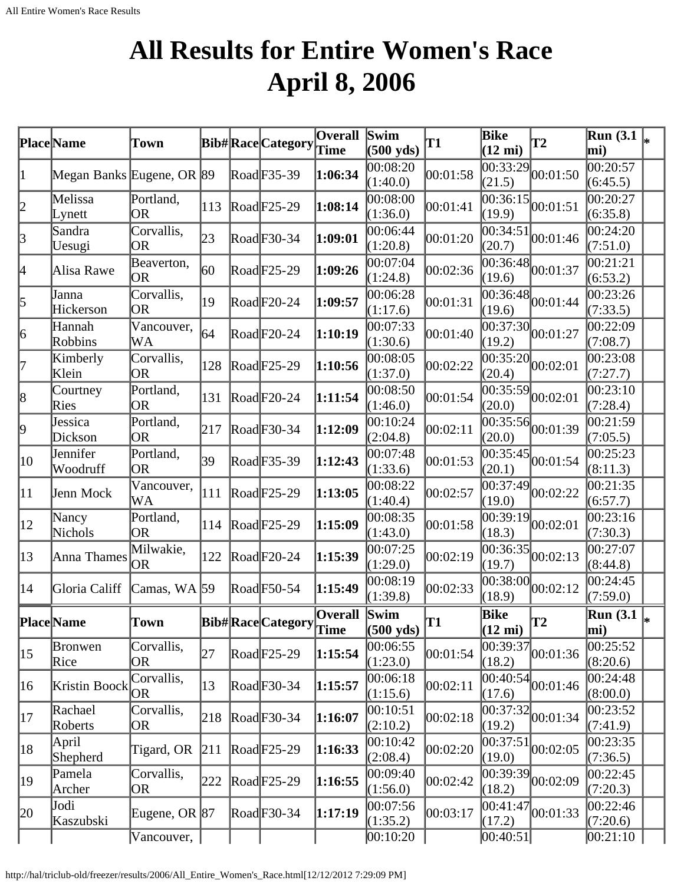# **All Results for Entire Women's Race April 8, 2006**

<span id="page-27-0"></span>

|              | Place Name                | Town                    |     | <b>Bib#RaceCategory</b>          | $\overline{O}$ verall<br>Time | Swim<br>$(500 \text{ yds})$ | T1                 | Bike<br>$(12 \text{ mi})$ | T2                                           | <b>Run</b> (3.1)<br>mi) |    |
|--------------|---------------------------|-------------------------|-----|----------------------------------|-------------------------------|-----------------------------|--------------------|---------------------------|----------------------------------------------|-------------------------|----|
| 1            | Megan Banks Eugene, OR 89 |                         |     | Road F35-39                      | 1:06:34                       | 00:08:20<br>(1:40.0)        | 00:01:58           | 00:33:29 <br>(21.5)       | 00:01:50                                     | 00:20:57<br>(6:45.5)    |    |
| 2            | Melissa<br>Lynett         | Portland,<br><b>OR</b>  | 113 | $\text{Rad}$ F25-29              | 1:08:14                       | 00:08:00<br>(1:36.0)        | 00:01:41           | (19.9)                    | $\overline{00:36:15}$ 00:01:51               | 00:20:27<br>(6:35.8)    |    |
| 3            | Sandra<br>Uesugi          | Corvallis,<br>OR        | 23  | $\text{Rad}$ F30-34              | 1:09:01                       | 00:06:44<br>(1:20.8)        | 00:01:20           | 00:34:51<br>(20.7)        | 00:01:46                                     | 00:24:20<br>(7:51.0)    |    |
| 4            | Alisa Rawe                | Beaverton,<br><b>OR</b> | 60  | $\text{Rad}$ F25-29              | 1:09:26                       | 00:07:04<br>(1:24.8)        | 00:02:36           | (19.6)                    | $\sqrt{00:36:48}$ 00:01:37                   | 00:21:21<br>(6:53.2)    |    |
| 5            | Janna<br>Hickerson        | Corvallis,<br>OR        | 19  | $\text{Rad}$ F20-24              | 1:09:57                       | 00:06:28<br>(1:17.6)        | 00:01:31           | 00:36:48<br>(19.6)        | 00:01:44                                     | 00:23:26<br>(7:33.5)    |    |
| 6            | Hannah<br>Robbins         | Vancouver,<br>WА        | 64  | $\text{Rad}$ F20-24              | 1:10:19                       | 00:07:33<br>(1:30.6)        | 00:01:40           | (19.2)                    | $\overline{00:37:30}$ $\vert 00:01:27 \vert$ | 00:22:09<br>(7:08.7)    |    |
| 17           | Kimberly<br>Klein         | Corvallis,<br>OR        | 128 | $\text{Rad}$ F25-29              | 1:10:56                       | 00:08:05<br>(1:37.0)        | 00:02:22           | (20.4)                    | $\overline{00:35:20}$ 0.02:01                | 00:23:08<br>(7:27.7)    |    |
| 8            | Courtney<br>Ries          | Portland,<br><b>OR</b>  | 131 | $\text{Rad}$ F <sub>20</sub> -24 | 1:11:54                       | 00:08:50<br>(1:46.0)        | 00:01:54           | (20.0)                    | $\overline{00:35:59}$ 00:02:01               | 00:23:10<br>(7:28.4)    |    |
| 9            | Jessica<br>Dickson        | Portland,<br>OR         | 217 | $\text{Rad}$ F30-34              | 1:12:09                       | 00:10:24<br>(2:04.8)        | 00:02:11           | (20.0)                    | $\overline{00:35:56}$ <sub>00:01:39</sub>    | 00:21:59<br>(7:05.5)    |    |
| 10           | Jennifer<br>Woodruff      | Portland,<br>OR         | 39  | RoadF35-39                       | 1:12:43                       | 00:07:48<br>(1:33.6)        | 00:01:53           | 00:35:45<br>(20.1)        | 00:01:54                                     | 00:25:23<br>(8:11.3)    |    |
| 11           | Jenn Mock                 | Vancouver,<br>WA        | 111 | $\text{Rad}$ F25-29              | 1:13:05                       | 00:08:22<br>(1:40.4)        | 00:02:57           | 00:37:49 <br>(19.0)       | 00:02:22                                     | 00:21:35<br>(6:57.7)    |    |
| $ 12\rangle$ | Nancy<br>Nichols          | Portland,<br><b>OR</b>  | 114 | $\text{Rad}$ F25-29              | 1:15:09                       | 00:08:35<br>(1:43.0)        | 00:01:58           | (18.3)                    | $\frac{1}{100:39:19}$ 00:02:01               | 00:23:16<br>(7:30.3)    |    |
| $ 13\rangle$ | Anna Thames               | Milwakie,<br> OR        | 122 | $\text{Rad}$ F20-24              | 1:15:39                       | 00:07:25<br>(1:29.0)        | 00:02:19           | 00:36:35<br>(19.7)        | 00:02:13                                     | 00:27:07<br>(8:44.8)    |    |
| 14           | Gloria Califf             | Camas, WA 59            |     | $\text{Rad}$ F50-54              | 1:15:49                       | 00:08:19<br>(1:39.8)        | 00:02:33           | 00:38:00<br>(18.9)        | 00:02:12                                     | 00:24:45<br>(7:59.0)    |    |
|              | <b>Place</b> Name         | Town                    |     | Bib#RaceCategory Overall Swim    |                               | $(500 \text{ yds})$         | T1                 | Bike<br>$(12 \text{ mi})$ | T2                                           | <b>Run</b> (3.1)<br>mi) | I∗ |
| $ 15\rangle$ | Bronwen<br>Rice           | Corvallis,<br>OR        | 27  | $\text{Rad}$ F25-29              | 1:15:54                       | 00:06:55<br>(1:23.0)        | 00:01:54           | (18.2)                    | $\frac{1}{100:39:37}$ <sub>00:01:36</sub>    | 00:25:52<br>(8:20.6)    |    |
| 16           | Kristin Boock             | Corvallis,<br><b>OR</b> | 13  | $\text{Rad}$ F30-34              | 1:15:57                       | 00:06:18<br>(1:15.6)        | 00:02:11           | (17.6)                    | $\frac{1}{100:40:54}$ <sub>00:01:46</sub>    | 00:24:48<br>(8:00.0)    |    |
| 17           | Rachael<br>Roberts        | Corvallis,<br><b>OR</b> | 218 | $\text{Rad}$ F30-34              | 1:16:07                       | 00:10:51<br>(2:10.2)        | 00:02:18           | (19.2)                    | $\frac{1}{100:37:32}$ 00:01:34               | 00:23:52<br>(7:41.9)    |    |
| 18           | April<br>Shepherd         | Tigard, OR              | 211 | $\text{Rad}$ F25-29              | 1:16:33                       | 00:10:42<br>(2:08.4)        | 00:02:20           | 00:37:51<br>(19.0)        | 00:02:05                                     | 00:23:35<br>(7:36.5)    |    |
| 19           | Pamela<br>Archer          | Corvallis,<br>OR        | 222 | $\text{Rad}$ F25-29              | 1:16:55                       | 00:09:40<br>(1:56.0)        | $ 00:02:42\rangle$ | 00:39:39<br>(18.2)        | 00:02:09                                     | 00:22:45<br>(7:20.3)    |    |
| 20           | Jodi<br>Kaszubski         | Eugene, OR $ 87 $       |     | $\text{Rad}$ F30-34              | 1:17:19                       | 00:07:56<br>(1:35.2)        | 00:03:17           | (17.2)                    | $\frac{12}{100:41:47}$ <sub>00:01:33</sub>   | 00:22:46<br>(7:20.6)    |    |
|              |                           | Vancouver,              |     |                                  |                               | 00:10:20                    |                    | [00:40:51]                |                                              | 00:21:10                |    |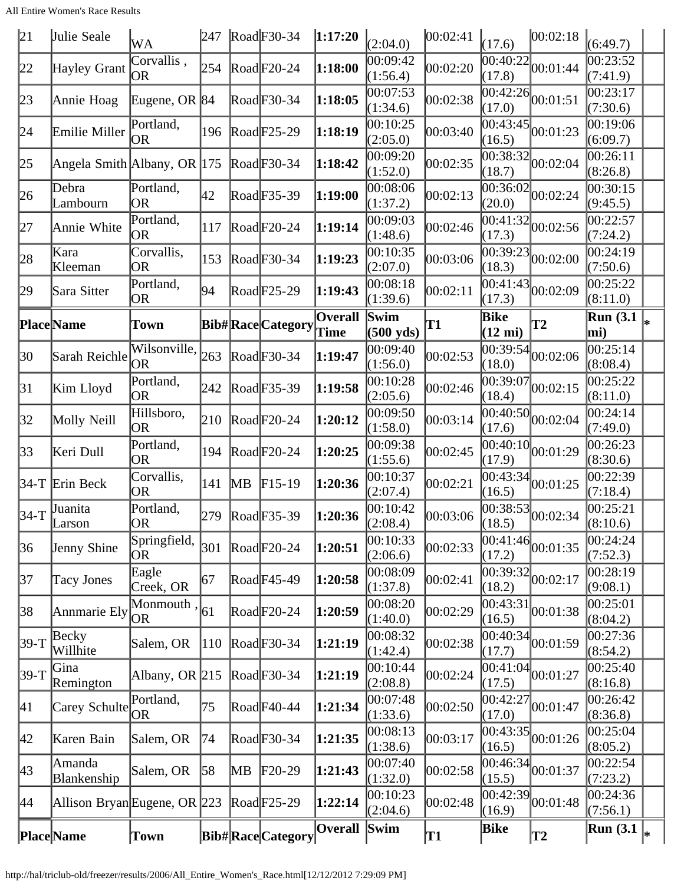All Entire Women's Race Results

| 21           | Julie Seale                  | WA                        | 247 |                | $\text{Rad}$ F30-34     | 1:17:20                | (2:04.0)                    | 00:02:41  | (17.6)                    | 00:02:18                                 | (6:49.7)                                      |   |
|--------------|------------------------------|---------------------------|-----|----------------|-------------------------|------------------------|-----------------------------|-----------|---------------------------|------------------------------------------|-----------------------------------------------|---|
| 22           | Hayley Grant                 | Corvallis,<br><b>OR</b>   | 254 |                | $\text{Rad}$ F20-24     | 1:18:00                | 00:09:42<br>(1:56.4)        | 00:02:20  | 00:40:22<br>(17.8)        | 00:01:44                                 | 00:23:52<br>(7:41.9)                          |   |
| 23           | Annie Hoag                   | Eugene, OR 84             |     |                | Road F30-34             | 1:18:05                | 00:07:53<br>(1:34.6)        | 00:02:38  | 00:42:26<br>(17.0)        | 00:01:51                                 | 00:23:17<br>(7:30.6)                          |   |
| 24           | Emilie Miller                | Portland,<br><b>OR</b>    | 196 |                | $\text{Rad}$ F25-29     | 1:18:19                | 00:10:25<br>(2:05.0)        | 00:03:40  | 00:43:45<br>(16.5)        | 00:01:23                                 | 00:19:06<br>(6:09.7)                          |   |
| 25           | Angela Smith Albany, OR 175  |                           |     |                | $\text{Rad}$ F30-34     | 1:18:42                | 00:09:20<br>(1:52.0)        | 00:02:35  | (18.7)                    | $\overline{00:38:32}\vert_{00:02:04}$    | 00:26:11<br>(8:26.8)                          |   |
| 26           | Debra<br>Lambourn            | Portland,<br><b>OR</b>    | 42  |                | RoadF35-39              | 1:19:00                | 00:08:06<br>(1:37.2)        | 00:02:13  | (20.0)                    | $\overline{00:36:02}$ 00:02:24           | 00:30:15<br>(9:45.5)                          |   |
| 27           | Annie White                  | Portland,<br><b>OR</b>    | 117 |                | $\text{Rad}$ F20-24     | 1:19:14                | 00:09:03<br>(1:48.6)        | 00:02:46  | 00:41:32<br>(17.3)        | 00:02:56                                 | 00:22:57<br>(7:24.2)                          |   |
| 28           | Kara<br>Kleeman              | Corvallis,<br>OR          | 153 |                | $\text{Rad}$ F30-34     | 1:19:23                | 00:10:35<br>(2:07.0)        | 00:03:06  | 00:39:23<br>(18.3)        | 00:02:00                                 | 00:24:19<br>(7:50.6)                          |   |
| 29           | Sara Sitter                  | Portland,<br>OR           | 94  |                | $\text{Rad}$ F25-29     | 1:19:43                | 00:08:18<br>(1:39.6)        | 00:02:11  | 00:41:43<br>(17.3)        | 00:02:09                                 | 00:25:22<br>(8:11.0)                          |   |
|              | Place Name                   | Town                      |     |                | <b>Bib#RaceCategory</b> | <b>Overall</b><br>Time | Swim<br>$(500 \text{ yds})$ | <b>T1</b> | Bike<br>$(12 \text{ mi})$ | <b>T2</b>                                | $\overline{\text{Run}}$ (3.1 $\vert_*$<br>mi) |   |
| 30           | Sarah Reichle                | Wilsonville,<br><b>OR</b> | 263 |                | $\text{Rad}$ F30-34     | 1:19:47                | 00:09:40<br>(1:56.0)        | 00:02:53  | (18.0)                    | $\overline{00:39:54}$ 00:02:06           | 00:25:14<br>(8:08.4)                          |   |
| 31           | Kim Lloyd                    | Portland,<br><b>OR</b>    | 242 |                | RoadF35-39              | 1:19:58                | 00:10:28<br>(2:05.6)        | 00:02:46  | 00:39:07<br>(18.4)        | 00:02:15                                 | 00:25:22<br>(8:11.0)                          |   |
| 32           | Molly Neill                  | Hillsboro,<br><b>OR</b>   | 210 |                | $\text{Rad}$ F20-24     | 1:20:12                | 00:09:50<br>(1:58.0)        | 00:03:14  | 00:40:50<br>(17.6)        | 00:02:04                                 | 00:24:14<br>(7:49.0)                          |   |
| 33           | Keri Dull                    | Portland,<br>OR           | 194 |                | $\text{Rad}$ F20-24     | 1:20:25                | 00:09:38<br>(1:55.6)        | 00:02:45  | (17.9)                    | $\overline{00:40:10}$ $00:01:29$         | 00:26:23<br>(8:30.6)                          |   |
|              | $34-T$ Erin Beck             | Corvallis,<br><b>OR</b>   | 141 | $\mathbb{M}$ B | $F15-19$                | 1:20:36                | 00:10:37<br>(2:07.4)        | 00:02:21  | (16.5)                    | $\overline{ 00:43:34 }_{00:01:25}$       | 00:22:39<br>(7:18.4)                          |   |
| 34-T         | Juanita<br>Larson            | Portland,<br>OR)          | 279 |                | $\text{Rad}$ F35-39     | 1:20:36                | 00:10:42<br>(2:08.4)        | 00:03:06  | (18.5)                    | $\overline{00:38:53}$ 00:02:34           | 00:25:21<br>(8:10.6)                          |   |
| 36           | Jenny Shine                  | Springfield,<br>OR        | 301 |                | $\text{Rad}$ F20-24     | 1:20:51                | 00:10:33<br>(2:06.6)        | 00:02:33  | 00:41:46 <br>(17.2)       | 00:01:35                                 | 00:24:24<br>(7:52.3)                          |   |
| 37           | <b>Tacy Jones</b>            | Eagle<br>Creek, OR        | 67  |                | $\text{Rad}$ F45-49     | 1:20:58                | 00:08:09<br>(1:37.8)        | 00:02:41  | (18.2)                    | $\frac{1}{00:39:32}$ <sub>00:02:17</sub> | 00:28:19<br>(9:08.1)                          |   |
| 38           | Annmarie Ely                 | Monmouth,<br><b>OR</b>    | 61  |                | $\text{Rad}$ F20-24     | 1:20:59                | 00:08:20<br>(1:40.0)        | 00:02:29  | (16.5)                    | $\overline{ 00:43:31 }_{00:01:38}$       | 00:25:01<br>(8:04.2)                          |   |
| $39-T$       | Becky<br>Willhite            | Salem, OR                 | 110 |                | $\text{Rad}$ F30-34     | 1:21:19                | 00:08:32<br>(1:42.4)        | 00:02:38  | (17.7)                    | $\overline{ 00:40:34 }_{00:01:59}$       | 00:27:36<br>(8:54.2)                          |   |
| $39-T$       | Gina<br>Remington            | Albany, OR $ 215$         |     |                | $\text{Rad}$ F30-34     | 1:21:19                | 00:10:44<br>(2:08.8)        | 00:02:24  | 00:41:04<br>(17.5)        | 00:01:27                                 | 00:25:40<br>(8:16.8)                          |   |
| $ 41\rangle$ | Carey Schulte                | Portland,<br><b>OR</b>    | 75  |                | RoadF40-44              | 1:21:34                | 00:07:48<br>(1:33.6)        | 00:02:50  | (17.0)                    | $\overline{00:42:}27\overline{00:01:}47$ | 00:26:42<br>(8:36.8)                          |   |
| 42           | Karen Bain                   | Salem, OR                 | 74  |                | $\text{Rad}$ F30-34     | 1:21:35                | 00:08:13<br>(1:38.6)        | 00:03:17  | (16.5)                    | $\frac{1}{100:43:35}$ 00:01:26           | 00:25:04<br>(8:05.2)                          |   |
| 43           | Amanda<br>Blankenship        | Salem, OR                 | 58  | MВ             | $F20-29$                | 1:21:43                | 00:07:40<br>(1:32.0)        | 00:02:58  | 00:46:34<br>(15.5)        | 00:01:37                                 | 00:22:54<br>(7:23.2)                          |   |
| 44           | Allison Bryan Eugene, OR 223 |                           |     |                | $\text{Rad}$ F25-29     | 1:22:14                | 00:10:23<br>(2:04.6)        | 00:02:48  | 00:42:39<br>(16.9)        | 00:01:48                                 | 00:24:36<br>(7:56.1)                          |   |
|              | Place Name                   | <b>Town</b>               |     |                | <b>Bib#RaceCategory</b> | <b>Overall</b>         | <b>Swim</b>                 | T1        | Bike                      | T2                                       | <b>Run</b> (3.1)                              | * |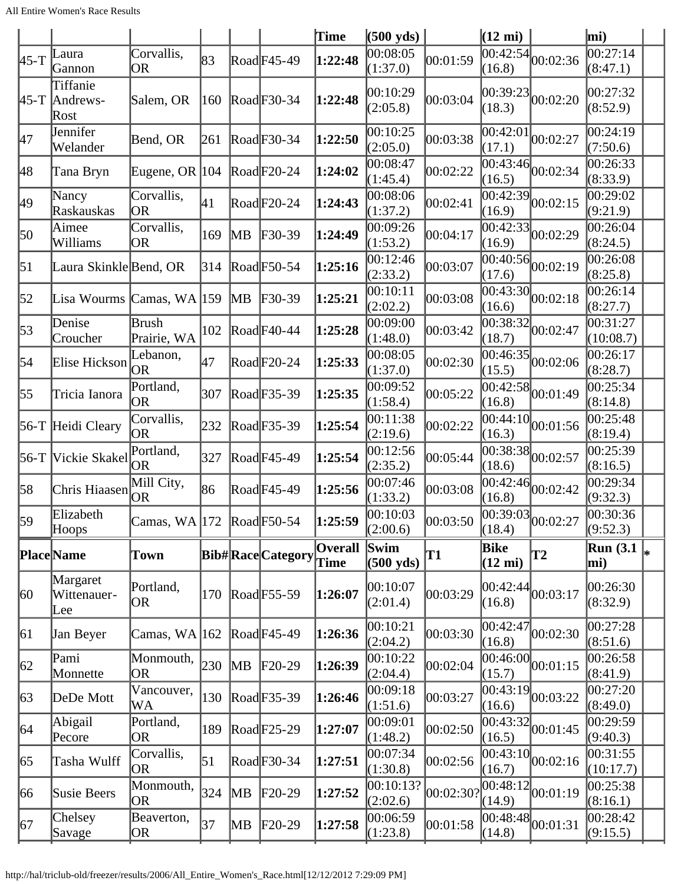|                  |                                                 |                                |     |               |                            | Time                   | $(500 \text{ yds})$         |           | $(12 \text{ mi})$         |                                       | mi)                               |    |
|------------------|-------------------------------------------------|--------------------------------|-----|---------------|----------------------------|------------------------|-----------------------------|-----------|---------------------------|---------------------------------------|-----------------------------------|----|
| $45-T$           | Laura<br>Gannon                                 | Corvallis,<br>OR               | 83  |               | RoadF45-49                 | 1:22:48                | 00:08:05<br>(1:37.0)        | 00:01:59  | 00:42:54<br>(16.8)        | 00:02:36                              | 00:27:14<br>(8:47.1)              |    |
|                  | Tiffanie<br>$45-T$ Andrews-<br>Rost             | Salem, OR                      | 160 |               | RoadF30-34                 | 1:22:48                | 00:10:29<br>(2:05.8)        | 00:03:04  | 00:39:23<br>(18.3)        | 00:02:20                              | 00:27:32<br>(8:52.9)              |    |
| 47               | Jennifer<br>Welander                            | Bend, OR                       | 261 |               | $\text{Rad}$ F30-34        | 1:22:50                | 00:10:25<br>(2:05.0)        | 00:03:38  | 00:42:01<br>(17.1)        | 00:02:27                              | 00:24:19<br>(7:50.6)              |    |
| 48               | Tana Bryn                                       | Eugene, OR                     | 104 |               | $\text{Rad}$ F20-24        | 1:24:02                | 00:08:47<br>(1:45.4)        | 00:02:22  | (16.5)                    | $\overline{00:43:46}$ 00:02:34        | 00:26:33<br>(8:33.9)              |    |
| 49               | Nancy<br>Raskauskas                             | Corvallis,<br><b>OR</b>        | 41  |               | $\text{Rad}$ F20-24        | 1:24:43                | 00:08:06<br>(1:37.2)        | 00:02:41  | 00:42:39<br>(16.9)        | 00:02:15                              | $\overline{00:}29:02$<br>(9:21.9) |    |
| 50               | Aimee<br>Williams                               | Corvallis,<br>OR               | 169 | MВ            | $\textcolor{blue}{F30-39}$ | 1:24:49                | 00:09:26<br>(1:53.2)        | 00:04:17  | (16.9)                    | $\overline{00:42:33}$ 00:02:29        | 00:26:04<br>(8:24.5)              |    |
| $\vert 51 \vert$ | Laura Skinkle Bend, OR                          |                                | 314 |               | $\text{Read}$ F50-54       | 1:25:16                | 00:12:46<br>(2:33.2)        | 00:03:07  | 00:40:56<br>(17.6)        | 00:02:19                              | 00:26:08<br>(8:25.8)              |    |
| $\vert 52 \vert$ | Lisa Wourms $\textsf{Camas}, \textsf{WA}$ [159] |                                |     | $\mathbb{M}B$ | $F30-39$                   | 1:25:21                | 00:10:11<br>(2:02.2)        | 00:03:08  | (16.6)                    | $\overline{ 00:43:30 }$ 00:02:18      | 00:26:14<br>(8:27.7)              |    |
| 53               | Denise<br>Croucher                              | Brush<br>Prairie, WA           | 102 |               | RoadF40-44                 | 1:25:28                | 00:09:00<br>(1:48.0)        | 00:03:42  | (18.7)                    | $\overline{00:38:32}\vert_{00:02:47}$ | 00:31:27<br>(10:08.7)             |    |
| 54               | Elise Hickson                                   | Lebanon,<br><b>OR</b>          | 47  |               | RoadF20-24                 | 1:25:33                | 00:08:05<br>(1:37.0)        | 00:02:30  | 00:46:35<br>(15.5)        | 00:02:06                              | 00:26:17<br>(8:28.7)              |    |
| 55               | Tricia Ianora                                   | Portland,<br>OR                | 307 |               | $\text{Rad}$ F35-39        | 1:25:35                | 00:09:52<br>(1:58.4)        | 00:05:22  | (16.8)                    | $\overline{ 00:42:58 }_{00:01:49}$    | 00:25:34<br>(8:14.8)              |    |
|                  | 56-T Heidi Cleary                               | Corvallis,<br><b>OR</b>        | 232 |               | $\text{Rad}$ F35-39        | 1:25:54                | 00:11:38<br>(2:19.6)        | 00:02:22  | 00:44:10<br>(16.3)        | 00:01:56                              | 00:25:48<br>(8:19.4)              |    |
|                  | 56-T Vickie Skakel                              | Portland,<br><b>OR</b>         | 327 |               | $\text{Rad}$ F45-49        | 1:25:54                | 00:12:56<br>(2:35.2)        | 00:05:44  | 00:38:38<br>(18.6)        | 00:02:57                              | 00:25:39<br>(8:16.5)              |    |
| 58               | Chris Hiaasen                                   | Mill City,<br><b>OR</b>        | 86  |               | RoadF45-49                 | 1:25:56                | 00:07:46<br>(1:33.2)        | 00:03:08  | (16.8)                    | $\frac{1}{100:42:46}$ 00:02:42        | 00:29:34<br>(9:32.3)              |    |
| 59               | Elizabeth<br> Hoops                             | Camas, $WA$ 172 $ Road$ F50-54 |     |               |                            | 1:25:59                | 00:10:03<br>(2:00.6)        | 00:03:50  | (18.4)                    | $\overline{ 00:39:03 }_{00:02:27}$    | 00:30:36<br>(9:52.3)              |    |
|                  | Place Name                                      | Town                           |     |               | <b>Bib#RaceCategory</b>    | <b>Overall</b><br>Time | Swim<br>$(500 \text{ yds})$ | T1        | Bike<br>$(12 \text{ mi})$ | <b>T2</b>                             | <b>Run</b> (3.1)<br>mi)           | l∗ |
| 60               | Margaret<br>Wittenauer-<br>Lee                  | Portland,<br><b>OR</b>         | 170 |               | $\text{Read}$ F55-59       | 1:26:07                | 00:10:07<br>(2:01.4)        | 00:03:29  | [00:42:44]<br>(16.8)      | 00:03:17                              | 00:26:30<br>(8:32.9)              |    |
| 61               | Jan Beyer                                       | Camas, WA                      | 162 |               | $\text{Road}$ F45-49       | 1:26:36                | 00:10:21<br>(2:04.2)        | 00:03:30  | 00:42:47<br>(16.8)        | 00:02:30                              | 00:27:28<br>(8:51.6)              |    |
| 62               | Pami<br>Monnette                                | Monmouth,<br><b>OR</b>         | 230 | MB            | $F20-29$                   | 1:26:39                | 00:10:22<br>(2:04.4)        | 00:02:04  | 00:46:00<br>(15.7)        | 00:01:15                              | 00:26:58<br>(8:41.9)              |    |
| 63               | DeDe Mott                                       | Vancouver,<br>WA               | 130 |               | $\text{Rad}$ F35-39        | 1:26:46                | 00:09:18<br>(1:51.6)        | 00:03:27  | 00:43:19<br>(16.6)        | 00:03:22                              | 00:27:20<br>(8:49.0)              |    |
| 64               | Abigail<br>Pecore                               | Portland,<br>OR                | 189 |               | $\text{Rad}$ F25-29        | 1:27:07                | 00:09:01<br>(1:48.2)        | 00:02:50  | 00:43:32<br>(16.5)        | 00:01:45                              | 00:29:59<br>(9:40.3)              |    |
| 65               | Tasha Wulff                                     | Corvallis,<br>OR               | 51  |               | $\text{Rad}$ F30-34        | 1:27:51                | 00:07:34<br>(1:30.8)        | 00:02:56  | [00:43:10]<br>(16.7)      | 00:02:16                              | 00:31:55<br>(10:17.7)             |    |
| 66               | Susie Beers                                     | Monmouth,<br><b>OR</b>         | 324 | MВ            | $F20-29$                   | 1:27:52                | 00:10:13?<br>(2:02.6)       | 00:02:30? | 00:48:12<br>(14.9)        | 00:01:19                              | 00:25:38<br>(8:16.1)              |    |
| 67               | Chelsey<br>Savage                               | Beaverton,<br><b>OR</b>        | 37  | MВ            | $F20-29$                   | 1:27:58                | 00:06:59<br>(1:23.8)        | 00:01:58  | 00:48:48<br>(14.8)        | 00:01:31                              | 00:28:42<br>(9:15.5)              |    |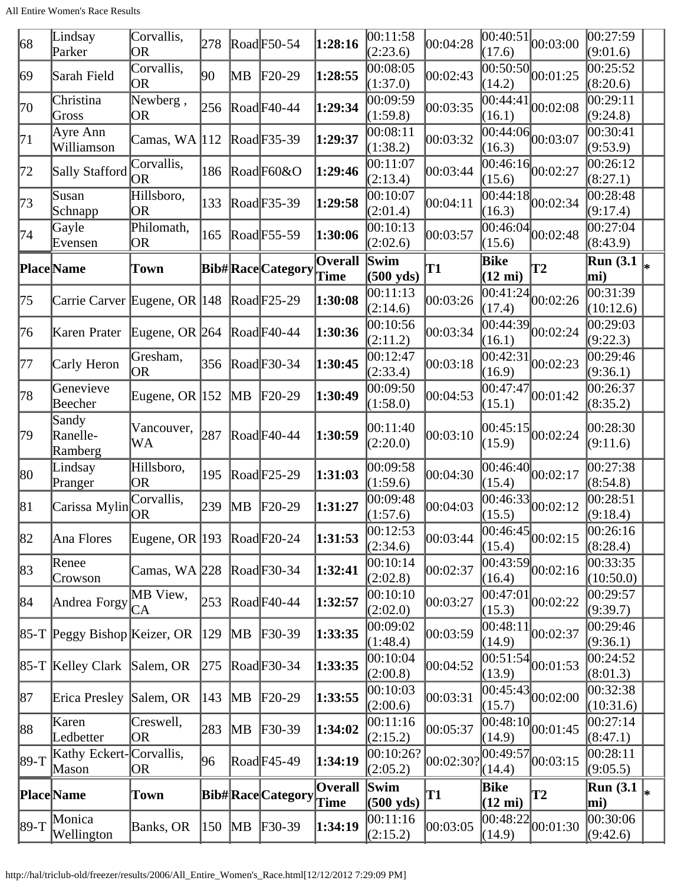| 68      | Lindsay<br>Parker                | Corvallis,<br><b>OR</b>        | 278 |                         | $\text{Rad}$ F50-54     | 1:28:16                | 00:11:58<br>(2:23.6)        | 00:04:28  | 00:40:51<br>(17.6)        | 00:03:00                                     | 00:27:59<br>(9:01.6)    |    |
|---------|----------------------------------|--------------------------------|-----|-------------------------|-------------------------|------------------------|-----------------------------|-----------|---------------------------|----------------------------------------------|-------------------------|----|
| 69      | Sarah Field                      | Corvallis,<br>OR               | 90  | MВ                      | $F20-29$                | 1:28:55                | 00:08:05<br>(1:37.0)        | 00:02:43  | (14.2)                    | $\overline{00:50:50}$ $\overline{00:01:25}$  | 00:25:52<br>(8:20.6)    |    |
| 70      | Christina<br>Gross               | Newberg,<br>OR                 | 256 |                         | $\text{Rad}$ F40-44     | 1:29:34                | 00:09:59<br>(1:59.8)        | 00:03:35  | 00:44:41<br>(16.1)        | 00:02:08                                     | 00:29:11<br>(9:24.8)    |    |
| 71      | Ayre Ann<br>Williamson           | Camas, $WA$ [112]              |     |                         | $\text{Road}$ F35-39    | 1:29:37                | 00:08:11<br>(1:38.2)        | 00:03:32  | (16.3)                    | $\frac{1}{000:44:06}$ 00:03:07               | 00:30:41<br>(9:53.9)    |    |
| 72      | Sally Stafford                   | Corvallis,<br>OR               | 186 |                         | RoadF60&O               | 1:29:46                | 00:11:07<br>(2:13.4)        | 00:03:44  | (15.6)                    | $\overline{00:46:16}$ 00:02:27               | 00:26:12<br>(8:27.1)    |    |
| 73      | Susan<br>Schnapp                 | Hillsboro,<br>OR               | 133 |                         | Road F35-39             | 1:29:58                | 00:10:07<br>(2:01.4)        | 00:04:11  | (16.3)                    | $\sqrt{00:44:18}$ 00:02:34                   | 00:28:48<br>(9:17.4)    |    |
| 74      | Gayle<br>Evensen                 | Philomath,<br><b>OR</b>        | 165 |                         | Road F55-59             | 1:30:06                | 00:10:13<br>(2:02.6)        | 00:03:57  | (15.6)                    | $\overline{00:46:04}$ $00:02:48$             | 00:27:04<br>(8:43.9)    |    |
|         | <b>Place</b> Name                | Town                           |     |                         | <b>Bib#RaceCategory</b> | <b>Overall</b><br>Time | Swim<br>$(500 \text{ yds})$ | T1        | Bike<br>$(12 \text{ mi})$ | T2                                           | <b>Run</b> (3.1)<br>mi) |    |
| 75      | Carrie Carver Eugene, OR 148     |                                |     |                         | $\text{Rad}$ F25-29     | 1:30:08                | 00:11:13<br>(2:14.6)        | 00:03:26  | (17.4)                    | $\overline{00:41:24}\vert_{00:02:26}$        | 00:31:39<br>(10:12.6)   |    |
| 76      | Karen Prater                     | Eugene, OR $ 264 $             |     |                         | $\text{Road}$ F40-44    | 1:30:36                | 00:10:56<br>(2:11.2)        | 00:03:34  | 00:44:39 <br>(16.1)       | 00:02:24                                     | 00:29:03<br>(9:22.3)    |    |
| 77      | Carly Heron                      | Gresham,<br>OR                 | 356 |                         | $\text{Rad}$ F30-34     | 1:30:45                | 00:12:47<br>(2:33.4)        | 00:03:18  | 00:42:31<br>(16.9)        | 00:02:23                                     | 00:29:46<br>(9:36.1)    |    |
| 78      | Genevieve<br>Beecher             | Eugene, OR $ 152 $             |     | MВ                      | $F20-29$                | 1:30:49                | 00:09:50<br>(1:58.0)        | 00:04:53  | 00:47:47<br>(15.1)        | 00:01:42                                     | 00:26:37<br>(8:35.2)    |    |
| 79      | Sandy<br>Ranelle-<br>Ramberg     | Vancouver,<br>WA               | 287 |                         | $\text{Rad}$ F40-44     | 1:30:59                | 00:11:40<br>(2:20.0)        | 00:03:10  | (15.9)                    | $ 00:45:15 $ $ 00:02:24$                     | 00:28:30<br>(9:11.6)    |    |
| 80      | Lindsay<br>Pranger               | Hillsboro,<br><b>OR</b>        | 195 |                         | $\text{Rad}$ F25-29     | 1:31:03                | 00:09:58<br>(1:59.6)        | 00:04:30  | (15.4)                    | $\overline{00:46:40}$ $\big  00:02:17$       | 00:27:38<br>(8:54.8)    |    |
| 81      | Carissa Mylin                    | Corvallis,<br>OR               | 239 | MВ                      | $F20-29$                | 1:31:27                | 00:09:48<br>(1:57.6)        | 00:04:03  | (15.5)                    | $\frac{1}{100:46:33}$ 00:02:12               | 00:28:51<br>(9:18.4)    |    |
| 82      | Ana Flores                       | Eugene, OR $ 193 $ Road F20-24 |     |                         |                         | 1:31:53                | 00:12:53<br>(2:34.6)        | 00:03:44  | (15.4)                    | $\overline{00:46:}45\big 00:02:15$           | 00:26:16<br>(8:28.4)    |    |
| 83      | Renee<br>Crowson                 | Camas, WA 228                  |     |                         | $\text{Rad}$ F30-34     | 1:32:41                | 00:10:14<br>(2:02.8)        | 00:02:37  | 00:43:59<br>(16.4)        | 00:02:16                                     | 00:33:35<br>(10:50.0)   |    |
| 84      | Andrea Forgy                     | MB View,<br>СA                 | 253 |                         | $\text{Rad}$ F40-44     | 1:32:57                | 00:10:10<br>(2:02.0)        | 00:03:27  | 00:47:01 <br>(15.3)       | 00:02:22                                     | 00:29:57<br>(9:39.7)    |    |
|         | $ 85-T $ Peggy Bishop Keizer, OR |                                | 129 | $\mathbb{M} \mathsf{B}$ | $F30-39$                | 1:33:35                | 00:09:02<br>(1:48.4)        | 00:03:59  | 00:48:11<br>(14.9)        | 00:02:37                                     | 00:29:46<br>(9:36.1)    |    |
|         | $ 85-T $ Kelley Clark            | Salem, OR                      | 275 |                         | $\text{Rad}$ F30-34     | 1:33:35                | 00:10:04<br>(2:00.8)        | 00:04:52  | (13.9)                    | $\overline{00:51:54}$ $\vert 00:01:53 \vert$ | 00:24:52<br>(8:01.3)    |    |
| 87      | Erica Presley                    | Salem, OR                      | 143 | $\overline{\text{MB}}$  | $F20-29$                | 1:33:55                | 00:10:03<br>(2:00.6)        | 00:03:31  | (15.7)                    | $\frac{1}{100:45:43}$ 00:02:00               | 00:32:38<br>(10:31.6)   |    |
| 88      | Karen<br>Ledbetter               | Creswell,<br>OR                | 283 | MB                      | $F30-39$                | 1:34:02                | 00:11:16<br>(2:15.2)        | 00:05:37  | (14.9)                    | $\frac{1}{100:48:10}$ 00:01:45               | 00:27:14<br>(8:47.1)    |    |
| $ 89-T$ | Kathy Eckert-Corvallis,<br>Mason | OR                             | 96  |                         | $\text{Rad}$ F45-49     | 1:34:19                | 00:10:26?<br>(2:05.2)       | 00:02:30? | 00:49:57<br>(14.4)        | 00:03:15                                     | 00:28:11<br>(9:05.5)    |    |
|         | Place Name                       | Town                           |     |                         | <b>Bib#RaceCategory</b> | <b>Overall</b><br>Time | Swim<br>$(500 \text{ yds})$ | <b>T1</b> | Bike<br>$(12 \text{ mi})$ | <b>T2</b>                                    | <b>Run</b> (3.1)<br>mi) | .∗ |
| $ 89-T$ | Monica<br>Wellington             | Banks, OR                      | 150 | $\overline{\text{MB}}$  | $F30-39$                | 1:34:19                | 00:11:16<br>(2:15.2)        | 00:03:05  | 00:48:22<br>(14.9)        | 00:01:30                                     | 00:30:06<br>(9:42.6)    |    |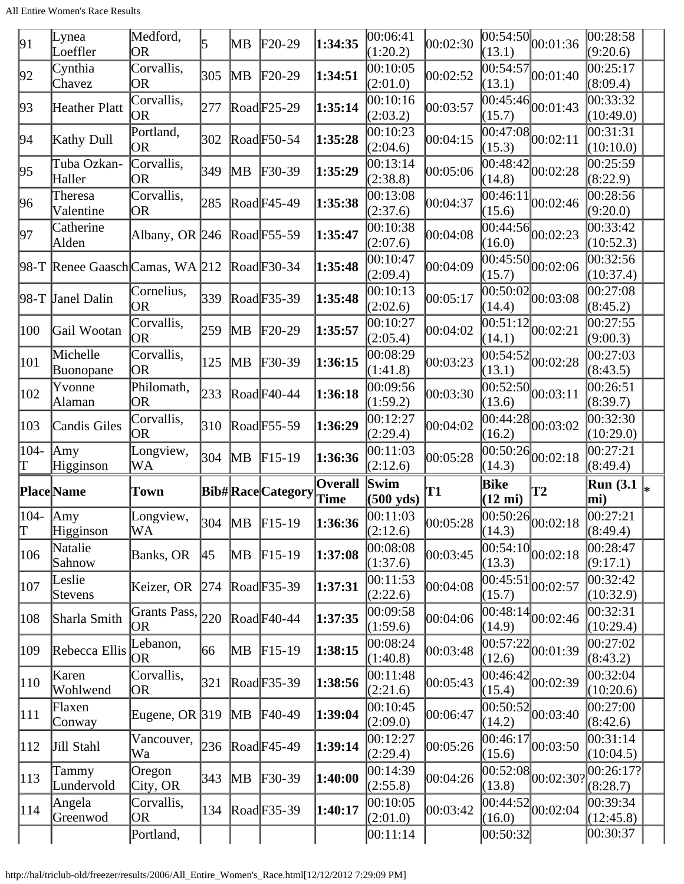| 91            | Lynea<br>Loeffler               | Medford,<br><b>OR</b>         | 5             | MВ                      | $F20-29$                | 1:34:35                | 00:06:41<br>(1:20.2)        | 00:02:30  | (13.1)                          | $\overline{00:54:50}$ 00:01:36              | 00:28:58<br>(9:20.6)               |  |
|---------------|---------------------------------|-------------------------------|---------------|-------------------------|-------------------------|------------------------|-----------------------------|-----------|---------------------------------|---------------------------------------------|------------------------------------|--|
| 92            | Cynthia<br>Chavez               | Corvallis,<br>OR              | 305           | MВ                      | $F20-29$                | 1:34:51                | 00:10:05<br>(2:01.0)        | 00:02:52  | (13.1)                          | $\frac{1}{100:54:57}$ 00:01:40              | 00:25:17<br>(8:09.4)               |  |
| 93            | Heather Platt                   | Corvallis,<br> OR             | 277           |                         | $\text{Rad}$ F25-29     | 1:35:14                | 00:10:16<br>(2:03.2)        | 00:03:57  | 00:45:46<br>(15.7)              | 00:01:43                                    | 0.33:32<br>(10:49.0)               |  |
| 94            | Kathy Dull                      | Portland,<br>0R               | 302           |                         | $\text{Read}$ F50-54    | 1:35:28                | 00:10:23<br>(2:04.6)        | 00:04:15  | (15.3)                          | $\frac{12}{100:47:08}$ <sub>00</sub> :02:11 | $\overline{00:}31:31$<br>(10:10.0) |  |
| 95            | Tuba Ozkan-<br>Haller           | Corvallis,<br><b>OR</b>       | 349           | MВ                      | $F30-39$                | 1:35:29                | 00:13:14<br>(2:38.8)        | 00:05:06  | (14.8)                          | $\overline{00:48:42}$ 00:02:28              | 00:25:59<br>(8:22.9)               |  |
| 96            | Theresa<br>Valentine            | Corvallis,<br>OR              | 285           |                         | RoadF45-49              | 1:35:38                | 00:13:08<br>(2:37.6)        | 00:04:37  | 00:46:11<br>(15.6)              | 00:02:46                                    | 00:28:56<br>(9:20.0)               |  |
| 97            | Catherine<br>Alden              | Albany, OR 246                |               |                         | RoadF55-59              | 1:35:47                | 00:10:38<br>(2:07.6)        | 00:04:08  | $\overline{0}0:44:56$<br>(16.0) | 00:02:23                                    | 00:33:42<br>(10:52.3)              |  |
|               | 98-T Renee Gaasch Camas, WA 212 |                               |               |                         | $\text{Rad}$ F30-34     | 1:35:48                | 00:10:47<br>(2:09.4)        | 00:04:09  | (15.7)                          | $\overline{ 00:45:50 }_{00:02:06}$          | 00:32:56<br>(10:37.4)              |  |
|               | 98-T Janel Dalin                | Cornelius,<br><b>OR</b>       | 339           |                         | $\text{Read}$ F35-39    | 1:35:48                | 00:10:13<br>(2:02.6)        | 00:05:17  | 00:50:02<br>(14.4)              | 00:03:08                                    | 00:27:08<br>(8:45.2)               |  |
| 100           | Gail Wootan                     | Corvallis,<br> OR             | 259           | $\mathbb{M} \mathsf{B}$ | $F20-29$                | 1:35:57                | 00:10:27<br>(2:05.4)        | 00:04:02  | (14.1)                          | $\frac{1}{100:51:12}$ 00:02:21              | 00:27:55<br>(9:00.3)               |  |
| 101           | Michelle<br>Buonopane           | Corvallis,<br>OR              | 125           | MB                      | $F30-39$                | 1:36:15                | 00:08:29<br>(1:41.8)        | 00:03:23  | 00:54:52<br>(13.1)              | 00:02:28                                    | 00:27:03<br>(8:43.5)               |  |
| 102           | Yvonne<br>Alaman                | Philomath,<br><b>OR</b>       | 233           |                         | $\text{Rad}$ F40-44     | 1:36:18                | 00:09:56<br>(1:59.2)        | 00:03:30  | (13.6)                          | $\frac{12}{100:52:50}$ <sub>00:03:11</sub>  | 00:26:51<br>(8:39.7)               |  |
| 103           | <b>Candis Giles</b>             | Corvallis,<br><b>OR</b>       | 310           |                         | $\text{Road}$ F55-59    | 1:36:29                | 00:12:27<br>(2:29.4)        | 00:04:02  | (16.2)                          | $\overline{ 00:44:28 }_{00:03:02}$          | 00:32:30<br>(10:29.0)              |  |
|               |                                 |                               |               |                         |                         |                        |                             |           |                                 |                                             |                                    |  |
| 104-<br>T     | Amy<br>Higginson                | Longview,<br>WA               | 304           | MB                      | $F15-19$                | 1:36:36                | 00:11:03<br>(2:12.6)        | 00:05:28  | 00:50:26<br>(14.3)              | 00:02:18                                    | 00:27:21<br>(8:49.4)               |  |
|               | Place Name                      | Town                          |               |                         | <b>Bib#RaceCategory</b> | <b>Overall</b><br>Time | Swim<br>$(500 \text{ yds})$ | <b>T1</b> | Bike<br>$(12 \text{ mi})$       | T2                                          | <b>Run (3.1)</b><br>I∗<br>mi)      |  |
| $ 104 -$<br>T | $\vert$ Amy<br>Higginson        | Longview,<br>WA               |               |                         | 304   MB   F15-19       | 1:36:36                | 00:11:03<br>(2:12.6)        | 00:05:28  | (14.3)                          | $\overline{ 00:50:26 }_{00:02:18}$          | 00:27:21<br>(8:49.4)               |  |
| 106           | Natalie<br>Sahnow               | Banks, OR                     | <sup>45</sup> | MВ                      | $F15-19$                | 1:37:08                | 00:08:08<br>(1:37.6)        | 00:03:45  | (13.3)                          | $\frac{1}{00:54:10}$ <sub>00:02:18</sub>    | 00:28:47<br>(9:17.1)               |  |
| 107           | Leslie<br>Stevens               | Keizer, OR                    | 274           |                         | $\text{Read}$ F35-39    | 1:37:31                | 00:11:53<br>(2:22.6)        | 00:04:08  | 00:45:51<br>(15.7)              | 00:02:57                                    | 00:32:42<br>(10:32.9)              |  |
| 108           | Sharla Smith                    | Grants Pass, $ _{220}$<br> OR |               |                         | $\text{Road}$ F40-44    | 1:37:35                | 00:09:58<br>(1:59.6)        | 00:04:06  | (14.9)                          | $\frac{1}{100:48:14}$ 00:02:46              | 00:32:31<br>(10:29.4)              |  |
| 109           | Rebecca Ellis                   | Lebanon,<br> OR               | 66            | MВ                      | $F15-19$                | 1:38:15                | 00:08:24<br>(1:40.8)        | 00:03:48  | 00:57:22<br>(12.6)              | 00:01:39                                    | 00:27:02<br>(8:43.2)               |  |
| 110           | Karen<br>Wohlwend               | Corvallis,<br>OR              | 321           |                         | $\text{Rad}$ F35-39     | 1:38:56                | 00:11:48<br>(2:21.6)        | 00:05:43  | (15.4)                          | $\frac{1}{100:46:42}$ 00:02:39              | 00:32:04<br>(10:20.6)              |  |
| 111           | Flaxen<br>Conway                | Eugene, OR $ 319\rangle$      |               | M <sub>B</sub>          | $F40-49$                | 1:39:04                | 00:10:45<br>(2:09.0)        | 00:06:47  | (14.2)                          | $\overline{ 00:50:52 }_{00:03:40}$          | 00:27:00<br>(8:42.6)               |  |
| 112           | Jill Stahl                      | Vancouver,<br>Wa              | 236           |                         | $\text{Rad}$ F45-49     | 1:39:14                | 00:12:27<br>(2:29.4)        | 00:05:26  | 00:46:17<br>(15.6)              | 00:03:50                                    | 00:31:14<br>(10:04.5)              |  |
| $ 113\rangle$ | Tammy<br>Lundervold             | Oregon<br>City, OR            | 343           | MВ                      | $F30-39$                | 1:40:00                | 00:14:39<br>(2:55.8)        | 00:04:26  | 00:52:08<br>(13.8)              | 00:02:301                                   | 00:26:17? <br>(8:28.7)             |  |
| 114           | Angela<br>Greenwod              | Corvallis,<br><b>OR</b>       | 134           |                         | $\text{Rad}$ F35-39     | 1:40:17                | 00:10:05<br>(2:01.0)        | 00:03:42  | (16.0)                          | $\frac{12}{100:44:52}$ <sub>00:02:04</sub>  | 00:39:34<br>(12:45.8)              |  |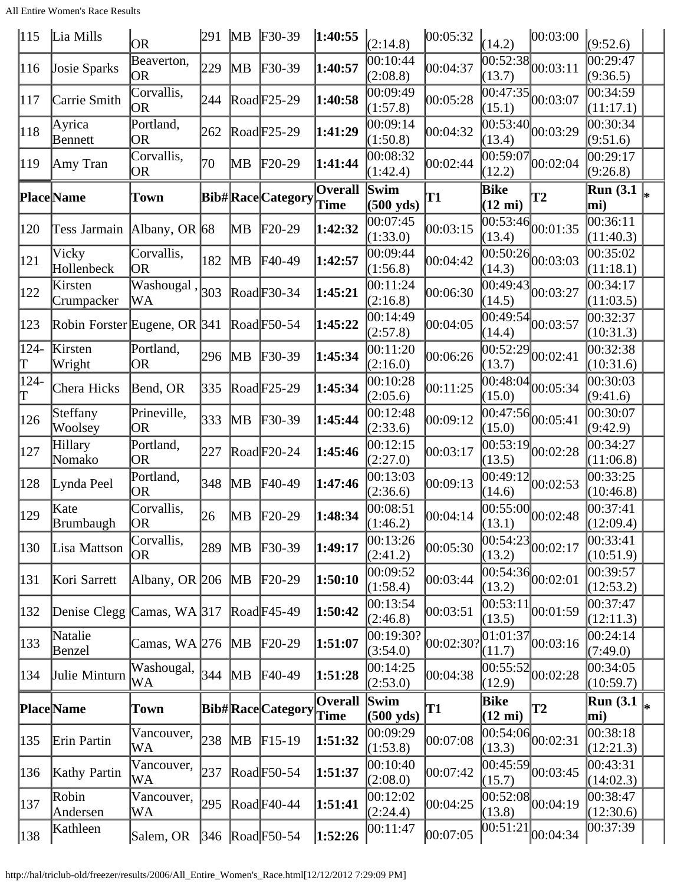| 115          | Lia Mills                    | OR                      | 291 | MB                      | $F30-39$                | 1:40:55                       | (2:14.8)                    | 00:05:32  | (14.2)                    | 00:03:00                                    | (9:52.6)                             |  |
|--------------|------------------------------|-------------------------|-----|-------------------------|-------------------------|-------------------------------|-----------------------------|-----------|---------------------------|---------------------------------------------|--------------------------------------|--|
| 116          | Josie Sparks                 | Beaverton,<br>OR        | 229 | $\mathbb{M}$ B          | $F30-39$                | 1:40:57                       | 00:10:44<br>(2:08.8)        | 00:04:37  | (13.7)                    | $\overline{00:52:38}$ 00:03:11              | 00:29:47<br>(9:36.5)                 |  |
| 117          | Carrie Smith                 | Corvallis,<br>OR        | 244 |                         | $\text{Rad}$ F25-29     | 1:40:58                       | 00:09:49<br>(1:57.8)        | 00:05:28  | (15.1)                    | $\frac{12}{100:47:35}$ 00:03:07             | $\overline{0}0:34:59$<br>(11:17.1)   |  |
| 118          | Ayrica<br>Bennett            | Portland,<br><b>OR</b>  | 262 |                         | Road F25-29             | 1:41:29                       | 00:09:14<br>(1:50.8)        | 00:04:32  | (13.4)                    | $\overline{00:53:40}$ 00:03:29              | $\overline{0}0:30:34$<br>(9:51.6)    |  |
| 119          | Amy Tran                     | Corvallis,<br><b>OR</b> | 70  | MВ                      | $F20-29$                | 1:41:44                       | 00:08:32<br>(1:42.4)        | 00:02:44  | 00:59:07<br>(12.2)        | 00:02:04                                    | 00:29:17<br>(9:26.8)                 |  |
|              | Place Name                   | Town                    |     |                         | <b>Bib#RaceCategory</b> | <b>Overall</b><br><b>Time</b> | Swim<br>$(500 \text{ yds})$ | T1        | Bike<br>$(12 \text{ mi})$ | $\mathbf{T2}$                               | <b>Run</b> (3.1)<br>$\vert_*$<br>mi) |  |
| 120          | Tess Jarmain                 | Albany, OR $ 68$        |     | MВ                      | $F20-29$                | 1:42:32                       | 00:07:45<br>(1:33.0)        | 00:03:15  | (13.4)                    | $\overline{00:53:}46\Big 00:01:35$          | 00:36:11<br>(11:40.3)                |  |
| 121          | Vicky<br>Hollenbeck          | Corvallis,<br>OR        | 182 | MВ                      | $F40-49$                | 1:42:57                       | 00:09:44<br>(1:56.8)        | 00:04:42  | (14.3)                    | $\overline{00:50:26}$ 0.03:03               | 00:35:02<br>(11:18.1)                |  |
| 122          | Kirsten<br>Crumpacker        | Washougal,<br>WA        | 303 |                         | $\text{Rad}$ F30-34     | 1:45:21                       | 00:11:24<br>(2:16.8)        | 00:06:30  | (14.5)                    | $\frac{1}{100:49:43}$ 00:03:27              | 00:34:17<br>(11:03.5)                |  |
| 123          | Robin Forster Eugene, OR 341 |                         |     |                         | $\text{Read}$ F50-54    | 1:45:22                       | 00:14:49<br>(2:57.8)        | 00:04:05  | 00:49:54 <br>(14.4)       | 00:03:57                                    | 00:32:37<br>(10:31.3)                |  |
| $124 -$<br>T | Kirsten<br>Wright            | Portland,<br>OR         | 296 | $\mathbb{M}$ B          | $F30-39$                | 1:45:34                       | 00:11:20<br>(2:16.0)        | 00:06:26  | 00:52:29 <br>(13.7)       | 00:02:41                                    | 00:32:38<br>(10:31.6)                |  |
| 124-<br>T    | Chera Hicks                  | Bend, OR                | 335 |                         | $\text{Rad}$ F25-29     | 1:45:34                       | 00:10:28<br>(2:05.6)        | 00:11:25  | (15.0)                    | $\overline{00:48:04}$ $\overline{00:05:34}$ | 00:30:03<br>(9:41.6)                 |  |
| 126          | Steffany<br>Woolsey          | Prineville,<br>OR       | 333 | MB                      | $F30-39$                | 1:45:44                       | 00:12:48<br>(2:33.6)        | 00:09:12  | (15.0)                    | $\frac{12}{100:47:56}$ 00:05:41             | 00:30:07<br>(9:42.9)                 |  |
| 127          | Hillary<br>Nomako            | Portland,<br>OR         | 227 |                         | RoadF20-24              | 1:45:46                       | 00:12:15<br>(2:27.0)        | 00:03:17  | 00:53:19 <br>(13.5)       | 00:02:28                                    | 00:34:27<br>(11:06.8)                |  |
| 128          | Lynda Peel                   | Portland,<br>OR         | 348 | $\mathbb{M} \mathsf{B}$ | F40-49                  | 1:47:46                       | 00:13:03<br>(2:36.6)        | 00:09:13  | 00:49:12<br>(14.6)        | 00:02:53                                    | 00:33:25<br>(10:46.8)                |  |
| 129          | Kate<br>Brumbaugh            | Corvallis,<br> OR       | 26  | MВ                      | $F20-29$                | 1:48:34                       | 00:08:51<br>(1:46.2)        | 00:04:14  | (13.1)                    | $\overline{00:55:00}$ 00:02:48              | 00:37:41<br>(12:09.4)                |  |
| 130          | Lisa Mattson                 | Corvallis,<br>OR        | 289 | $\mathbb{M}$ B          | $F30-39$                | 1:49:17                       | 00:13:26<br>(2:41.2)        | 00:05:30  | (13.2)                    | $\overline{ 00:54:23 }_{00:02:17}$          | 00:33:41<br>(10:51.9)                |  |
| 131          | Kori Sarrett                 | Albany, OR 206          |     | $\overline{\text{MB}}$  | $F20-29$                | 1:50:10                       | 00:09:52<br>(1:58.4)        | 00:03:44  | (13.2)                    | $\frac{1}{100:54:36}$ <sub>00:02:01</sub>   | 00:39:57<br>(12:53.2)                |  |
| 132          | Denise Clegg                 | Camas, $WA$ 317         |     |                         | RoadF45-49              | 1:50:42                       | 00:13:54<br>(2:46.8)        | 00:03:51  | 00:53:11<br>(13.5)        | 00:01:59                                    | 00:37:47<br>(12:11.3)                |  |
| 133          | Natalie<br>Benzel            | Camas, $WA$ 276         |     | MB                      | $F20-29$                | 1:51:07                       | 00:19:30?<br>(3:54.0)       | 00:02:30? | 01:01:37<br>(11.7)        | 00:03:16                                    | 00:24:14<br>(7:49.0)                 |  |
| 134          | Julie Minturn                | Washougal,<br>WA        | 344 | $\overline{MB}$         | $FA0-49$                | 1:51:28                       | 00:14:25<br>(2:53.0)        | 00:04:38  | (12.9)                    | $\frac{1}{100:55:52}$ 00:02:28              | 00:34:05<br>(10:59.7)                |  |
|              | <b>Place</b> Name            | Town                    |     |                         | <b>Bib#RaceCategory</b> | <b>Overall</b><br>Time        | Swim<br>$(500 \text{ yds})$ | T1        | Bike<br>$(12 \text{ mi})$ | T2                                          | Run $(3.1)$<br>mi)                   |  |
| 135          | Erin Partin                  | Vancouver,<br>WA        | 238 | $\overline{\text{MB}}$  | $F15-19$                | 1:51:32                       | 00:09:29<br>(1:53.8)        | 00:07:08  | 00:54:06<br>(13.3)        | 00:02:31                                    | 00:38:18<br>(12:21.3)                |  |
| 136          | <b>Kathy Partin</b>          | Vancouver,<br>WA        | 237 |                         | $\text{Road}$ F50-54    | 1:51:37                       | 00:10:40<br>(2:08.0)        | 00:07:42  | 00:45:59 <br>(15.7)       | 00:03:45                                    | 00:43:31<br>(14:02.3)                |  |
| 137          | Robin<br>Andersen            | Vancouver,<br>WA        | 295 |                         | $\text{Rad}$ F40-44     | 1:51:41                       | 00:12:02<br>(2:24.4)        | 00:04:25  | (13.8)                    | $\overline{ 00:52:08 }_{00:04:19}$          | 00:38:47<br>(12:30.6)                |  |
| 138          | Kathleen                     | Salem, OR               |     |                         | 346 Road F50-54         | 1:52:26                       | 00:11:47                    | 00:07:05  | 00:51:21                  | 00:04:34                                    | 00:37:39                             |  |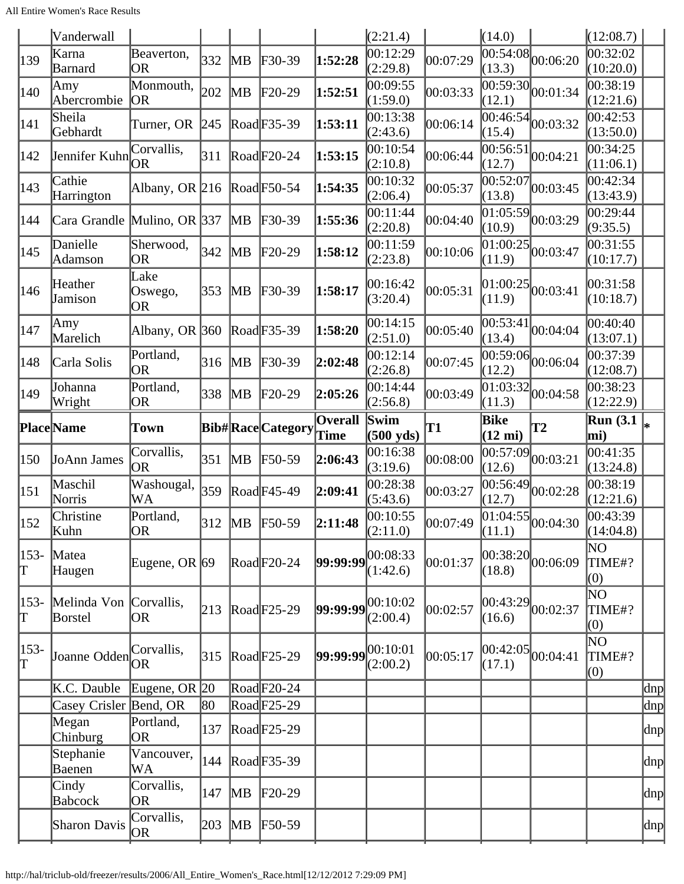|               | Vanderwall                        |                         |     |                         |                            |                        | (2:21.4)                            |          | (14.0)                    |                                   | (12:08.7)             |     |
|---------------|-----------------------------------|-------------------------|-----|-------------------------|----------------------------|------------------------|-------------------------------------|----------|---------------------------|-----------------------------------|-----------------------|-----|
| 139           | Karna<br>Barnard                  | Beaverton,<br>OR        | 332 | MВ                      | $F30-39$                   | 1:52:28                | 00:12:29<br>(2:29.8)                | 00:07:29 | (13.3)                    | $\frac{1}{00:54:08} 00:06:20$     | 00:32:02<br>(10:20.0) |     |
| 140           | Amy<br>Abercrombie                | Monmouth,<br><b>JOR</b> | 202 | MВ                      | $\text{F20-29}$            | 1:52:51                | 00:09:55<br>(1:59.0)                | 00:03:33 | 00:59:30<br>(12.1)        | 00:01:34                          | 00:38:19<br>(12:21.6) |     |
| 141           | Sheila<br>Gebhardt                | Turner, OR              | 245 |                         | Road F35-39                | 1:53:11                | 00:13:38<br>(2:43.6)                | 00:06:14 | (15.4)                    | $\overline{00:46:54}$ 00:03:32    | 00:42:53<br>(13:50.0) |     |
| 142           | Jennifer Kuhn                     | Corvallis,<br>OR        | 311 |                         | $\text{Rad}$ F20-24        | 1:53:15                | 00:10:54<br>(2:10.8)                | 00:06:44 | 00:56:51<br>(12.7)        | 00:04:21                          | 00:34:25<br>(11:06.1) |     |
| 143           | Cathie<br>Harrington              | Albany, OR $ 216 $      |     |                         | $\text{Read}$ F50-54       | 1:54:35                | 00:10:32<br>(2:06.4)                | 00:05:37 | 00:52:07<br>(13.8)        | 00:03:45                          | 00:42:34<br>(13:43.9) |     |
| 144           | Cara Grandle Mulino, OR 337       |                         |     | MВ                      | $\textcolor{blue}{F30-39}$ | 1:55:36                | 00:11:44<br>(2:20.8)                | 00:04:40 | 01:05:59<br>(10.9)        | 00:03:29                          | 00:29:44<br>(9:35.5)  |     |
| 145           | Danielle<br>Adamson               | Sherwood,<br>OR         | 342 | MВ                      | $F20-29$                   | 1:58:12                | 00:11:59<br>(2:23.8)                | 00:10:06 | (11.9)                    | $\overline{01:00:25}$ 00:03:47    | 00:31:55<br>(10:17.7) |     |
| 146           | Heather<br>Jamison                | Lake<br>Oswego,<br>OR   | 353 | MВ                      | $F30-39$                   | 1:58:17                | 00:16:42<br>(3:20.4)                | 00:05:31 | (11.9)                    | $ 01:00:25 $ <sub>00</sub> :03:41 | 00:31:58<br>(10:18.7) |     |
| 147           | Amy<br>Marelich                   | Albany, OR $ 360 $      |     |                         | RoadF35-39                 | 1:58:20                | 00:14:15<br>(2:51.0)                | 00:05:40 | 00:53:41<br>(13.4)        | 00:04:04                          | 00:40:40<br>(13:07.1) |     |
| 148           | Carla Solis                       | Portland,<br> OR        | 316 | MВ                      | $\textcolor{blue}{F30-39}$ | 2:02:48                | 00:12:14<br>(2:26.8)                | 00:07:45 | 00:59:06<br>(12.2)        | 00:06:04                          | 00:37:39<br>(12:08.7) |     |
| 149           | Johanna<br>Wright                 | Portland,<br>OR         | 338 | MВ                      | $F20-29$                   | 2:05:26                | 00:14:44<br>(2:56.8)                | 00:03:49 | 01:03:32<br>(11.3)        | 00:04:58                          | 00:38:23<br>(12:22.9) |     |
|               | Place Name                        | Town                    |     |                         | <b>Bib#RaceCategory</b>    | <b>Overall</b><br>Time | Swim<br>$(500 \text{ yds})$         | T1       | Bike<br>$(12 \text{ mi})$ | <b>T2</b>                         | Run $(3.1)$<br>mi)    |     |
| 150           | JoAnn James                       | Corvallis,<br>OR        | 351 | MВ                      | $F50-59$                   | 2:06:43                | 00:16:38<br>(3:19.6)                | 00:08:00 | 00:57:09<br>(12.6)        | 00:03:21                          | 00:41:35<br>(13:24.8) |     |
| 151           | Maschil<br>Norris                 | Washougal,<br>WA        | 359 |                         | $\text{Rad}$ F45-49        | 2:09:41                | 00:28:38<br>(5:43.6)                | 00:03:27 | 00:56:49 <br>(12.7)       | 00:02:28                          | 00:38:19<br>(12:21.6) |     |
| 152           | Christine<br>Kuhn                 | Portland,<br> OR        | 312 |                         | MB F50-59                  | 2:11:48                | 00:10:55<br>(2:11.0)                | 00:07:49 | (11.1)                    | $\frac{1}{01:04:55}$ 00:04:30     | 00:43:39<br>(14:04.8) |     |
| $ 153-$<br>T  | Matea<br>Haugen                   | Eugene, OR $\vert$ 69   |     |                         | $\text{Rad}$ F20-24        |                        | $ 99:99:99 ^{00:08:33}$<br>(1:42.6) | 00:01:37 | (18.8)                    | $ 00:38:20 $ $ 00:06:09$          | NO<br>TIME#?<br>(0)   |     |
| $153-$<br>T   | Melinda Von Corvallis,<br>Borstel | OR                      | 213 |                         | RoadF25-29                 |                        | $ 99:99:99 ^{00:10:02}$<br>(2:00.4) | 00:02:57 | 00:43:29<br>(16.6)        | 00:02:37                          | ΝO<br>TIME#?<br>(0)   |     |
| $ 153-$<br>lΤ | Joanne Odden                      | Corvallis,<br><b>OR</b> | 315 |                         | $\text{Rad}$ F25-29        |                        | $ 99:99:99 ^{00:10:01}$<br>(2:00.2) | 00:05:17 | 00:42:05<br>(17.1)        | 00:04:41                          | ΝO<br>TIME#?<br>(0)   |     |
|               | K.C. Dauble                       | Eugene, OR $ 20$        |     |                         | $\text{Rad}$ F20-24        |                        |                                     |          |                           |                                   |                       | dnp |
|               | Casey Crisler Bend, OR            |                         | 80  |                         | $\text{Rad}$ F25-29        |                        |                                     |          |                           |                                   |                       | dnp |
|               | Megan<br>Chinburg                 | Portland,<br>OR         | 137 |                         | $\text{Rad}$ F25-29        |                        |                                     |          |                           |                                   |                       | dnp |
|               | Stephanie<br>Baenen               | Vancouver,<br>WA        | 144 |                         | $\text{Rad}$ F35-39        |                        |                                     |          |                           |                                   |                       | dnp |
|               | Cindy<br>Babcock                  | Corvallis,<br><b>OR</b> | 147 | MВ                      | $F20-29$                   |                        |                                     |          |                           |                                   |                       | dnp |
|               | Sharon Davis                      | Corvallis,<br> OR       | 203 | $\mathbb{M} \mathsf{B}$ | $F50-59$                   |                        |                                     |          |                           |                                   |                       | dnp |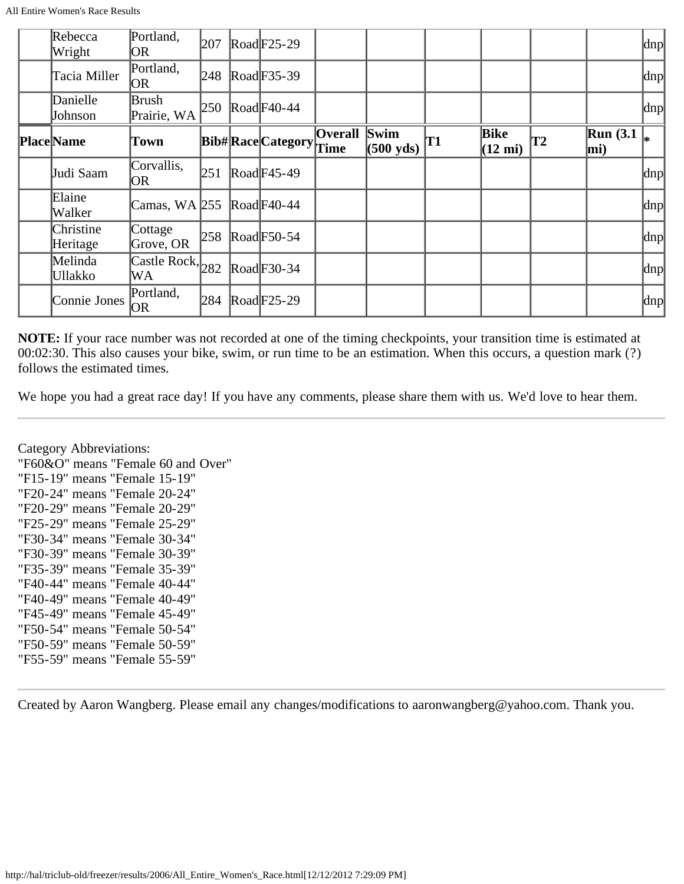| Rebecca<br>Wright     | Portland,<br>OR                                    | 207 | $\text{Rad}$ F25-29     |                        |                                             |    |                           |    |                                     | $\vert$ dnp $\vert$ |
|-----------------------|----------------------------------------------------|-----|-------------------------|------------------------|---------------------------------------------|----|---------------------------|----|-------------------------------------|---------------------|
| Tacia Miller          | Portland,<br> OR                                   | 248 | $\text{Road}$ F35-39    |                        |                                             |    |                           |    |                                     | $\vert$ dnp $\vert$ |
| Danielle<br>Johnson   | Brush<br>Prairie, WA                               | 250 | $\text{Road}$ F40-44    |                        |                                             |    |                           |    |                                     | $\vert$ dnp $\vert$ |
| <b>Place</b> Name     | Town                                               |     | <b>Bib#RaceCategory</b> | <b>Overall</b><br>Time | $\sqrt{\text{Swim}}$<br>$(500 \text{ yds})$ | T1 | Bike<br>$(12 \text{ mi})$ | T2 | $\mathbb{R}$ un (3.1<br>$\vert$ mi) |                     |
| Judi Saam             | Corvallis,<br> OR                                  | 251 | $\text{Road}$ F45-49    |                        |                                             |    |                           |    |                                     | $\vert$ dnp $\vert$ |
| Elaine<br>Walker      | Camas, WA $255$                                    |     | $\text{Road}$ F40-44    |                        |                                             |    |                           |    |                                     | $ {\rm dnp} $       |
| Christine<br>Heritage | Cottage<br>Grove, OR                               | 258 | $\text{Road}$ F50-54    |                        |                                             |    |                           |    |                                     | dnp                 |
| Melinda<br>Ullakko    | $\overline{\text{Castle Rock}}, \vert_{282}$<br>WA |     | $\text{Road}F30-34$     |                        |                                             |    |                           |    |                                     | $ {\rm dnp} $       |
| Connie Jones          | Portland,<br> OR                                   | 284 | Road F25-29             |                        |                                             |    |                           |    |                                     | $ {\rm dnp} $       |

**NOTE:** If your race number was not recorded at one of the timing checkpoints, your transition time is estimated at 00:02:30. This also causes your bike, swim, or run time to be an estimation. When this occurs, a question mark (?) follows the estimated times.

We hope you had a great race day! If you have any comments, please share them with us. We'd love to hear them.

Category Abbreviations: "F60&O" means "Female 60 and Over" "F15-19" means "Female 15-19" "F20-24" means "Female 20-24" "F20-29" means "Female 20-29" "F25-29" means "Female 25-29" "F30-34" means "Female 30-34" "F30-39" means "Female 30-39" "F35-39" means "Female 35-39" "F40-44" means "Female 40-44" "F40-49" means "Female 40-49" "F45-49" means "Female 45-49" "F50-54" means "Female 50-54" "F50-59" means "Female 50-59" "F55-59" means "Female 55-59"

Created by Aaron Wangberg. Please email any changes/modifications to aaronwangberg@yahoo.com. Thank you.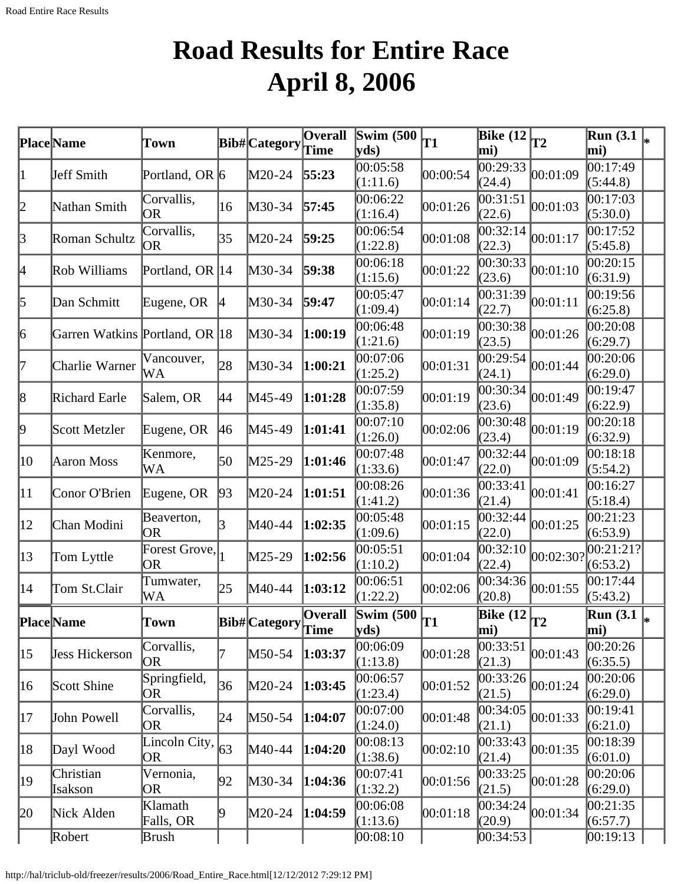# **Road Results for Entire Race April 8, 2006**

<span id="page-35-0"></span>

|              | Place Name                     | Town                       |    | Bib#Category  | <b>Overall</b>         | Swim $(500)$<br>yds            | <b>T1</b> | Bike $(12)$<br>mi)               | $\overline{\mathbf{T}}$ | <b>Run</b> (3.1)<br>mi)              | l∗ |
|--------------|--------------------------------|----------------------------|----|---------------|------------------------|--------------------------------|-----------|----------------------------------|-------------------------|--------------------------------------|----|
| 11           | Jeff Smith                     | Portland, OR 6             |    | $M20-24$      | 55:23                  | 00:05:58<br>(1:11.6)           | 00:00:54  | 0.29:33<br>(24.4)                | 00:01:09                | 00:17:49<br>(5:44.8)                 |    |
| 2            | Nathan Smith                   | Corvallis,<br><b>OR</b>    | 16 | M30-34        | 57:45                  | 00:06:22<br>(1:16.4)           | 00:01:26  | 00:31:51<br>(22.6)               | 00:01:03                | 0.17:03<br>(5:30.0)                  |    |
| $\beta$      | Roman Schultz                  | Corvallis,<br>0R           | 35 | M20-24        | 59:25                  | 00:06:54<br>(1:22.8)           | 00:01:08  | 00:32:14<br>(22.3)               | 00:01:17                | 00:17:52<br>(5:45.8)                 |    |
| 4            | Rob Williams                   | Portland, OR  14           |    | $M30-34$      | 59:38                  | 00:06:18<br>(1:15.6)           | 00:01:22  | 00:30:33<br>(23.6)               | 00:01:10                | 00:20:15<br>(6:31.9)                 |    |
| 5            | Dan Schmitt                    | Eugene, OR                 | 14 | M30-34        | 59:47                  | 00:05:47<br>(1:09.4)           | 00:01:14  | 00:31:39<br>(22.7)               | 00:01:11                | 00:19:56<br>(6:25.8)                 |    |
| 6            | Garren Watkins Portland, OR 18 |                            |    | M30-34        | 1:00:19                | 00:06:48<br>(1:21.6)           | 00:01:19  | 00:30:38<br>(23.5)               | 00:01:26                | 00:20:08<br>(6:29.7)                 |    |
| 17           | Charlie Warner                 | Vancouver,<br>WA           | 28 | M30-34        | 1:00:21                | 00:07:06<br>(1:25.2)           | 00:01:31  | 00:29:54<br>(24.1)               | 00:01:44                | 00:20:06<br>(6:29.0)                 |    |
| 8            | Richard Earle                  | Salem, OR                  | 44 | M45-49        | 1:01:28                | 00:07:59<br>(1:35.8)           | 00:01:19  | 00:30:34<br>(23.6)               | 00:01:49                | 00:19:47<br>(6:22.9)                 |    |
| 19           | Scott Metzler                  | Eugene, OR                 | 46 | M45-49        | 1:01:41                | 00:07:10<br>(1:26.0)           | 00:02:06  | 00:30:48<br>(23.4)               | 00:01:19                | 00:20:18<br>(6:32.9)                 |    |
| 10           | Aaron Moss                     | Kenmore,<br>WA             | 50 | M25-29        | 1:01:46                | 00:07:48<br>(1:33.6)           | 00:01:47  | 00:32:44<br>(22.0)               | 00:01:09                | 00:18:18<br>(5:54.2)                 |    |
| $ 11\rangle$ | Conor O'Brien                  | Eugene, OR                 | 93 | M20-24        | 1:01:51                | 00:08:26<br>(1:41.2)           | 00:01:36  | 00:33:41<br>(21.4)               | 00:01:41                | 00:16:27<br>(5:18.4)                 |    |
| $ 12\rangle$ | Chan Modini                    | Beaverton,<br>OR           | 3  | M40-44        | 1:02:35                | 00:05:48<br>(1:09.6)           | 00:01:15  | 00:32:44<br>(22.0)               | 00:01:25                | 00:21:23<br>(6:53.9)                 |    |
| 13           | Tom Lyttle                     | Forest Grove,<br><b>OR</b> |    | M25-29        | 1:02:56                | 00:05:51<br>(1:10.2)           | 00:01:04  | 00:32:10<br>(22.4)               | 00:02:30?               | 00:21:21? <br>(6:53.2)               |    |
| 14           | Tom St.Clair                   | Tumwater,<br>WA            | 25 | M40-44        | 1:03:12                | 00:06:51<br>(1:22.2)           | 00:02:06  | 00:34:36<br>(20.8)               | 00:01:55                | 00:17:44<br>(5:43.2)                 |    |
|              | <b>Place</b> Name              | Town                       |    | Bib# Category | <b>Overall</b><br>Time | Swim $(500)$<br>$ {\bf y}$ ds) | T1        | Bike $\overline{12}_{T2}$<br>mi) |                         | $\overline{\text{Run }(3.1)}$<br>mi) |    |
| $ 15\rangle$ | <b>Jess Hickerson</b>          | Corvallis,<br>OR           | 7  | M50-54        | 1:03:37                | 00:06:09<br>(1:13.8)           | 00:01:28  | 00:33:51<br>(21.3)               | 00:01:43                | 00:20:26<br>(6:35.5)                 |    |
| $ 16\rangle$ | Scott Shine                    | Springfield,<br>OR         | 36 | $M20-24$      | 1:03:45                | 00:06:57<br>(1:23.4)           | 00:01:52  | 00:33:26<br>(21.5)               | 00:01:24                | 00:20:06<br>(6:29.0)                 |    |
| 17           | John Powell                    | Corvallis,<br>OR           | 24 | $M50-54$      | 1:04:07                | 00:07:00<br>(1:24.0)           | 00:01:48  | 00:34:05<br>(21.1)               | 00:01:33                | 00:19:41<br>(6:21.0)                 |    |
| 18           | Dayl Wood                      | Lincoln City,<br>OR        | 63 | M40-44        | 1:04:20                | 00:08:13<br>(1:38.6)           | 00:02:10  | 00:33:43<br>(21.4)               | 00:01:35                | 00:18:39<br>(6:01.0)                 |    |
| 19           | Christian<br>Isakson           | Vernonia,<br>OR            | 92 | M30-34        | 1:04:36                | 00:07:41<br>(1:32.2)           | 00:01:56  | 00:33:25<br>(21.5)               | 00:01:28                | 00:20:06<br>(6:29.0)                 |    |
| 20           | Nick Alden                     | Klamath<br>Falls, OR       | 19 | $M20-24$      | 1:04:59                | 00:06:08<br>(1:13.6)           | 00:01:18  | 00:34:24<br>(20.9)               | 00:01:34                | 00:21:35<br>(6:57.7)                 |    |
|              | Robert                         | Brush                      |    |               |                        | 00:08:10                       |           | 00:34:53                         |                         | 00:19:13                             |    |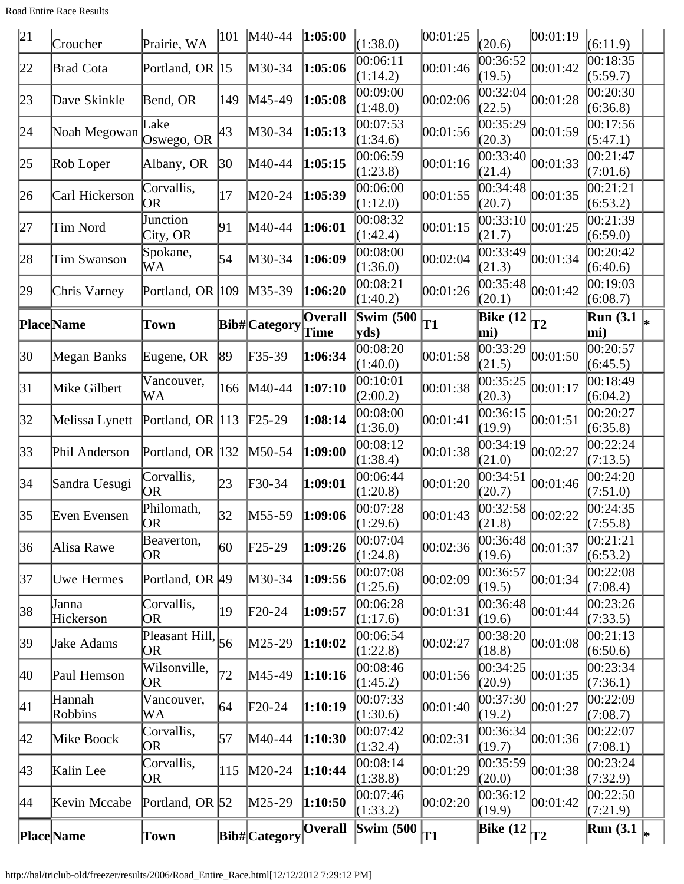Road Entire Race Results

| 21           | Croucher           | Prairie, WA                 | 101 | $M40-44$      | 1:05:00                | (1:38.0)                                | 00:01:25 | (20.6)                                                   | 00:01:19 | (6:11.9)                |   |
|--------------|--------------------|-----------------------------|-----|---------------|------------------------|-----------------------------------------|----------|----------------------------------------------------------|----------|-------------------------|---|
| 22           | <b>Brad Cota</b>   | Portland, OR 15             |     | M30-34        | 1:05:06                | 00:06:11<br>(1:14.2)                    | 00:01:46 | 0.36:52<br>(19.5)                                        | 00:01:42 | 00:18:35<br>(5:59.7)    |   |
| 23           | Dave Skinkle       | Bend, OR                    | 149 | M45-49        | 1:05:08                | 00:09:00<br>(1:48.0)                    | 00:02:06 | 00:32:04<br>(22.5)                                       | 00:01:28 | 00:20:30<br>(6:36.8)    |   |
| 24           | Noah Megowan       | Lake<br>Oswego, OR          | 43  | M30-34        | 1:05:13                | 00:07:53<br>(1:34.6)                    | 00:01:56 | 00:35:29<br>(20.3)                                       | 00:01:59 | 00:17:56<br>(5:47.1)    |   |
| 25           | Rob Loper          | Albany, OR                  | 30  | M40-44        | 1:05:15                | 00:06:59<br>(1:23.8)                    | 00:01:16 | 00:33:40<br>(21.4)                                       | 00:01:33 | 00:21:47<br>(7:01.6)    |   |
| 26           | Carl Hickerson     | Corvallis,<br><b>OR</b>     | 17  | M20-24        | 1:05:39                | 00:06:00<br>(1:12.0)                    | 00:01:55 | 00:34:48<br>(20.7)                                       | 00:01:35 | 00:21:21<br>(6:53.2)    |   |
| 27           | Tim Nord           | Junction<br>City, OR        | 91  | M40-44        | 1:06:01                | 00:08:32<br>(1:42.4)                    | 00:01:15 | 00:33:10<br>(21.7)                                       | 00:01:25 | 00:21:39<br>(6:59.0)    |   |
| 28           | Tim Swanson        | Spokane,<br>WA              | 54  | M30-34        | 1:06:09                | 00:08:00<br>(1:36.0)                    | 00:02:04 | 00:33:49<br>(21.3)                                       | 00:01:34 | 00:20:42<br>(6:40.6)    |   |
| 29           | Chris Varney       | Portland, OR 109            |     | M35-39        | 1:06:20                | 00:08:21<br>(1:40.2)                    | 00:01:26 | 00:35:48<br>(20.1)                                       | 00:01:42 | 00:19:03<br>(6:08.7)    |   |
|              | Place Name         | Town                        |     | Bib# Category | Overall<br><b>Time</b> | Swim $(500)$<br>$\mathbf{v}\mathbf{ds}$ | T1       | $\left  \overline{\text{Bike} (12)} \right _{T2}$<br>mi) |          | <b>Run</b> (3.1)<br>mi) |   |
| 30           | Megan Banks        | Eugene, OR                  | 89  | F35-39        | 1:06:34                | 00:08:20<br>(1:40.0)                    | 00:01:58 | 00:33:29<br>(21.5)                                       | 00:01:50 | 00:20:57<br>(6:45.5)    |   |
| 31           | Mike Gilbert       | Vancouver,<br>WA            | 166 | M40-44        | 1:07:10                | 00:10:01<br>(2:00.2)                    | 00:01:38 | 00:35:25<br>(20.3)                                       | 00:01:17 | 00:18:49<br>(6:04.2)    |   |
| 32           | Melissa Lynett     | Portland, OR 113            |     | $F25-29$      | 1:08:14                | 00:08:00<br>(1:36.0)                    | 00:01:41 | 00:36:15<br>(19.9)                                       | 00:01:51 | 00:20:27<br>(6:35.8)    |   |
| 33           | Phil Anderson      | Portland, OR 132            |     | M50-54        | 1:09:00                | 00:08:12<br>(1:38.4)                    | 00:01:38 | 00:34:19<br>(21.0)                                       | 00:02:27 | 00:22:24<br>(7:13.5)    |   |
| 34           | Sandra Uesugi      | Corvallis,<br>OR            | 23  | F30-34        | 1:09:01                | 00:06:44<br>(1:20.8)                    | 00:01:20 | 00:34:51<br>(20.7)                                       | 00:01:46 | 00:24:20<br>(7:51.0)    |   |
| 35           | Even Evensen       | Philomath,<br>OR)           | 32  | M55-59        | 1:09:06                | 00:07:28<br>(1:29.6)                    | 00:01:43 | 00:32:58<br>(21.8)                                       | 00:02:22 | 00:24:35<br>(7:55.8)    |   |
| 36           | Alisa Rawe         | Beaverton,<br>0R            | 60  | $F25-29$      | 1:09:26                | 00:07:04<br>(1:24.8)                    | 00:02:36 | 00:36:48<br>(19.6)                                       | 00:01:37 | 00:21:21<br>(6:53.2)    |   |
| 37           | <b>Uwe Hermes</b>  | Portland, OR 49             |     | M30-34        | 1:09:56                | 00:07:08<br>(1:25.6)                    | 00:02:09 | 00:36:57<br>(19.5)                                       | 00:01:34 | 00:22:08<br>(7:08.4)    |   |
| 38           | Janna<br>Hickerson | Corvallis,<br>0R            | 19  | $F20-24$      | 1:09:57                | 00:06:28<br>(1:17.6)                    | 00:01:31 | 00:36:48<br>(19.6)                                       | 00:01:44 | 00:23:26<br>(7:33.5)    |   |
| 39           | Jake Adams         | Pleasant Hill,<br><b>OR</b> | 56  | M25-29        | 1:10:02                | 00:06:54<br>(1:22.8)                    | 00:02:27 | 00:38:20<br>(18.8)                                       | 00:01:08 | 00:21:13<br>(6:50.6)    |   |
| <b>40</b>    | Paul Hemson        | Wilsonville,<br>0R          | 72  | M45-49        | 1:10:16                | 00:08:46<br>(1:45.2)                    | 00:01:56 | 00:34:25<br>(20.9)                                       | 00:01:35 | 00:23:34<br>(7:36.1)    |   |
| 41           | Hannah<br>Robbins  | Vancouver,<br>WA            | 64  | $F20-24$      | 1:10:19                | 00:07:33<br>(1:30.6)                    | 00:01:40 | 00:37:30 <br>(19.2)                                      | 00:01:27 | 00:22:09<br>(7:08.7)    |   |
| $ 42\rangle$ | Mike Boock         | Corvallis,<br>0R            | 57  | M40-44        | 1:10:30                | 00:07:42<br>(1:32.4)                    | 00:02:31 | 00:36:34<br>(19.7)                                       | 00:01:36 | 00:22:07<br>(7:08.1)    |   |
| $ 43\rangle$ | Kalin Lee          | Corvallis,<br>OR            | 115 | $M20-24$      | 1:10:44                | 00:08:14<br>(1:38.8)                    | 00:01:29 | 00:35:59<br>(20.0)                                       | 00:01:38 | 00:23:24<br>(7:32.9)    |   |
| 44           | Kevin Mccabe       | Portland, OR 52             |     | M25-29        | 1:10:50                | 00:07:46<br>(1:33.2)                    | 00:02:20 | 00:36:12<br>(19.9)                                       | 00:01:42 | 00:22:50<br>(7:21.9)    |   |
|              | <b>Place</b> Name  | Town                        |     | Bib#Category  | <b>Overall</b>         | Swim $(500)$                            | T1       | $\frac{\triangle}{\triangle}$ Bike (12 $\vert$ T2        |          | <b>Run</b> (3.1)        | ∗ |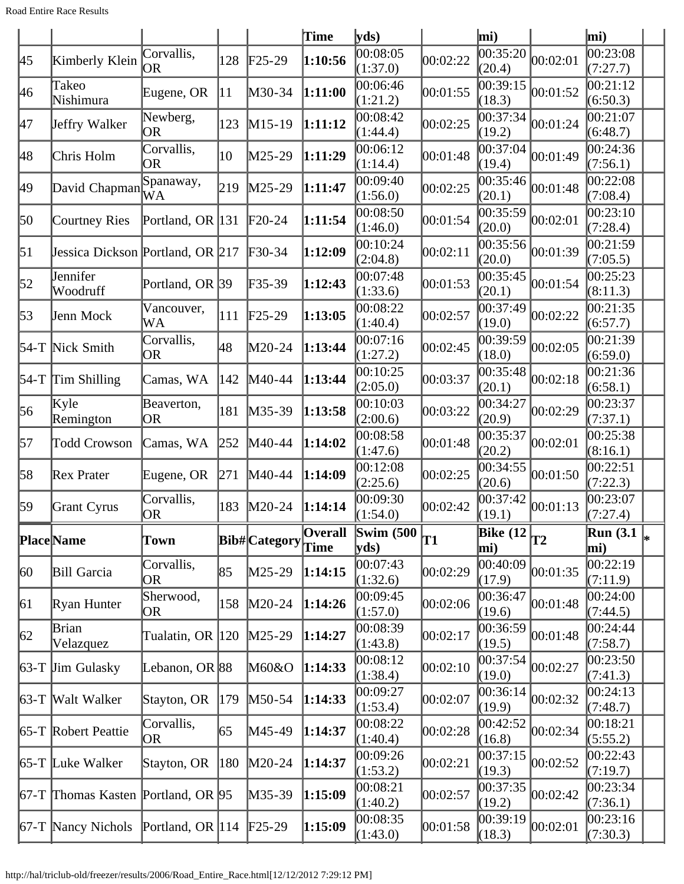|                      |                         |                                                                              |                                                                                                                                                                             |                                                                                                                                                                                                                                                                                         | yds                                                                                                                                                                                                                                                                                              |          |                    |                                       | mi)                                            |                                                                  |
|----------------------|-------------------------|------------------------------------------------------------------------------|-----------------------------------------------------------------------------------------------------------------------------------------------------------------------------|-----------------------------------------------------------------------------------------------------------------------------------------------------------------------------------------------------------------------------------------------------------------------------------------|--------------------------------------------------------------------------------------------------------------------------------------------------------------------------------------------------------------------------------------------------------------------------------------------------|----------|--------------------|---------------------------------------|------------------------------------------------|------------------------------------------------------------------|
| Kimberly Klein       | Corvallis,<br><b>OR</b> | 128                                                                          |                                                                                                                                                                             |                                                                                                                                                                                                                                                                                         | 00:08:05<br>(1:37.0)                                                                                                                                                                                                                                                                             | 00:02:22 | 00:35:20<br>(20.4) | 00:02:01                              | 00:23:08<br>(7:27.7)                           |                                                                  |
| Takeo<br>Nishimura   |                         | 11                                                                           |                                                                                                                                                                             |                                                                                                                                                                                                                                                                                         | 00:06:46<br>(1:21.2)                                                                                                                                                                                                                                                                             | 00:01:55 | 00:39:15<br>(18.3) | 00:01:52                              | 00:21:12<br>(6:50.3)                           |                                                                  |
| Jeffry Walker        | Newberg,<br> OR         | 123                                                                          |                                                                                                                                                                             |                                                                                                                                                                                                                                                                                         | 00:08:42<br>(1:44.4)                                                                                                                                                                                                                                                                             | 00:02:25 | (19.2)             | 00:01:24                              | 00:21:07<br>(6:48.7)                           |                                                                  |
| Chris Holm           | Corvallis,<br><b>OR</b> | 10                                                                           | M25-29                                                                                                                                                                      |                                                                                                                                                                                                                                                                                         | 00:06:12<br>(1:14.4)                                                                                                                                                                                                                                                                             | 00:01:48 | 00:37:04<br>(19.4) | 00:01:49                              | 00:24:36<br>(7:56.1)                           |                                                                  |
|                      | WA                      | 219                                                                          |                                                                                                                                                                             |                                                                                                                                                                                                                                                                                         | 00:09:40<br>(1:56.0)                                                                                                                                                                                                                                                                             | 00:02:25 | (20.1)             | 00:01:48                              | 00:22:08<br>(7:08.4)                           |                                                                  |
| Courtney Ries        |                         |                                                                              |                                                                                                                                                                             |                                                                                                                                                                                                                                                                                         | 00:08:50<br>(1:46.0)                                                                                                                                                                                                                                                                             | 00:01:54 | 00:35:59<br>(20.0) | 00:02:01                              | 00:23:10<br>(7:28.4)                           |                                                                  |
|                      |                         |                                                                              |                                                                                                                                                                             | 1:12:09                                                                                                                                                                                                                                                                                 | 00:10:24<br>(2:04.8)                                                                                                                                                                                                                                                                             | 00:02:11 | 00:35:56<br>(20.0) | 00:01:39                              | (7:05.5)                                       |                                                                  |
| Jennifer<br>Woodruff |                         |                                                                              | F35-39                                                                                                                                                                      |                                                                                                                                                                                                                                                                                         | 00:07:48<br>(1:33.6)                                                                                                                                                                                                                                                                             | 00:01:53 | 00:35:45<br>(20.1) |                                       | 00:25:23<br>(8:11.3)                           |                                                                  |
| Jenn Mock            | Vancouver,<br>WA        | 111                                                                          |                                                                                                                                                                             | 1:13:05                                                                                                                                                                                                                                                                                 | 00:08:22<br>(1:40.4)                                                                                                                                                                                                                                                                             | 00:02:57 | 00:37:49<br>(19.0) | 00:02:22                              | 00:21:35<br>(6:57.7)                           |                                                                  |
| 54-T Nick Smith      | Corvallis,<br>OR        | 48                                                                           |                                                                                                                                                                             |                                                                                                                                                                                                                                                                                         | 00:07:16<br>(1:27.2)                                                                                                                                                                                                                                                                             | 00:02:45 | 00:39:59<br>(18.0) | 00:02:05                              | 00:21:39<br>(6:59.0)                           |                                                                  |
| $54-T$ Tim Shilling  | Camas, WA               | 142                                                                          |                                                                                                                                                                             |                                                                                                                                                                                                                                                                                         | 00:10:25<br>(2:05.0)                                                                                                                                                                                                                                                                             | 00:03:37 | 00:35:48<br>(20.1) | 00:02:18                              | 00:21:36<br>(6:58.1)                           |                                                                  |
| Kyle<br>Remington    | <b>OR</b>               | 181                                                                          |                                                                                                                                                                             |                                                                                                                                                                                                                                                                                         | 00:10:03<br>(2:00.6)                                                                                                                                                                                                                                                                             | 00:03:22 | 00:34:27<br>(20.9) | 00:02:29                              | 00:23:37<br>(7:37.1)                           |                                                                  |
| <b>Todd Crowson</b>  | Camas, WA               | 252                                                                          |                                                                                                                                                                             |                                                                                                                                                                                                                                                                                         | 00:08:58<br>(1:47.6)                                                                                                                                                                                                                                                                             | 00:01:48 | 00:35:37<br>(20.2) | 00:02:01                              | (8:16.1)                                       |                                                                  |
| Rex Prater           |                         | 271                                                                          |                                                                                                                                                                             |                                                                                                                                                                                                                                                                                         | 00:12:08<br>(2:25.6)                                                                                                                                                                                                                                                                             | 00:02:25 | 00:34:55<br>(20.6) | 00:01:50                              | 00:22:51<br>(7:22.3)                           |                                                                  |
| Grant Cyrus          | Corvallis,<br>OR        | 183                                                                          |                                                                                                                                                                             |                                                                                                                                                                                                                                                                                         | 00:09:30<br>(1:54.0)                                                                                                                                                                                                                                                                             | 00:02:42 | 00:37:42<br>(19.1) | 00:01:13                              | 00:23:07<br>(7:27.4)                           |                                                                  |
| Place Name           |                         |                                                                              |                                                                                                                                                                             | Time                                                                                                                                                                                                                                                                                    | yds)                                                                                                                                                                                                                                                                                             |          | mi)                |                                       | mi)                                            |                                                                  |
| <b>Bill Garcia</b>   | Corvallis,<br>OR        | 85                                                                           |                                                                                                                                                                             |                                                                                                                                                                                                                                                                                         | 00:07:43<br>(1:32.6)                                                                                                                                                                                                                                                                             | 00:02:29 | 00:40:09<br>(17.9) | 00:01:35                              | 00:22:19<br>(7:11.9)                           |                                                                  |
| Ryan Hunter          | Sherwood,<br>OR.        | 158                                                                          |                                                                                                                                                                             |                                                                                                                                                                                                                                                                                         | 00:09:45<br>(1:57.0)                                                                                                                                                                                                                                                                             | 00:02:06 | 00:36:47<br>(19.6) | 00:01:48                              | 00:24:00<br>(7:44.5)                           |                                                                  |
| Brian<br>Velazquez   |                         |                                                                              |                                                                                                                                                                             |                                                                                                                                                                                                                                                                                         | 00:08:39<br>(1:43.8)                                                                                                                                                                                                                                                                             | 00:02:17 | 00:36:59           | 00:01:48                              | 00:24:44<br>(7:58.7)                           |                                                                  |
| $63-T$ Jim Gulasky   |                         |                                                                              |                                                                                                                                                                             |                                                                                                                                                                                                                                                                                         | 00:08:12<br>(1:38.4)                                                                                                                                                                                                                                                                             | 00:02:10 | 00:37:54<br>(19.0) | 00:02:27                              | 00:23:50<br>(7:41.3)                           |                                                                  |
| 63-T Walt Walker     | Stayton, OR             | 179                                                                          |                                                                                                                                                                             |                                                                                                                                                                                                                                                                                         | 00:09:27<br>(1:53.4)                                                                                                                                                                                                                                                                             | 00:02:07 | 00:36:14<br>(19.9) | 00:02:32                              | 00:24:13<br>(7:48.7)                           |                                                                  |
| 65-T Robert Peattie  | Corvallis,<br>OR.       | 65                                                                           |                                                                                                                                                                             |                                                                                                                                                                                                                                                                                         | 00:08:22<br>(1:40.4)                                                                                                                                                                                                                                                                             | 00:02:28 | 00:42:52<br>(16.8) | 00:02:34                              | 00:18:21<br>(5:55.2)                           |                                                                  |
| $65-T$ Luke Walker   | Stayton, OR             | 180                                                                          |                                                                                                                                                                             |                                                                                                                                                                                                                                                                                         | 00:09:26<br>(1:53.2)                                                                                                                                                                                                                                                                             | 00:02:21 | 00:37:15<br>(19.3) | 00:02:52                              | 00:22:43<br>(7:19.7)                           |                                                                  |
|                      |                         |                                                                              |                                                                                                                                                                             |                                                                                                                                                                                                                                                                                         | 00:08:21<br>(1:40.2)                                                                                                                                                                                                                                                                             | 00:02:57 | 00:37:35<br>(19.2) | 00:02:42                              | 00:23:34<br>(7:36.1)                           |                                                                  |
| $67-T$ Nancy Nichols |                         |                                                                              |                                                                                                                                                                             |                                                                                                                                                                                                                                                                                         | 00:08:35<br>(1:43.0)                                                                                                                                                                                                                                                                             | 00:01:58 | 00:39:19<br>(18.3) | 00:02:01                              | 00:23:16<br>(7:30.3)                           |                                                                  |
|                      |                         | Eugene, OR<br>Spanaway,<br>David Chapman<br>Beaverton,<br>Eugene, OR<br>Town | Portland, OR 131<br>Jessica Dickson Portland, OR 217<br>Portland, OR 39<br>Tualatin, OR 120<br>Lebanon, OR 88<br>67-T Thomas Kasten Portland, OR 95<br>Portland, OR $ 114 $ | $\text{F25-29}$<br>M30-34<br>$M15-19$<br>$M25-29$<br>$F20-24$<br>$\textcolor{blue}{F30-34}$<br>$\text{F25-29}$<br>$M20-24$<br>M40-44<br>$M35-39$<br>M40-44<br>M40-44<br>$M20-24$<br>$M25-29$<br>$M20-24$<br>$M25-29$<br>M60&O<br>$M50-54$<br>$M45-49$<br>$M20-24$<br>M35-39<br>$F25-29$ | Time<br>1:10:56<br>1:11:00<br>1:11:12<br>1:11:29<br>1:11:47<br>1:11:54<br>1:12:43<br>1:13:44<br>1:13:44<br>1:13:58<br>1:14:02<br>1:14:09<br>1:14:14<br><b>Overall</b><br><b>Bib#</b> Category<br>1:14:15<br>1:14:26<br>1:14:27<br>1:14:33<br>1:14:33<br>1:14:37<br>1:14:37<br>1:15:09<br>1:15:09 |          | Swim $(500)$<br>T1 | mi)<br>00:37:34<br>00:35:46<br>(19.5) | 00:01:54<br>$\overline{\text{Bike} (12)}_{T2}$ | 00:21:59<br>00:25:38<br>$\overline{\text{Run}}$ (3.1 $\vert_{*}$ |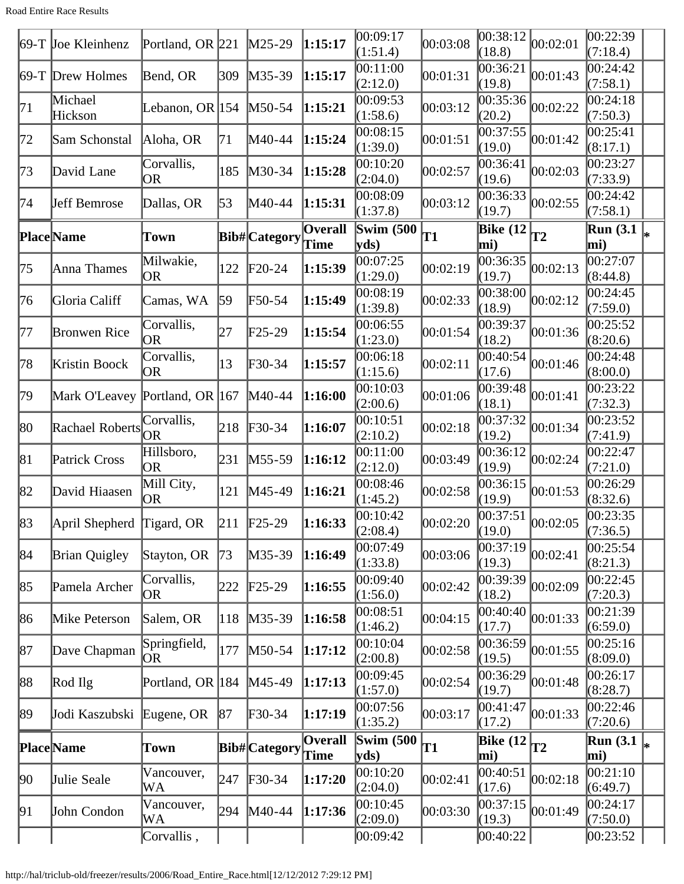Road Entire Race Results

|              | 69-T Joe Kleinhenz             | Portland, OR $ 221 $      |     | $M25-29$                | 1:15:17                | 00:09:17<br>(1:51.4)                        | 00:03:08 | 00:38:12<br>(18.8)                               | 00:02:01 | 00:22:39<br>(7:18.4)    |   |
|--------------|--------------------------------|---------------------------|-----|-------------------------|------------------------|---------------------------------------------|----------|--------------------------------------------------|----------|-------------------------|---|
|              | 69-T Drew Holmes               | Bend, OR                  | 309 | $M35-39$                | 1:15:17                | 00:11:00<br>(2:12.0)                        | 00:01:31 | 00:36:21<br>(19.8)                               | 00:01:43 | 00:24:42<br>(7:58.1)    |   |
| 71           | Michael<br>Hickson             | Lebanon, OR 154           |     | $M50-54$                | 1:15:21                | 00:09:53<br>(1:58.6)                        | 00:03:12 | 00:35:36<br>(20.2)                               | 00:02:22 | 00:24:18<br>(7:50.3)    |   |
| 72           | Sam Schonstal                  | Aloha, OR                 | 71  | M40-44                  | 1:15:24                | 00:08:15<br>(1:39.0)                        | 00:01:51 | 00:37:55<br>(19.0)                               | 00:01:42 | 00:25:41<br>(8:17.1)    |   |
| 73           | David Lane                     | Corvallis,<br>OR          | 185 | M30-34                  | 1:15:28                | 00:10:20<br>(2:04.0)                        | 00:02:57 | 00:36:41<br>(19.6)                               | 00:02:03 | 00:23:27<br>(7:33.9)    |   |
| 74           | Jeff Bemrose                   | Dallas, OR                | 53  | M40-44                  | 1:15:31                | 00:08:09<br>(1:37.8)                        | 00:03:12 | 00:36:33<br>(19.7)                               | 00:02:55 | 00:24:42<br>(7:58.1)    |   |
|              | <b>Place</b> Name              | Town                      |     | Bib# Category           | Overall<br>Time        | Swim $(500)$<br>$ {\bf v} {\bf d} s\rangle$ | T1       | Bike $(12)$<br>mi)                               | T2       | <b>Run</b> (3.1)<br>mi) |   |
| 175          | Anna Thames                    | Milwakie,<br>OR.          | 122 | $F20-24$                | 1:15:39                | 00:07:25<br>(1:29.0)                        | 00:02:19 | 00:36:35<br>(19.7)                               | 00:02:13 | 00:27:07<br>(8:44.8)    |   |
| 76           | Gloria Califf                  | Camas, WA                 | 59  | F50-54                  | 1:15:49                | 00:08:19<br>(1:39.8)                        | 00:02:33 | 00:38:00<br>(18.9)                               | 00:02:12 | 00:24:45<br>(7:59.0)    |   |
| 177          | <b>Bronwen Rice</b>            | Corvallis,<br>OR          | 27  | F25-29                  | 1:15:54                | 00:06:55<br>(1:23.0)                        | 00:01:54 | 00:39:37<br>(18.2)                               | 00:01:36 | 00:25:52<br>(8:20.6)    |   |
| 78           | Kristin Boock                  | Corvallis,<br>OR          | 13  | F30-34                  | 1:15:57                | 00:06:18<br>(1:15.6)                        | 00:02:11 | 00:40:54<br>(17.6)                               | 00:01:46 | 00:24:48<br>(8:00.0)    |   |
| 79           | Mark O'Leavey Portland, OR 167 |                           |     | $M40-44$                | 1:16:00                | 00:10:03<br>(2:00.6)                        | 00:01:06 | 00:39:48<br>(18.1)                               | 00:01:41 | 00:23:22<br>(7:32.3)    |   |
| 80           | Rachael Roberts                | Corvallis,<br>OR          | 218 | $F30-34$                | 1:16:07                | 00:10:51<br>(2:10.2)                        | 00:02:18 | 00:37:32<br>(19.2)                               | 00:01:34 | 00:23:52<br>(7:41.9)    |   |
| 81           | Patrick Cross                  | Hillsboro,<br><b>OR</b>   | 231 | M55-59                  | 1:16:12                | 00:11:00<br>(2:12.0)                        | 00:03:49 | 00:36:12<br>(19.9)                               | 00:02:24 | 00:22:47<br>(7:21.0)    |   |
| 82           | David Hiaasen                  | Mill City,<br><b>OR</b>   | 121 | $M45-49$                | 1:16:21                | 00:08:46<br>(1:45.2)                        | 00:02:58 | 00:36:15<br>(19.9)                               | 00:01:53 | 00:26:29<br>(8:32.6)    |   |
| $ 83\rangle$ | April Shepherd Tigard, OR      |                           |     | 211 F <sub>25</sub> -29 | 1:16:33                | 00:10:42<br>(2:08.4)                        | 00:02:20 | $\overline{00:37:51}$ $\big  00:02:05$<br>(19.0) |          | 00:23:35<br>(7:36.5)    |   |
| 84           | <b>Brian Quigley</b>           | Stayton, OR               | 73  | M35-39                  | 1:16:49                | 00:07:49<br>(1:33.8)                        | 00:03:06 | 00:37:19<br>(19.3)                               | 00:02:41 | 00:25:54<br>(8:21.3)    |   |
| 85           | Pamela Archer                  | Corvallis,<br><b>OR</b>   | 222 | $F25-29$                | 1:16:55                | 00:09:40<br>(1:56.0)                        | 00:02:42 | 00:39:39<br>(18.2)                               | 00:02:09 | 00:22:45<br>(7:20.3)    |   |
| 86           | Mike Peterson                  | Salem, OR                 | 118 | $M35-39$                | 1:16:58                | 00:08:51<br>(1:46.2)                        | 00:04:15 | 00:40:40<br>(17.7)                               | 00:01:33 | 00:21:39<br>(6:59.0)    |   |
| 87           | Dave Chapman                   | Springfield,<br><b>OR</b> | 177 | M50-54                  | 1:17:12                | 00:10:04<br>(2:00.8)                        | 00:02:58 | 00:36:59<br>(19.5)                               | 00:01:55 | 00:25:16<br>(8:09.0)    |   |
| 88           | Rod $\iint$                    | Portland, OR 184          |     | $M45-49$                | 1:17:13                | 00:09:45<br>(1:57.0)                        | 00:02:54 | 00:36:29<br>(19.7)                               | 00:01:48 | 00:26:17<br>(8:28.7)    |   |
| $ 89\rangle$ | Jodi Kaszubski                 | Eugene, OR                | 87  | F30-34                  | 1:17:19                | 00:07:56<br>(1:35.2)                        | 00:03:17 | 00:41:47<br>(17.2)                               | 00:01:33 | 00:22:46<br>(7:20.6)    |   |
|              | <b>Place</b> Name              | <b>Town</b>               |     | <b>Bib#</b> Category    | <b>Overall</b><br>Time | Swim $(500)$<br>yds)                        | T1       | <b>Bike (12)</b><br>mi)                          | T2       | <b>Run (3.1)</b><br>mi) | ∗ |
| $ 90\rangle$ | Julie Seale                    | Vancouver,<br>WА          | 247 | $F30-34$                | 1:17:20                | 00:10:20<br>(2:04.0)                        | 00:02:41 | 00:40:51<br>(17.6)                               | 00:02:18 | 00:21:10<br>(6:49.7)    |   |
| 91           | John Condon                    | Vancouver,<br>WА          | 294 | $M40-44$                | 1:17:36                | 00:10:45<br>(2:09.0)                        | 00:03:30 | 00:37:15<br>(19.3)                               | 00:01:49 | 00:24:17<br>(7:50.0)    |   |
|              |                                | Corvallis,                |     |                         |                        | 00:09:42                                    |          | 00:40:22                                         |          | 00:23:52                |   |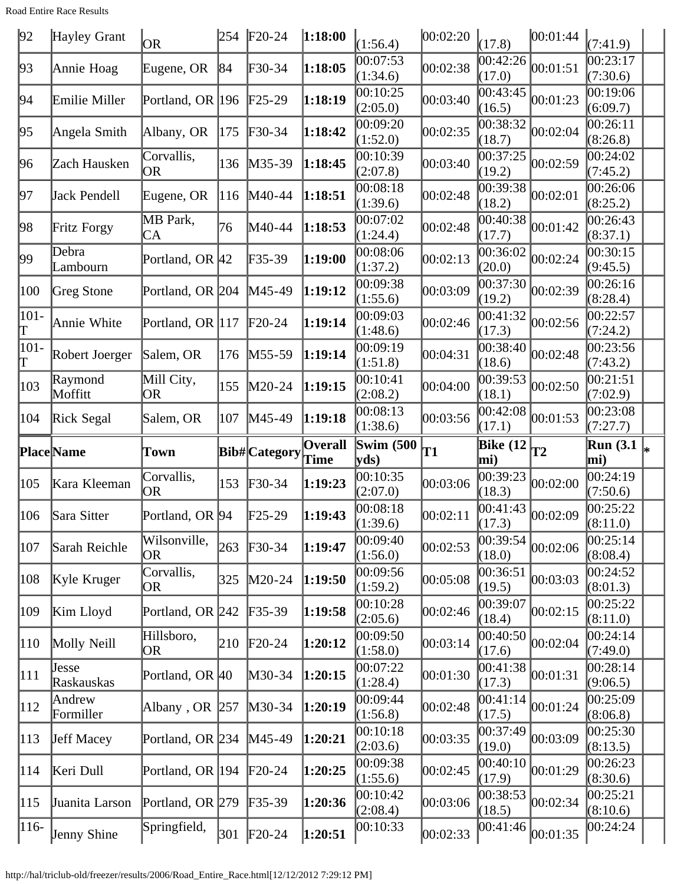Road Entire Race Results

| 92            | Hayley Grant        | OR                        | 254 | $F20-24$                   | 1:18:00                | (1:56.4)             | 00:02:20 | (17.8)                           | 00:01:44 | (7:41.9)                          |
|---------------|---------------------|---------------------------|-----|----------------------------|------------------------|----------------------|----------|----------------------------------|----------|-----------------------------------|
| 93            | Annie Hoag          | Eugene, OR                | 84  | $\textcolor{blue}{F30-34}$ | 1:18:05                | 00:07:53<br>(1:34.6) | 00:02:38 | 00:42:26<br>(17.0)               | 00:01:51 | $\overline{00:23:17}$<br>(7:30.6) |
| 94            | Emilie Miller       | Portland, OR 196          |     | $F25-29$                   | 1:18:19                | 00:10:25<br>(2:05.0) | 00:03:40 | 00:43:45<br>(16.5)               | 00:01:23 | 00:19:06<br>(6:09.7)              |
| 95            | Angela Smith        | Albany, OR                | 175 | $\textcolor{blue}{F30-34}$ | 1:18:42                | 00:09:20<br>(1:52.0) | 00:02:35 | 00:38:32<br>(18.7)               | 00:02:04 | 00:26:11<br>(8:26.8)              |
| 96            | Zach Hausken        | Corvallis,<br>OR          | 136 | $M35-39$                   | 1:18:45                | 00:10:39<br>(2:07.8) | 00:03:40 | 00:37:25<br>(19.2)               | 00:02:59 | 00:24:02<br>(7:45.2)              |
| 97            | Jack Pendell        | Eugene, OR                | 116 | M40-44                     | 1:18:51                | 00:08:18<br>(1:39.6) | 00:02:48 | 00:39:38<br>(18.2)               | 00:02:01 | 00:26:06<br>(8:25.2)              |
| 98            | Fritz Forgy         | MB Park,<br>CA            | 76  | M40-44                     | 1:18:53                | 00:07:02<br>(1:24.4) | 00:02:48 | 00:40:38<br>(17.7)               | 00:01:42 | 00:26:43<br>(8:37.1)              |
| 99            | Debra<br>Lambourn   | Portland, OR 42           |     | $F35-39$                   | 1:19:00                | 00:08:06<br>(1:37.2) | 00:02:13 | 00:36:02<br>(20.0)               | 00:02:24 | 00:30:15<br>(9:45.5)              |
| 100           | Greg Stone          | Portland, OR 204          |     | $M45-49$                   | 1:19:12                | 00:09:38<br>(1:55.6) | 00:03:09 | 00:37:30<br>(19.2)               | 00:02:39 | 00:26:16<br>(8:28.4)              |
| $ 101 -$<br>T | Annie White         | Portland, OR 117          |     | $F20-24$                   | 1:19:14                | 00:09:03<br>(1:48.6) | 00:02:46 | 00:41:32<br>(17.3)               | 00:02:56 | 00:22:57<br>(7:24.2)              |
| $ 101 -$<br>Τ | Robert Joerger      | Salem, OR                 | 176 | $M55-59$                   | 1:19:14                | 00:09:19<br>(1:51.8) | 00:04:31 | 00:38:40<br>(18.6)               | 00:02:48 | 00:23:56<br>(7:43.2)              |
| $ 103\rangle$ | Raymond<br>Moffitt  | Mill City,<br><b>OR</b>   | 155 | $M20-24$                   | 1:19:15                | 00:10:41<br>(2:08.2) | 00:04:00 | 00:39:53<br>(18.1)               | 00:02:50 | 00:21:51<br>(7:02.9)              |
| 104           | Rick Segal          | Salem, OR                 | 107 | $M45-49$                   | 1:19:18                | 00:08:13<br>(1:38.6) | 00:03:56 | 00:42:08<br>(17.1)               | 00:01:53 | 00:23:08<br>(7:27.7)              |
|               |                     |                           |     |                            |                        |                      |          |                                  |          |                                   |
|               | Place Name          | Town                      |     | Bib# Category              | <b>Overall</b><br>Time | Swim $(500)$<br>yds) | T1       | Bike $(12)$ <sub>T2</sub><br>mi) |          | <b>Run (3.1)</b><br>mi)           |
| 105           | Kara Kleeman        | Corvallis,<br>ЮR          | 153 | $F30-34$                   | 1:19:23                | 00:10:35<br>(2:07.0) | 00:03:06 | 00:39:23<br>(18.3)               | 00:02:00 | $\overline{0}0:24:19$<br>(7:50.6) |
| 106           | Sara Sitter         | Portland, OR 94           |     | $\text{F25-29}$            | 1:19:43                | 00:08:18<br>(1:39.6) | 00:02:11 | 00:41:43<br>(17.3)               | 00:02:09 | 00:25:22<br>(8:11.0)              |
| 107           | Sarah Reichle       | Wilsonville,<br><b>OR</b> | 263 | $F30-34$                   | 1:19:47                | 00:09:40<br>(1:56.0) | 00:02:53 | 00:39:54<br>(18.0)               | 00:02:06 | 00:25:14<br>(8:08.4)              |
| 108           | Kyle Kruger         | Corvallis,<br>OR          | 325 | $M20-24$                   | 1:19:50                | 00:09:56<br>(1:59.2) | 00:05:08 | 00:36:51<br>(19.5)               | 00:03:03 | 00:24:52<br>(8:01.3)              |
| 109           | Kim Lloyd           | Portland, OR 242          |     | $F35-39$                   | 1:19:58                | 00:10:28<br>(2:05.6) | 00:02:46 | 00:39:07<br>(18.4)               | 00:02:15 | 00:25:22<br>(8:11.0)              |
| $ 110\rangle$ | Molly Neill         | Hillsboro,<br>0R          | 210 | $F20-24$                   | 1:20:12                | 00:09:50<br>(1:58.0) | 00:03:14 | 00:40:50<br>(17.6)               | 00:02:04 | 00:24:14<br>(7:49.0)              |
| 111           | Jesse<br>Raskauskas | Portland, OR 40           |     | $M30-34$                   | 1:20:15                | 00:07:22<br>(1:28.4) | 00:01:30 | 00:41:38<br>(17.3)               | 00:01:31 | 00:28:14<br>(9:06.5)              |
| 112           | Andrew<br>Formiller | Albany, OR $ 257 $        |     | $M30-34$                   | 1:20:19                | 00:09:44<br>(1:56.8) | 00:02:48 | 00:41:14<br>(17.5)               | 00:01:24 | 00:25:09<br>(8:06.8)              |
| $ 113\rangle$ | <b>Jeff Macey</b>   | Portland, OR 234          |     | $M45-49$                   | 1:20:21                | 00:10:18<br>(2:03.6) | 00:03:35 | 00:37:49<br>(19.0)               | 00:03:09 | 00:25:30<br>(8:13.5)              |
| 114           | Keri Dull           | Portland, OR 194          |     | $F20-24$                   | 1:20:25                | 00:09:38<br>(1:55.6) | 00:02:45 | 00:40:10<br>(17.9)               | 00:01:29 | 00:26:23<br>(8:30.6)              |
| 115           | Juanita Larson      | Portland, OR 279          |     | $F35-39$                   | 1:20:36                | 00:10:42<br>(2:08.4) | 00:03:06 | 00:38:53<br>(18.5)               | 00:02:34 | 00:25:21<br>(8:10.6)              |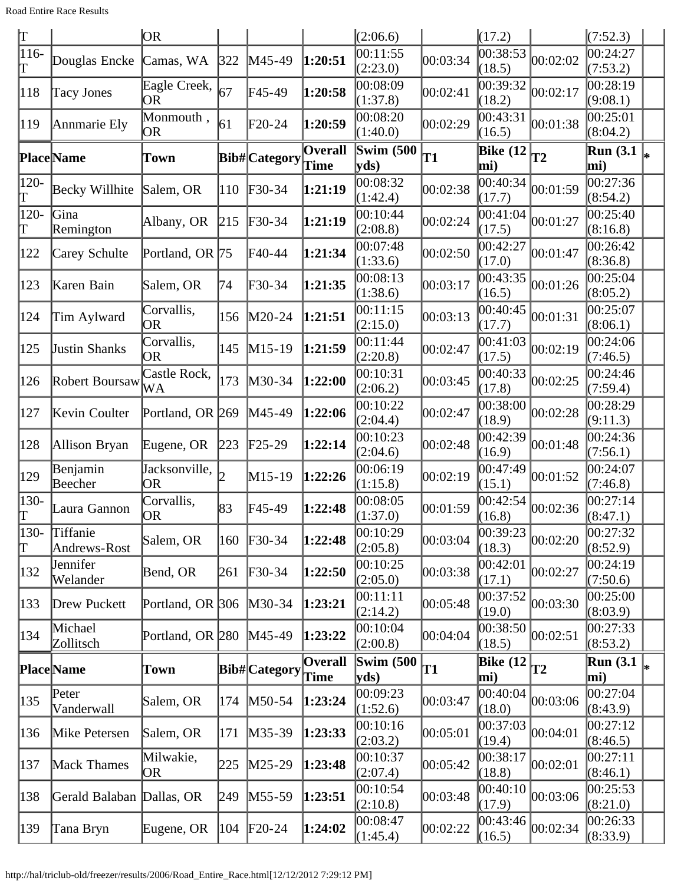Road Entire Race Results

| $\vert \text{T} \vert$     |                           | OR.                        |     |                            |                 | (2:06.6)                  |          | (17.2)                                                   |                                      | (7:52.3)                |    |
|----------------------------|---------------------------|----------------------------|-----|----------------------------|-----------------|---------------------------|----------|----------------------------------------------------------|--------------------------------------|-------------------------|----|
| $116-$<br>T                | Douglas Encke             | Camas, WA                  | 322 | M45-49                     | 1:20:51         | 00:11:55<br>(2:23.0)      | 00:03:34 | 00:38:53<br>(18.5)                                       | 00:02:02                             | 00:24:27<br>(7:53.2)    |    |
| 118                        | <b>Tacy Jones</b>         | Eagle Creek,<br>OR         | 67  | F45-49                     | 1:20:58         | 00:08:09<br>(1:37.8)      | 00:02:41 | 0.39:32<br>(18.2)                                        | 00:02:17                             | 00:28:19<br>(9:08.1)    |    |
| 119                        | Annmarie Ely              | Monmouth,<br><b>OR</b>     | 61  | $F20-24$                   | 1:20:59         | 00:08:20<br>(1:40.0)      | 00:02:29 | 00:43:31<br>(16.5)                                       | 00:01:38                             | 00:25:01<br>(8:04.2)    |    |
|                            | <b>Place</b> Name         | Town                       |     | Bib# Category              | Overall<br>Time | Swim $(500)$<br>yds)      | T1       | $\left  \overline{\text{Bike} (12)} \right _{T2}$<br>mi) |                                      | <b>Run</b> (3.1<br>mi)  |    |
| 120-<br>Τ                  | Becky Willhite            | Salem, OR                  | 110 | $\textcolor{blue}{F30-34}$ | 1:21:19         | 00:08:32<br>(1:42.4)      | 00:02:38 | $\overline{0}0:40:34$<br>(17.7)                          | 00:01:59                             | 00:27:36<br>(8:54.2)    |    |
| 120-<br>π                  | Gina<br>Remington         | Albany, OR                 | 215 | $F30-34$                   | 1:21:19         | 00:10:44<br>(2:08.8)      | 00:02:24 | 00:41:04<br>(17.5)                                       | 00:01:27                             | 00:25:40<br>(8:16.8)    |    |
| 122                        | Carey Schulte             | Portland, OR 75            |     | F40-44                     | 1:21:34         | 00:07:48<br>(1:33.6)      | 00:02:50 | 00:42:27<br>(17.0)                                       | 00:01:47                             | 00:26:42<br>(8:36.8)    |    |
| 123                        | Karen Bain                | Salem, OR                  | 74  | F30-34                     | 1:21:35         | 00:08:13<br>(1:38.6)      | 00:03:17 | 00:43:35<br>(16.5)                                       | 00:01:26                             | 00:25:04<br>(8:05.2)    |    |
| 124                        | Tim Aylward               | Corvallis,<br>OR           | 156 | $M20-24$                   | 1:21:51         | 00:11:15<br>(2:15.0)      | 00:03:13 | 00:40:45<br>(17.7)                                       | 00:01:31                             | 00:25:07<br>(8:06.1)    |    |
| 125                        | <b>Justin Shanks</b>      | Corvallis,<br>0R           | 145 | $M15-19$                   | 1:21:59         | 00:11:44<br>(2:20.8)      | 00:02:47 | 00:41:03<br>(17.5)                                       | 00:02:19                             | 00:24:06<br>(7:46.5)    |    |
| 126                        | Robert Boursaw            | Castle Rock,<br>WA         | 173 | M30-34                     | 1:22:00         | 00:10:31<br>(2:06.2)      | 00:03:45 | 00:40:33<br>(17.8)                                       | 00:02:25                             | 00:24:46<br>(7:59.4)    |    |
| 127                        | Kevin Coulter             | Portland, OR 269           |     | $M45-49$                   | 1:22:06         | 00:10:22<br>(2:04.4)      | 00:02:47 | 00:38:00<br>(18.9)                                       | 00:02:28                             | 00:28:29<br>(9:11.3)    |    |
| 128                        | Allison Bryan             | Eugene, OR                 | 223 | $F25-29$                   | 1:22:14         | 00:10:23<br>(2:04.6)      | 00:02:48 | 00:42:39<br>(16.9)                                       | 00:01:48                             | 00:24:36<br>(7:56.1)    |    |
| 129                        | Benjamin<br>Beecher       | Jacksonville,<br><b>OR</b> |     | $M15-19$                   | 1:22:26         | 00:06:19<br>(1:15.8)      | 00:02:19 | 00:47:49<br>(15.1)                                       | 00:01:52                             | 00:24:07<br>(7:46.8)    |    |
| $ 130 -$<br>$ \mathrm{T} $ | Laura Gannon              | Corvallis,<br>OR.          | 83  | F45-49                     | 1:22:48         | 00:08:05<br>(1:37.0)      | 00:01:59 | 00:42:54<br>(16.8)                                       | 00:02:36                             | 00:27:14<br>(8:47.1)    |    |
| $ 130-$<br>lΤ              | Tiffanie<br>Andrews-Rost  | Salem, OR                  | 160 | $F30-34$                   | 1:22:48         | 00:10:29<br>(2:05.8)      | 00:03:04 | (18.3)                                                   | $\frac{1}{00:39:23}\Big _{00:02:20}$ | 00:27:32<br>(8:52.9)    |    |
| $ 132\rangle$              | Jennifer<br>Welander      | Bend, OR                   | 261 | $F30-34$                   | 1:22:50         | 00:10:25<br>(2:05.0)      | 00:03:38 | 00:42:01<br>(17.1)                                       | 00:02:27                             | 00:24:19<br>(7:50.6)    |    |
| $ 133\rangle$              | Drew Puckett              | Portland, OR 306           |     | $M30-34$                   | 1:23:21         | 00:11:11<br>(2:14.2)      | 00:05:48 | 00:37:52<br>(19.0)                                       | 00:03:30                             | 00:25:00<br>(8:03.9)    |    |
| 134                        | Michael<br>Zollitsch      | Portland, OR 280           |     | $M45-49$                   | 1:23:22         | 00:10:04<br>(2:00.8)      | 00:04:04 | 00:38:50<br>(18.5)                                       | 00:02:51                             | 00:27:33<br>(8:53.2)    |    |
|                            | <b>Place</b> Name         | Town                       |     | <b>Bib#</b> Category       | Overall<br>Time | <b>Swim (500)</b><br>yds) | T1       | Bike $(12)$<br>mi)                                       | T2                                   | <b>Run (3.1)</b><br>mi) | l× |
| 135                        | Peter<br>Vanderwall       | Salem, OR                  | 174 | $M50-54$                   | 1:23:24         | 00:09:23<br>(1:52.6)      | 00:03:47 | 00:40:04<br>(18.0)                                       | 00:03:06                             | 00:27:04<br>(8:43.9)    |    |
| 136                        | Mike Petersen             | Salem, OR                  | 171 | $M35-39$                   | 1:23:33         | 00:10:16<br>(2:03.2)      | 00:05:01 | 00:37:03<br>(19.4)                                       | 00:04:01                             | 00:27:12<br>(8:46.5)    |    |
| 137                        | Mack Thames               | Milwakie,<br>OR            | 225 | $M25-29$                   | 1:23:48         | 00:10:37<br>(2:07.4)      | 00:05:42 | [00:38:17]<br>(18.8)                                     | 00:02:01                             | 00:27:11<br>(8:46.1)    |    |
| 138                        | Gerald Balaban Dallas, OR |                            | 249 | $M55-59$                   | 1:23:51         | 00:10:54<br>(2:10.8)      | 00:03:48 | 00:40:10<br>(17.9)                                       | 00:03:06                             | 00:25:53<br>(8:21.0)    |    |
| $ 139\rangle$              | Tana Bryn                 | Eugene, OR                 | 104 | $F20-24$                   | 1:24:02         | 00:08:47<br>(1:45.4)      | 00:02:22 | 00:43:46<br>(16.5)                                       | 00:02:34                             | 00:26:33<br>(8:33.9)    |    |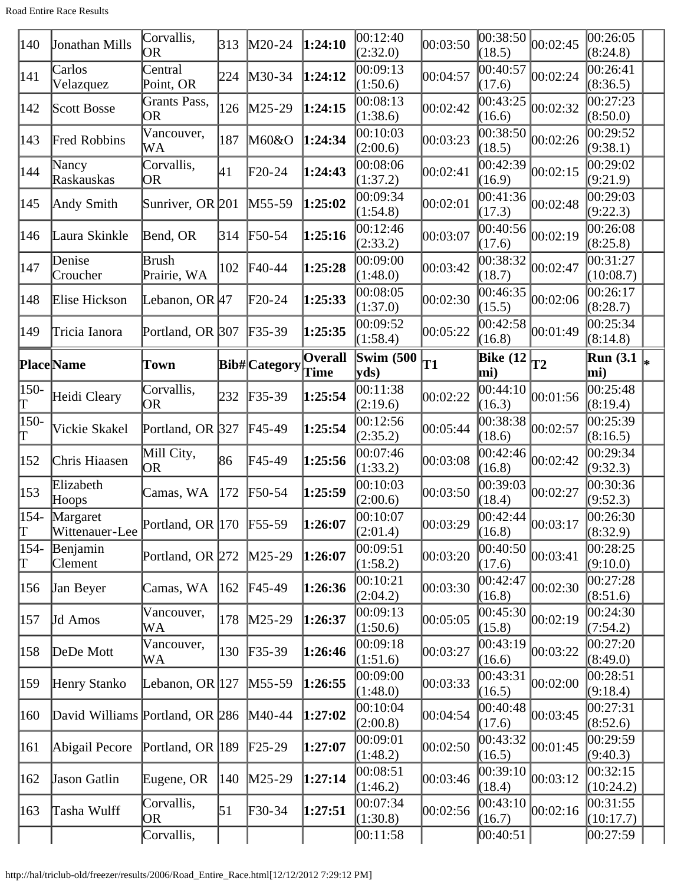| 140                 | Jonathan Mills                  | Corvallis,<br>OR          | 313 | $M20-24$                   | 1:24:10        | 00:12:40<br>(2:32.0)             | 00:03:50  | 00:38:50<br>(18.5)                                  | 00:02:45 | 00:26:05<br>(8:24.8)             |  |
|---------------------|---------------------------------|---------------------------|-----|----------------------------|----------------|----------------------------------|-----------|-----------------------------------------------------|----------|----------------------------------|--|
| 141                 | Carlos<br>Velazquez             | Central<br>Point, OR      | 224 | $M30-34$                   | 1:24:12        | 00:09:13<br>(1:50.6)             | 00:04:57  | 00:40:57<br>(17.6)                                  | 00:02:24 | 00:26:41<br>(8:36.5)             |  |
| 142                 | Scott Bosse                     | Grants Pass,<br><b>OR</b> | 126 | $M25-29$                   | 1:24:15        | 00:08:13<br>(1:38.6)             | 00:02:42  | 00:43:25<br>(16.6)                                  | 00:02:32 | 00:27:23<br>(8:50.0)             |  |
| 143                 | <b>Fred Robbins</b>             | Vancouver,<br>WA          | 187 | M60&O                      | 1:24:34        | 00:10:03<br>(2:00.6)             | 00:03:23  | 00:38:50<br>(18.5)                                  | 00:02:26 | 00:29:52<br>(9:38.1)             |  |
| 144                 | Nancy<br>Raskauskas             | Corvallis,<br>OR          | 41  | $F20-24$                   | 1:24:43        | 00:08:06<br>(1:37.2)             | 00:02:41  | 00:42:39<br>(16.9)                                  | 00:02:15 | 00:29:02<br>(9:21.9)             |  |
| 145                 | Andy Smith                      | Sunriver, OR 201          |     | $M55-59$                   | 1:25:02        | 00:09:34<br>(1:54.8)             | 00:02:01  | 00:41:36<br>(17.3)                                  | 00:02:48 | 00:29:03<br>(9:22.3)             |  |
| 146                 | Laura Skinkle                   | Bend, OR                  | 314 | $F50-54$                   | 1:25:16        | 00:12:46<br>(2:33.2)             | 00:03:07  | 00:40:56<br>(17.6)                                  | 00:02:19 | 00:26:08<br>(8:25.8)             |  |
| $\vert$ 147         | Denise<br>Croucher              | Brush<br>Prairie, WA      | 102 | $\textsf{F}40-44$          | 1:25:28        | 00:09:00<br>(1:48.0)             | 00:03:42  | 00:38:32<br>(18.7)                                  | 00:02:47 | 00:31:27<br>(10:08.7)            |  |
| 148                 | Elise Hickson                   | Lebanon, OR 47            |     | $F20-24$                   | 1:25:33        | 00:08:05<br>(1:37.0)             | 00:02:30  | 00:46:35<br>(15.5)                                  | 00:02:06 | 00:26:17<br>(8:28.7)             |  |
| 149                 | Tricia Ianora                   | Portland, OR 307          |     | $F35-39$                   | 1:25:35        | 00:09:52<br>(1:58.4)             | 00:05:22  | 00:42:58<br>(16.8)                                  | 00:01:49 | 00:25:34<br>(8:14.8)             |  |
|                     | <b>Place</b> Name               | Town                      |     | Bib#Category Time          | <b>Overall</b> | Swim $(500)$<br>$ yds\rangle$    | <b>T1</b> | <b>Bike (12</b><br>mi)                              | T2       | <b>Run</b> (3.1)<br>mi)          |  |
| 150-<br>π           | Heidi Cleary                    | Corvallis,<br>OR          | 232 | $F35-39$                   | 1:25:54        | 00:11:38                         | 00:02:22  | 00:44:10                                            | 00:01:56 | 00:25:48                         |  |
| $ 150-$<br>T        | Vickie Skakel                   | Portland, OR 327          |     | $F45-49$                   | 1:25:54        | (2:19.6)<br>00:12:56<br>(2:35.2) | 00:05:44  | (16.3)<br>00:38:38<br>(18.6)                        | 00:02:57 | (8:19.4)<br>00:25:39<br>(8:16.5) |  |
| 152                 | Chris Hiaasen                   | Mill City,<br>OR          | 86  | $\text{F}45-49$            | 1:25:56        | 00:07:46<br>(1:33.2)             | 00:03:08  | 00:42:46<br>(16.8)                                  | 00:02:42 | 00:29:34<br>(9:32.3)             |  |
| 153                 | Elizabeth<br>Hoops              | Camas, WA                 | 172 | $\text{F}50-54$            | 1:25:59        | 00:10:03<br>(2:00.6)             | 00:03:50  | 00:39:03<br>(18.4)                                  | 00:02:27 | 00:30:36<br>(9:52.3)             |  |
| $154-$<br>IΤ        | Margaret<br>Wittenauer-Lee      | Portland, OR 170 F55-59   |     |                            | 1:26:07        | 00:10:07<br>(2:01.4)             | 00:03:29  | $\overline{00:42:}44\overline{)00:03:17}$<br>(16.8) |          | 00:26:30<br>(8:32.9)             |  |
| 154-<br>$\mathbb T$ | Benjamin<br><b>Clement</b>      | Portland, OR $272$        |     | $M25-29$                   | 1:26:07        | 00:09:51<br>(1:58.2)             | 00:03:20  | 00:40:50<br>(17.6)                                  | 00:03:41 | 00:28:25<br>(9:10.0)             |  |
| 156                 | Jan Beyer                       | Camas, WA                 | 162 | $F45-49$                   | 1:26:36        | 00:10:21<br>(2:04.2)             | 00:03:30  | 00:42:47<br>(16.8)                                  | 00:02:30 | 00:27:28<br>(8:51.6)             |  |
| 157                 | Jd Amos                         | Vancouver,<br>WA          | 178 | $M25-29$                   | 1:26:37        | 00:09:13<br>(1:50.6)             | 00:05:05  | 00:45:30<br>(15.8)                                  | 00:02:19 | 00:24:30<br>(7:54.2)             |  |
| 158                 | DeDe Mott                       | Vancouver,<br>WA          | 130 | $F35-39$                   | 1:26:46        | 00:09:18<br>(1:51.6)             | 00:03:27  | 00:43:19<br>(16.6)                                  | 00:03:22 | 00:27:20<br>(8:49.0)             |  |
| 159                 | Henry Stanko                    | Lebanon, OR 127           |     | $M55-59$                   | 1:26:55        | 00:09:00<br>(1:48.0)             | 00:03:33  | 00:43:31<br>(16.5)                                  | 00:02:00 | 00:28:51<br>(9:18.4)             |  |
| 160                 | David Williams Portland, OR 286 |                           |     | $M40-44$                   | 1:27:02        | 00:10:04<br>(2:00.8)             | 00:04:54  | 00:40:48<br>(17.6)                                  | 00:03:45 | 00:27:31<br>(8:52.6)             |  |
| 161                 | Abigail Pecore                  | Portland, OR 189          |     | $F25-29$                   | 1:27:07        | 00:09:01<br>(1:48.2)             | 00:02:50  | 00:43:32<br>(16.5)                                  | 00:01:45 | 00:29:59<br>(9:40.3)             |  |
| 162                 | Jason Gatlin                    | Eugene, OR                | 140 | $M25-29$                   | 1:27:14        | 00:08:51<br>(1:46.2)             | 00:03:46  | 00:39:10<br>(18.4)                                  | 00:03:12 | 00:32:15<br>(10:24.2)            |  |
| 163                 | Tasha Wulff                     | Corvallis,<br>0R          | 51  | $\textcolor{blue}{F30-34}$ | 1:27:51        | 00:07:34<br>(1:30.8)             | 00:02:56  | 00:43:10<br>(16.7)                                  | 00:02:16 | 00:31:55<br>(10:17.7)            |  |
|                     |                                 | Corvallis,                |     |                            |                | 00:11:58                         |           | 00:40:51                                            |          | 00:27:59                         |  |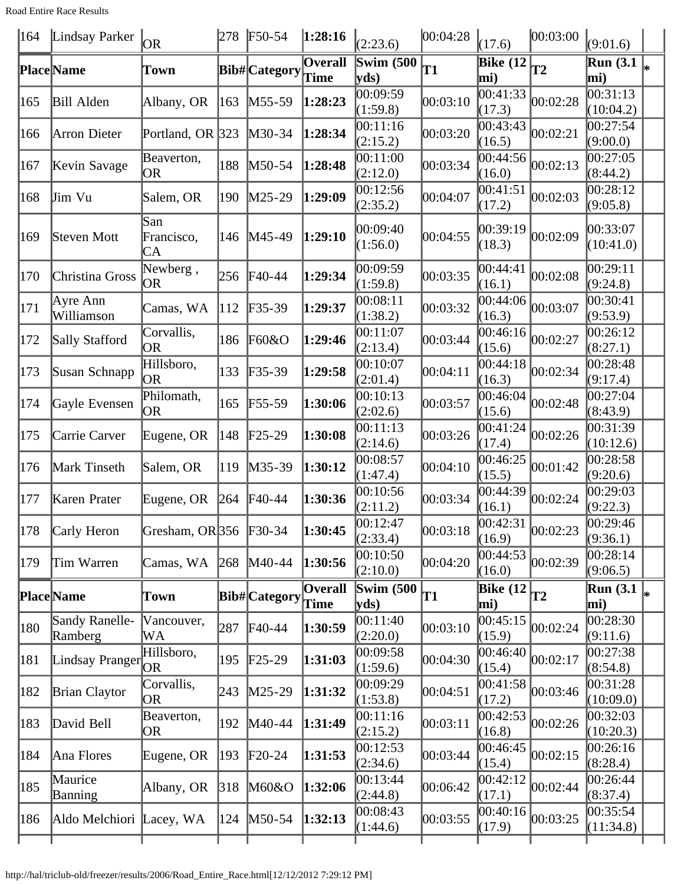Road Entire Race Results

| $ 164\rangle$ | Lindsay Parker            | OR.                     | 278 | $F50-54$     | 1:28:16                       | (2:23.6)                      | 00:04:28 | (17.6)                  | 00:03:00                  | (9:01.6)                                          |    |
|---------------|---------------------------|-------------------------|-----|--------------|-------------------------------|-------------------------------|----------|-------------------------|---------------------------|---------------------------------------------------|----|
|               | Place Name                | Town                    |     | Bib#Category | <b>Overall</b><br><b>Time</b> | Swim $(500)$<br>yds)          | T1       | <b>Bike (12)</b><br>mi) | $\overline{\mathbf{T}}$ 2 | Run(3.1)<br>mi)                                   | ∦∗ |
| 165           | <b>Bill Alden</b>         | Albany, OR              | 163 | M55-59       | 1:28:23                       | 00:09:59<br>(1:59.8)          | 00:03:10 | 00:41:33<br>(17.3)      | 00:02:28                  | $\overline{00:31:13}$<br>(10:04.2)                |    |
| 166           | Arron Dieter              | Portland, OR 323        |     | M30-34       | 1:28:34                       | 00:11:16<br>(2:15.2)          | 00:03:20 | 00:43:43<br>(16.5)      | 00:02:21                  | 00:27:54<br>(9:00.0)                              |    |
| 167           | Kevin Savage              | Beaverton,<br><b>OR</b> | 188 | M50-54       | 1:28:48                       | 00:11:00<br>(2:12.0)          | 00:03:34 | 00:44:56<br>(16.0)      | 00:02:13                  | 00:27:05<br>(8:44.2)                              |    |
| 168           | Jim Vu                    | Salem, OR               | 190 | M25-29       | 1:29:09                       | 00:12:56<br>(2:35.2)          | 00:04:07 | [00:41:51]<br>(17.2)    | 00:02:03                  | 00:28:12<br>(9:05.8)                              |    |
| 169           | Steven Mott               | San<br>Francisco,<br>CA | 146 | M45-49       | 1:29:10                       | 00:09:40<br>(1:56.0)          | 00:04:55 | 00:39:19<br>(18.3)      | 00:02:09                  | 00:33:07<br>(10:41.0)                             |    |
| 170           | Christina Gross           | Newberg,<br>OR          | 256 | F40-44       | 1:29:34                       | 00:09:59<br>(1:59.8)          | 00:03:35 | 00:44:41<br>(16.1)      | 00:02:08                  | 00:29:11<br>(9:24.8)                              |    |
| 171           | Ayre Ann<br>Williamson    | Camas, WA               | 112 | F35-39       | 1:29:37                       | 00:08:11<br>(1:38.2)          | 00:03:32 | 00:44:06<br>(16.3)      | 00:03:07                  | 00:30:41<br>(9:53.9)                              |    |
| 172           | Sally Stafford            | Corvallis,<br><b>OR</b> | 186 | F60&O        | 1:29:46                       | 00:11:07<br>(2:13.4)          | 00:03:44 | 00:46:16<br>(15.6)      | 00:02:27                  | 00:26:12<br>(8:27.1)                              |    |
| 173           | Susan Schnapp             | Hillsboro,<br><b>OR</b> | 133 | $F35-39$     | 1:29:58                       | 00:10:07<br>(2:01.4)          | 00:04:11 | 00:44:18<br>(16.3)      | 00:02:34                  | 00:28:48<br>(9:17.4)                              |    |
| 174           | Gayle Evensen             | Philomath,<br>OR        | 165 | F55-59       | 1:30:06                       | 00:10:13<br>(2:02.6)          | 00:03:57 | 00:46:04<br>(15.6)      | 00:02:48                  | 00:27:04<br>(8:43.9)                              |    |
| 175           | Carrie Carver             | Eugene, OR              | 148 | $F25-29$     | 1:30:08                       | 00:11:13<br>(2:14.6)          | 00:03:26 | 00:41:24<br>(17.4)      | 00:02:26                  | 00:31:39<br>(10:12.6)                             |    |
| 176           | Mark Tinseth              | Salem, OR               | 119 | M35-39       | 1:30:12                       | 00:08:57<br>(1:47.4)          | 00:04:10 | 00:46:25<br>(15.5)      | 00:01:42                  | 00:28:58<br>(9:20.6)                              |    |
| 177           | Karen Prater              | Eugene, OR              | 264 | F40-44       | 1:30:36                       | 00:10:56<br>(2:11.2)          | 00:03:34 | 00:44:39<br>(16.1)      | 00:02:24                  | 00:29:03<br>(9:22.3)                              |    |
| 178           | Carly Heron               | Gresham, OR 356         |     | $F30-34$     | 1:30:45                       | 00:12:47<br>(2:33.4)          | 00:03:18 | 00:42:31 <br>(16.9)     | 00:02:23                  | 00:29:46<br>(9:36.1)                              |    |
| 179           | Tim Warren                | Camas, WA               | 268 | $M40-44$     | 1:30:56                       | 00:10:50<br>(2:10.0)          | 00:04:20 | 00:44:53 <br>(16.0)     | 00:02:39                  | 00:28:14<br>(9:06.5)                              |    |
|               | <b>Place</b> Name         | Town                    |     | Bib#Category | Overall                       | Swim $(500)$<br>$ {\rm vds})$ | T1       | Bike $(12)$<br>mi)      | <b>T2</b>                 | $\overline{\text{Run}}$ (3.1 $\vert_{*}$ )<br>mi) |    |
| 180           | Sandy Ranelle-<br>Ramberg | Vancouver,<br>WA        | 287 | F40-44       | 1:30:59                       | 00:11:40<br>(2:20.0)          | 00:03:10 | 00:45:15<br>(15.9)      | 00:02:24                  | 00:28:30<br>(9:11.6)                              |    |
| 181           | Lindsay Pranger           | Hillsboro,<br>OR        | 195 | $F25-29$     | 1:31:03                       | 00:09:58<br>(1:59.6)          | 00:04:30 | 00:46:40<br>(15.4)      | 00:02:17                  | 00:27:38<br>(8:54.8)                              |    |
| 182           | <b>Brian Claytor</b>      | Corvallis,<br>OR        | 243 | M25-29       | 1:31:32                       | 00:09:29<br>(1:53.8)          | 00:04:51 | 00:41:58<br>(17.2)      | 00:03:46                  | 00:31:28<br>(10:09.0)                             |    |
| 183           | David Bell                | Beaverton,<br>OR        | 192 | M40-44       | 1:31:49                       | 00:11:16<br>(2:15.2)          | 00:03:11 | 00:42:53<br>(16.8)      | 00:02:26                  | 00:32:03<br>(10:20.3)                             |    |
| 184           | Ana Flores                | Eugene, OR              | 193 | $F20-24$     | 1:31:53                       | 00:12:53<br>(2:34.6)          | 00:03:44 | 00:46:45<br>(15.4)      | 00:02:15                  | 00:26:16<br>(8:28.4)                              |    |
| 185           | Maurice<br>Banning        | Albany, OR              | 318 | M60&O        | 1:32:06                       | 00:13:44<br>(2:44.8)          | 00:06:42 | 00:42:12<br>(17.1)      | 00:02:44                  | 00:26:44<br>(8:37.4)                              |    |
| 186           | Aldo Melchiori Lacey, WA  |                         | 124 | $M50-54$     | 1:32:13                       | 00:08:43<br>(1:44.6)          | 00:03:55 | 00:40:16<br>(17.9)      | 00:03:25                  | 00:35:54<br>(11:34.8)                             |    |
|               |                           |                         |     |              |                               |                               |          |                         |                           |                                                   |    |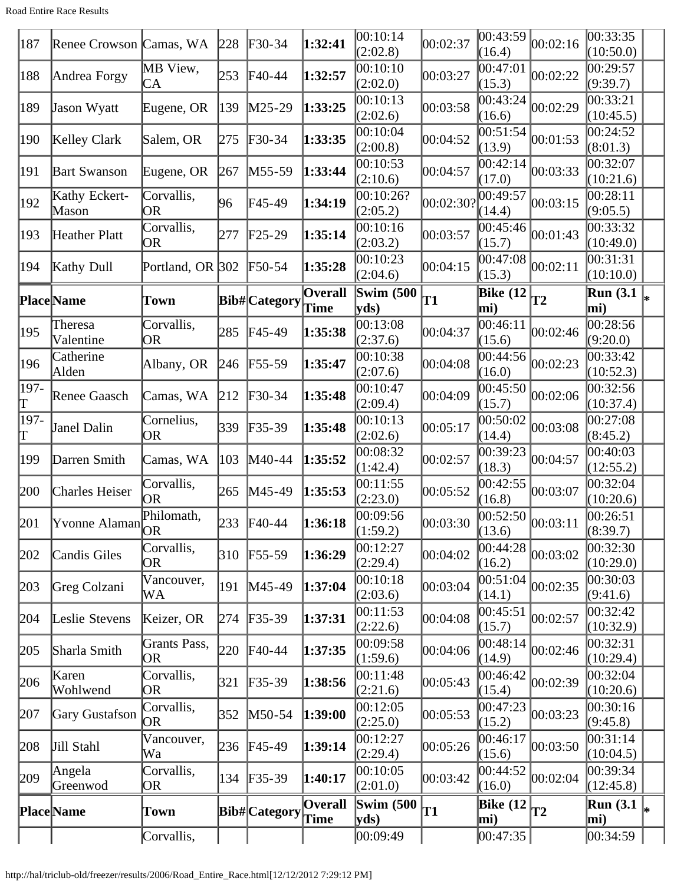Road Entire Race Results

| 187           | Renee Crowson Camas, WA |                           | 228 | $\textcolor{blue}{F30-34}$ | 1:32:41                       | 00:10:14<br>(2:02.8)                        | 00:02:37  | 00:43:59<br>(16.4)                                        | 00:02:16        | 00:33:35<br>(10:50.0)                         |  |
|---------------|-------------------------|---------------------------|-----|----------------------------|-------------------------------|---------------------------------------------|-----------|-----------------------------------------------------------|-----------------|-----------------------------------------------|--|
| 188           | Andrea Forgy            | MB View,<br>CA            | 253 | $\textsf{F}40-44$          | 1:32:57                       | 00:10:10<br>(2:02.0)                        | 00:03:27  | 00:47:01<br>(15.3)                                        | 00:02:22        | 00:29:57<br>(9:39.7)                          |  |
| 189           | Jason Wyatt             | Eugene, OR                | 139 | $M25-29$                   | 1:33:25                       | 00:10:13<br>(2:02.6)                        | 00:03:58  | 00:43:24<br>(16.6)                                        | 00:02:29        | 00:33:21<br>(10:45.5)                         |  |
| 190           | Kelley Clark            | Salem, OR                 | 275 | $F30-34$                   | 1:33:35                       | 00:10:04<br>(2:00.8)                        | 00:04:52  | 00:51:54<br>(13.9)                                        | 00:01:53        | 00:24:52<br>(8:01.3)                          |  |
| 191           | <b>Bart Swanson</b>     | Eugene, OR                | 267 | $M55-59$                   | 1:33:44                       | 00:10:53<br>(2:10.6)                        | 00:04:57  | 00:42:14<br>(17.0)                                        | 00:03:33        | 00:32:07<br>(10:21.6)                         |  |
| $ 192\rangle$ | Kathy Eckert-<br>Mason  | Corvallis,<br>OR          | 96  | F45-49                     | 1:34:19                       | 00:10:26?<br>(2:05.2)                       | 00:02:30? | 00:49:57<br>(14.4)                                        | 00:03:15        | 00:28:11<br>(9:05.5)                          |  |
| 193           | Heather Platt           | Corvallis,<br><b>OR</b>   | 277 | $\text{F25-29}$            | 1:35:14                       | 00:10:16<br>(2:03.2)                        | 00:03:57  | 00:45:46 <br>(15.7)                                       | 00:01:43        | 00:33:32<br>(10:49.0)                         |  |
| 194           | <b>Kathy Dull</b>       | Portland, OR 302          |     | $\text{F}50-54$            | 1:35:28                       | 00:10:23<br>(2:04.6)                        | 00:04:15  | 00:47:08<br>(15.3)                                        | 00:02:11        | 00:31:31<br>(10:10.0)                         |  |
|               | <b>Place</b> Name       | Town                      |     | Bib# Category              | <b>Overall</b><br><b>Time</b> | Swim $(500)$<br>$ {\bf v} {\bf d} s\rangle$ | T1        | <b>Bike</b> (12<br>mi)                                    | <b>T2</b>       | $\overline{\text{Run}}$ (3.1 $\vert_*$<br>mi) |  |
| 195           | Theresa<br>Valentine    | Corvallis,<br>OR          | 285 | $F45-49$                   | 1:35:38                       | 00:13:08<br>(2:37.6)                        | 00:04:37  | 00:46:11<br>(15.6)                                        | 00:02:46        | 00:28:56<br>(9:20.0)                          |  |
| 196           | Catherine<br>Alden      | Albany, OR                | 246 | $F55-59$                   | 1:35:47                       | 00:10:38<br>(2:07.6)                        | 00:04:08  | 00:44:56<br>(16.0)                                        | 00:02:23        | 00:33:42<br>(10:52.3)                         |  |
| 197-<br>T     | Renee Gaasch            | Camas, WA                 | 212 | $\textcolor{blue}{F}30-34$ | 1:35:48                       | 00:10:47<br>(2:09.4)                        | 00:04:09  | 00:45:50<br>(15.7)                                        | 00:02:06        | 00:32:56<br>(10:37.4)                         |  |
| 197-<br>T     | Janel Dalin             | Cornelius,<br>OR          | 339 | $F35-39$                   | 1:35:48                       | 00:10:13<br>(2:02.6)                        | 00:05:17  | 00:50:02<br>(14.4)                                        | 00:03:08        | 00:27:08<br>(8:45.2)                          |  |
| 199           | Darren Smith            | Camas, WA                 | 103 | M40-44                     | 1:35:52                       | 00:08:32<br>(1:42.4)                        | 00:02:57  | 00:39:23<br>(18.3)                                        | 00:04:57        | 00:40:03<br>(12:55.2)                         |  |
| 200           | <b>Charles Heiser</b>   | Corvallis,<br>OR          | 265 | $M45-49$                   | 1:35:53                       | 00:11:55<br>(2:23.0)                        | 00:05:52  | 00:42:55<br>(16.8)                                        | 00:03:07        | 00:32:04<br>(10:20.6)                         |  |
| 201           | Yvonne Alaman           | Philomath,                |     | 233 F40-44                 | 1:36:18                       | 00:09:56<br>(1:59.2)                        | 00:03:30  | $\left  \overline{00:52:50} \right _{00:03:11}$<br>(13.6) |                 | 00:26:51<br>(8:39.7)                          |  |
| 202           | Candis Giles            | Corvallis,<br>0R          | 310 | $F55-59$                   | 1:36:29                       | 00:12:27<br>(2:29.4)                        | 00:04:02  | 00:44:28<br>(16.2)                                        | 00:03:02        | 00:32:30<br>(10:29.0)                         |  |
| 203           | Greg Colzani            | Vancouver,<br>WA          | 191 | $M45-49$                   | 1:37:04                       | 00:10:18<br>(2:03.6)                        | 00:03:04  | 00:51:04<br>(14.1)                                        | 00:02:35        | 00:30:03<br>(9:41.6)                          |  |
| 204           | Leslie Stevens          | Keizer, OR                | 274 | $F35-39$                   | 1:37:31                       | 00:11:53<br>(2:22.6)                        | 00:04:08  | 00:45:51<br>(15.7)                                        | 00:02:57        | 00:32:42<br>(10:32.9)                         |  |
| 205           | Sharla Smith            | Grants Pass,<br><b>OR</b> | 220 | $\textsf{F}40-44$          | 1:37:35                       | 00:09:58<br>(1:59.6)                        | 00:04:06  | 00:48:14<br>(14.9)                                        | 00:02:46        | 00:32:31<br>(10:29.4)                         |  |
| 206           | Karen<br>Wohlwend       | Corvallis,<br><b>OR</b>   | 321 | $F35-39$                   | 1:38:56                       | 00:11:48<br>(2:21.6)                        | 00:05:43  | 00:46:42<br>(15.4)                                        | 00:02:39        | 00:32:04<br>(10:20.6)                         |  |
| 207           | Gary Gustafson          | Corvallis,<br>OR          | 352 | $M50-54$                   | 1:39:00                       | 00:12:05<br>(2:25.0)                        | 00:05:53  | 00:47:23<br>(15.2)                                        | 00:03:23        | 00:30:16<br>(9:45.8)                          |  |
| 208           | Jill Stahl              | Vancouver,<br>Wa          | 236 | $F45-49$                   | 1:39:14                       | 00:12:27<br>(2:29.4)                        | 00:05:26  | 00:46:17<br>(15.6)                                        | 00:03:50        | 00:31:14<br>(10:04.5)                         |  |
| 209           | Angela<br>Greenwod      | Corvallis,<br>OR          | 134 | $F35-39$                   | 1:40:17                       | 00:10:05<br>(2:01.0)                        | 00:03:42  | 00:44:52<br>(16.0)                                        | 00:02:04        | 00:39:34<br>(12:45.8)                         |  |
|               | Place Name              | Town                      |     | Bib#Category Time          | Overall                       | Swim $(500)$<br>yds                         | <b>T1</b> | Bike $(12)$<br>mi)                                        | $\overline{12}$ | Run $(3.1)$<br>mi)                            |  |
|               |                         | Corvallis,                |     |                            |                               | 00:09:49                                    |           | 00:47:35                                                  |                 | 00:34:59                                      |  |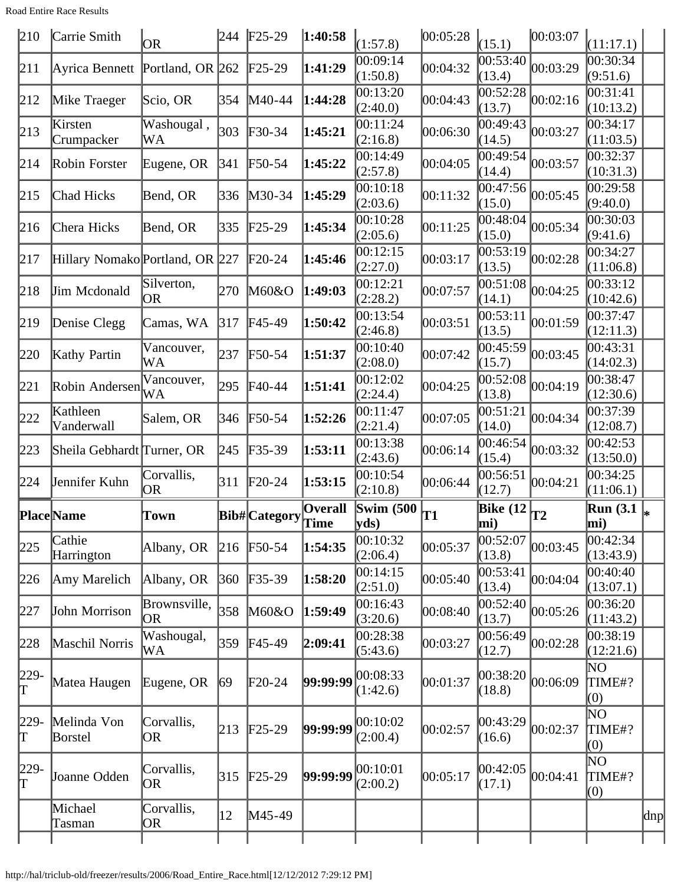Road Entire Race Results

| 210       | Carrie Smith                    | <b>OR</b>               | 244               | $F25-29$                      | 1:40:58        | (1:57.8)                    | 00:05:28 | (15.1)                 | 00:03:07 | (11:17.1)             |     |
|-----------|---------------------------------|-------------------------|-------------------|-------------------------------|----------------|-----------------------------|----------|------------------------|----------|-----------------------|-----|
| 211       | Ayrica Bennett Portland, OR 262 |                         |                   | $\text{F25-29}$               | 1:41:29        | 00:09:14<br>(1:50.8)        | 00:04:32 | 00:53:40<br>(13.4)     | 00:03:29 | 00:30:34<br>(9:51.6)  |     |
| 212       | Mike Traeger                    | Scio, OR                | 354               | M40-44                        | 1:44:28        | 00:13:20<br>(2:40.0)        | 00:04:43 | 00:52:28<br>(13.7)     | 00:02:16 | 00:31:41<br>(10:13.2) |     |
| 213       | Kirsten<br>Crumpacker           | Washougal,<br>WA        | 303               | $F30-34$                      | 1:45:21        | 00:11:24<br>(2:16.8)        | 00:06:30 | 00:49:43<br>(14.5)     | 00:03:27 | 00:34:17<br>(11:03.5) |     |
| 214       | Robin Forster                   | Eugene, OR              | 341               | F50-54                        | 1:45:22        | 00:14:49<br>(2:57.8)        | 00:04:05 | 00:49:54<br>(14.4)     | 00:03:57 | 00:32:37<br>(10:31.3) |     |
| 215       | Chad Hicks                      | Bend, OR                | 336               | M30-34                        | 1:45:29        | 00:10:18<br>(2:03.6)        | 00:11:32 | 00:47:56<br>(15.0)     | 00:05:45 | 00:29:58<br>(9:40.0)  |     |
| 216       | Chera Hicks                     | Bend, OR                | 335               | $F25-29$                      | 1:45:34        | 00:10:28<br>(2:05.6)        | 00:11:25 | 00:48:04<br>(15.0)     | 00:05:34 | 00:30:03<br>(9:41.6)  |     |
| 217       | Hillary Nomako Portland, OR 227 |                         |                   | $F20-24$                      | 1:45:46        | 00:12:15<br>(2:27.0)        | 00:03:17 | 00:53:19<br>(13.5)     | 00:02:28 | 00:34:27<br>(11:06.8) |     |
| 218       | Jim Mcdonald                    | Silverton,<br><b>OR</b> | 270               | M60&O                         | 1:49:03        | 00:12:21<br>(2:28.2)        | 00:07:57 | 00:51:08<br>(14.1)     | 00:04:25 | 00:33:12<br>(10:42.6) |     |
| 219       | Denise Clegg                    | Camas, WA               | 317               | F45-49                        | 1:50:42        | 00:13:54<br>(2:46.8)        | 00:03:51 | 00:53:11<br>(13.5)     | 00:01:59 | 00:37:47<br>(12:11.3) |     |
| 220       | Kathy Partin                    | Vancouver,<br>WA        | 237               | $\text{F}50-54$               | 1:51:37        | 00:10:40<br>(2:08.0)        | 00:07:42 | 00:45:59<br>(15.7)     | 00:03:45 | 00:43:31<br>(14:02.3) |     |
| 221       | Robin Andersen                  | Vancouver,<br>WA        | 295               | F40-44                        | 1:51:41        | 00:12:02<br>(2:24.4)        | 00:04:25 | 00:52:08<br>(13.8)     | 00:04:19 | 00:38:47<br>(12:30.6) |     |
| 222       | Kathleen<br>Vanderwall          | Salem, OR               | 346               | F50-54                        | 1:52:26        | 00:11:47<br>(2:21.4)        | 00:07:05 | 00:51:21<br>(14.0)     | 00:04:34 | 00:37:39<br>(12:08.7) |     |
| 223       | Sheila Gebhardt Turner, OR      |                         | 245               | $F35-39$                      | 1:53:11        | 00:13:38<br>(2:43.6)        | 00:06:14 | 00:46:54<br>(15.4)     | 00:03:32 | 00:42:53<br>(13:50.0) |     |
| 224       | Jennifer Kuhn                   | Corvallis,<br><b>OR</b> | 311               | $F20-24$                      | 1:53:15        | 00:10:54<br>(2:10.8)        | 00:06:44 | 00:56:51<br>(12.7)     | 00:04:21 | 00:34:25<br>(11:06.1) |     |
|           |                                 |                         |                   |                               |                |                             |          |                        |          |                       |     |
|           | <b>Place</b> Name               | Town                    |                   |                               | <b>Overall</b> | Swim $(500)$                | T1       | <b>Bike (12</b><br>mi) | T2       | Run $(3.1)$<br>mi)    |     |
| 225       | Cathie<br>Harrington            | Albany, OR              | 216               | Bib#Category Time<br>$F50-54$ | 1:54:35        | yds<br>00:10:32<br>(2:06.4) | 00:05:37 | 00:52:07<br>(13.8)     | 00:03:45 | 00:42:34<br>(13:43.9) |     |
| 226       | Amy Marelich                    | Albany, OR              | 360               | $F35-39$                      | 1:58:20        | 00:14:15<br>(2:51.0)        | 00:05:40 | 00:53:41<br>(13.4)     | 00:04:04 | 00:40:40<br>(13:07.1) |     |
| 227       | John Morrison                   | Brownsville,<br>OR.     | 358               | M60&O                         | 1:59:49        | 00:16:43<br>(3:20.6)        | 00:08:40 | 00:52:40<br>(13.7)     | 00:05:26 | 00:36:20<br>(11:43.2) |     |
| 228       | Maschil Norris                  | Washougal,<br>WA        | 359               | $F45-49$                      | 2:09:41        | 00:28:38<br>(5:43.6)        | 00:03:27 | 00:56:49<br>(12.7)     | 00:02:28 | 00:38:19<br>(12:21.6) |     |
| 229-<br>Γ | Matea Haugen                    | Eugene, OR              | 69                | $F20-24$                      | 99:99:99       | 00:08:33<br>(1:42.6)        | 00:01:37 | 00:38:20<br>(18.8)     | 00:06:09 | ΝO<br>TIME#?<br>(0)   |     |
| 229-<br>Τ | Melinda Von<br>Borstel          | Corvallis,<br>OR)       | 213               | $F25-29$                      | 99:99:99       | 00:10:02<br>(2:00.4)        | 00:02:57 | 00:43:29<br>(16.6)     | 00:02:37 | 'NО<br>TIME#?<br>(0)  |     |
| 229-<br>Γ | Joanne Odden                    | Corvallis,<br>OR.       | $\vert 315 \vert$ | $F25-29$                      | 99:99:99       | 00:10:01<br>(2:00.2)        | 00:05:17 | 00:42:05<br>(17.1)     | 00:04:41 | 'NО<br>TIME#?<br>(0)  |     |
|           | Michael<br>Tasman               | Corvallis,<br> OR       | 12                | M45-49                        |                |                             |          |                        |          |                       | dnp |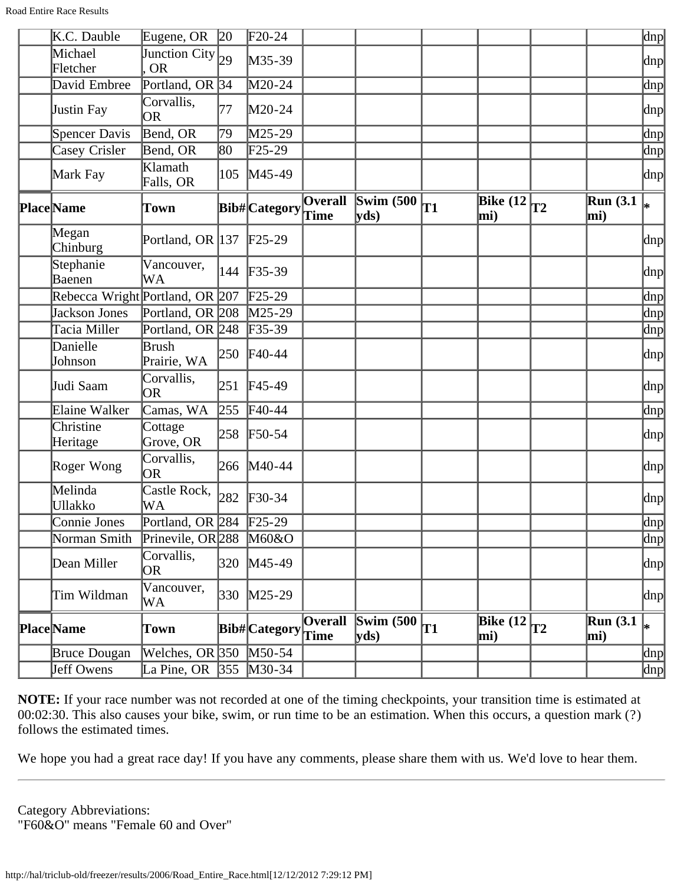| K.C. Dauble                     | Eugene, OR $ 20 $                  |     | $F20-24$             |                        |                                 |    |                         |    |                         | dnp                       |
|---------------------------------|------------------------------------|-----|----------------------|------------------------|---------------------------------|----|-------------------------|----|-------------------------|---------------------------|
| Michael<br>Fletcher             | Junction City $_{29}$<br><b>OR</b> |     | M35-39               |                        |                                 |    |                         |    |                         | $ {\rm dnp} $             |
| David Embree                    | Portland, OR $ 34 $                |     | M20-24               |                        |                                 |    |                         |    |                         | dnp                       |
| Justin Fay                      | Corvallis,<br><b>OR</b>            | 77  | $M20-24$             |                        |                                 |    |                         |    |                         | dnp                       |
| Spencer Davis                   | Bend, OR                           | 79  | M25-29               |                        |                                 |    |                         |    |                         | $\lfloor dnp \rfloor$     |
| Casey Crisler                   | Bend, OR                           | 80  | $\text{F25-29}$      |                        |                                 |    |                         |    |                         | dnp                       |
| Mark Fay                        | Klamath<br>Falls, OR               | 105 | M45-49               |                        |                                 |    |                         |    |                         | dnp                       |
| Place Name                      | Town                               |     | <b>Bib# Category</b> | <b>Overall</b><br>Time | $\sqrt{\text{Swim}$ (500<br>yds | T1 | Bike (12 $\vert$<br>mi) | T2 | <b>Run</b> (3.1)<br>mi) | l∗                        |
| Megan<br>Chinburg               | Portland, OR 137 F25-29            |     |                      |                        |                                 |    |                         |    |                         | dnp                       |
| Stephanie<br>Baenen             | Vancouver,<br>WA                   |     | 144 F35-39           |                        |                                 |    |                         |    |                         | dnp                       |
| Rebecca Wright Portland, OR 207 |                                    |     | $F25-29$             |                        |                                 |    |                         |    |                         | dnp                       |
| Jackson Jones                   | Portland, OR 208                   |     | $M25-29$             |                        |                                 |    |                         |    |                         | $\ln p$                   |
| Tacia Miller                    | Portland, OR 248                   |     | $F35-39$             |                        |                                 |    |                         |    |                         | $\text{dnp}$              |
| Danielle<br>Johnson             | Brush<br>Prairie, WA               |     | 250 F40-44           |                        |                                 |    |                         |    |                         | dnp                       |
| Judi Saam                       | Corvallis,<br><b>OR</b>            | 251 | $F45-49$             |                        |                                 |    |                         |    |                         | $ {\rm dnp} $             |
| Elaine Walker                   | Camas, WA                          | 255 | $F40-44$             |                        |                                 |    |                         |    |                         | dnp                       |
| Christine<br>Heritage           | Cottage<br>Grove, OR               |     | 258 F50-54           |                        |                                 |    |                         |    |                         | dnp                       |
| Roger Wong                      | Corvallis,<br><b>OR</b>            |     | 266 M40-44           |                        |                                 |    |                         |    |                         | dnp                       |
| Melinda<br><b>Ullakko</b>       | Castle Rock,<br>WA                 | 282 | $F30-34$             |                        |                                 |    |                         |    |                         | dnp                       |
| Connie Jones                    | Portland, OR 284 F25-29            |     |                      |                        |                                 |    |                         |    |                         | $\left \text{dnp}\right $ |
| Norman Smith                    | Prinevile, OR 288 M60&O            |     |                      |                        |                                 |    |                         |    |                         | $\overline{p}$            |
| Dean Miller                     | Corvallis,<br>OR                   |     | 320 M45-49           |                        |                                 |    |                         |    |                         | $\alpha$                  |
| Tim Wildman                     | Vancouver,<br>WA                   |     | 330 M25-29           |                        |                                 |    |                         |    |                         | dnp                       |
| Place Name                      | Town                               |     | Bib#Category Time    | <b>Overall</b>         | Swim $(500)$<br>yds             | T1 | <b>Bike</b> (12<br>mi)  | T2 | <b>Run</b> (3.1)<br>mi) | ∗                         |
| <b>Bruce Dougan</b>             | Welches, OR $350$ M50-54           |     |                      |                        |                                 |    |                         |    |                         | dnp                       |
| Jeff Owens                      | La Pine, OR $ 355 $                |     | $M30-34$             |                        |                                 |    |                         |    |                         | dnp                       |

We hope you had a great race day! If you have any comments, please share them with us. We'd love to hear them.

Category Abbreviations: "F60&O" means "Female 60 and Over"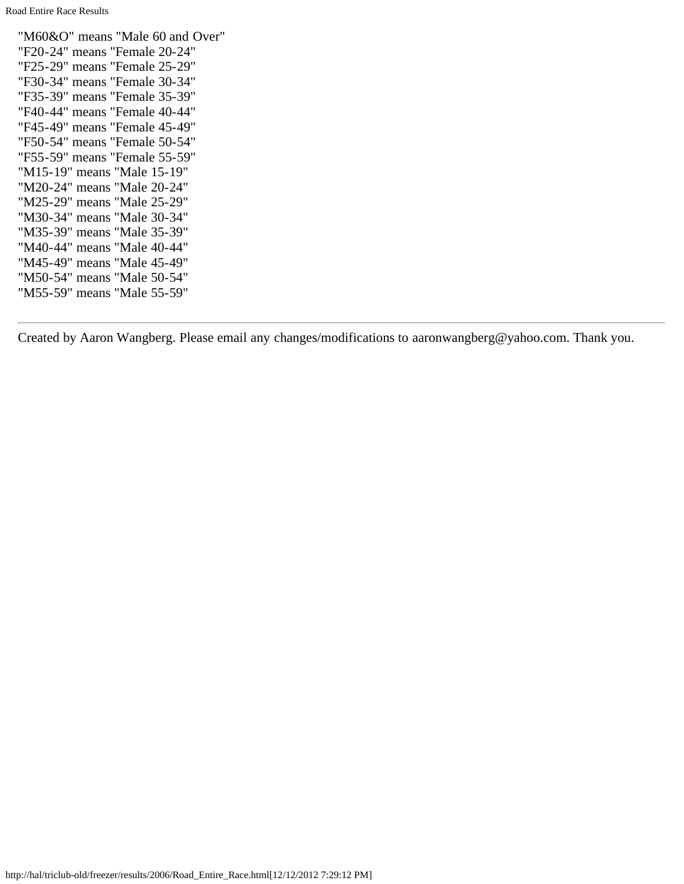"M60&O" means "Male 60 and Over" "F20-24" means "Female 20-24" "F25-29" means "Female 25-29" "F30-34" means "Female 30-34" "F35-39" means "Female 35-39" "F40-44" means "Female 40-44" "F45-49" means "Female 45-49" "F50-54" means "Female 50-54" "F55-59" means "Female 55-59" "M15-19" means "Male 15-19" "M20-24" means "Male 20-24" "M25-29" means "Male 25-29" "M30-34" means "Male 30-34" "M35-39" means "Male 35-39" "M40-44" means "Male 40-44" "M45-49" means "Male 45-49" "M50-54" means "Male 50-54" "M55-59" means "Male 55-59"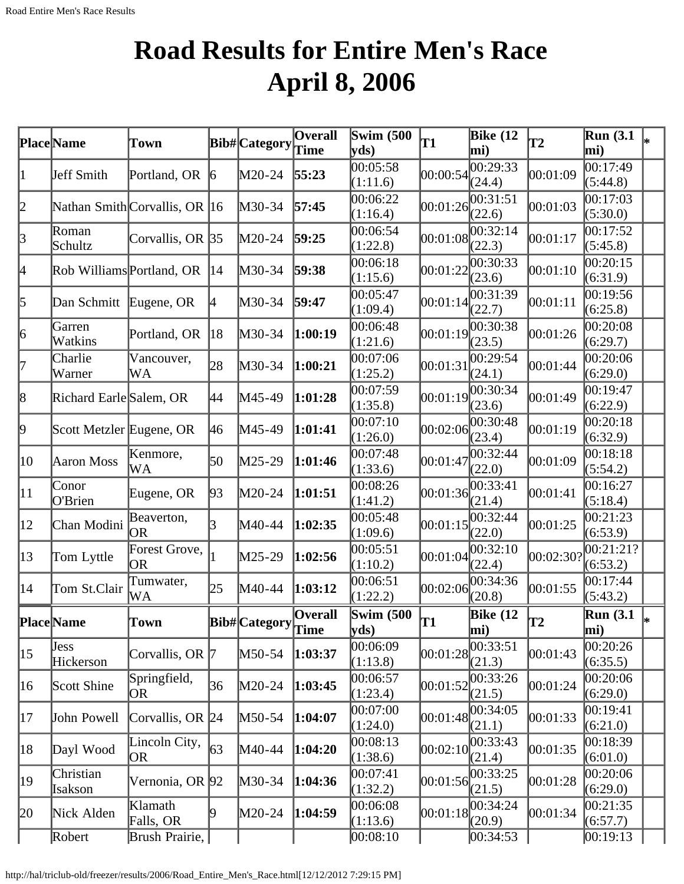# **Road Results for Entire Men's Race April 8, 2006**

|              | Place Name                | Town                          |                 | $ _{\text{Bib#}}$ Category $ _{\text{Time}}^{\sim}$ | Overall | <b>Swim (500)</b><br>yds)    | T1         | <b>Bike</b> (12<br>mi)          | T2        | <b>Run</b> (3.1)<br>mi) | l∗ |
|--------------|---------------------------|-------------------------------|-----------------|-----------------------------------------------------|---------|------------------------------|------------|---------------------------------|-----------|-------------------------|----|
| 1            | Jeff Smith                | Portland, OR                  | $\vert 6 \vert$ | M20-24                                              | 55:23   | 00:05:58<br>(1:11.6)         | 00:00:54   | 00:29:33<br>(24.4)              | 00:01:09  | 00:17:49<br>(5:44.8)    |    |
| 2            |                           | Nathan Smith Corvallis, OR 16 |                 | M30-34                                              | 57:45   | 00:06:22<br>(1:16.4)         | 00:01:26   | 00:31:51<br>(22.6)              | 00:01:03  | 00:17:03<br>(5:30.0)    |    |
| $\vert$ 3    | Roman<br>Schultz          | Corvallis, OR 35              |                 | M20-24                                              | 59:25   | 00:06:54<br>(1:22.8)         | 00:01:08   | $\overline{00:}32:14$<br>(22.3) | 00:01:17  | 00:17:52<br>(5:45.8)    |    |
| 4            | Rob Williams Portland, OR |                               | 14              | M30-34                                              | 59:38   | 00:06:18<br>(1:15.6)         | 00:01:22   | 00:30:33<br>(23.6)              | 00:01:10  | 00:20:15<br>(6:31.9)    |    |
| 5            | Dan Schmitt               | Eugene, OR                    | 4               | M30-34                                              | 59:47   | 00:05:47<br>(1:09.4)         | 00:01:14   | 00:31:39<br>(22.7)              | 00:01:11  | 00:19:56<br>(6:25.8)    |    |
| 6            | Garren<br>Watkins         | Portland, OR                  | 18              | M30-34                                              | 1:00:19 | 00:06:48<br>(1:21.6)         | 00:01:19   | 00:30:38<br>(23.5)              | 00:01:26  | 00:20:08<br>(6:29.7)    |    |
| 7            | Charlie<br>Warner         | Vancouver,<br>WA              | 28              | M30-34                                              | 1:00:21 | 00:07:06<br>(1:25.2)         | 00:01:31   | 00:29:54<br>(24.1)              | 00:01:44  | 00:20:06<br>(6:29.0)    |    |
| 8            | Richard Earle Salem, OR   |                               | 44              | M45-49                                              | 1:01:28 | 00:07:59<br>(1:35.8)         | 00:01:19   | 00:30:34<br>(23.6)              | 00:01:49  | 00:19:47<br>(6:22.9)    |    |
| þ.           | Scott Metzler Eugene, OR  |                               | 46              | M45-49                                              | 1:01:41 | 00:07:10<br>(1:26.0)         | 00:02:06   | 00:30:48<br>(23.4)              | 00:01:19  | 00:20:18<br>(6:32.9)    |    |
| 10           | Aaron Moss                | Kenmore,<br>WA                | 50              | M25-29                                              | 1:01:46 | 00:07:48<br>(1:33.6)         | 00:01:47   | 00:32:44<br>(22.0)              | 00:01:09  | 00:18:18<br>(5:54.2)    |    |
| $ 11\rangle$ | Conor<br>O'Brien          | Eugene, OR                    | 93              | M20-24                                              | 1:01:51 | 00:08:26<br>(1:41.2)         | 00:01:36   | 00:33:41<br>(21.4)              | 00:01:41  | 00:16:27<br>(5:18.4)    |    |
| $ 12\rangle$ | Chan Modini               | Beaverton,<br>OR              | 3               | M40-44                                              | 1:02:35 | 00:05:48<br>(1:09.6)         | 00:01:15   | 00:32:44<br>(22.0)              | 00:01:25  | 00:21:23<br>(6:53.9)    |    |
| $ 13\rangle$ | Tom Lyttle                | Forest Grove,<br><b>OR</b>    |                 | M25-29                                              | 1:02:56 | 00:05:51<br>(1:10.2)         | 00:01:04   | 00:32:10<br>(22.4)              | 00:02:30? | 00:21:21?<br>(6:53.2)   |    |
| $ 14\rangle$ | Tom St.Clair              | Tumwater,<br>WА               | 25              | M40-44                                              | 1:03:12 | 00:06:51<br>(1:22.2)         | 00:02:06   | 00:34:36<br>(20.8)              | 00:01:55  | 00:17:44<br>(5:43.2)    |    |
|              | Place Name                | Town                          |                 | Bib# Category Overall                               | ∣Tıme   | <b>Swim (500)</b><br>$yds$ ) | lT1        | <b>Bike</b> (12<br>mi)          | <b>T2</b> | <b>Run</b> (3.1<br>mi)  | *  |
| $ 15\rangle$ | <b>Jess</b><br>Hickerson  | Corvallis, OR 7               |                 | M50-54                                              | 1:03:37 | 00:06:09<br>(1:13.8)         | 00:01:28   | 00:33:51<br>(21.3)              | 00:01:43  | 00:20:26<br>(6:35.5)    |    |
| 16           | Scott Shine               | Springfield,<br>OR            | 36              | M20-24                                              | 1:03:45 | 00:06:57<br>(1:23.4)         | 00:01:52   | 00:33:26<br>(21.5)              | 00:01:24  | 00:20:06<br>(6:29.0)    |    |
| 17           | John Powell               | Corvallis, OR 24              |                 | M50-54                                              | 1:04:07 | 00:07:00<br>(1:24.0)         | 00:01:48   | 00:34:05<br>(21.1)              | 00:01:33  | 00:19:41<br>(6:21.0)    |    |
| 18           | Dayl Wood                 | Lincoln City,<br> OR          | $\sqrt{63}$     | M40-44                                              | 1:04:20 | 00:08:13<br>(1:38.6)         | 00:02:10   | 00:33:43<br>(21.4)              | 00:01:35  | 00:18:39<br>(6:01.0)    |    |
| 19           | Christian<br>Isakson      | Vernonia, OR 92               |                 | M30-34                                              | 1:04:36 | 00:07:41<br>(1:32.2)         | [00:01:56] | 00:33:25<br>(21.5)              | 00:01:28  | 00:20:06<br>(6:29.0)    |    |
| 20           | Nick Alden                | Klamath<br>Falls, OR          | 19.             | M20-24                                              | 1:04:59 | 00:06:08<br>(1:13.6)         | 00:01:18   | 00:34:24<br>(20.9)              | 00:01:34  | 00:21:35<br>(6:57.7)    |    |
|              | Robert                    | Brush Prairie,                |                 |                                                     |         | 00:08:10                     |            | 00:34:53                        |           | 00:19:13                |    |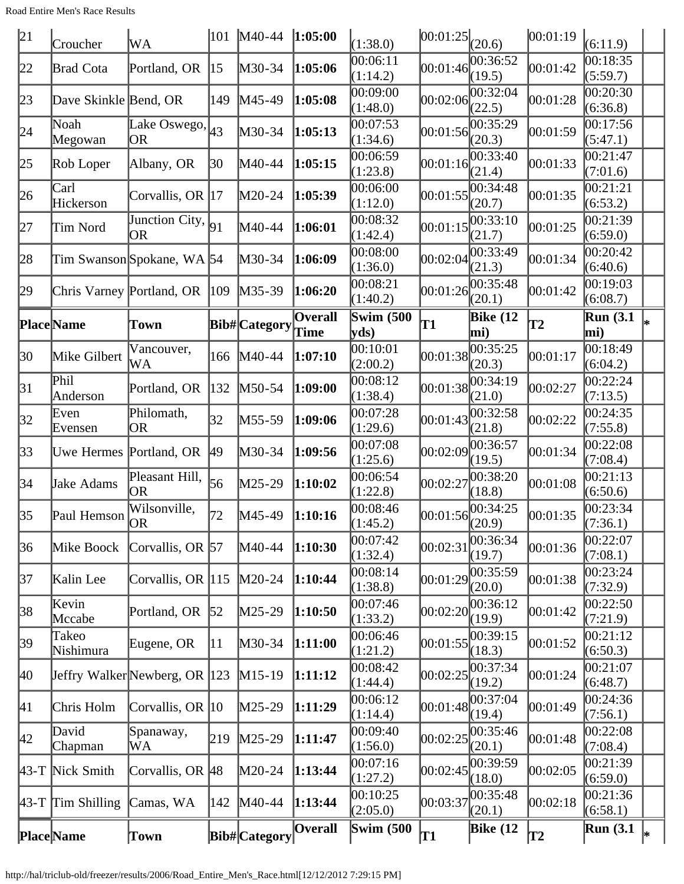| 21           | Croucher                    | WA                                 |                  | 101 M40-44        | 1:05:00        | (1:38.0)                  | 00:01:25                   | (20.6)                            | 00:01:19 | (6:11.9)               |   |
|--------------|-----------------------------|------------------------------------|------------------|-------------------|----------------|---------------------------|----------------------------|-----------------------------------|----------|------------------------|---|
| 22           | <b>Brad Cota</b>            | Portland, OR                       | 15               | $M30-34$          | 1:05:06        | 00:06:11<br>(1:14.2)      | 00:01:46                   | 00:36:52<br>(19.5)                | 00:01:42 | 00:18:35<br>(5:59.7)   |   |
| 23           | Dave Skinkle Bend, OR       |                                    | 149              | $M45-49$          | 1:05:08        | 00:09:00<br>(1:48.0)      | 00:02:06                   | 00:32:04<br>(22.5)                | 00:01:28 | 00:20:30<br>(6:36.8)   |   |
| 24           | Noah<br>Megowan             | Lake Oswego, $ _{43}$<br><b>OR</b> |                  | M30-34            | 1:05:13        | 00:07:53<br>(1:34.6)      | 00:01:56                   | 00:35:29<br>(20.3)                | 00:01:59 | 00:17:56<br>(5:47.1)   |   |
| 25           | Rob Loper                   | Albany, OR                         | 30               | M40-44            | 1:05:15        | 00:06:59<br>(1:23.8)      | 00:01:16                   | 00:33:40<br>(21.4)                | 00:01:33 | 00:21:47<br>(7:01.6)   |   |
| 26           | Carl<br>Hickerson           | Corvallis, OR 17                   |                  | $M20-24$          | 1:05:39        | 00:06:00<br>(1:12.0)      |                            | 00:01:55 <br>(20.7)               | 00:01:35 | 00:21:21<br>(6:53.2)   |   |
| 27           | Tim Nord                    | Junction City, $\vert_{91}$<br>OR  |                  | M40-44            | 1:06:01        | 00:08:32<br>(1:42.4)      | 00:01:15                   | 00:33:10<br>(21.7)                | 00:01:25 | 00:21:39<br>(6:59.0)   |   |
| 28           |                             | Tim Swanson Spokane, WA 54         |                  | $M30-34$          | 1:06:09        | 00:08:00<br>(1:36.0)      | 00:02:04                   | 00:33:49<br>(21.3)                | 00:01:34 | 00:20:42<br>(6:40.6)   |   |
| 29           |                             | Chris Varney Portland, OR  109     |                  | $M35-39$          | 1:06:20        | 00:08:21<br>(1:40.2)      | 00:01:26                   | 00:35:48<br>(20.1)                | 00:01:42 | 00:19:03<br>(6:08.7)   |   |
|              | <b>Place</b> Name           | Town                               |                  | Bib#Category Time | <b>Overall</b> | <b>Swim (500)</b><br>yds) | T1                         | <b>Bike (12</b><br>mi)            | T2       | <b>Run</b> (3.1<br>mi) |   |
| 30           | Mike Gilbert                | Vancouver,<br>WА                   | 166              | $M40-44$          | 1:07:10        | 00:10:01<br>(2:00.2)      |                            | 00:01:38 <br>(20.3)               | 00:01:17 | 00:18:49<br>(6:04.2)   |   |
| 31           | Phil<br>Anderson            | Portland, OR                       | 132              | M50-54            | 1:09:00        | 00:08:12<br>(1:38.4)      | 00:01:38                   | 00:34:19<br>(21.0)                | 00:02:27 | 00:22:24<br>(7:13.5)   |   |
| 32           | Even<br>Evensen             | Philomath,<br><b>OR</b>            | 32               | $M55-59$          | 1:09:06        | 00:07:28<br>(1:29.6)      | 00:01:43                   | 00:32:58<br>(21.8)                | 00:02:22 | 00:24:35<br>(7:55.8)   |   |
| 33           | Uwe Hermes Portland, OR     |                                    | 49               | $M30-34$          | 1:09:56        | 00:07:08<br>(1:25.6)      | 00:02:09                   | 00:36:57<br>(19.5)                | 00:01:34 | 00:22:08<br>(7:08.4)   |   |
| 34           | Jake Adams                  | Pleasant Hill,<br><b>OR</b>        | 56               | $M25-29$          | 1:10:02        | 00:06:54<br>(1:22.8)      | 00:02:27                   | 00:38:20<br>(18.8)                | 00:01:08 | 00:21:13<br>(6:50.6)   |   |
| 35           | Paul Hemson $\overline{OR}$ | Wilsonville,                       | 72               | M45-49            | 1:10:16        | 00:08:46<br>(1:45.2)      | $[00:01:56]^{00}_{(20.9)}$ | 00:34:25                          | 00:01:35 | 00:23:34<br>(7:36.1)   |   |
| 36           | Mike Boock                  | Corvallis, OR 57                   |                  | M40-44            | 1:10:30        | 00:07:42<br>(1:32.4)      | 00:02:31                   | 00:36:34<br>(19.7)                | 00:01:36 | 00:22:07<br>(7:08.1)   |   |
| 37           | Kalin Lee                   | Corvallis, OR 115                  |                  | $M20-24$          | 1:10:44        | 00:08:14<br>(1:38.8)      | 00:01:29                   | 00:35:59<br>(20.0)                | 00:01:38 | 00:23:24<br>(7:32.9)   |   |
| 38           | Kevin<br>Mccabe             | Portland, OR                       | $\vert 52 \vert$ | $M25-29$          | 1:10:50        | 00:07:46<br>(1:33.2)      | 00:02:20                   | 00:36:12<br>(19.9)                | 00:01:42 | 00:22:50<br>(7:21.9)   |   |
| 39           | Takeo<br>Nishimura          | Eugene, OR                         | 11               | M30-34            | 1:11:00        | 00:06:46<br>(1:21.2)      | 00:01:55                   | 00:39:15<br>(18.3)                | 00:01:52 | 00:21:12<br>(6:50.3)   |   |
| 40           |                             | Jeffry Walker Newberg, OR 123      |                  | $M15-19$          | 1:11:12        | 00:08:42<br>(1:44.4)      | 00:02:25                   | 00:37:34<br>(19.2)                | 00:01:24 | 00:21:07<br>(6:48.7)   |   |
| $ 41\rangle$ | Chris Holm                  | Corvallis, OR $ 10\rangle$         |                  | $M25-29$          | 1:11:29        | 00:06:12<br>(1:14.4)      | 00:01:48                   | 00:37:04<br>(19.4)                | 00:01:49 | 00:24:36<br>(7:56.1)   |   |
| 42           | David<br>Chapman            | Spanaway,<br>WА                    | 219              | $M25-29$          | 1:11:47        | 00:09:40<br>(1:56.0)      |                            | $ 00:02:25 ^{00:35:46}$<br>(20.1) | 00:01:48 | 00:22:08<br>(7:08.4)   |   |
|              | 43-T Nick Smith             | Corvallis, OR 48                   |                  | $M20-24$          | 1:13:44        | 00:07:16<br>(1:27.2)      | 00:02:45                   | 00:39:59<br>(18.0)                | 00:02:05 | 00:21:39<br>(6:59.0)   |   |
|              | $43-T$ Tim Shilling         | Camas, WA                          | 142              | $M40-44$          | 1:13:44        | 00:10:25<br>(2:05.0)      | 00:03:37                   | 00:35:48<br>(20.1)                | 00:02:18 | 00:21:36<br>(6:58.1)   |   |
|              | <b>Place</b> Name           | Town                               |                  | Bib#Category      | Overall        | <b>Swim</b> (500)         | T1                         | <b>Bike (12</b>                   | T2       | <b>Run</b> (3.1)       | ∗ |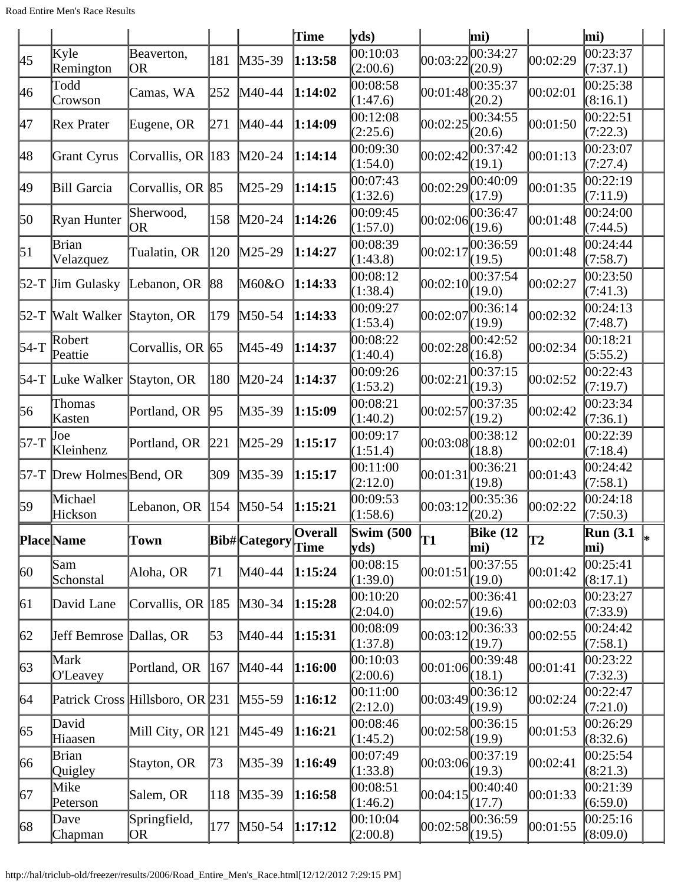|             |                              |                                     |     |                   | Time           | yds                       |          | mi)                |          | $\vert$ mi)           |             |
|-------------|------------------------------|-------------------------------------|-----|-------------------|----------------|---------------------------|----------|--------------------|----------|-----------------------|-------------|
| 45          | Kyle<br>Remington            | Beaverton,<br><b>OR</b>             | 181 | $M35-39$          | 1:13:58        | 00:10:03<br>(2:00.6)      | 00:03:22 | 00:34:27<br>(20.9) | 00:02:29 | 00:23:37<br>(7:37.1)  |             |
| 46          | Todd<br>Crowson              | Camas, WA                           | 252 | $M40-44$          | 1:14:02        | 00:08:58<br>(1:47.6)      | 00:01:48 | 00:35:37<br>(20.2) | 00:02:01 | 00:25:38<br>(8:16.1)  |             |
| 47          | Rex Prater                   | Eugene, OR                          | 271 | $M40-44$          | 1:14:09        | 00:12:08<br>(2:25.6)      | 00:02:25 | 00:34:55<br>(20.6) | 00:01:50 | 00:22:51<br>(7:22.3)  |             |
| 48          | Grant Cyrus                  | Corvallis, OR 183                   |     | $M20-24$          | 1:14:14        | 00:09:30<br>(1:54.0)      | 00:02:42 | 00:37:42<br>(19.1) | 00:01:13 | 00:23:07<br>(7:27.4)  |             |
| 49          | Bill Garcia                  | Corvallis, OR 85                    |     | $M25-29$          | 1:14:15        | 00:07:43<br>(1:32.6)      | 00:02:29 | 00:40:09<br>(17.9) | 00:01:35 | 00:22:19<br>(7:11.9)  |             |
| 50          | Ryan Hunter                  | Sherwood,<br>OR                     | 158 | $M20-24$          | 1:14:26        | 00:09:45<br>(1:57.0)      | 00:02:06 | 00:36:47<br>(19.6) | 00:01:48 | 00:24:00<br>(7:44.5)  |             |
| 51          | Brian<br>Velazquez           | Tualatin, OR                        | 120 | $M25-29$          | 1:14:27        | 00:08:39<br>(1:43.8)      | 00:02:17 | 00:36:59<br>(19.5) | 00:01:48 | 00:24:44<br>(7:58.7)  |             |
|             | $52-T$ Jim Gulasky           | Lebanon, OR 88                      |     | M60&O             | 1:14:33        | 00:08:12<br>(1:38.4)      | 00:02:10 | 00:37:54<br>(19.0) | 00:02:27 | 00:23:50<br>(7:41.3)  |             |
|             | 52-T Walt Walker             | Stayton, OR                         | 179 | $M50-54$          | 1:14:33        | 00:09:27<br>(1:53.4)      | 00:02:07 | 00:36:14<br>(19.9) | 00:02:32 | 00:24:13<br>(7:48.7)  |             |
| $54-T$      | Robert<br>Peattie            | Corvallis, OR 65                    |     | M45-49            | 1:14:37        | 00:08:22<br>(1:40.4)      | 00:02:28 | 00:42:52<br>(16.8) | 00:02:34 | 00:18:21<br>(5:55.2)  |             |
|             | 54-T Luke Walker Stayton, OR |                                     | 180 | $M20-24$          | 1:14:37        | 00:09:26<br>(1:53.2)      | 00:02:21 | 00:37:15<br>(19.3) | 00:02:52 | 00:22:43<br>(7:19.7)  |             |
| 56          | Thomas<br>Kasten             | Portland, OR                        | 95  | M35-39            | 1:15:09        | 00:08:21<br>(1:40.2)      | 00:02:57 | 00:37:35<br>(19.2) | 00:02:42 | 00:23:34<br>(7:36.1)  |             |
| $57-T$      | Joe<br>Kleinhenz             | Portland, OR                        | 221 | $M25-29$          | 1:15:17        | 00:09:17<br>(1:51.4)      | 00:03:08 | 00:38:12<br>(18.8) | 00:02:01 | 00:22:39<br>(7:18.4)  |             |
|             | 57-T Drew Holmes Bend, OR    |                                     | 309 | $M35-39$          | 1:15:17        | 00:11:00<br>(2:12.0)      | 00:01:31 | 00:36:21<br>(19.8) | 00:01:43 | 00:24:42<br>(7:58.1)  |             |
| 59          | Michael<br>Hickson           | Lebanon, OR                         | 154 | $M50-54$          | 1:15:21        | 00:09:53<br>(1:58.6)      | 00:03:12 | 00:35:36<br>(20.2) | 00:02:22 | 00:24:18<br>(7:50.3)  |             |
|             | Place Name                   | Town                                |     | Bib#Category Time | <b>Overall</b> | <b>Swim (500)</b><br>yds) | T1       | Bike $(12)$<br>mi) | T2       | Run(3.1)<br>mi)       | $\vert_{*}$ |
| 60          | Sam<br>Schonstal             | Aloha, OR                           | 71  | M40-44            | 1:15:24        | 00:08:15<br>(1:39.0)      | 00:01:51 | 00:37:55<br>(19.0) | 00:01:42 | 00:25:41<br>(8:17.1)  |             |
| 61          | David Lane                   | Corvallis, OR 185                   |     | $M30-34$          | 1:15:28        | 00:10:20<br>(2:04.0)      | 00:02:57 | 00:36:41<br>(19.6) | 00:02:03 | 00:23:27<br>(7:33.9)  |             |
| 62          | Jeff Bemrose                 | Dallas, OR                          | 53  | M40-44            | 1:15:31        | 00:08:09<br>(1:37.8)      | 00:03:12 | 00:36:33<br>(19.7) | 00:02:55 | 00:24:42<br>(7:58.1)  |             |
| $\sqrt{63}$ | Mark<br>O'Leavey             | Portland, OR                        | 167 | $M40-44$          | 1:16:00        | 00:10:03<br>(2:00.6)      | 00:01:06 | 00:39:48<br>(18.1) | 00:01:41 | 00:23:22<br>(7:32.3)  |             |
| 64          |                              | Patrick Cross Hillsboro, OR 231     |     | $M55-59$          | 1:16:12        | 00:11:00<br>(2:12.0)      | 00:03:49 | 00:36:12<br>(19.9) | 00:02:24 | 00:22:47<br>(7:21.0)  |             |
| 65          | David<br>Hiaasen             | Mill City, OR $ 121 \rangle$ M45-49 |     |                   | 1:16:21        | 00:08:46<br>(1:45.2)      | 00:02:58 | 00:36:15<br>(19.9) | 00:01:53 | 00:26:29<br>(8:32.6)  |             |
| 66          | Brian<br>Quigley             | Stayton, OR                         | 173 | M35-39            | 1:16:49        | 00:07:49<br>(1:33.8)      | 00:03:06 | 00:37:19<br>(19.3) | 00:02:41 | 00:25:54 <br>(8:21.3) |             |
| 67          | Mike<br>Peterson             | Salem, OR                           | 118 | $M35-39$          | 1:16:58        | 00:08:51<br>(1:46.2)      | 00:04:15 | 00:40:40<br>(17.7) | 00:01:33 | 00:21:39<br>(6:59.0)  |             |
| 68          | Dave<br>Chapman              | Springfield,<br> OR                 | 177 | $M50-54$          | 1:17:12        | 00:10:04<br>(2:00.8)      | 00:02:58 | 00:36:59<br>(19.5) | 00:01:55 | 00:25:16<br>(8:09.0)  |             |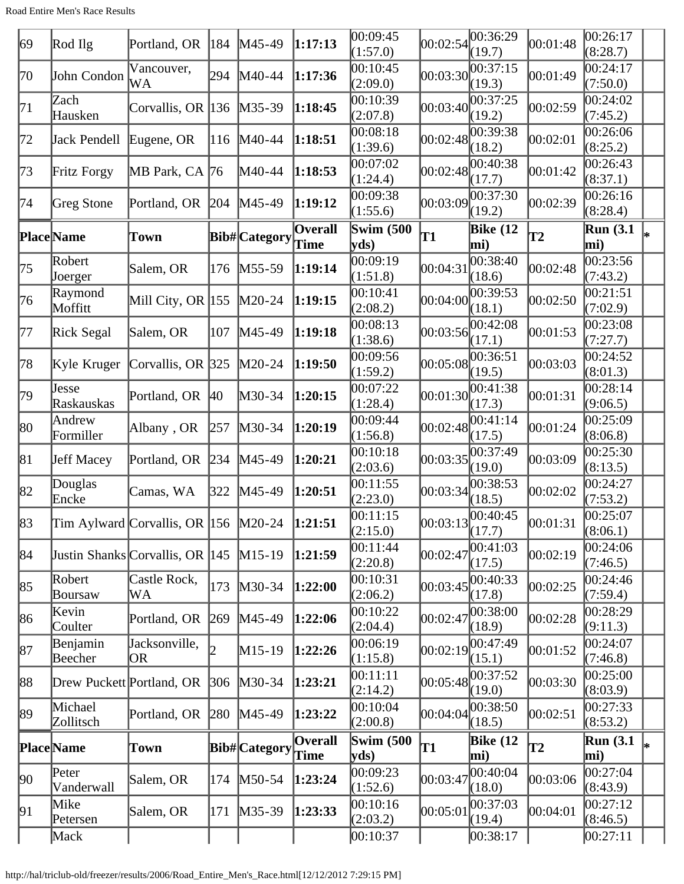| 69 | Rod Ilg                   | Portland, OR                                    | $ 184\rangle$ | $M45-49$          | 1:17:13        | 00:09:45<br>(1:57.0)      |          | $ 00:02:54 ^{00:36:29}$<br>(19.7) | 00:01:48 | 00:26:17<br>(8:28.7)    |    |
|----|---------------------------|-------------------------------------------------|---------------|-------------------|----------------|---------------------------|----------|-----------------------------------|----------|-------------------------|----|
| 70 | John Condon               | Vancouver,<br>WA                                | 294           | $M40-44$          | 1:17:36        | 00:10:45<br>(2:09.0)      | 00:03:30 | 00:37:15<br>(19.3)                | 00:01:49 | 00:24:17<br>(7:50.0)    |    |
| 71 | Zach<br>Hausken           | Corvallis, OR 136                               |               | $M35-39$          | 1:18:45        | 00:10:39<br>(2:07.8)      | 00:03:40 | 00:37:25<br>(19.2)                | 00:02:59 | 00:24:02<br>(7:45.2)    |    |
| 72 | Jack Pendell              | Eugene, OR                                      | $ 116\rangle$ | $M40-44$          | 1:18:51        | 00:08:18<br>(1:39.6)      |          | 00:02:48 <br>(18.2)               | 00:02:01 | 00:26:06<br>(8:25.2)    |    |
| 73 | Fritz Forgy               | MB Park, CA  76                                 |               | M40-44            | 1:18:53        | 00:07:02<br>(1:24.4)      | 00:02:48 | 00:40:38<br>(17.7)                | 00:01:42 | 00:26:43<br>(8:37.1)    |    |
| 74 | Greg Stone                | Portland, OR                                    | 204           | $MA5-49$          | 1:19:12        | 00:09:38<br>(1:55.6)      | 00:03:09 | 00:37:30<br>(19.2)                | 00:02:39 | 00:26:16<br>(8:28.4)    |    |
|    | <b>Place</b> Name         | Town                                            |               | Bib#Category Time | Overall        | <b>Swim (500)</b><br>yds) | T1       | <b>Bike</b> (12<br>mi)            | T2       | <b>Run</b> (3.1)<br>mi) | l∗ |
| 75 | Robert<br>Joerger         | Salem, OR                                       | 176           | $M55-59$          | 1:19:14        | 00:09:19<br>(1:51.8)      | 00:04:31 | 00:38:40<br>(18.6)                | 00:02:48 | 00:23:56<br>(7:43.2)    |    |
| 76 | Raymond<br>Moffitt        | Mill City, OR $ 155 $                           |               | $M20-24$          | 1:19:15        | 00:10:41<br>(2:08.2)      | 00:04:00 | 00:39:53<br>(18.1)                | 00:02:50 | 00:21:51<br>(7:02.9)    |    |
| 77 | Rick Segal                | Salem, OR                                       | 107           | $M45-49$          | 1:19:18        | 00:08:13<br>(1:38.6)      | 00:03:56 | 00:42:08<br>(17.1)                | 00:01:53 | 00:23:08<br>(7:27.7)    |    |
| 78 | Kyle Kruger               | Corvallis, OR 325                               |               | $M20-24$          | 1:19:50        | 00:09:56<br>(1:59.2)      | 00:05:08 | 00:36:51<br>(19.5)                | 00:03:03 | 00:24:52<br>(8:01.3)    |    |
| 79 | Jesse<br>Raskauskas       | Portland, OR                                    | $ 40\rangle$  | M30-34            | 1:20:15        | 00:07:22<br>(1:28.4)      | 00:01:30 | 00:41:38<br>(17.3)                | 00:01:31 | 00:28:14<br>(9:06.5)    |    |
| 80 | Andrew<br>Formiller       | Albany, OR                                      | 257           | $M30-34$          | 1:20:19        | 00:09:44<br>(1:56.8)      | 00:02:48 | 00:41:14<br>(17.5)                | 00:01:24 | 00:25:09<br>(8:06.8)    |    |
| 81 | <b>Jeff Macey</b>         | Portland, OR                                    | 234           | $M45-49$          | 1:20:21        | 00:10:18<br>(2:03.6)      | 00:03:35 | 00:37:49<br>(19.0)                | 00:03:09 | 00:25:30<br>(8:13.5)    |    |
| 82 | Douglas<br>Encke          | Camas, WA                                       | 322           | $M45-49$          | 1:20:51        | 00:11:55<br>(2:23.0)      | 00:03:34 | 00:38:53<br>(18.5)                | 00:02:02 | 00:24:27<br>(7:53.2)    |    |
| 83 |                           | Tim Aylward Corvallis, OR  156  M20-24  1:21:51 |               |                   |                | 00:11:15<br>(2:15.0)      |          | 00:03:13 <br>(17.7)               | 00:01:31 | 00:25:07<br>(8:06.1)    |    |
| 84 |                           | Justin Shanks Corvallis, OR 145                 |               | $M15-19$          | 1:21:59        | 00:11:44<br>(2:20.8)      | 00:02:47 | 00:41:03<br>(17.5)                | 00:02:19 | 00:24:06<br>(7:46.5)    |    |
| 85 | Robert<br>Boursaw         | Castle Rock,<br>WA                              | 173           | $M30-34$          | 1:22:00        | 00:10:31<br>(2:06.2)      | 00:03:45 | 00:40:33<br>(17.8)                | 00:02:25 | 00:24:46<br>(7:59.4)    |    |
| 86 | Kevin<br>Coulter          | Portland, OR                                    | 269           | $M45-49$          | 1:22:06        | 00:10:22<br>(2:04.4)      | 00:02:47 | 00:38:00<br>(18.9)                | 00:02:28 | 00:28:29<br>(9:11.3)    |    |
| 87 | Benjamin<br>Beecher       | Jacksonville,<br> OR                            |               | $M15-19$          | 1:22:26        | 00:06:19<br>(1:15.8)      |          | $ 00:02:19 ^{00:47:49}$<br>(15.1) | 00:01:52 | 00:24:07<br>(7:46.8)    |    |
| 88 | Drew Puckett Portland, OR |                                                 | 306           | $M30-34$          | 1:23:21        | 00:11:11<br>(2:14.2)      | 00:05:48 | 00:37:52<br>(19.0)                | 00:03:30 | 00:25:00<br>(8:03.9)    |    |
| 89 | Michael<br>Zollitsch      | Portland, OR                                    | 280           | $M45-49$          | 1:23:22        | 00:10:04<br>(2:00.8)      | 00:04:04 | 00:38:50<br>(18.5)                | 00:02:51 | 00:27:33 <br>(8:53.2)   |    |
|    | <b>Place</b> Name         | <b>Town</b>                                     |               | Bib#Category Time | <b>Overall</b> | <b>Swim (500)</b><br>yds) | T1       | <b>Bike (12</b><br>mi)            | T2       | <b>Run</b> (3.1)<br>mi) |    |
| 90 | Peter<br>Vanderwall       | Salem, OR                                       | 174           | $M50-54$          | 1:23:24        | 00:09:23<br>(1:52.6)      | 00:03:47 | 00:40:04<br>(18.0)                | 00:03:06 | 00:27:04<br>(8:43.9)    |    |
| 91 | Mike<br>Petersen          | Salem, OR                                       | 171           | $M35-39$          | 1:23:33        | 00:10:16<br>(2:03.2)      | 00:05:01 | 00:37:03<br>(19.4)                | 00:04:01 | 00:27:12<br>(8:46.5)    |    |
|    | Mack                      |                                                 |               |                   |                | 00:10:37                  |          | 00:38:17                          |          | 00:27:11                |    |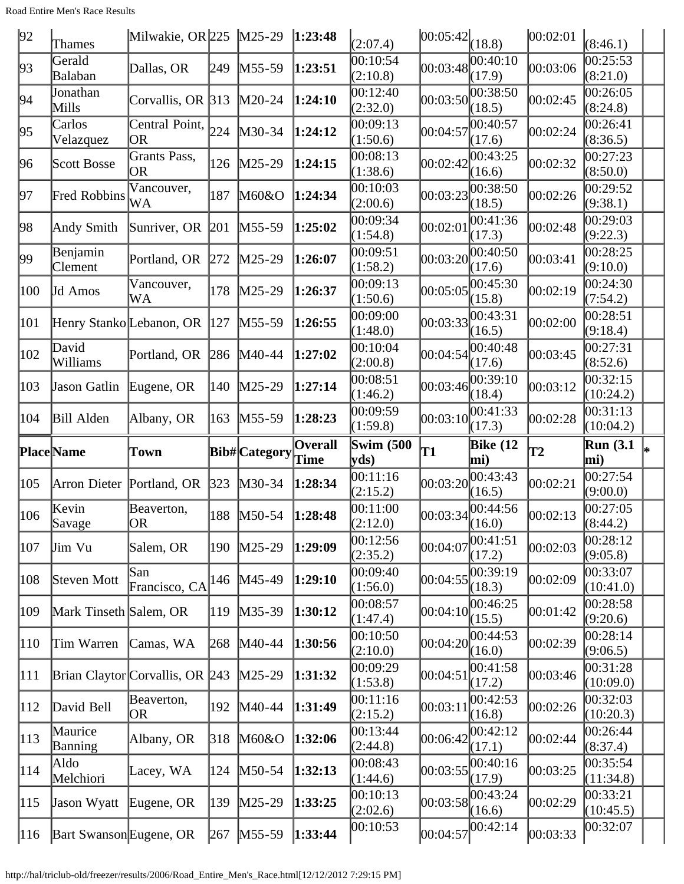| 92  | <b>Thames</b>             | Milwakie, OR 225   M25-29       |               |                               | 1:23:48        | (2:07.4)                         | $ 00:05:42 _{(18.8)}$ |                        | 00:02:01 | (8:46.1)                |  |
|-----|---------------------------|---------------------------------|---------------|-------------------------------|----------------|----------------------------------|-----------------------|------------------------|----------|-------------------------|--|
| 93  | Gerald<br>Balaban         | Dallas, OR                      | 249           | $M55-59$                      | 1:23:51        | 00:10:54<br>(2:10.8)             | 00:03:48              | 00:40:10<br>(17.9)     | 00:03:06 | 00:25:53<br>(8:21.0)    |  |
| 94  | Jonathan<br>Mills         | Corvallis, OR 313               |               | $M20-24$                      | 1:24:10        | 00:12:40<br>(2:32.0)             |                       | 00:03:50 <br>(18.5)    | 00:02:45 | 00:26:05<br>(8:24.8)    |  |
| 95  | Carlos<br>Velazquez       | Central Point,<br><b>OR</b>     | 224           | $M30-34$                      | 1:24:12        | 00:09:13<br>(1:50.6)             | 00:04:57              | 00:40:57<br>(17.6)     | 00:02:24 | 00:26:41<br>(8:36.5)    |  |
| 96  | Scott Bosse               | Grants Pass,<br><b>OR</b>       | 126           | $M25-29$                      | 1:24:15        | 00:08:13<br>(1:38.6)             | 00:02:42              | 00:43:25<br>(16.6)     | 00:02:32 | 00:27:23<br>(8:50.0)    |  |
| 97  | Fred Robbins              | Vancouver,<br>WA                | 187           | M60&O                         | 1:24:34        | 00:10:03<br>(2:00.6)             | 00:03:23              | 00:38:50<br>(18.5)     | 00:02:26 | 00:29:52<br>(9:38.1)    |  |
| 98  | Andy Smith                | Sunriver, OR $ 201 $            |               | $M55-59$                      | 1:25:02        | 00:09:34<br>(1:54.8)             | 00:02:01              | 00:41:36<br>(17.3)     | 00:02:48 | 00:29:03<br>(9:22.3)    |  |
| 99  | Benjamin<br>Clement       | Portland, OR                    | 272           | $M25-29$                      | 1:26:07        | 00:09:51<br>(1:58.2)             | 00:03:20              | 00:40:50<br>(17.6)     | 00:03:41 | 00:28:25<br>(9:10.0)    |  |
| 100 | Jd Amos                   | Vancouver,<br>WA                | 178           | $M25-29$                      | 1:26:37        | 00:09:13<br>(1:50.6)             | 00:05:05              | 00:45:30<br>(15.8)     | 00:02:19 | 00:24:30<br>(7:54.2)    |  |
| 101 |                           | Henry Stanko Lebanon, OR  127   |               | $M55-59$                      | 1:26:55        | 00:09:00<br>(1:48.0)             | 00:03:33              | 00:43:31<br>(16.5)     | 00:02:00 | 00:28:51<br>(9:18.4)    |  |
| 102 | David<br>Williams         | Portland, OR                    | 286           | $M40-44$                      | 1:27:02        | 00:10:04<br>(2:00.8)             | 00:04:54              | 00:40:48<br>(17.6)     | 00:03:45 | 00:27:31<br>(8:52.6)    |  |
| 103 | Jason Gatlin              | Eugene, OR                      | 140           | $M25-29$                      | 1:27:14        | 00:08:51<br>(1:46.2)             | 00:03:46              | 00:39:10<br>(18.4)     | 00:03:12 | 00:32:15<br>(10:24.2)   |  |
| 104 | <b>Bill Alden</b>         | Albany, OR                      | 163           | $M55-59$                      | 1:28:23        | 00:09:59<br>(1:59.8)             | 00:03:10              | 00:41:33<br>(17.3)     | 00:02:28 | 00:31:13<br>(10:04.2)   |  |
|     |                           |                                 |               |                               |                |                                  |                       |                        |          |                         |  |
|     | <b>Place</b> Name         | Town                            |               |                               | <b>Overall</b> | <b>Swim (500</b><br>yds)         | $\mathbf{T1}$         | <b>Bike</b> (12<br>mi) | T2       | <b>Run</b> (3.1)<br>mi) |  |
| 105 | Arron Dieter              | Portland, OR                    | $ 323\rangle$ | Bib#Category Time<br>$M30-34$ | 1:28:34        | 00:11:16<br>(2:15.2)             | 00:03:20              | 00:43:43<br>(16.5)     | 00:02:21 | 00:27:54<br>(9:00.0)    |  |
| 106 | Kevin<br>Savage           | Beaverton,<br> OR               | 188           | $M50-54$                      | 1:28:48        | 00:11:00<br>(2:12.0)             | 00:03:34              | 00:44:56<br>(16.0)     | 00:02:13 | 00:27:05<br>(8:44.2)    |  |
| 107 | Jim Vu                    | Salem, OR                       | 190           | $M25-29$                      | 1:29:09        | 00:12:56<br>(2:35.2)             | 00:04:07              | 00:41:51<br>(17.2)     | 00:02:03 | 00:28:12<br>(9:05.8)    |  |
| 108 | Steven Mott               | San<br>Francisco, CA            | 146           | $M45-49$                      | 1:29:10        | 00:09:40<br>(1:56.0)             | 00:04:55              | 00:39:19<br>(18.3)     | 00:02:09 | 00:33:07<br>(10:41.0)   |  |
| 109 | Mark Tinseth Salem, OR    |                                 | 119           | $M35-39$                      | 1:30:12        | 00:08:57<br>(1:47.4)             | 00:04:10              | 00:46:25<br>(15.5)     | 00:01:42 | 00:28:58<br>(9:20.6)    |  |
| 110 | Tim Warren                | Camas, WA                       | 268           | M40-44                        | 1:30:56        | 00:10:50<br>(2:10.0)             | 00:04:20              | 00:44:53<br>(16.0)     | 00:02:39 | 00:28:14<br>(9:06.5)    |  |
| 111 |                           | Brian Claytor Corvallis, OR 243 |               | $M25-29$                      | 1:31:32        | 00:09:29<br>(1:53.8)             | 00:04:51              | 00:41:58<br>(17.2)     | 00:03:46 | 00:31:28<br>(10:09.0)   |  |
| 112 | David Bell                | Beaverton,<br> OR               | 192           | $M40-44$                      | 1:31:49        | 00:11:16                         | 00:03:11              | 00:42:53<br>(16.8)     | 00:02:26 | 00:32:03<br>(10:20.3)   |  |
| 113 | Maurice<br><b>Banning</b> | Albany, OR                      | 318           | M60&O                         | 1:32:06        | (2:15.2)<br>00:13:44<br>(2:44.8) | 00:06:42              | 00:42:12<br>(17.1)     | 00:02:44 | 00:26:44<br>(8:37.4)    |  |
| 114 | Aldo<br>Melchiori         | Lacey, WA                       | 124           | $M50-54$                      | 1:32:13        | 00:08:43<br>(1:44.6)             | 00:03:55              | 00:40:16<br>(17.9)     | 00:03:25 | 00:35:54<br>(11:34.8)   |  |
| 115 | Jason Wyatt               | Eugene, OR                      | 139           | $M25-29$                      | 1:33:25        | 00:10:13<br>(2:02.6)             |                       | 00:03:58 <br>(16.6)    | 00:02:29 | 00:33:21<br>(10:45.5)   |  |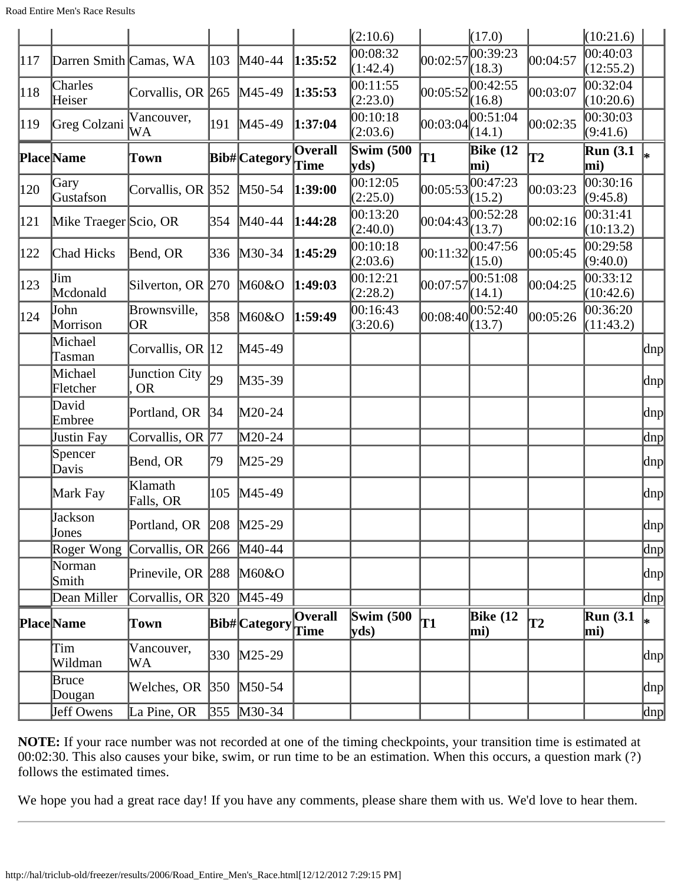|               |                        |                                        |     |              |                | (2:10.6)             |          | (17.0)             |          | (10:21.6)               |                     |
|---------------|------------------------|----------------------------------------|-----|--------------|----------------|----------------------|----------|--------------------|----------|-------------------------|---------------------|
| 117           | Darren Smith Camas, WA |                                        | 103 | $M40-44$     | 1:35:52        | 00:08:32             | 00:02:57 | 0.39:23            | 00:04:57 | 00:40:03                |                     |
|               |                        |                                        |     |              |                | (1:42.4)             |          | (18.3)             |          | (12:55.2)               |                     |
| 118           | Charles<br>Heiser      | Corvallis, OR 265                      |     | $M45-49$     | 1:35:53        | 00:11:55<br>(2:23.0) | 00:05:52 | 00:42:55<br>(16.8) | 00:03:07 | 00:32:04<br>(10:20.6)   |                     |
| 119           | Greg Colzani           | Vancouver,<br>WA                       |     | 191 M45-49   | 1:37:04        | 00:10:18<br>(2:03.6) | 00:03:04 | 00:51:04<br>(14.1) | 00:02:35 | 00:30:03<br>(9:41.6)    |                     |
|               | Place Name             | Town                                   |     | Bib#Category | Overall        | Swim $(500)$<br>yds) | T1       | Bike $(12)$<br>mi) | T2       | <b>Run</b> (3.1)<br>mi) |                     |
| 120           | Gary<br>Gustafson      | Corvallis, OR 352   M50-54             |     |              | 1:39:00        | 00:12:05<br>(2:25.0) | 00:05:53 | 00:47:23<br>(15.2) | 00:03:23 | 00:30:16<br>(9:45.8)    |                     |
| 121           | Mike Traeger Scio, OR  |                                        |     | 354 M40-44   | 1:44:28        | 00:13:20<br>(2:40.0) | 00:04:43 | 00:52:28<br>(13.7) | 00:02:16 | 00:31:41<br>(10:13.2)   |                     |
| 122           | Chad Hicks             | Bend, OR                               |     | 336 M30-34   | 1:45:29        | 00:10:18<br>(2:03.6) | 00:11:32 | 00:47:56<br>(15.0) | 00:05:45 | 00:29:58<br>(9:40.0)    |                     |
| $ 123\rangle$ | Jim<br>Mcdonald        | Silverton, OR 270 M60&O                |     |              | 1:49:03        | 00:12:21<br>(2:28.2) | 00:07:57 | 00:51:08<br>(14.1) | 00:04:25 | 00:33:12<br>(10:42.6)   |                     |
| 124           | John<br>Morrison       | Brownsville,<br>OR.                    | 358 | M60&O        | 1:59:49        | 00:16:43<br>(3:20.6) | 00:08:40 | 00:52:40<br>(13.7) | 00:05:26 | 00:36:20<br>(11:43.2)   |                     |
|               | Michael<br>Tasman      | Corvallis, OR 12                       |     | $M45-49$     |                |                      |          |                    |          |                         | $\vert$ dnp $\vert$ |
|               | Michael<br>Fletcher    | Junction City<br><b>OR</b>             | 29  | $M35-39$     |                |                      |          |                    |          |                         | dnp                 |
|               | David<br>Embree        | Portland, OR                           | 34  | $M20-24$     |                |                      |          |                    |          |                         | dnp                 |
|               | Justin Fay             | Corvallis, OR 77                       |     | M20-24       |                |                      |          |                    |          |                         | $\ln p$             |
|               | Spencer<br>Davis       | Bend, OR                               | 79  | $M25-29$     |                |                      |          |                    |          |                         | dnp                 |
|               | Mark Fay               | Klamath<br>Falls, OR                   | 105 | $M45-49$     |                |                      |          |                    |          |                         | dnp                 |
|               | Jackson<br>Jones       | Portland, OR 208 M25-29                |     |              |                |                      |          |                    |          |                         | dnp                 |
|               |                        | Roger Wong Corvallis, OR 266 M40-44    |     |              |                |                      |          |                    |          |                         | dnp                 |
|               | Norman<br>Smith        | Prinevile, OR $\left 288\right $ M60&O |     |              |                |                      |          |                    |          |                         | dnp                 |
|               | Dean Miller            | Corvallis, OR $ 320 \rangle$ M45-49    |     |              |                |                      |          |                    |          |                         | $\ln p$             |
|               | Place Name             | Town                                   |     | Bib#Category | <b>Overall</b> | Swim $(500)$<br>yds  | T1       | Bike $(12)$<br>mi) | T2       | Run(3.1)<br>mi)         | l∗                  |
|               | Tim<br>Wildman         | Vancouver,<br>WA                       |     | 330 M25-29   |                |                      |          |                    |          |                         | dnp                 |
|               | Bruce<br>Dougan        | Welches, OR 350 M50-54                 |     |              |                |                      |          |                    |          |                         | dnp                 |
|               | Jeff Owens             | La Pine, OR                            |     | 355 M30-34   |                |                      |          |                    |          |                         | $\ln p$             |

We hope you had a great race day! If you have any comments, please share them with us. We'd love to hear them.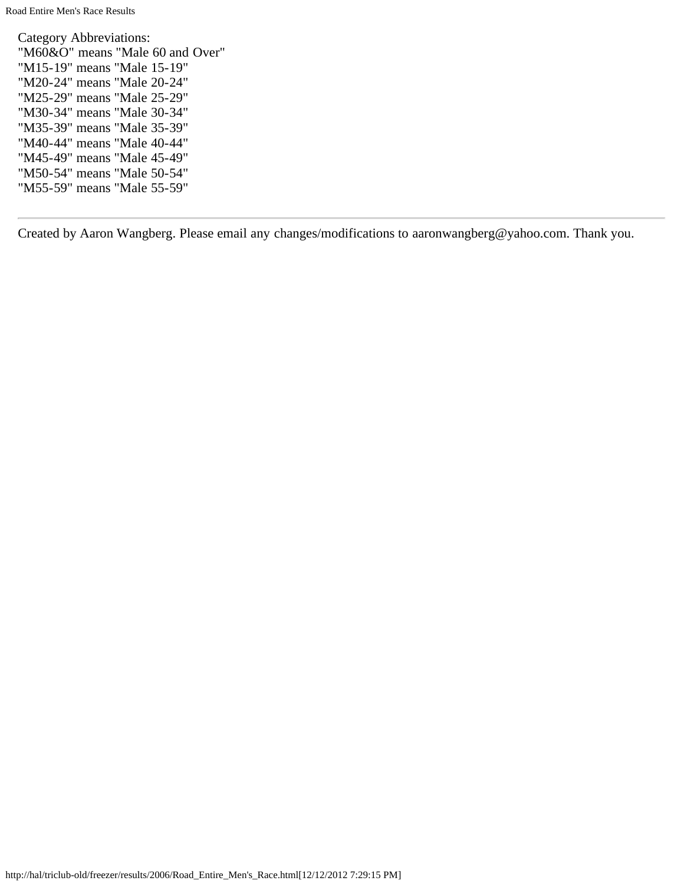Category Abbreviations: "M60&O" means "Male 60 and Over" "M15-19" means "Male 15-19" "M20-24" means "Male 20-24" "M25-29" means "Male 25-29" "M30-34" means "Male 30-34" "M35-39" means "Male 35-39" "M40-44" means "Male 40-44" "M45-49" means "Male 45-49" "M50-54" means "Male 50-54" "M55-59" means "Male 55-59"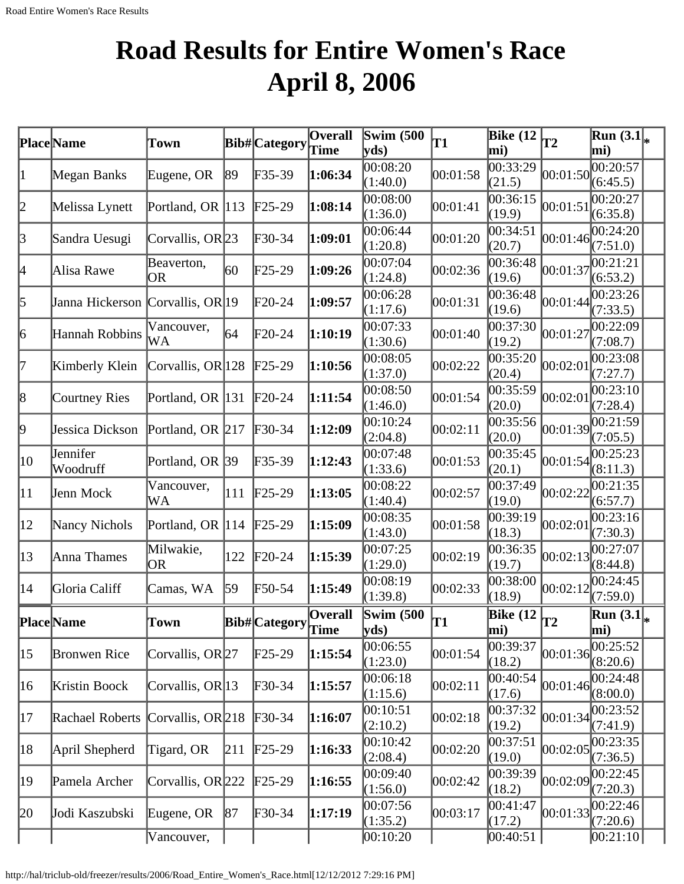# **Road Results for Entire Women's Race April 8, 2006**

|              | Place Name                       | Town                        |     | <b>Bib#</b> Category | <b>Overall</b><br>Time | Swim $(500)$<br>yds            | T1       | Bike $(12)$<br>mi)               | T2       | $\overline{\text{Run}}(3.1\vert_{*})$<br>mi) |  |
|--------------|----------------------------------|-----------------------------|-----|----------------------|------------------------|--------------------------------|----------|----------------------------------|----------|----------------------------------------------|--|
| 1            | Megan Banks                      | Eugene, OR                  | 89  | $F35-39$             | 1:06:34                | 00:08:20<br>(1:40.0)           | 00:01:58 | 00:33:29<br>(21.5)               | 00:01:50 | 00:20:57<br>(6:45.5)                         |  |
| 2            | Melissa Lynett                   | Portland, OR 113            |     | $\text{F25-29}$      | 1:08:14                | 00:08:00<br>(1:36.0)           | 00:01:41 | 00:36:15<br>(19.9)               | 00:01:51 | 00:20:27<br>(6:35.8)                         |  |
| 3            | Sandra Uesugi                    | Corvallis, OR <sup>23</sup> |     | $F30-34$             | 1:09:01                | 00:06:44<br>(1:20.8)           | 00:01:20 | 00:34:51<br>(20.7)               | 00:01:46 | 00:24:20<br>(7:51.0)                         |  |
| 4            | Alisa Rawe                       | Beaverton,<br><b>OR</b>     | 60  | $F25-29$             | 1:09:26                | 00:07:04<br>(1:24.8)           | 00:02:36 | 00:36:48<br>(19.6)               | 00:01:37 | 00:21:21<br>(6:53.2)                         |  |
| 5            | Janna Hickerson Corvallis, OR 19 |                             |     | $F20-24$             | 1:09:57                | 00:06:28<br>(1:17.6)           | 00:01:31 | 00:36:48<br>(19.6)               | 00:01:44 | 00:23:26<br>(7:33.5)                         |  |
| 6            | Hannah Robbins                   | Vancouver,<br>WA            | 64  | $F20-24$             | 1:10:19                | 00:07:33<br>(1:30.6)           | 00:01:40 | 00:37:30<br>(19.2)               | 00:01:27 | 00:22:09<br>(7:08.7)                         |  |
| 17           | Kimberly Klein                   | Corvallis, OR 128           |     | $\text{F25-29}$      | 1:10:56                | 00:08:05<br>(1:37.0)           | 00:02:22 | 00:35:20<br>(20.4)               | 00:02:01 | 00:23:08<br>(7:27.7)                         |  |
| 8            | <b>Courtney Ries</b>             | Portland, OR 131            |     | $F20-24$             | 1:11:54                | 00:08:50<br>(1:46.0)           | 00:01:54 | 00:35:59<br>(20.0)               | 00:02:01 | 00:23:10<br>(7:28.4)                         |  |
| 9            | Jessica Dickson                  | Portland, OR 217            |     | $F30-34$             | 1:12:09                | 00:10:24<br>(2:04.8)           | 00:02:11 | 00:35:56<br>(20.0)               | 00:01:39 | 00:21:59<br>(7:05.5)                         |  |
| $ 10\rangle$ | Jennifer<br>Woodruff             | Portland, OR 39             |     | $F35-39$             | 1:12:43                | 00:07:48<br>(1:33.6)           | 00:01:53 | 00:35:45<br>(20.1)               | 00:01:54 | 00:25:23<br>(8:11.3)                         |  |
| 11           | Jenn Mock                        | Vancouver,<br>WA            | 111 | $F25-29$             | 1:13:05                | 00:08:22<br>(1:40.4)           | 00:02:57 | 00:37:49<br>(19.0)               | 00:02:22 | 00:21:35<br>(6:57.7)                         |  |
| $ 12\rangle$ | Nancy Nichols                    | Portland, OR 114            |     | $F25-29$             | 1:15:09                | 00:08:35<br>(1:43.0)           | 00:01:58 | 00:39:19<br>(18.3)               | 00:02:01 | 00:23:16<br>(7:30.3)                         |  |
| $ 13\rangle$ | Anna Thames                      | Milwakie,<br> OR            | 122 | $F20-24$             | 1:15:39                | 00:07:25<br>(1:29.0)           | 00:02:19 | 00:36:35<br>(19.7)               | 00:02:13 | 00:27:07<br>(8:44.8)                         |  |
| 14           | Gloria Califf                    | Camas, WA                   | 59  | $F50-54$             | 1:15:49                | 00:08:19<br>(1:39.8)           | 00:02:33 | 00:38:00<br>(18.9)               | 00:02:12 | 00:24:45<br>(7:59.0)                         |  |
|              | Place Name                       | Town                        |     | Bib# Category        | <b>Overall</b><br>Time | Swim $(500)$<br>$ {\bf y}$ ds) | T1       | Bike $(12)$ <sub>T2</sub><br>mi) |          | $\overline{\text{Run }(3.1]}_*$<br>mi)       |  |
| 15           | <b>Bronwen Rice</b>              | Corvallis, OR27             |     | $F25-29$             | 1:15:54                | 00:06:55<br>(1:23.0)           | 00:01:54 | 00:39:37<br>(18.2)               | 00:01:36 | 00:25:52<br>(8:20.6)                         |  |
| 16           | Kristin Boock                    | Corvallis, OR 13            |     | $F30-34$             | 1:15:57                | 00:06:18<br>(1:15.6)           | 00:02:11 | 00:40:54<br>(17.6)               | 00:01:46 | 00:24:48<br>(8:00.0)                         |  |
| 17           | Rachael Roberts                  | Corvallis, $OR 218$         |     | $F30-34$             | 1:16:07                | 00:10:51<br>(2:10.2)           | 00:02:18 | 00:37:32<br>(19.2)               | 00:01:34 | 00:23:52<br>(7:41.9)                         |  |
| 18           | April Shepherd                   | Tigard, OR                  | 211 | $F25-29$             | 1:16:33                | 00:10:42<br>(2:08.4)           | 00:02:20 | 00:37:51<br>(19.0)               | 00:02:05 | 00:23:35<br>(7:36.5)                         |  |
| 19           | Pamela Archer                    | Corvallis, OR 222           |     | $F25-29$             | 1:16:55                | 00:09:40<br>(1:56.0)           | 00:02:42 | 00:39:39<br>(18.2)               | 00:02:09 | 00:22:45<br>(7:20.3)                         |  |
| 20           | Jodi Kaszubski                   | Eugene, OR                  | 87  | $F30-34$             | 1:17:19                | 00:07:56<br>(1:35.2)           | 00:03:17 | 00:41:47<br>(17.2)               | 00:01:33 | 00:22:46<br>(7:20.6)                         |  |
|              |                                  | Vancouver,                  |     |                      |                        | 00:10:20                       |          | 00:40:51                         |          | 00:21:10                                     |  |

http://hal/triclub-old/freezer/results/2006/Road\_Entire\_Women's\_Race.html[12/12/2012 7:29:16 PM]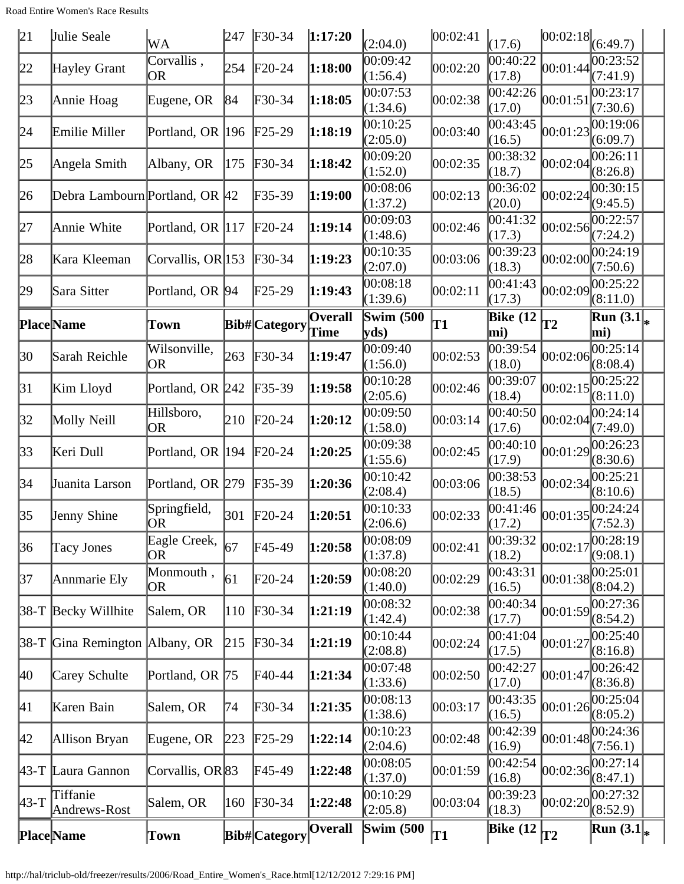| 21        | Julie Seale                    | WA                      | 247 | $F30-34$                   | 1:17:20                | (2:04.0)                  | 00:02:41 | (17.6)             | $ 00:02:18 $ (6:49.7)  |                                          |  |
|-----------|--------------------------------|-------------------------|-----|----------------------------|------------------------|---------------------------|----------|--------------------|------------------------|------------------------------------------|--|
| 22        | Hayley Grant                   | Corvallis,<br>OR        | 254 | $F20-24$                   | 1:18:00                | 00:09:42<br>(1:56.4)      | 00:02:20 | 00:40:22<br>(17.8) | 00:01:44               | 00:23:52<br>(7:41.9)                     |  |
| 23        | Annie Hoag                     | Eugene, OR              | 84  | $\textcolor{blue}{F30-34}$ | 1:18:05                | 00:07:53<br>(1:34.6)      | 00:02:38 | 00:42:26<br>(17.0) | 00:01:51               | 00:23:17<br>(7:30.6)                     |  |
| 24        | Emilie Miller                  | Portland, OR $ 196 $    |     | $F25-29$                   | 1:18:19                | 00:10:25<br>(2:05.0)      | 00:03:40 | 00:43:45<br>(16.5) | 00:01:23               | 00:19:06<br>(6:09.7)                     |  |
| 25        | Angela Smith                   | Albany, OR              | 175 | $\textcolor{blue}{F30-34}$ | 1:18:42                | 00:09:20<br>(1:52.0)      | 00:02:35 | 00:38:32<br>(18.7) | 00:02:04               | [00:26:11]<br>(8:26.8)                   |  |
| 26        | Debra Lambourn Portland, OR 42 |                         |     | $F35-39$                   | 1:19:00                | 00:08:06<br>(1:37.2)      | 00:02:13 | 00:36:02<br>(20.0) | 00:02:24               | 00:30:15<br>(9:45.5)                     |  |
| 27        | Annie White                    | Portland, OR 117        |     | $F20-24$                   | 1:19:14                | 00:09:03<br>(1:48.6)      | 00:02:46 | 00:41:32<br>(17.3) | 00:02:56               | 00:22:57<br>(7:24.2)                     |  |
| 28        | Kara Kleeman                   | Corvallis, OR 153       |     | $F30-34$                   | 1:19:23                | 00:10:35<br>(2:07.0)      | 00:03:06 | 00:39:23<br>(18.3) | 00:02:00               | 00:24:19<br>(7:50.6)                     |  |
| 29        | Sara Sitter                    | Portland, OR 94         |     | $\text{F25-29}$            | 1:19:43                | 00:08:18<br>(1:39.6)      | 00:02:11 | 00:41:43<br>(17.3) | 00:02:09               | 00:25:22<br>(8:11.0)                     |  |
|           | <b>Place</b> Name              | Town                    |     | <b>Bib#</b> Category       | <b>Overall</b><br>Time | <b>Swim (500)</b><br>yds) | T1       | Bike $(12)$<br>mi) | <b>T2</b>              | $\overline{\text{Run (3.1]}_{*}}$<br>mi) |  |
| 30        | Sarah Reichle                  | Wilsonville,<br>OR      | 263 | $\text{F}30-34$            | 1:19:47                | 00:09:40<br>(1:56.0)      | 00:02:53 | 00:39:54<br>(18.0) | 00:02:06               | 00:25:14<br>(8:08.4)                     |  |
| 31        | Kim Lloyd                      | Portland, OR 242        |     | $\text{F}35-39$            | 1:19:58                | 00:10:28<br>(2:05.6)      | 00:02:46 | 00:39:07<br>(18.4) | 00:02:15               | 00:25:22<br>(8:11.0)                     |  |
| 32        | Molly Neill                    | Hillsboro,<br><b>OR</b> | 210 | $F20-24$                   | 1:20:12                | 00:09:50<br>(1:58.0)      | 00:03:14 | 00:40:50<br>(17.6) | 00:02:04               | 00:24:14<br>(7:49.0)                     |  |
| 33        | Keri Dull                      | Portland, OR 194        |     | $F20-24$                   | 1:20:25                | 00:09:38<br>(1:55.6)      | 00:02:45 | 00:40:10<br>(17.9) | 00:01:29               | 00:26:23<br>(8:30.6)                     |  |
| 34        | Juanita Larson                 | Portland, OR 279        |     | $F35-39$                   | 1:20:36                | 00:10:42<br>(2:08.4)      | 00:03:06 | 00:38:53<br>(18.5) | 00:02:34               | 00:25:21<br>(8:10.6)                     |  |
| 35        | Jenny Shine                    | Springfield,<br> OR     | 301 | $F20-24$                   | 1:20:51                | 00:10:33<br>(2:06.6)      | 00:02:33 | 00:41:46<br>(17.2) | $[00:01:35]^{U\cup 1}$ | 00:24:24                                 |  |
| 36        | Tacy Jones                     | Eagle Creek,<br>OR      | 67  | F45-49                     | 1:20:58                | 00:08:09<br>(1:37.8)      | 00:02:41 | 00:39:32<br>(18.2) | 00:02:17               | 00:28:19<br>(9:08.1)                     |  |
| 37        | Annmarie Ely                   | Monmouth,<br>OR         | 61  | $F20-24$                   | 1:20:59                | 00:08:20<br>(1:40.0)      | 00:02:29 | 00:43:31<br>(16.5) | 00:01:38               | 00:25:01<br>(8:04.2)                     |  |
|           | $ 38-T $ Becky Willhite        | Salem, OR               | 110 | $F30-34$                   | 1:21:19                | 00:08:32<br>(1:42.4)      | 00:02:38 | 00:40:34<br>(17.7) | 00:01:59               | 00:27:36<br>(8:54.2)                     |  |
|           | 38-T Gina Remington Albany, OR |                         | 215 | $\textcolor{blue}{F}30-34$ | 1:21:19                | 00:10:44<br>(2:08.8)      | 00:02:24 | 00:41:04<br>(17.5) | 00:01:27               | 00:25:40<br>(8:16.8)                     |  |
| 40        | Carey Schulte                  | Portland, OR 75         |     | F40-44                     | 1:21:34                | 00:07:48<br>(1:33.6)      | 00:02:50 | 00:42:27<br>(17.0) | 00:01:47               | 00:26:42<br>(8:36.8)                     |  |
| 41        | Karen Bain                     | Salem, OR               | 74  | $F30-34$                   | 1:21:35                | 00:08:13<br>(1:38.6)      | 00:03:17 | 00:43:35<br>(16.5) | 00:01:26               | 00:25:04<br>(8:05.2)                     |  |
| 42        | Allison Bryan                  | Eugene, OR              | 223 | $\text{F25-29}$            | 1:22:14                | 00:10:23<br>(2:04.6)      | 00:02:48 | 00:42:39<br>(16.9) | 00:01:48               | 00:24:36<br>(7:56.1)                     |  |
| $\mu$ 3-T | Laura Gannon                   | Corvallis, OR 83        |     | F45-49                     | 1:22:48                | 00:08:05<br>(1:37.0)      | 00:01:59 | 00:42:54<br>(16.8) | 00:02:36               | 00:27:14<br>(8:47.1)                     |  |
| $43-T$    | Tiffanie<br>Andrews-Rost       | Salem, OR               | 160 | $F30-34$                   | 1:22:48                | 00:10:29<br>(2:05.8)      | 00:03:04 | 00:39:23<br>(18.3) | 00:02:20               | 00:27:32<br>(8:52.9)                     |  |
|           | <b>Place</b> Name              | Town                    |     | Bib#Category               | <b>Overall</b>         | <b>Swim (500)</b>         | T1       | Bike $(12)$        | T2                     | <b>Run</b> $(3.1)_{*}$                   |  |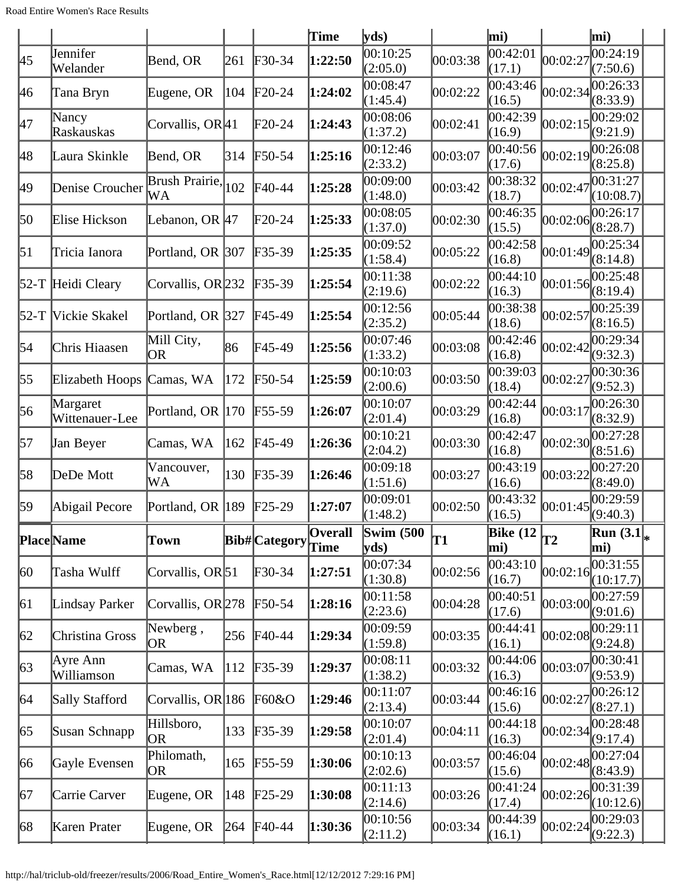|              |                            |                               |               |                      | Time            | yds                                            |          | mi)                              |            | mi)                    |
|--------------|----------------------------|-------------------------------|---------------|----------------------|-----------------|------------------------------------------------|----------|----------------------------------|------------|------------------------|
| 45           | Jennifer<br>Welander       | Bend, OR                      | 261           | $F30-34$             | 1:22:50         | 00:10:25<br>(2:05.0)                           | 00:03:38 | 00:42:01<br>(17.1)               | 00:02:27   | 00:24:19<br>(7:50.6)   |
| 46           | Tana Bryn                  | Eugene, OR                    | 104           | $F20-24$             | 1:24:02         | 00:08:47<br>(1:45.4)                           | 00:02:22 | 00:43:46<br>(16.5)               | 00:02:34   | 00:26:33<br>(8:33.9)   |
| 47           | Nancy<br>Raskauskas        | Corvallis, OR <sup>[41]</sup> |               | $F20-24$             | 1:24:43         | 00:08:06<br>(1:37.2)                           | 00:02:41 | 00:42:39<br>(16.9)               | 00:02:15   | 00:29:02<br>(9:21.9)   |
| 48           | Laura Skinkle              | Bend, OR                      | 314           | F50-54               | 1:25:16         | 00:12:46<br>(2:33.2)                           | 00:03:07 | 00:40:56<br>(17.6)               | 00:02:19   | 00:26:08<br>(8:25.8)   |
| 49           | Denise Croucher            | Brush Prairie,<br>WA          | 102           | F40-44               | 1:25:28         | 00:09:00<br>(1:48.0)                           | 00:03:42 | 00:38:32<br>(18.7)               | 00:02:47   | 00:31:27<br>(10:08.7)  |
| 50           | Elise Hickson              | Lebanon, OR 47                |               | $F20-24$             | 1:25:33         | 00:08:05<br>(1:37.0)                           | 00:02:30 | 00:46:35<br>(15.5)               | [00:02:06] | 00:26:17<br>(8:28.7)   |
| 51           | Tricia Ianora              | Portland, OR 307              |               | $F35-39$             | 1:25:35         | 00:09:52<br>(1:58.4)                           | 00:05:22 | 00:42:58<br>(16.8)               | 00:01:49   | 00:25:34<br>(8:14.8)   |
|              | 52-T Heidi Cleary          | Corvallis, OR 232             |               | $F35-39$             | 1:25:54         | 00:11:38<br>(2:19.6)                           | 00:02:22 | 00:44:10<br>(16.3)               | 00:01:56   | 00:25:48<br>(8:19.4)   |
|              | 52-T Vickie Skakel         | Portland, OR 327              |               | F45-49               | 1:25:54         | 00:12:56<br>(2:35.2)                           | 00:05:44 | 00:38:38<br>(18.6)               | 00:02:57   | 00:25:39<br>(8:16.5)   |
| 54           | Chris Hiaasen              | Mill City,<br><b>OR</b>       | 86            | F45-49               | 1:25:56         | 00:07:46<br>(1:33.2)                           | 00:03:08 | 00:42:46<br>(16.8)               | 00:02:42   | 00:29:34<br>(9:32.3)   |
| 55           | Elizabeth Hoops            | Camas, WA                     | 172           | $F50-54$             | 1:25:59         | 00:10:03<br>(2:00.6)                           | 00:03:50 | 00:39:03<br>(18.4)               | 00:02:27   | 00:30:36<br>(9:52.3)   |
| 56           | Margaret<br>Wittenauer-Lee | Portland, OR 170              |               | $F55-59$             | 1:26:07         | 00:10:07<br>(2:01.4)                           | 00:03:29 | 00:42:44<br>(16.8)               | 00:03:17   | 00:26:30<br>(8:32.9)   |
| 57           | Jan Beyer                  | Camas, WA                     | 162           | $F45-49$             | 1:26:36         | 00:10:21<br>(2:04.2)                           | 00:03:30 | 00:42:47<br>(16.8)               | 00:02:30   | 00:27:28<br>(8:51.6)   |
| 58           | DeDe Mott                  | Vancouver,<br>WA              | 130           | $F35-39$             | 1:26:46         | 00:09:18<br>(1:51.6)                           | 00:03:27 | 00:43:19<br>(16.6)               | 00:03:22   | 00:27:20<br>(8:49.0)   |
| 59           | Abigail Pecore             | Portland, OR 189              |               | $F25-29$             | 1:27:07         | 00:09:01<br>(1:48.2)                           | 00:02:50 | 00:43:32<br>(16.5)               | 00:01:45   | 00:29:59<br>(9:40.3)   |
|              | Place Name                 | Town                          |               | <b>Bib#</b> Category | Overall<br>Time | $\mathbf{Swim}\;$ (500<br>$ {\bf v} {\bf ds})$ | T1       | Bike $(12)$ <sub>T2</sub><br>mi) |            | Run $(3.1)_{*}$<br>mi) |
| $ 60\rangle$ | Tasha Wulff                | Corvallis, OR <sup>51</sup>   |               | $F30-34$             | 1:27:51         | 00:07:34<br>(1:30.8)                           | 00:02:56 | 00:43:10<br>(16.7)               | 00:02:16   | 00:31:55<br>(10:17.7)  |
| 61           | Lindsay Parker             | Corvallis, OR 278             |               | $F50-54$             | 1:28:16         | 00:11:58<br>(2:23.6)                           | 00:04:28 | 00:40:51<br>(17.6)               | 00:03:00   | 00:27:59<br>(9:01.6)   |
| 62           | Christina Gross            | Newberg,<br>OR                | 256           | $FA0-44$             | 1:29:34         | 00:09:59<br>(1:59.8)                           | 00:03:35 | 00:44:41<br>(16.1)               | 00:02:08   | 00:29:11<br>(9:24.8)   |
| $\sqrt{63}$  | Ayre Ann<br>Williamson     | Camas, WA                     | $ 112\rangle$ | $F35-39$             | 1:29:37         | 00:08:11<br>(1:38.2)                           | 00:03:32 | 00:44:06<br>(16.3)               | 00:03:07   | 00:30:41<br>(9:53.9)   |
| 64           | Sally Stafford             | Corvallis, OR 186             |               | F60&O                | 1:29:46         | 00:11:07<br>(2:13.4)                           | 00:03:44 | 00:46:16<br>(15.6)               | 00:02:27   | 00:26:12<br>(8:27.1)   |
| 65           | Susan Schnapp              | Hillsboro,<br>OR              | 133           | $F35-39$             | 1:29:58         | 00:10:07<br>(2:01.4)                           | 00:04:11 | 00:44:18<br>(16.3)               | 00:02:34   | 00:28:48<br>(9:17.4)   |
| 66           | Gayle Evensen              | Philomath,<br>OR              | 165           | $F55-59$             | 1:30:06         | 00:10:13<br>(2:02.6)                           | 00:03:57 | 00:46:04<br>(15.6)               | 00:02:48   | 00:27:04<br>(8:43.9)   |
| 67           | Carrie Carver              | Eugene, OR                    | 148           | $\text{F25-29}$      | 1:30:08         | 00:11:13<br>(2:14.6)                           | 00:03:26 | 00:41:24<br>(17.4)               | 00:02:26   | 00:31:39<br>(10:12.6)  |
| 68           | Karen Prater               | Eugene, OR                    | 264           | F40-44               | 1:30:36         | 00:10:56<br>(2:11.2)                           | 00:03:34 | 00:44:39<br>(16.1)               | 00:02:24   | 00:29:03<br>(9:22.3)   |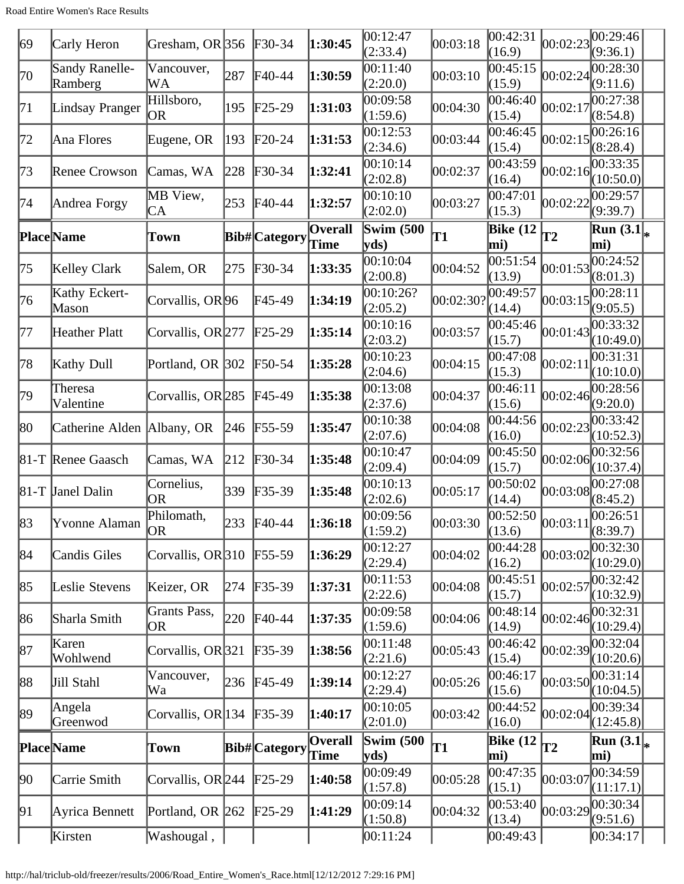| 69 | Carly Heron                | Gresham, OR 356         |     | $F30-34$                   | 1:30:45                | 00:12:47<br>(2:33.4)     | 00:03:18  | 00:42:31<br>(16.9)     | 00:02:23 | 00:29:46<br>(9:36.1)          |  |
|----|----------------------------|-------------------------|-----|----------------------------|------------------------|--------------------------|-----------|------------------------|----------|-------------------------------|--|
| 70 | Sandy Ranelle-<br>Ramberg  | Vancouver,<br>WA        | 287 | $F40-44$                   | 1:30:59                | 00:11:40<br>(2:20.0)     | 00:03:10  | 00:45:15<br>(15.9)     | 00:02:24 | 00:28:30<br>(9:11.6)          |  |
| 71 | Lindsay Pranger            | Hillsboro,<br><b>OR</b> | 195 | $\text{F25-29}$            | 1:31:03                | 00:09:58<br>(1:59.6)     | 00:04:30  | 00:46:40<br>(15.4)     | 00:02:17 | 00:27:38<br>(8:54.8)          |  |
| 72 | Ana Flores                 | Eugene, OR              | 193 | $F20-24$                   | 1:31:53                | 00:12:53<br>(2:34.6)     | 00:03:44  | 0.46:45<br>(15.4)      | 00:02:15 | 00:26:16<br>(8:28.4)          |  |
| 73 | <b>Renee Crowson</b>       | Camas, WA               | 228 | $\textcolor{blue}{F30-34}$ | 1:32:41                | 00:10:14<br>(2:02.8)     | 00:02:37  | 00:43:59<br>(16.4)     | 00:02:16 | 00:33:35<br>(10:50.0)         |  |
| 74 | Andrea Forgy               | MB View,<br>CA          | 253 | $FA0-44$                   | 1:32:57                | 00:10:10<br>(2:02.0)     | 00:03:27  | 00:47:01<br>(15.3)     | 00:02:22 | 00:29:57<br>(9:39.7)          |  |
|    | <b>Place</b> Name          | Town                    |     | <b>Bib#</b> Category       | <b>Overall</b><br>Time | <b>Swim (500)</b><br>yds | T1        | <b>Bike</b> (12<br>mi) | T2       | <b>Run</b> $(3.1)_{*}$<br>mi) |  |
| 75 | Kelley Clark               | Salem, OR               | 275 | $\textcolor{blue}{F30-34}$ | 1:33:35                | 00:10:04<br>(2:00.8)     | 00:04:52  | 00:51:54<br>(13.9)     | 00:01:53 | 00:24:52<br>(8:01.3)          |  |
| 76 | Kathy Eckert-<br>Mason     | Corvallis, OR 96        |     | F45-49                     | 1:34:19                | 00:10:26?<br>(2:05.2)    | 00:02:30? | 00:49:57<br>(14.4)     | 00:03:15 | 00:28:11<br>(9:05.5)          |  |
| 77 | Heather Platt              | Corvallis, OR 277       |     | $\text{F25-29}$            | 1:35:14                | 00:10:16<br>(2:03.2)     | 00:03:57  | 00:45:46<br>(15.7)     | 00:01:43 | 00:33:32<br>(10:49.0)         |  |
| 78 | Kathy Dull                 | Portland, OR 302        |     | $F50-54$                   | 1:35:28                | 00:10:23<br>(2:04.6)     | 00:04:15  | 00:47:08<br>(15.3)     | 00:02:11 | 00:31:31<br>(10:10.0)         |  |
| 79 | Theresa<br>Valentine       | Corvallis, OR 285       |     | $FA5-49$                   | 1:35:38                | 00:13:08<br>(2:37.6)     | 00:04:37  | 00:46:11<br>(15.6)     | 00:02:46 | 00:28:56<br>(9:20.0)          |  |
| 80 | Catherine Alden Albany, OR |                         | 246 | $\text{F}55-59$            | 1:35:47                | 00:10:38<br>(2:07.6)     | 00:04:08  | 00:44:56<br>(16.0)     | 00:02:23 | 00:33:42<br>(10:52.3)         |  |
|    | 81-T Renee Gaasch          | Camas, WA               | 212 | F30-34                     | 1:35:48                | 00:10:47<br>(2:09.4)     | 00:04:09  | 00:45:50<br>(15.7)     | 00:02:06 | 00:32:56<br>(10:37.4)         |  |
|    | 81-T Janel Dalin           | Cornelius,<br>OR        | 339 | $F35-39$                   | 1:35:48                | 00:10:13<br>(2:02.6)     | 00:05:17  | 00:50:02<br>(14.4)     | 00:03:08 | 00:27:08<br>(8:45.2)          |  |
| 83 | Yvonne Alaman              | Philomath,<br> OR       |     | 233 F40-44                 | 1:36:18                | 00:09:56<br>(1:59.2)     | 00:03:30  | 00:52:50<br>(13.6)     | 00:03:11 | 00:26:51<br>(8:39.7)          |  |
| 84 | Candis Giles               | Corvallis, $OR 310$     |     | $F55-59$                   | 1:36:29                | 00:12:27<br>(2:29.4)     | 00:04:02  | 00:44:28<br>(16.2)     | 00:03:02 | 00:32:30<br>(10:29.0)         |  |
| 85 | Leslie Stevens             | Keizer, OR              | 274 | $F35-39$                   | 1:37:31                | 00:11:53<br>(2:22.6)     | 00:04:08  | 00:45:51<br>(15.7)     | 00:02:57 | 00:32:42<br>(10:32.9)         |  |
| 86 | Sharla Smith               | Grants Pass,<br>OR      | 220 | $F40-44$                   | 1:37:35                | 00:09:58<br>(1:59.6)     | 00:04:06  | 00:48:14<br>(14.9)     | 00:02:46 | 00:32:31<br>(10:29.4)         |  |
| 87 | Karen<br>Wohlwend          | Corvallis, OR321        |     | $F35-39$                   | 1:38:56                | 00:11:48<br>(2:21.6)     | 00:05:43  | 00:46:42<br>(15.4)     | 00:02:39 | 00:32:04<br>(10:20.6)         |  |
| 88 | Jill Stahl                 | Vancouver,<br>Wa        | 236 | $F45-49$                   | 1:39:14                | 00:12:27<br>(2:29.4)     | 00:05:26  | 00:46:17<br>(15.6)     | 00:03:50 | 00:31:14<br>(10:04.5)         |  |
| 89 | Angela<br>Greenwod         | Corvallis, OR 134       |     | $F35-39$                   | 1:40:17                | 00:10:05<br>(2:01.0)     | 00:03:42  | 00:44:52<br>(16.0)     | 00:02:04 | 00:39:34<br>(12:45.8)         |  |
|    | <b>Place</b> Name          | Town                    |     | <b>Bib#</b> Category       | <b>Overall</b><br>Time | <b>Swim (500)</b><br>yds | T1        | Bike $(12)$<br>mi)     | T2       | Run $(3.1)_{*}$<br>mi)        |  |
| 90 | Carrie Smith               | Corvallis, OR 244       |     | $\text{F25-29}$            | 1:40:58                | 00:09:49<br>(1:57.8)     | 00:05:28  | 00:47:35<br>(15.1)     | 00:03:07 | 00:34:59<br>(11:17.1)         |  |
| 91 | Ayrica Bennett             | Portland, OR 262        |     | $\text{F25-29}$            | 1:41:29                | 00:09:14<br>(1:50.8)     | 00:04:32  | 00:53:40<br>(13.4)     | 00:03:29 | 00:30:34<br>(9:51.6)          |  |
|    | Kirsten                    | Washougal,              |     |                            |                        | 00:11:24                 |           | 00:49:43               |          | 00:34:17                      |  |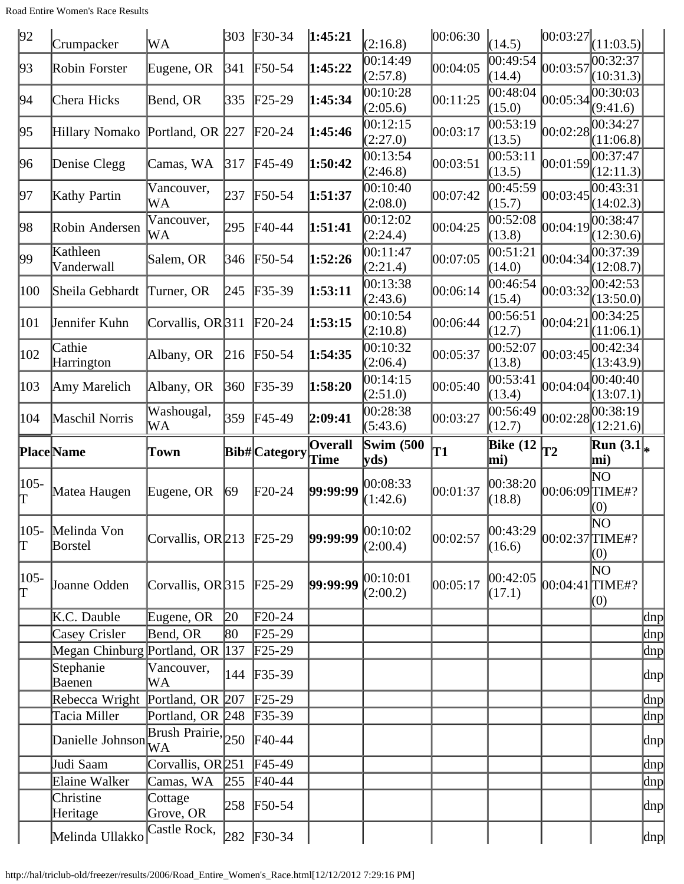| 92            | Crumpacker                      | WA                                      | 303          | $F30-34$        | 1:45:21                | (2:16.8)                  | 00:06:30 | (14.5)             | 00:03:27            | (11:03.5)              |             |
|---------------|---------------------------------|-----------------------------------------|--------------|-----------------|------------------------|---------------------------|----------|--------------------|---------------------|------------------------|-------------|
| 93            | Robin Forster                   | Eugene, OR                              | 341          | F50-54          | 1:45:22                | 00:14:49<br>(2:57.8)      | 00:04:05 | 0.49:54<br>(14.4)  | 00:03:57            | 00:32:37<br>(10:31.3)  |             |
| 94            | Chera Hicks                     | Bend, OR                                | 335          | $F25-29$        | 1:45:34                | 00:10:28<br>(2:05.6)      | 00:11:25 | 00:48:04<br>(15.0) | 00:05:34            | 00:30:03<br>(9:41.6)   |             |
| 95            | Hillary Nomako Portland, OR 227 |                                         |              | $F20-24$        | 1:45:46                | 00:12:15<br>(2:27.0)      | 00:03:17 | 00:53:19<br>(13.5) | 00:02:28            | 00:34:27<br>(11:06.8)  |             |
| 96            | Denise Clegg                    | Camas, WA                               | 317          | F45-49          | 1:50:42                | 00:13:54<br>(2:46.8)      | 00:03:51 | 00:53:11<br>(13.5) | 00:01:59            | 00:37:47<br>(12:11.3)  |             |
| 97            | Kathy Partin                    | Vancouver,<br>WA                        | 237          | $F50-54$        | 1:51:37                | 00:10:40<br>(2:08.0)      | 00:07:42 | 00:45:59<br>(15.7) | 00:03:45            | (14:02.3)              |             |
| 98            | Robin Andersen                  | Vancouver,<br>WA                        | 295          | $FA0-44$        | 1:51:41                | 00:12:02<br>(2:24.4)      | 00:04:25 | 00:52:08<br>(13.8) | 00:04:19            | 00:38:47<br>(12:30.6)  |             |
| 99            | Kathleen<br>Vanderwall          | Salem, OR                               | 346          | F50-54          | 1:52:26                | 00:11:47<br>(2:21.4)      | 00:07:05 | 00:51:21<br>(14.0) | 00:04:34            | 00:37:39<br>(12:08.7)  |             |
| 100           | Sheila Gebhardt                 | Turner, OR                              | 245          | $F35-39$        | 1:53:11                | 00:13:38<br>(2:43.6)      | 00:06:14 | 00:46:54<br>(15.4) | 00:03:32            | 00:42:53<br>(13:50.0)  |             |
| 101           | Jennifer Kuhn                   | Corvallis, OR 311                       |              | $\text{F20-24}$ | 1:53:15                | 00:10:54<br>(2:10.8)      | 00:06:44 | 00:56:51<br>(12.7) | 00:04:2             | 00:34:25<br>(11:06.1)  |             |
| 102           | Cathie<br>Harrington            | Albany, OR                              | 216          | $F50-54$        | 1:54:35                | 00:10:32<br>(2:06.4)      | 00:05:37 | 00:52:07<br>(13.8) | 00:03:45            | 00:42:34<br>(13:43.9)  |             |
| 103           | Amy Marelich                    | Albany, OR                              | 360          | $F35-39$        | 1:58:20                | 00:14:15<br>(2:51.0)      | 00:05:40 | 00:53:41<br>(13.4) | 00:04:04            | 00:40:40<br>(13:07.1)  |             |
| 104           | Maschil Norris                  | Washougal,<br>WA                        | 359          | $FA5-49$        | 2:09:41                | 00:28:38<br>(5:43.6)      | 00:03:27 | 00:56:49<br>(12.7) | 00:02:28            | (12:21.6)              |             |
|               |                                 |                                         |              |                 |                        |                           |          |                    |                     |                        |             |
|               | <b>Place</b> Name               | Town                                    |              | Bib# Category   | <b>Overall</b><br>Time | <b>Swim (500)</b><br>yds) | T1       | Bike $(12)$<br>mi) | T2                  | Run $(3.1)_{*}$<br>mi) |             |
| 105-          | Matea Haugen                    | Eugene, OR                              | 69           | $F20-24$        | 99:99:99               | 00:08:33<br>(1:42.6)      | 00:01:37 | 00:38:20<br>(18.8) | $[00:06:09]$ TIME#? | ΝO<br>(0)              |             |
| Γ<br>T        | 105- Melinda Von<br>Borstel     | Corvallis, OR 213 F25-29                |              |                 | 99:99:99               | 00:10:02<br>(2:00.4)      | 00:02:57 | 00:43:29<br>(16.6) | $[00:02:37]$ TIME#? | NΟ<br>(0)              |             |
| $ 105 -$<br>Γ | Joanne Odden                    | Corvallis, OR $315$ F25-29              |              |                 | 99:99:99               | 00:10:01<br>(2:00.2)      | 00:05:17 | 00:42:05<br>(17.1) | $[00:04:41]$ TIME#? | ΝO<br>(0)              |             |
|               | K.C. Dauble                     | Eugene, OR                              | $ 20\rangle$ | F20-24          |                        |                           |          |                    |                     |                        | dnp         |
|               | Casey Crisler                   | Bend, OR                                | 80           | $\text{F25-29}$ |                        |                           |          |                    |                     |                        | dnp         |
|               | Megan Chinburg Portland, OR 137 |                                         |              | $F25-29$        |                        |                           |          |                    |                     |                        | dnp         |
|               | Stephanie<br>Baenen             | Vancouver,<br>WA                        | 144          | $F35-39$        |                        |                           |          |                    |                     |                        | dnp         |
|               | Rebecca Wright                  | Portland, OR $ 207 $                    |              | $F25-29$        |                        |                           |          |                    |                     |                        | dnp         |
|               | Tacia Miller                    | Portland, OR 248                        |              | $F35-39$        |                        |                           |          |                    |                     |                        |             |
|               | Danielle Johnson                | $\overline{\text{Brush Prairie}}$ , 250 |              | $F40-44$        |                        |                           |          |                    |                     |                        | dnp<br> dnp |
|               | Judi Saam                       | Corvallis, OR 251                       |              | $F45-49$        |                        |                           |          |                    |                     |                        | dnp         |
|               | Elaine Walker                   | Camas, WA                               | 255          | $FA0-44$        |                        |                           |          |                    |                     |                        | $\ln p$     |
|               | Christine<br>Heritage           | Cottage<br>Grove, OR<br>Castle Rock,    |              | 258 F50-54      |                        |                           |          |                    |                     |                        | dnp         |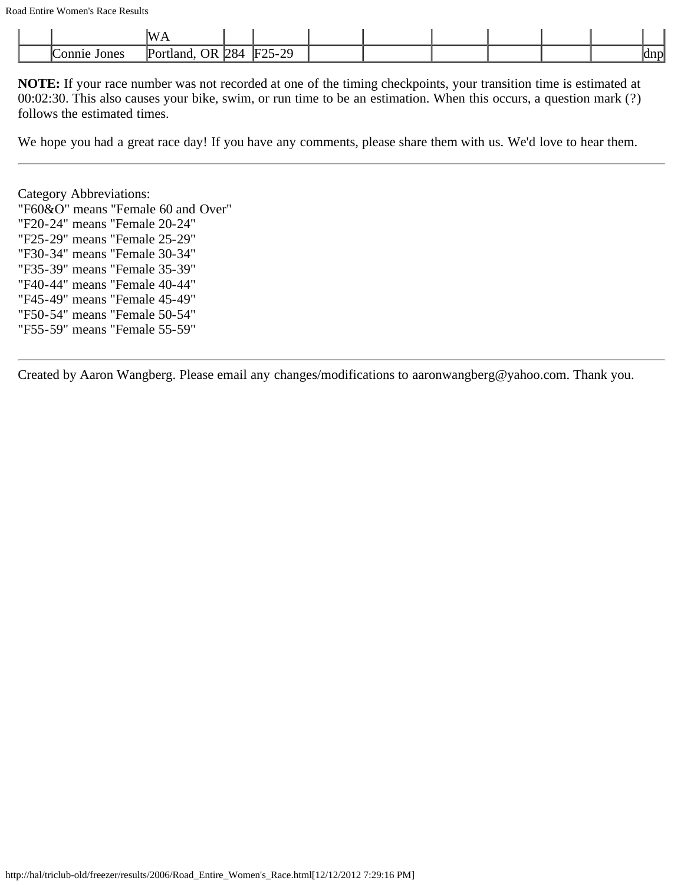|                 | IW<br>.                                      |                  |          |  |  |  |             |
|-----------------|----------------------------------------------|------------------|----------|--|--|--|-------------|
| Jones<br>Connie | $\bigcap R$<br>$\sqrt{\text{Port}}$<br>tland | $^{1284}$<br>້⊔ພ | $F25-29$ |  |  |  | dnn<br>ulip |

We hope you had a great race day! If you have any comments, please share them with us. We'd love to hear them.

Category Abbreviations: "F60&O" means "Female 60 and Over" "F20-24" means "Female 20-24" "F25-29" means "Female 25-29" "F30-34" means "Female 30-34" "F35-39" means "Female 35-39" "F40-44" means "Female 40-44" "F45-49" means "Female 45-49" "F50-54" means "Female 50-54" "F55-59" means "Female 55-59"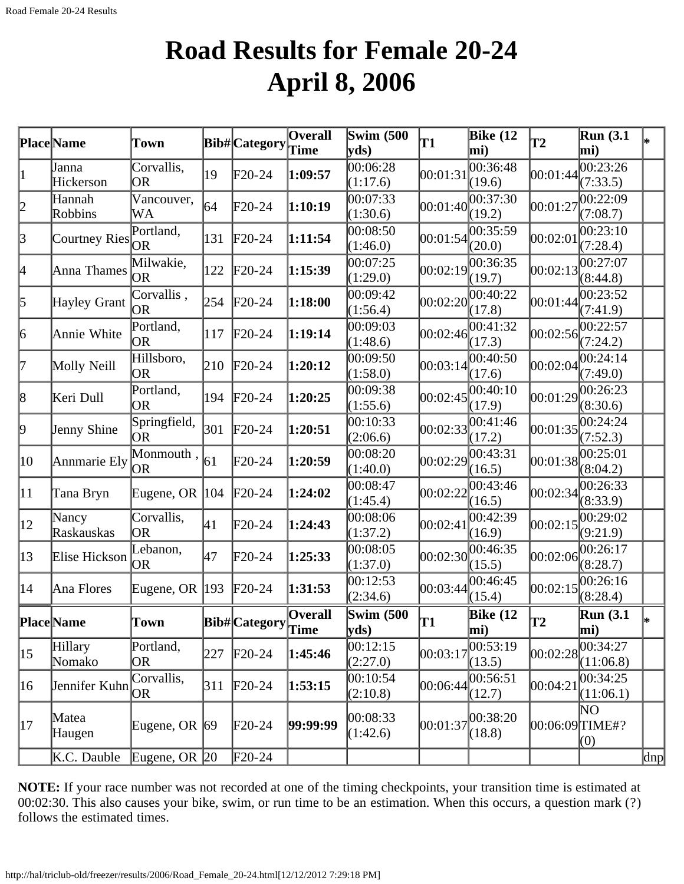## **Road Results for Female 20-24 April 8, 2006**

|              | Place Name           | Town                    |            | Bib# Category   | $\overline{\mathbf{O}}$ verall<br>Time | Swim $(500)$<br>$ {\bf v} {\bf d} s\rangle$ | <b>T1</b> | <b>Bike</b> (12<br>mi)         | T2             | <b>Run</b> (3.1<br>mi)         |          |
|--------------|----------------------|-------------------------|------------|-----------------|----------------------------------------|---------------------------------------------|-----------|--------------------------------|----------------|--------------------------------|----------|
| 1            | Janna<br>Hickerson   | Corvallis,<br>OR        | 19         | F20-24          | 1:09:57                                | 00:06:28<br>(1:17.6)                        | 00:01:31  | 00:36:48<br>(19.6)             | 00:01:44       | 00:23:26<br>(7:33.5)           |          |
| $ 2\>$       | Hannah<br>Robbins    | Vancouver,<br>WA        | 64         | $F20-24$        | 1:10:19                                | 00:07:33<br>(1:30.6)                        | 00:01:40  | 00:37:30<br>(19.2)             | 00:01:27       | 00:22:09<br>(7:08.7)           |          |
| $\beta$      | <b>Courtney Ries</b> | Portland,<br><b>OR</b>  | 131        | $\text{F}20-24$ | 1:11:54                                | 00:08:50<br>(1:46.0)                        | 00:01:54  | 00:35:59<br>(20.0)             | 00:02:01       | 00:23:10<br>(7:28.4)           |          |
| 4            | Anna Thames          | Milwakie,<br><b>OR</b>  | 122        | $\text{F}20-24$ | 1:15:39                                | 00:07:25<br>(1:29.0)                        | 00:02:19  | 00:36:35<br>(19.7)             | 00:02:13       | 00:27:07<br>(8:44.8)           |          |
| 5            | Hayley Grant         | Corvallis,<br><b>OR</b> | 254        | $\text{F20-24}$ | 1:18:00                                | 00:09:42<br>(1:56.4)                        | 00:02:20  | 00:40:22<br>(17.8)             | 00:01:44       | 00:23:52<br>(7:41.9)           |          |
| 6            | Annie White          | Portland,<br> OR        | 117        | $F20-24$        | 1:19:14                                | 00:09:03<br>(1:48.6)                        | 00:02:46  | 00:41:32<br>(17.3)             | 00:02:56       | 00:22:57<br>(7:24.2)           |          |
| 17           | Molly Neill          | Hillsboro,<br>OR        | 210        | $F20-24$        | 1:20:12                                | 00:09:50<br>(1:58.0)                        | 00:03:14  | 00:40:50<br>(17.6)             | 00:02:04       | 00:24:14<br>(7:49.0)           |          |
| 8            | Keri Dull            | Portland,<br><b>OR</b>  | 194        | $F20-24$        | 1:20:25                                | 00:09:38<br>(1:55.6)                        | 00:02:45  | 00:40:10<br>(17.9)             |                | 00:01:29 <br>(8:30.6)          |          |
| þ.           | Jenny Shine          | Springfield,<br>OR      | 301        | $\text{F}20-24$ | 1:20:51                                | 00:10:33<br>(2:06.6)                        | 00:02:33  | 00:41:46<br>(17.2)             | 00:01:35       | 00:24:24<br>(7:52.3)           |          |
| 10           | Annmarie Ely         | Monmouth,<br> OR        | $\vert$ 61 | F20-24          | 1:20:59                                | 00:08:20<br>(1:40.0)                        | 00:02:29  | 00:43:31<br>(16.5)             | 00:01:38       | 00:25:01<br>(8:04.2)           |          |
| $ 11\rangle$ | Tana Bryn            | Eugene, OR $ 104$       |            | $\text{F}20-24$ | 1:24:02                                | 00:08:47<br>(1:45.4)                        | 00:02:22  | 00:43:46<br>(16.5)             | 00:02:34       | 00:26:33 <br>(8:33.9)          |          |
| $ 12\rangle$ | Nancy<br>Raskauskas  | Corvallis,<br><b>OR</b> | 41         | F20-24          | 1:24:43                                | 00:08:06<br>(1:37.2)                        | 00:02:41  | 00:42:39<br>(16.9)             | 00:02:15       | 00:29:02<br>(9:21.9)           |          |
| $ 13\rangle$ | Elise Hickson        | Lebanon,<br>OR          | 47         | $F20-24$        | 1:25:33                                | 00:08:05<br>(1:37.0)                        | 00:02:30  | 00:46:35<br>(15.5)             | 00:02:06       | 00:26:17<br>(8:28.7)           |          |
| 14           | Ana Flores           | Eugene, OR $ 193$       |            | $F20-24$        | 1:31:53                                | 00:12:53<br>(2:34.6)                        | 00:03:44  | 00:46:45<br>(15.4)             | 00:02:15       | 00:26:16<br>(8:28.4)           |          |
|              | <b>Place</b> Name    | Town                    |            | Bib# Category   | <b>Overall</b><br>Time                 | Swim $(500)$<br>$ {\bf y}$ ds)              | T1        | <b>Bike</b> (12<br>$\vert$ mi) | T2             | <b>Run</b> (3.1<br>$\vert$ mi) | I∗       |
| 15           | Hillary<br>Nomako    | Portland,<br><b>OR</b>  | 227        | $F20-24$        | 1:45:46                                | 00:12:15<br>(2:27.0)                        | 00:03:17  | 00:53:19<br>(13.5)             | 00:02:28       | 00:34:27<br>(11:06.8)          |          |
| 16           | Jennifer Kuhn        | Corvallis,<br><b>OR</b> | 311        | $F20-24$        | 1:53:15                                | 00:10:54 <br>(2:10.8)                       | 00:06:44  | 00:56:51<br>(12.7)             | 00:04:21       | 00:34:25<br>(11:06.1)          |          |
| 17           | Matea<br>Haugen      | Eugene, OR $ 69 $       |            | $F20-24$        | 99:99:99                               | 00:08:33<br>(1:42.6)                        | 00:01:37  | 00:38:20<br>(18.8)             | 00:06:09TIME#? | $\overline{\rm NO}$<br>(0)     |          |
|              | K.C. Dauble          | Eugene, OR $ 20 $       |            | $F20-24$        |                                        |                                             |           |                                |                |                                | $\dim p$ |

**NOTE:** If your race number was not recorded at one of the timing checkpoints, your transition time is estimated at 00:02:30. This also causes your bike, swim, or run time to be an estimation. When this occurs, a question mark (?) follows the estimated times.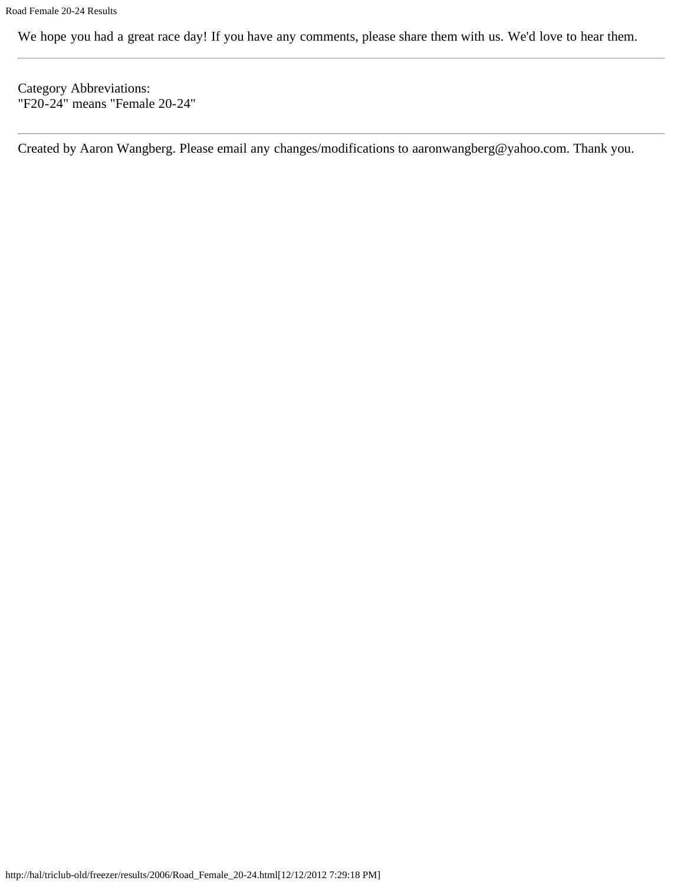We hope you had a great race day! If you have any comments, please share them with us. We'd love to hear them.

Category Abbreviations: "F20-24" means "Female 20-24"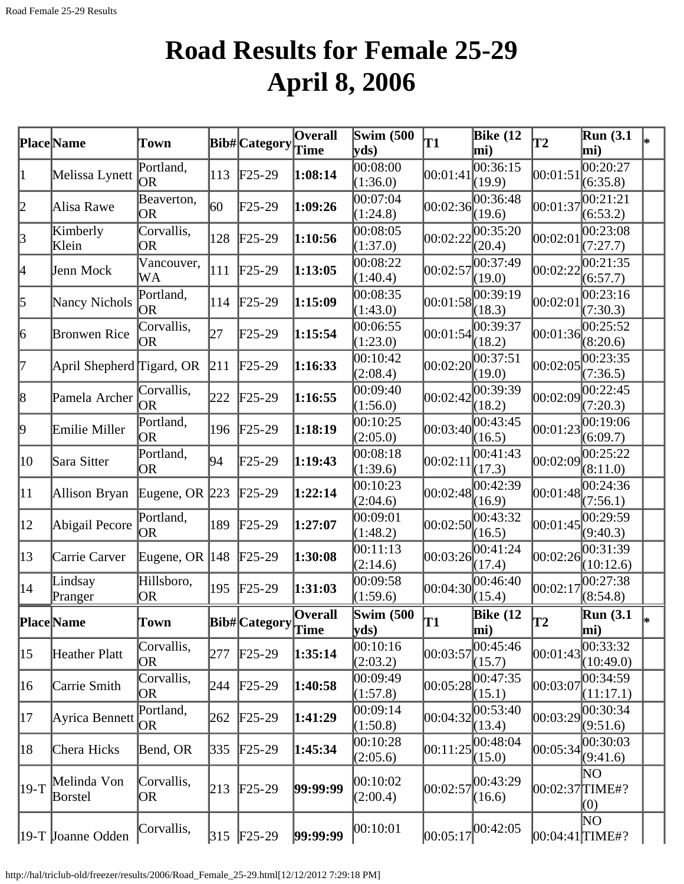# **Road Results for Female 25-29 April 8, 2006**

|                 | <b>Place</b> Name         | Town               |               | Bib#Category         | $\overline{\textbf{O}}$ verall<br>Time | <b>Swim (500)</b><br>vds)          | T1       | Bike $(12)$<br>mi)                | T2                  | <b>Run</b> (3.1)<br>mi)    |  |
|-----------------|---------------------------|--------------------|---------------|----------------------|----------------------------------------|------------------------------------|----------|-----------------------------------|---------------------|----------------------------|--|
| 1               | Melissa Lynett            | Portland,<br>OR.   | $ 113\rangle$ | $F25-29$             | 1:08:14                                | 00:08:00<br>(1:36.0)               | 00:01:41 | 00:36:15<br>(19.9)                | 00:01:5             | 00:20:27<br>(6:35.8)       |  |
| 2               | Alisa Rawe                | Beaverton,<br> OR  | 60            | $F25-29$             | 1:09:26                                | 00:07:04<br>(1:24.8)               | 00:02:36 | 00:36:48<br>(19.6)                | 00:01:37            | 00:21:21<br>(6:53.2)       |  |
| 3               | Kimberly<br>Klein         | Corvallis,<br>OR   | 128           | $\text{F25-29}$      | 1:10:56                                | 00:08:05<br>(1:37.0)               | 00:02:22 | 00:35:20<br>(20.4)                | 00:02:01            | 00:23:08<br>(7:27.7)       |  |
| 4               | Jenn Mock                 | Vancouver,<br>WA   | 111           | $\text{F25-29}$      | 1:13:05                                | 00:08:22<br>(1:40.4)               | 00:02:57 | 00:37:49<br>(19.0)                | 00:02:22            | [00:21:35]<br>(6:57.7)     |  |
| 5               | Nancy Nichols             | Portland,<br>OR)   | 114           | $F25-29$             | 1:15:09                                | 00:08:35<br>(1:43.0)               | 00:01:58 | 00:39:19<br>(18.3)                | 00:02:01            | 00:23:16<br>(7:30.3)       |  |
| $\vert 6 \vert$ | <b>Bronwen Rice</b>       | Corvallis,<br> OR  | 27            | $F25-29$             | 1:15:54                                | 00:06:55<br>(1:23.0)               | 00:01:54 | 00:39:37<br>(18.2)                | [00:01:36]          | 00:25:52<br>(8:20.6)       |  |
| 7               | April Shepherd Tigard, OR |                    | 211           | $\text{F25-29}$      | 1:16:33                                | 00:10:42<br>(2:08.4)               | 00:02:20 | 00:37:51<br>(19.0)                | 00:02:05            | 00:23:35<br>(7:36.5)       |  |
| $\vert 8$       | Pamela Archer             | Corvallis,<br>OR   | 222           | $\text{F25-29}$      | 1:16:55                                | 00:09:40<br>(1:56.0)               |          | 00:02:42 <br>(18.2)               | 00:02:09            | 00:22:45<br>(7:20.3)       |  |
| þ,              | Emilie Miller             | Portland,<br>OR)   | 196           | $F25-29$             | 1:18:19                                | 00:10:25<br>(2:05.0)               | 00:03:40 | 00:43:45<br>(16.5)                | 00:01:23            | 00:19:06<br>(6:09.7)       |  |
| 10              | Sara Sitter               | Portland,<br> OR   | 94            | $\text{F25-29}$      | 1:19:43                                | 00:08:18<br>(1:39.6)               | 00:02:11 | 00:41:43<br>(17.3)                | 00:02:09            | 00:25:22<br>(8:11.0)       |  |
| 11              | Allison Bryan             | Eugene, OR $ 223 $ |               | $\text{F25-29}$      | 1:22:14                                | 00:10:23<br>(2:04.6)               | 00:02:48 | 00:42:39<br>(16.9)                | 00:01:48            | 00:24:36<br>(7:56.1)       |  |
| $ 12\rangle$    | Abigail Pecore            | Portland,<br>OR)   | 189           | $F25-29$             | 1:27:07                                | 00:09:01<br>(1:48.2)               | 00:02:50 | 00:43:32<br>(16.5)                | 00:01:45            | 00:29:59<br>(9:40.3)       |  |
| $ 13\rangle$    | Carrie Carver             | Eugene, OR $ 148$  |               | $\text{F25-29}$      | 1:30:08                                | 00:11:13<br>(2:14.6)               | 00:03:26 | 00:41:24<br>(17.4)                | 00:02:26            | 00:31:39<br>(10:12.6)      |  |
| 14              | Lindsay<br>Pranger        | Hillsboro,<br> OR  | 195           | $F25-29$             | 1:31:03                                | 00:09:58<br>(1:59.6)               | 00:04:30 | 00:46:40<br>(15.4)                | 00:02:17            | 00:27:38<br>(8:54.8)       |  |
|                 | <b>Place</b> Name         | Town               |               | Bib#Category Overall |                                        | <b>Swim (500</b><br>$ {\bf y}$ ds) | lΤ1      | <b>Bike</b> (12<br>mi)            | lT2                 | <b>Run</b> (3.1)<br>mi)    |  |
| $ 15\rangle$    | Heather Platt             | Corvallis,<br> OR  | 277           | $F25-29$             | 1:35:14                                | 00:10:16<br>(2:03.2)               | 00:03:57 | 00:45:46<br>(15.7)                | 00:01:43            | 00:33:32<br>(10:49.0)      |  |
| $ 16\rangle$    | Carrie Smith              | Corvallis,<br> OR  | 244           | $F25-29$             | 1:40:58                                | 00:09:49<br>(1:57.8)               |          | $ 00:05:28 ^{00:47:35}$<br>(15.1) | 00:03:07            | 00:34:59<br>(11:17.1)      |  |
| 17              | Ayrica Bennett            | Portland,<br>OR)   | 262           | $\text{F25-29}$      | 1:41:29                                | 00:09:14<br>(1:50.8)               | 00:04:32 | 00:53:40<br>(13.4)                | 00:03:29            | 00:30:34<br>(9:51.6)       |  |
| 18              | Chera Hicks               | Bend, OR           | 335           | $\text{F25-29}$      | 1:45:34                                | 00:10:28<br>(2:05.6)               | 00:11:25 | 00:48:04<br>(15.0)                | 00:05:34            | 00:30:03<br>(9:41.6)       |  |
| $ 19-T$         | Melinda Von<br>Borstel    | Corvallis,<br>OR)  | 213           | $F25-29$             | 99:99:99                               | 00:10:02<br>(2:00.4)               | 00:02:57 | 00:43:29<br>(16.6)                | $ 00:02:37 $ TIME#? | $\overline{\rm NO}$<br>(0) |  |
|                 | 19-T Joanne Odden         | Corvallis,         | 315           | $F25-29$             | 99:99:99                               | 00:10:01                           | 00:05:17 | 00:42:05                          | $[00:04:41]$ TIME#? | NΟ                         |  |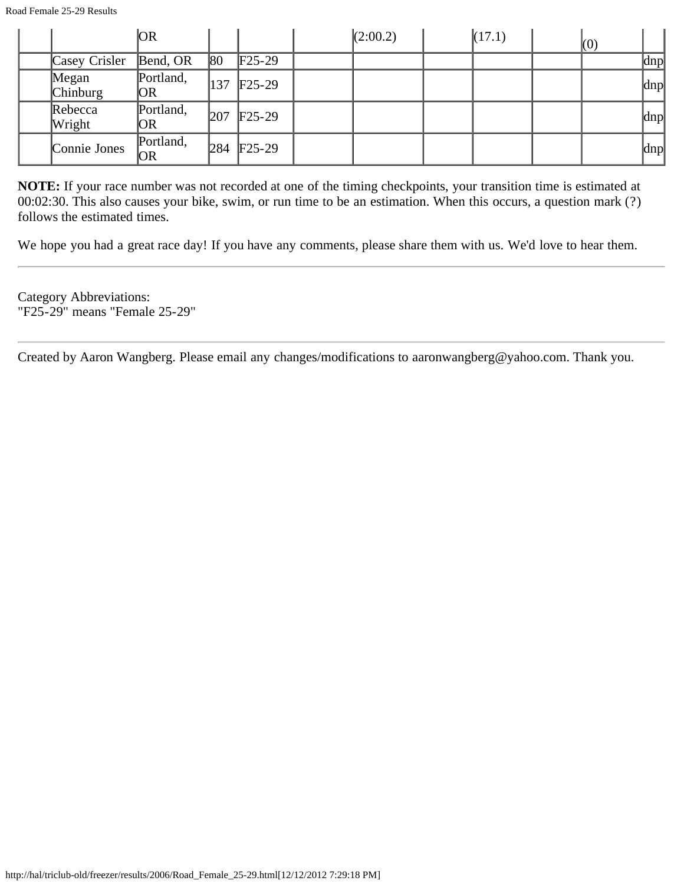|                   | <b>OR</b>              |     |                         | (2:00.2) | (17.1) | (0) |     |
|-------------------|------------------------|-----|-------------------------|----------|--------|-----|-----|
| Casey Crisler     | Bend, OR               | 80  | $\text{F25-29}$         |          |        |     | dnp |
| Megan<br>Chinburg | Portland,<br>OR        | 137 | $F25-29$                |          |        |     | dnp |
| Rebecca<br>Wright | Portland,<br>OR        | 207 | $\text{F25-29}$         |          |        |     | dnp |
| Connie Jones      | Portland,<br><b>OR</b> |     | 284 F <sub>25</sub> -29 |          |        |     | dnp |

We hope you had a great race day! If you have any comments, please share them with us. We'd love to hear them.

Category Abbreviations: "F25-29" means "Female 25-29"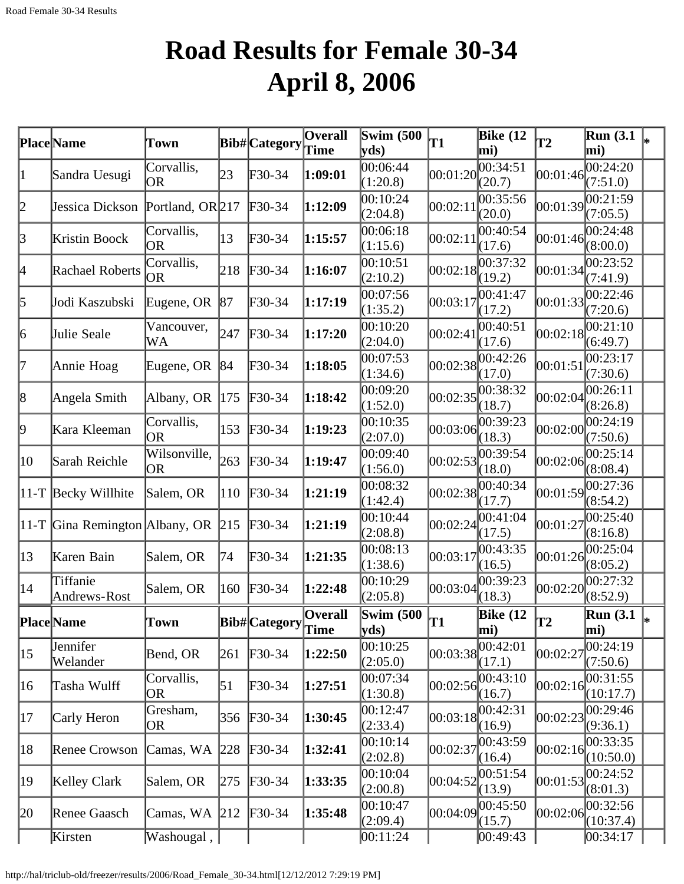# **Road Results for Female 30-34 April 8, 2006**

|              | Place Name                         | Town                      |                  | Bib# Category              | <b>Overall</b><br>Time | <b>Swim (500)</b><br>yds   | T1       | <b>Bike</b> (12<br>mi) | <b>T2</b>      | <b>Run</b> (3.1)<br>mi)        |    |
|--------------|------------------------------------|---------------------------|------------------|----------------------------|------------------------|----------------------------|----------|------------------------|----------------|--------------------------------|----|
| 1            | Sandra Uesugi                      | Corvallis,<br><b>OR</b>   | 23               | F30-34                     | 1:09:01                | 00:06:44<br>(1:20.8)       | 00:01:20 | 00:34:51<br>(20.7)     | 00:01:46       | 00:24:20<br>(7:51.0)           |    |
| 2            | Jessica Dickson                    | Portland, OR 217          |                  | $F30-34$                   | 1:12:09                | 00:10:24<br>(2:04.8)       | 00:02:11 | 00:35:56<br>(20.0)     | 00:01:39       | 00:21:59<br>(7:05.5)           |    |
| $\beta$      | Kristin Boock                      | Corvallis,<br><b>OR</b>   | 13               | F30-34                     | 1:15:57                | 00:06:18<br>(1:15.6)       | 00:02:11 | 00:40:54<br>(17.6)     | 00:01:46       | 00:24:48<br>(8:00.0)           |    |
| 4            | Rachael Roberts                    | Corvallis,<br><b>OR</b>   | 218              | $F30-34$                   | 1:16:07                | 00:10:51<br>(2:10.2)       | 00:02:18 | 00:37:32<br>(19.2)     | 00:01:34       | 00:23:52<br>(7:41.9)           |    |
| 5            | Jodi Kaszubski                     | Eugene, OR                | 87               | F30-34                     | 1:17:19                | 00:07:56<br>(1:35.2)       | 00:03:17 | 00:41:47<br>(17.2)     | 00:01:33       | 00:22:46<br>(7:20.6)           |    |
| 6            | Julie Seale                        | Vancouver,<br>WA          | 247              | $F30-34$                   | 1:17:20                | 00:10:20<br>(2:04.0)       | 00:02:41 | 00:40:51<br>(17.6)     | 00:02:18       | 00:21:10<br>(6:49.7)           |    |
| 7            | Annie Hoag                         | Eugene, OR                | 84               | $F30-34$                   | 1:18:05                | 00:07:53<br>(1:34.6)       | 00:02:38 | 00:42:26<br>(17.0)     | 00:01:51       | 00:23:17<br>(7:30.6)           |    |
| 8            | Angela Smith                       | Albany, OR                | 175              | $F30-34$                   | 1:18:42                | 00:09:20<br>(1:52.0)       | 00:02:35 | 00:38:32<br>(18.7)     | 00:02:04       | 00:26:11<br>(8:26.8)           |    |
| þ            | Kara Kleeman                       | Corvallis,<br><b>OR</b>   | 153              | $\textcolor{blue}{F30-34}$ | 1:19:23                | 00:10:35<br>(2:07.0)       | 00:03:06 | 00:39:23<br>(18.3)     | 00:02:00       | 00:24:19<br>(7:50.6)           |    |
| 10           | Sarah Reichle                      | Wilsonville,<br><b>OR</b> | 263              | $\textcolor{blue}{F30-34}$ | 1:19:47                | 00:09:40<br>(1:56.0)       | 00:02:53 | 00:39:54<br>(18.0)     | 00:02:06       | 00:25:14<br>(8:08.4)           |    |
|              | $ 11-T $ Becky Willhite            | Salem, OR                 | 110              | $\textcolor{blue}{F30-34}$ | 1:21:19                | 00:08:32<br>(1:42.4)       | 00:02:38 | 00:40:34<br>(17.7)     | 00:01:59       | 00:27:36<br>(8:54.2)           |    |
|              | 11-T Gina Remington Albany, OR 215 |                           |                  | $\textcolor{blue}{F30-34}$ | 1:21:19                | 00:10:44<br>(2:08.8)       | 00:02:24 | 00:41:04<br>(17.5)     | 00:01:27       | 00:25:40<br>(8:16.8)           |    |
| $ 13\rangle$ | Karen Bain                         | Salem, OR                 | 74               | F30-34                     | 1:21:35                | 00:08:13<br>(1:38.6)       | 00:03:17 | 00:43:35<br>(16.5)     | 00:01:26       | 00:25:04<br>(8:05.2)           |    |
| 14           | Tiffanie<br>Andrews-Rost           | Salem, OR                 | 160              | $\textsf{F}30-34$          | 1:22:48                | 00:10:29<br>(2:05.8)       | 00:03:04 | 00:39:23<br>(18.3)     | 00:02:20       | 00:27:32<br>(8:52.9)           |    |
|              | Place Name                         | Town                      |                  | Bib# Category              | Overall<br>Time        | <b>Swim (500)</b><br> yds) | T1       | Bike $(12)$<br>mi)     | $ \mathbf{T2}$ | <b>Run</b> (3.1)<br>$\bf  mi)$ | I∗ |
| $ 15\rangle$ | Jennifer<br>Welander               | Bend, OR                  | 261              | $\textcolor{blue}{F30-34}$ | 1:22:50                | 00:10:25<br>(2:05.0)       | 00:03:38 | 00:42:01<br>(17.1)     | 00:02:27       | 00:24:19<br>(7:50.6)           |    |
| 16           | Tasha Wulff                        | Corvallis,<br><b>OR</b>   | $\vert 51 \vert$ | F30-34                     | 1:27:51                | 00:07:34<br>(1:30.8)       | 00:02:56 | 00:43:10<br>(16.7)     | 00:02:16       | 00:31:55<br>(10:17.7)          |    |
| 17           | Carly Heron                        | Gresham,<br><b>OR</b>     | 356              | $\textcolor{blue}{F30-34}$ | 1:30:45                | 00:12:47<br>(2:33.4)       | 00:03:18 | 00:42:31<br>(16.9)     | 00:02:23       | 00:29:46<br>(9:36.1)           |    |
| 18           | <b>Renee Crowson</b>               | Camas, WA                 | 228              | $F30-34$                   | 1:32:41                | 00:10:14<br>(2:02.8)       | 00:02:37 | 00:43:59<br>(16.4)     | 00:02:16       | 00:33:35<br>(10:50.0)          |    |
| 19           | Kelley Clark                       | Salem, OR                 | 275              | $\textcolor{blue}{F30-34}$ | 1:33:35                | 00:10:04<br>(2:00.8)       | 00:04:52 | 00:51:54<br>(13.9)     | 00:01:53       | 00:24:52<br>(8:01.3)           |    |
| 20           | Renee Gaasch                       | Camas, WA                 | 212              | F30-34                     | 1:35:48                | 00:10:47<br>(2:09.4)       | 00:04:09 | 00:45:50<br>(15.7)     | 00:02:06       | 00:32:56<br>(10:37.4)          |    |
|              | Kirsten                            | Washougal,                |                  |                            |                        | 00:11:24                   |          | 00:49:43               |                | 00:34:17                       |    |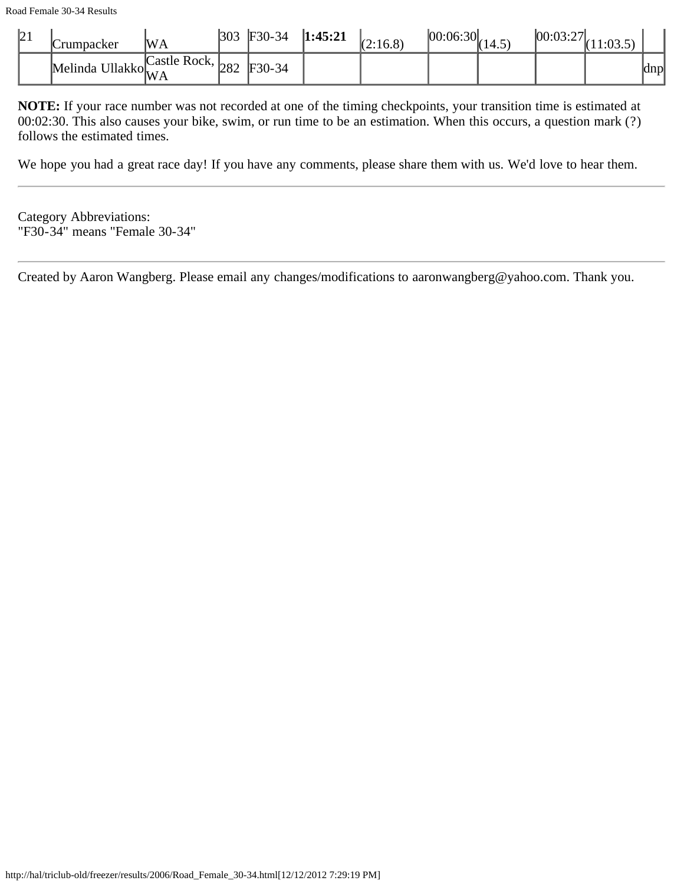| 21 | tumpacker                    | <b>WA</b>             | 303 | $F30-34$ | 1:45:21 | (2:16.8) | [00:06:30] | II 14.J | 100:03:2 |               |
|----|------------------------------|-----------------------|-----|----------|---------|----------|------------|---------|----------|---------------|
|    | Melinda Ullakko $ _{\rm WA}$ | Castle Rock, $_{282}$ |     | $F30-34$ |         |          |            |         |          | <b>School</b> |

We hope you had a great race day! If you have any comments, please share them with us. We'd love to hear them.

Category Abbreviations: "F30-34" means "Female 30-34"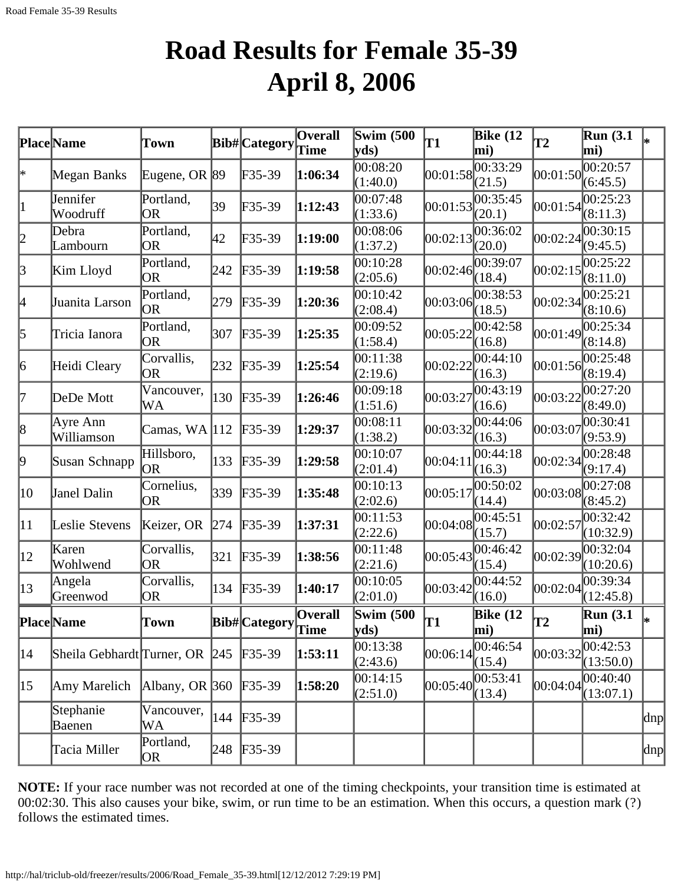## **Road Results for Female 35-39 April 8, 2006**

|              | Place Name                 | Town                    |     | <b>Bib#</b> Category | Overall<br>Time | <b>Swim</b> (500<br>$ {\bf v} {\bf d} s\rangle$ | T1       | <b>Bike (12</b><br>mi) | <b>T2</b>  | Run(3.1)<br>mi)       |          |
|--------------|----------------------------|-------------------------|-----|----------------------|-----------------|-------------------------------------------------|----------|------------------------|------------|-----------------------|----------|
| ∗            | Megan Banks                | Eugene, OR 89           |     | F35-39               | 1:06:34         | 00:08:20<br>(1:40.0)                            | 00:01:58 | 00:33:29<br>(21.5)     | 00:01:50   | 00:20:57<br>(6:45.5)  |          |
| $\vert$ 1    | Jennifer<br>Woodruff       | Portland,<br><b>OR</b>  | 39  | F35-39               | 1:12:43         | 00:07:48<br>(1:33.6)                            | 00:01:53 | 00:35:45<br>(20.1)     | 00:01:54   | 00:25:23<br>(8:11.3)  |          |
| 2            | Debra<br>Lambourn          | Portland,<br><b>OR</b>  | 42  | F35-39               | 1:19:00         | 00:08:06<br>(1:37.2)                            | 00:02:13 | 00:36:02<br>(20.0)     | 00:02:24   | 00:30:15<br>(9:45.5)  |          |
| 3            | Kim Lloyd                  | Portland,<br>OR         | 242 | $F35-39$             | 1:19:58         | 00:10:28<br>(2:05.6)                            | 00:02:46 | 00:39:07<br>(18.4)     | 00:02:15   | 00:25:22<br>(8:11.0)  |          |
| 4            | Juanita Larson             | Portland,<br> OR        | 279 | $F35-39$             | 1:20:36         | 00:10:42<br>(2:08.4)                            | 00:03:06 | 00:38:53<br>(18.5)     | 00:02:34   | 00:25:21<br>(8:10.6)  |          |
| 5            | Tricia Ianora              | Portland,<br> OR        | 307 | $F35-39$             | 1:25:35         | 00:09:52<br>(1:58.4)                            | 00:05:22 | 00:42:58<br>(16.8)     | 00:01:49   | 00:25:34<br>(8:14.8)  |          |
| 6            | Heidi Cleary               | Corvallis,<br><b>OR</b> | 232 | $F35-39$             | 1:25:54         | 00:11:38<br>(2:19.6)                            | 00:02:22 | 00:44:10<br>(16.3)     | 00:01:56   | 00:25:48<br>(8:19.4)  |          |
| 17           | DeDe Mott                  | Vancouver,<br>WA        | 130 | $F35-39$             | 1:26:46         | 00:09:18<br>(1:51.6)                            | 00:03:27 | 00:43:19<br>(16.6)     | 00:03:22   | 00:27:20<br>(8:49.0)  |          |
| 8            | Ayre Ann<br>Williamson     | Camas, $WA$  112        |     | $F35-39$             | 1:29:37         | 00:08:11<br>(1:38.2)                            | 00:03:32 | 00:44:06<br>(16.3)     | 00:03:07   | 00:30:41<br>(9:53.9)  |          |
| 9            | Susan Schnapp              | Hillsboro,<br> OR       | 133 | $F35-39$             | 1:29:58         | 00:10:07<br>(2:01.4)                            | 00:04:11 | 00:44:18<br>(16.3)     | 00:02:34   | 00:28:48<br>(9:17.4)  |          |
| 10           | Janel Dalin                | Cornelius,<br>OR        | 339 | $F35-39$             | 1:35:48         | 00:10:13<br>(2:02.6)                            | 00:05:17 | 00:50:02<br>(14.4)     | 00:03:08   | 00:27:08<br>(8:45.2)  |          |
| $ 11\rangle$ | Leslie Stevens             | Keizer, OR              | 274 | $F35-39$             | 1:37:31         | 00:11:53<br>(2:22.6)                            | 00:04:08 | 00:45:51<br>(15.7)     | 00:02:57   | 00:32:42<br>(10:32.9) |          |
| $ 12\rangle$ | Karen<br>Wohlwend          | Corvallis,<br>OR        | 321 | $F35-39$             | 1:38:56         | 00:11:48<br>(2:21.6)                            | 00:05:43 | 00:46:42<br>(15.4)     | [00:02:39] | 00:32:04<br>(10:20.6) |          |
| $ 13\rangle$ | Angela<br>Greenwod         | Corvallis,<br> OR       | 134 | $F35-39$             | 1:40:17         | 00:10:05<br>(2:01.0)                            | 00:03:42 | 00:44:52<br>(16.0)     | 00:02:04   | 00:39:34<br>(12:45.8) |          |
|              | Place Name                 | Town                    |     | Bib# Category        | Overall<br>Time | <b>Swim (500)</b><br>$ {\bf y}$ ds)             | lT1      | <b>Bike</b> (12<br>mi) | lT2        | Run(3.1)<br>mi)       |          |
| 14           | Sheila Gebhardt Turner, OR |                         | 245 | $F35-39$             | 1:53:11         | 00:13:38<br>(2:43.6)                            | 00:06:14 | 00:46:54<br>(15.4)     | 00:03:32   | 00:42:53<br>(13:50.0) |          |
| $ 15\rangle$ | Amy Marelich               | Albany, OR $ 360 $      |     | $F35-39$             | 1:58:20         | 00:14:15<br>(2:51.0)                            | 00:05:40 | 00:53:41<br>(13.4)     | 00:04:04   | 00:40:40<br>(13:07.1) |          |
|              | Stephanie<br>Baenen        | Vancouver,<br>WA        | 144 | $F35-39$             |                 |                                                 |          |                        |            |                       | $\alpha$ |
|              | Tacia Miller               | Portland,<br>OR.        | 248 | $F35-39$             |                 |                                                 |          |                        |            |                       | dnp      |

**NOTE:** If your race number was not recorded at one of the timing checkpoints, your transition time is estimated at 00:02:30. This also causes your bike, swim, or run time to be an estimation. When this occurs, a question mark (?) follows the estimated times.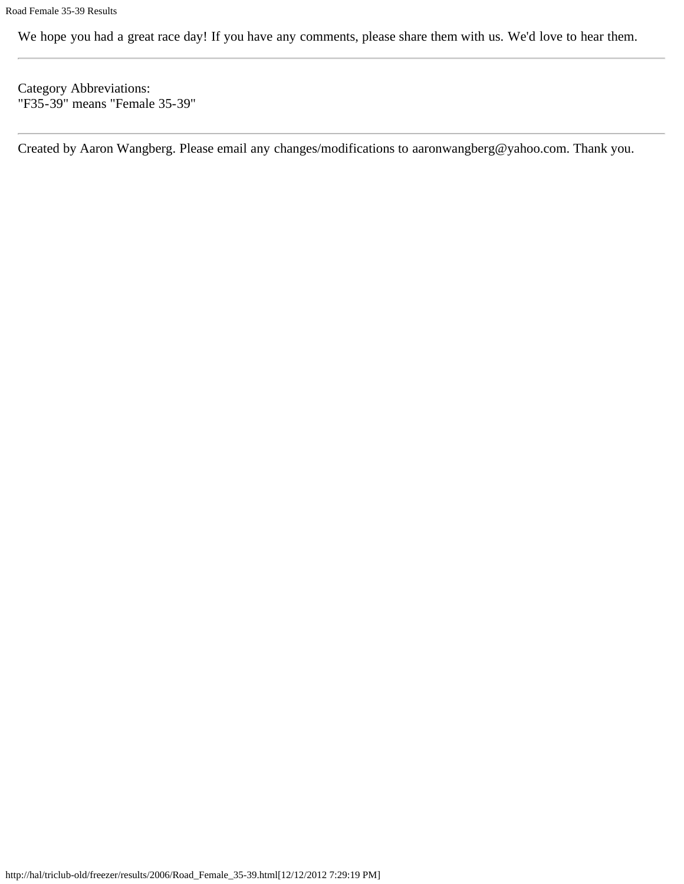We hope you had a great race day! If you have any comments, please share them with us. We'd love to hear them.

Category Abbreviations: "F35-39" means "Female 35-39"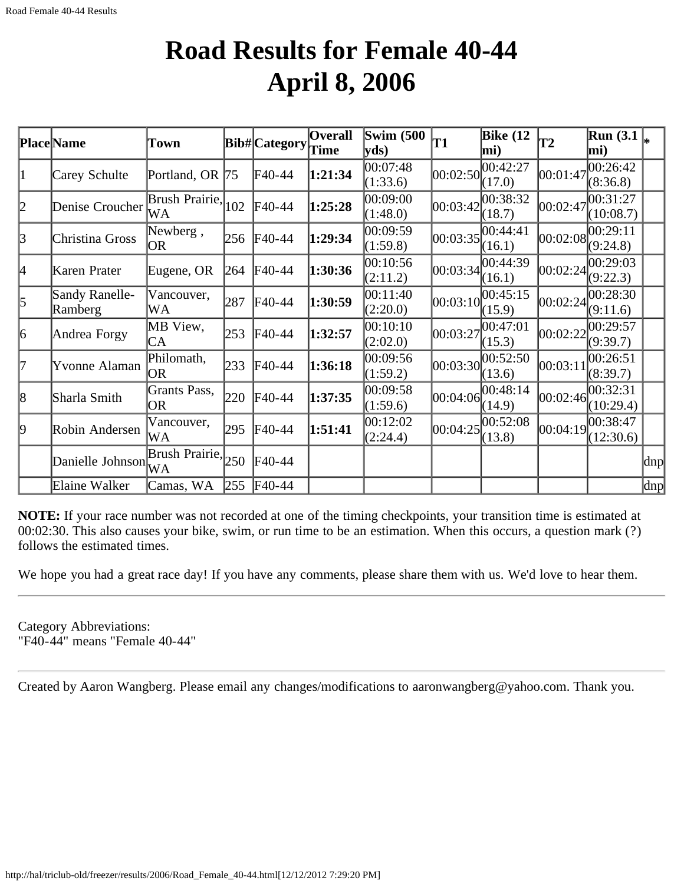## **Road Results for Female 40-44 April 8, 2006**

|           | <b>Place Name</b>         | Town                     |     | <b>Bib#</b> Category | <b>Overall</b> | Swim $(500)$         | T1       | <b>Bike</b> (12    | T <sub>2</sub> | <b>Run</b> (3.1)      |     |
|-----------|---------------------------|--------------------------|-----|----------------------|----------------|----------------------|----------|--------------------|----------------|-----------------------|-----|
|           |                           |                          |     |                      | Time           | yds                  |          | mi)                |                | mi)                   |     |
| 1         | Carey Schulte             | Portland, OR 75          |     | F40-44               | 1:21:34        | 00:07:48<br>(1:33.6) | 00:02:50 | 00:42:27<br>(17.0) | 00:01:47       | 00:26:42<br>(8:36.8)  |     |
| 2         | Denise Croucher           | Brush Prairie, 102<br>WA |     | F40-44               | 1:25:28        | 00:09:00<br>(1:48.0) | 00:03:42 | 00:38:32<br>(18.7) | 00:02:47       | 00:31:27<br>(10:08.7) |     |
| 3         | Christina Gross           | Newberg,<br> OR          | 256 | F40-44               | 1:29:34        | 00:09:59<br>(1:59.8) | 00:03:35 | 00:44:41<br>(16.1) |                | 00:02:08 <br>(9:24.8) |     |
| 4         | Karen Prater              | Eugene, OR               | 264 | F40-44               | 1:30:36        | 00:10:56<br>(2:11.2) | 00:03:34 | 00:44:39<br>(16.1) | 00:02:24       | 00:29:03<br>(9:22.3)  |     |
| $\vert$ 5 | Sandy Ranelle-<br>Ramberg | Vancouver,<br>WA         | 287 | F40-44               | 1:30:59        | 00:11:40<br>(2:20.0) | 00:03:10 | 00:45:15<br>(15.9) | 00:02:24       | 00:28:30<br>(9:11.6)  |     |
| 6         | Andrea Forgy              | MB View,<br>CA           | 253 | F40-44               | 1:32:57        | 00:10:10<br>(2:02.0) | 00:03:27 | 00:47:01<br>(15.3) | 00:02:22       | 00:29:57<br>(9:39.7)  |     |
| 17        | Yvonne Alaman             | Philomath,<br>OR.        | 233 | F40-44               | 1:36:18        | 00:09:56<br>(1:59.2) | 00:03:30 | 00:52:50<br>(13.6) | 00:03:11       | 00:26:51<br>(8:39.7)  |     |
| 8         | Sharla Smith              | Grants Pass,<br>OR       | 220 | F40-44               | 1:37:35        | 00:09:58<br>(1:59.6) | 00:04:06 | 00:48:14<br>(14.9) | 00:02:46       | 00:32:31<br>(10:29.4) |     |
| 9         | Robin Andersen            | Vancouver,<br>WA         | 295 | F40-44               | 1:51:41        | 00:12:02<br>(2:24.4) | 00:04:25 | 00:52:08<br>(13.8) | 00:04:19       | 00:38:47<br>(12:30.6) |     |
|           | Danielle Johnson          | Brush Prairie, 250       |     | F40-44               |                |                      |          |                    |                |                       | dnp |
|           | Elaine Walker             | Camas, WA                | 255 | $FA0-44$             |                |                      |          |                    |                |                       | dnp |

**NOTE:** If your race number was not recorded at one of the timing checkpoints, your transition time is estimated at 00:02:30. This also causes your bike, swim, or run time to be an estimation. When this occurs, a question mark (?) follows the estimated times.

We hope you had a great race day! If you have any comments, please share them with us. We'd love to hear them.

Category Abbreviations: "F40-44" means "Female 40-44"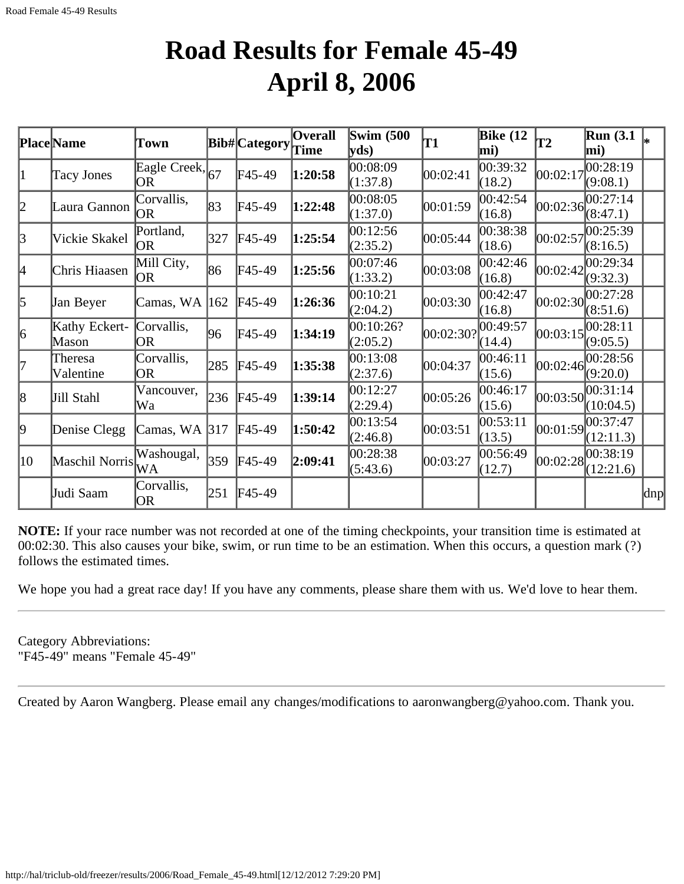## **Road Results for Female 45-49 April 8, 2006**

|                 | Place Name             | Town                         |     | Bib# Category | <b>Overall</b><br>Time | <b>Swim (500)</b><br> yds) | T1        | <b>Bike</b> (12<br>mi)          | T2         | <b>Run (3.1)</b><br>mi) |     |
|-----------------|------------------------|------------------------------|-----|---------------|------------------------|----------------------------|-----------|---------------------------------|------------|-------------------------|-----|
| 11              | <b>Tacy Jones</b>      | Eagle Creek, 67<br><b>OR</b> |     | F45-49        | 1:20:58                | 00:08:09<br>(1:37.8)       | 00:02:41  | $\overline{0}0:39:32$<br>(18.2) | 00:02:17   | 00:28:19<br>(9:08.1)    |     |
| 2               | Laura Gannon           | Corvallis,<br><b>OR</b>      | 83  | $F45-49$      | 1:22:48                | 00:08:05<br>(1:37.0)       | 00:01:59  | 00:42:54<br>(16.8)              | 00:02:36   | 00:27:14<br>(8:47.1)    |     |
| $\vert 3 \vert$ | Vickie Skakel          | Portland,<br> OR             | 327 | $F45-49$      | 1:25:54                | 00:12:56<br>(2:35.2)       | 00:05:44  | 00:38:38<br>(18.6)              | 00:02:57   | 00:25:39<br>(8:16.5)    |     |
| 4               | Chris Hiaasen          | Mill City,<br> OR            | 86  | F45-49        | 1:25:56                | 00:07:46<br>(1:33.2)       | 00:03:08  | 00:42:46<br>(16.8)              | 00:02:42   | 00:29:34<br>(9:32.3)    |     |
| 5               | Jan Beyer              | Camas, WA  162               |     | $F45-49$      | 1:26:36                | 00:10:21<br>(2:04.2)       | 00:03:30  | 00:42:47<br>(16.8)              | 00:02:30   | 00:27:28<br>(8:51.6)    |     |
| 6               | Kathy Eckert-<br>Mason | Corvallis,<br>OR             | 96  | F45-49        | 1:34:19                | 00:10:26?<br>(2:05.2)      | 00:02:30? | 00:49:57<br>(14.4)              | 00:03:15   | 00:28:11<br>(9:05.5)    |     |
| 17              | Theresa<br>Valentine   | Corvallis,<br><b>OR</b>      | 285 | $FA5-49$      | 1:35:38                | 00:13:08<br>(2:37.6)       | 00:04:37  | 00:46:11<br>(15.6)              | [00:02:46] | 00:28:56<br>(9:20.0)    |     |
| 18              | Jill Stahl             | Vancouver,<br>Wa             | 236 | $FA5-49$      | 1:39:14                | 00:12:27<br>(2:29.4)       | 00:05:26  | 00:46:17<br>(15.6)              | 00:03:50   | 00:31:14<br>(10:04.5)   |     |
| 9               | Denise Clegg           | Camas, WA 317                |     | $F45-49$      | 1:50:42                | 00:13:54<br>(2:46.8)       | 00:03:51  | 00:53:11<br>(13.5)              | 00:01:59   | 00:37:47<br>(12:11.3)   |     |
| 10              | Maschil Norris         | Washougal,<br>WA             | 359 | $FA5-49$      | 2:09:41                | 00:28:38<br>(5:43.6)       | 00:03:27  | 00:56:49<br>(12.7)              | 00:02:28   | 00:38:19<br>(12:21.6)   |     |
|                 | Judi Saam              | Corvallis,<br><b>OR</b>      | 251 | $FA5-49$      |                        |                            |           |                                 |            |                         | dnp |

**NOTE:** If your race number was not recorded at one of the timing checkpoints, your transition time is estimated at 00:02:30. This also causes your bike, swim, or run time to be an estimation. When this occurs, a question mark (?) follows the estimated times.

We hope you had a great race day! If you have any comments, please share them with us. We'd love to hear them.

Category Abbreviations: "F45-49" means "Female 45-49"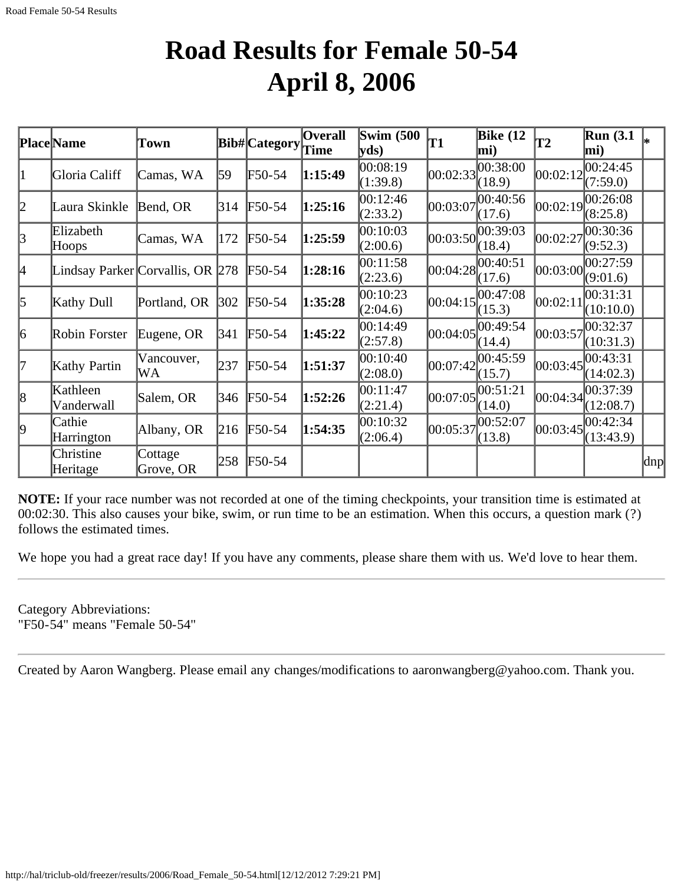## **Road Results for Female 50-54 April 8, 2006**

|           | Place Name                       | Town         |     | Bib# Category | <b>Overall</b> | <b>Swim (500</b>     | T1       | Bike $(12)$             | $\mathbf{T2}$ | <b>Run</b> (3.1)     |                     |
|-----------|----------------------------------|--------------|-----|---------------|----------------|----------------------|----------|-------------------------|---------------|----------------------|---------------------|
|           |                                  |              |     |               | Time           | yds)                 |          | $\vert$ mi)             |               | mi)                  |                     |
| 11        | Gloria Califf                    | Camas, WA    | 59  | F50-54        | 1:15:49        | 00:08:19<br>(1:39.8) |          | 00:02:33 <br>(18.9)     | 00:02:12      | 00:24:45<br>(7:59.0) |                     |
|           |                                  |              |     |               |                |                      |          |                         |               |                      |                     |
| 2         | Laura Skinkle                    | Bend, OR     | 314 | F50-54        | 1:25:16        | 00:12:46<br>(2:33.2) | 00:03:07 | 00:40:56<br>(17.6)      | 00:02:19      | 00:26:08<br>(8:25.8) |                     |
|           | Elizabeth                        |              |     |               |                | 00:10:03             |          |                         |               | 00:30:36             |                     |
| 3         | Hoops                            | Camas, WA    | 172 | F50-54        | 1:25:59        | (2:00.6)             |          | 00:03:50 <br>(18.4)     | 00:02:27      | (9:52.3)             |                     |
|           |                                  |              |     |               |                | 00:11:58             |          |                         |               | 00:27:59             |                     |
| 4         | Lindsay Parker Corvallis, OR 278 |              |     | F50-54        | 1:28:16        | (2:23.6)             |          | 00:04:28 <br>(17.6)     | 00:03:00      | (9:01.6)             |                     |
|           |                                  |              |     |               |                | 00:10:23             |          | 00:47:08                |               | 00:31:31             |                     |
| $\vert$ 5 | Kathy Dull                       | Portland, OR | 302 | F50-54        | 1:35:28        | (2:04.6)             | 00:04:15 | (15.3)                  | 00:02:11      | (10:10.0)            |                     |
|           |                                  |              |     |               |                | 00:14:49             |          | 00:04:05                |               | 00:32:37             |                     |
| 6         | Robin Forster                    | Eugene, OR   | 341 | F50-54        | 1:45:22        | (2:57.8)             |          | (14.4)                  | 00:03:57      | (10:31.3)            |                     |
|           |                                  | Vancouver,   |     |               |                | 00:10:40             |          | $ 00:07:42 ^{00:45:59}$ |               | 00:43:31             |                     |
| 17        | Kathy Partin                     | WА           | 237 | F50-54        | 1:51:37        | (2:08.0)             |          | (15.7)                  | 00:03:45      | (14:02.3)            |                     |
|           | Kathleen                         |              |     |               |                | 00:11:47             |          |                         |               | 00:37:39             |                     |
| 8         | Vanderwall                       | Salem, OR    | 346 | $F50-54$      | 1:52:26        | (2:21.4)             |          | 00:07:05 <br>(14.0)     | 00:04:34      | (12:08.7)            |                     |
|           | Cathie                           |              |     |               |                | 00:10:32             |          | 00:52:07                |               | 00:42:34             |                     |
| 9         | Harrington                       | Albany, OR   | 216 | F50-54        | 1:54:35        | (2:06.4)             | 00:05:37 | (13.8)                  | 00:03:45      | (13:43.9)            |                     |
|           | Christine                        | Cottage      |     |               |                |                      |          |                         |               |                      |                     |
|           | Heritage                         | Grove, OR    | 258 | F50-54        |                |                      |          |                         |               |                      | $\vert$ dnp $\vert$ |

**NOTE:** If your race number was not recorded at one of the timing checkpoints, your transition time is estimated at 00:02:30. This also causes your bike, swim, or run time to be an estimation. When this occurs, a question mark (?) follows the estimated times.

We hope you had a great race day! If you have any comments, please share them with us. We'd love to hear them.

Category Abbreviations: "F50-54" means "Female 50-54"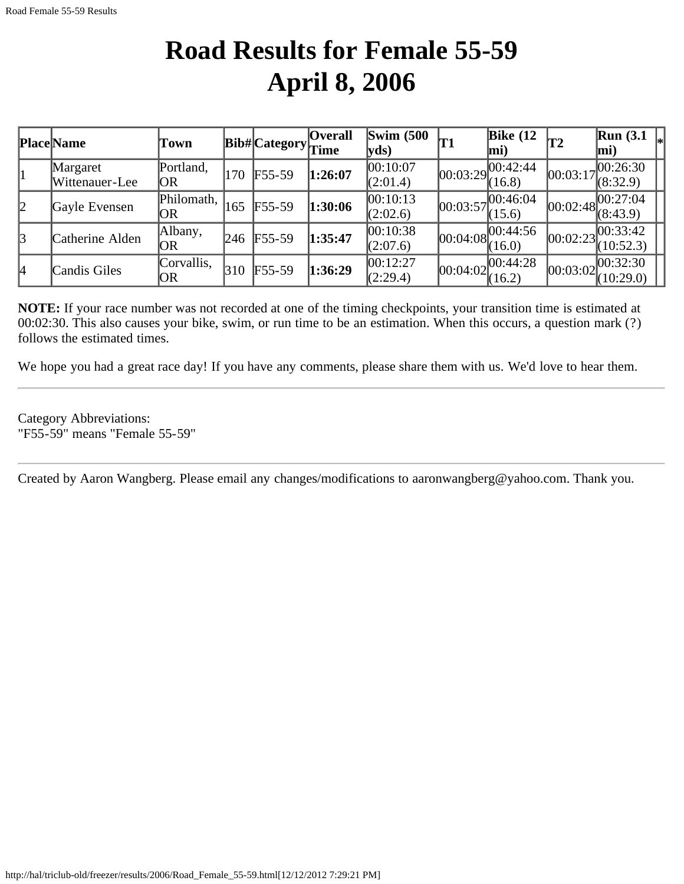## **Road Results for Female 55-59 April 8, 2006**

|    | <b>Place Name</b>          | Town              |     | $ Bib\# Category$ | <b>Overall</b><br>Time | $\mathbf{Swim}\;$ (500<br>yds |            | Bike $(12)$<br>mi)   | <b>T2</b>  | $\mathbb{R}$ un (3.1<br>$\vert$ mi)                      |
|----|----------------------------|-------------------|-----|-------------------|------------------------|-------------------------------|------------|----------------------|------------|----------------------------------------------------------|
|    | Margaret<br>Wittenauer-Lee | Portland,<br>OR   | 170 | $F55-59$          | 1:26:07                | 00:10:07<br>(2:01.4)          | 00:03:29   | [00:42:44]<br>(16.8) | 00:03:17   | 100:26:30<br>(8:32.9)                                    |
| 2  | Gayle Evensen              | Philomath,<br>OR  | 165 | $F55-59$          | 1:30:06                | 00:10:13<br>(2:02.6)          | 00:03:57   | ,00:46:04<br>(15.6)  |            | $\overline{1}$  00:02:48 00:27:04  <br>$\sqrt{(8:43.9)}$ |
| 3  | Catherine Alden            | Albany,<br>OR     | 246 | $F55-59$          | 1:35:47                | 00:10:38<br>(2:07.6)          | 00:04:08   | 00:44:56<br>(16.0)   | [00:02:23] | 00:33:42<br>(10:52.3)                                    |
| 14 | Candis Giles               | Corvallis,<br> OR | 310 | $F55-59$          | 1:36:29                | 00:12:27<br>(2:29.4)          | [00:04:02] | [00:44:28]<br>(16.2) |            | $\log_{100}:02\left 00:32:30\right $<br>(10:29.0)        |

**NOTE:** If your race number was not recorded at one of the timing checkpoints, your transition time is estimated at 00:02:30. This also causes your bike, swim, or run time to be an estimation. When this occurs, a question mark (?) follows the estimated times.

We hope you had a great race day! If you have any comments, please share them with us. We'd love to hear them.

Category Abbreviations: "F55-59" means "Female 55-59"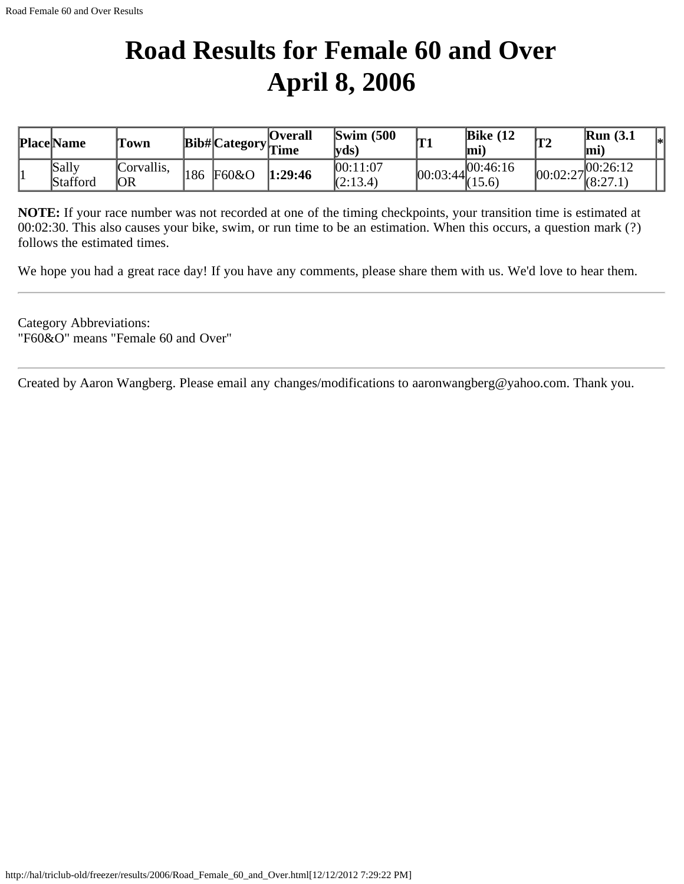## **Road Results for Female 60 and Over April 8, 2006**

| <b>Place Name</b> | 'Town            |      |       | <b>Overall</b><br>$\cdots$ Bib# Category $\frac{1}{\text{Time}}$ | $\text{Swim}\ (500$<br>$ {\bf v} {\bf d} s\rangle$ | Inn                 | Bike $(12)$<br>lmi) | T2       | <b>Run</b> (3.1)<br>mi. | l∗ |
|-------------------|------------------|------|-------|------------------------------------------------------------------|----------------------------------------------------|---------------------|---------------------|----------|-------------------------|----|
| Sally<br>Stafford | Corvallis,<br>OR | '186 | F60&O | 1:29:46                                                          | 00:11:07<br>(2:13.4)                               | $ 00:03:44 \rangle$ | 00:46:16<br>(15.6)  | 00:02:27 | .100:26:12<br>(8:27.1)  |    |

**NOTE:** If your race number was not recorded at one of the timing checkpoints, your transition time is estimated at 00:02:30. This also causes your bike, swim, or run time to be an estimation. When this occurs, a question mark (?) follows the estimated times.

We hope you had a great race day! If you have any comments, please share them with us. We'd love to hear them.

Category Abbreviations: "F60&O" means "Female 60 and Over"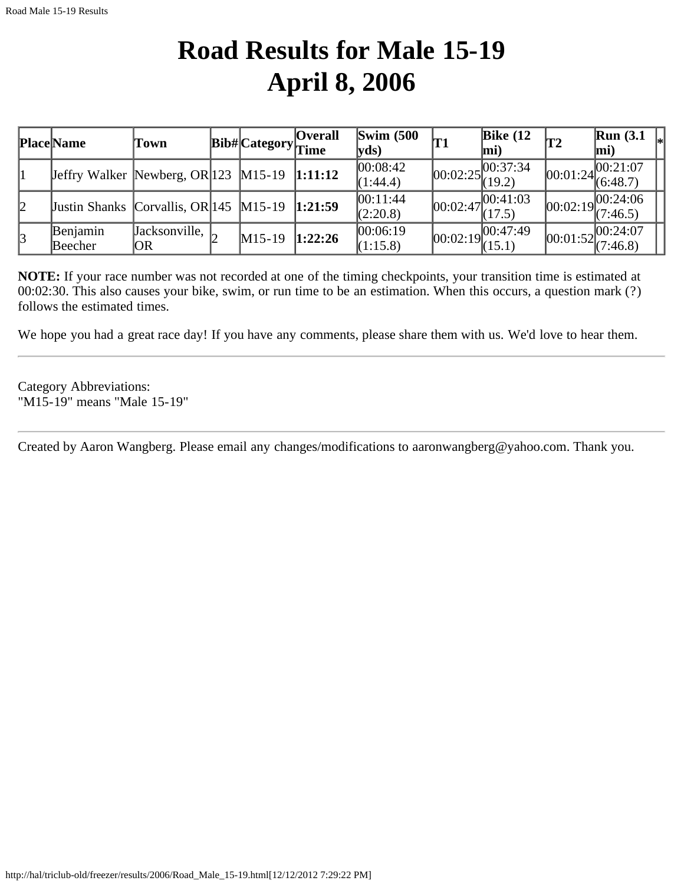## **Road Results for Male 15-19 April 8, 2006**

|    | <b>Place Name</b>                                                                                                                                                                                                                                                                                                                  | Town                                      | <b>Bib#</b> Category <sub>Time</sub> | <b>Overall</b> | $\text{Swim}\ (500$<br> yds) | T1         | Bike $(12)$<br>lmi)                       | T2 | Run(3.1)<br>$\vert$ mi)                                           |
|----|------------------------------------------------------------------------------------------------------------------------------------------------------------------------------------------------------------------------------------------------------------------------------------------------------------------------------------|-------------------------------------------|--------------------------------------|----------------|------------------------------|------------|-------------------------------------------|----|-------------------------------------------------------------------|
|    | <b>Jeffry Walker Newberg, OR 123 M15-19</b>                                                                                                                                                                                                                                                                                        |                                           |                                      | 1:11:12        | 00:08:42 <br>(1:44.4)        |            | 100:37:34<br>$[00:02:25]_{(19.2)}^{(00)}$ |    | $ 00:01:24 ^{00:21:07}_{(6:48.7)}$                                |
| 12 | <b>Justin Shanks Corvallis, OR</b> $ 145 \text{ M}15-19 \text{ M}15-19 \text{ M}15-19 \text{ M}15-19 \text{ M}15-19 \text{ M}15-19 \text{ M}15-19 \text{ M}15-19 \text{ M}15-19 \text{ M}15-19 \text{ M}15-19 \text{ M}15-19 \text{ M}15-19 \text{ M}15-19 \text{ M}15-19 \text{ M}15-19 \text{ M}15-19 \text{ M}15-19 \text{ M}1$ |                                           |                                      | 1:21:59        | 00:11:44<br>(2:20.8)         | [00:02:47] | 00:41:03<br>(17.5)                        |    | $[00:02:19]^{00:24:06}_{(7:46.5)}$                                |
| 3  | Benjamin<br>Beecher                                                                                                                                                                                                                                                                                                                | $\sqrt{a}$ acksonville, $\sqrt{2}$<br> OR | $M15-19$                             | 1:22:26        | 00:06:19<br>(1:15.8)         |            | $[00:02:19]^{00:47:49}_{(15.1)}$          |    | $\boxed{00:01:52\begin{bmatrix} 00:24:07\\ 7:46.8 \end{bmatrix}}$ |

**NOTE:** If your race number was not recorded at one of the timing checkpoints, your transition time is estimated at 00:02:30. This also causes your bike, swim, or run time to be an estimation. When this occurs, a question mark (?) follows the estimated times.

We hope you had a great race day! If you have any comments, please share them with us. We'd love to hear them.

Category Abbreviations: "M15-19" means "Male 15-19"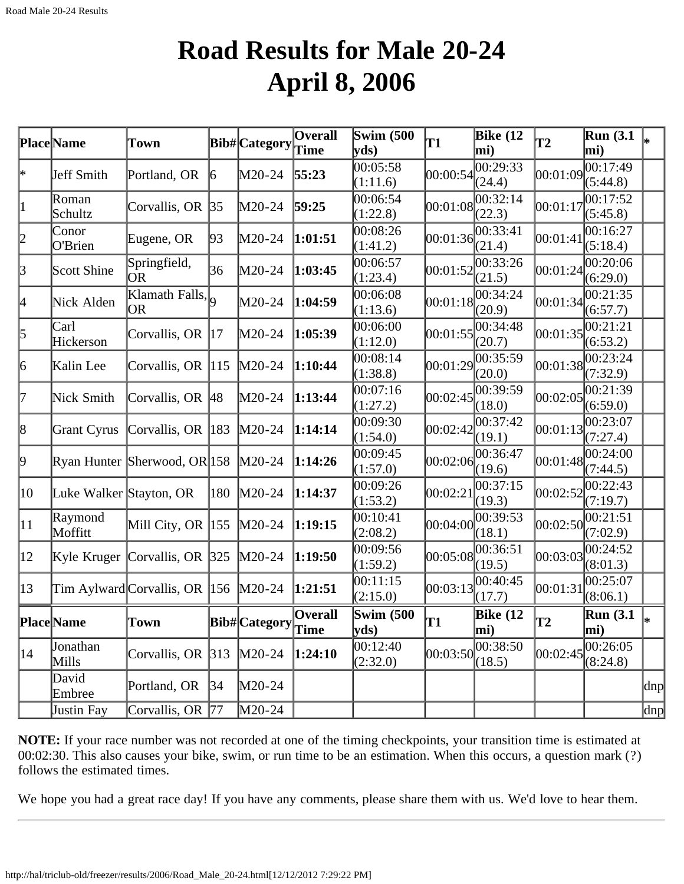#### **Road Results for Male 20-24 April 8, 2006**

|              | Place Name              | Town                                              |               | <b>Bib#</b> Category                                                   | Overall<br>Time | <b>Swim (500)</b><br>$ {\bf v} {\bf ds})$ | T1         | Bike $(12)$<br>mi) | $\overline{12}$ | <b>Run</b> (3.1)<br>mi) |     |
|--------------|-------------------------|---------------------------------------------------|---------------|------------------------------------------------------------------------|-----------------|-------------------------------------------|------------|--------------------|-----------------|-------------------------|-----|
| ∣∗           | Jeff Smith              | Portland, OR                                      | 6             | M20-24                                                                 | 55:23           | 00:05:58<br>(1:11.6)                      | 00:00:54   | 00:29:33<br>(24.4) | 00:01:09        | 00:17:49<br>(5:44.8)    |     |
| 1            | Roman<br>Schultz        | Corvallis, OR $ 35 $                              |               | M20-24                                                                 | 59:25           | 00:06:54<br>(1:22.8)                      | 00:01:08   | 00:32:14<br>(22.3) | 00:01:17        | 00:17:52<br>(5:45.8)    |     |
| 2            | Conor<br>O'Brien        | Eugene, OR                                        | 93            | $M20-24$                                                               | 1:01:51         | 00:08:26<br>(1:41.2)                      | [00:01:36] | 00:33:41<br>(21.4) | 00:01:41        | 00:16:27<br>(5:18.4)    |     |
| 3            | Scott Shine             | Springfield,<br><b>OR</b>                         | 36            | M20-24                                                                 | 1:03:45         | 00:06:57<br>(1:23.4)                      | 00:01:52   | 00:33:26<br>(21.5) | 00:01:24        | 00:20:06<br>(6:29.0)    |     |
| 4            | Nick Alden              | Klamath Falls, $\vert$ <sub>Q</sub><br><b>OR</b>  |               | M20-24                                                                 | 1:04:59         | 00:06:08<br>(1:13.6)                      | 00:01:18   | 00:34:24<br>(20.9) | 00:01:34        | 00:21:35<br>(6:57.7)    |     |
| $\vert$ 5    | Carl<br>Hickerson       | Corvallis, OR  17                                 |               | M20-24                                                                 | 1:05:39         | 00:06:00<br>(1:12.0)                      | 00:01:55   | 00:34:48<br>(20.7) | 00:01:35        | 00:21:21<br>(6:53.2)    |     |
| 6            | Kalin Lee               | Corvallis, OR $ 115 $                             |               | $M20-24$                                                               | 1:10:44         | 00:08:14<br>(1:38.8)                      | 00:01:29   | 00:35:59<br>(20.0) | 00:01:38        | 00:23:24<br>(7:32.9)    |     |
| 17           | Nick Smith              | Corvallis, OR 48                                  |               | $M20-24$                                                               | 1:13:44         | 00:07:16<br>(1:27.2)                      | 00:02:45   | 00:39:59<br>(18.0) | 00:02:05        | 00:21:39<br>(6:59.0)    |     |
| 8            | Grant Cyrus             | Corvallis, OR 183                                 |               | $M20-24$                                                               | 1:14:14         | 00:09:30<br>(1:54.0)                      | 00:02:42   | 00:37:42<br>(19.1) | 00:01:13        | 00:23:07<br>(7:27.4)    |     |
| þ.           |                         | Ryan Hunter Sherwood, OR 158 M20-24               |               |                                                                        | 1:14:26         | 00:09:45<br>(1:57.0)                      | 00:02:06   | 00:36:47<br>(19.6) | 00:01:48        | 00:24:00<br>(7:44.5)    |     |
| 10           | Luke Walker Stayton, OR |                                                   | $ 180\rangle$ | $M20-24$                                                               | 1:14:37         | 00:09:26<br>(1:53.2)                      | 00:02:21   | 00:37:15<br>(19.3) | 00:02:52        | 00:22:43<br>(7:19.7)    |     |
| $ 11\rangle$ | Raymond<br>Moffitt      | Mill City, OR  155  M20-24                        |               |                                                                        | 1:19:15         | 00:10:41<br>(2:08.2)                      | 00:04:00   | 00:39:53<br>(18.1) | 00:02:50        | 00:21:51<br>(7:02.9)    |     |
| $ 12\rangle$ |                         | Kyle Kruger $\lfloor$ Corvallis, OR $\rfloor$ 325 |               | $M20-24$                                                               | 1:19:50         | 00:09:56<br>(1:59.2)                      | 00:05:08   | 00:36:51<br>(19.5) | 00:03:03        | 00:24:52<br>(8:01.3)    |     |
| $ 13\rangle$ |                         | Tim Aylward Corvallis, OR $ 156 \rangle$ M20-24   |               |                                                                        | 1:21:51         | 00:11:15<br>(2:15.0)                      | [00:03:13] | 00:40:45<br>(17.7) | 00:01:31        | 00:25:07<br>(8:06.1)    |     |
|              | Place Name              | Town                                              |               | $\boxed{{\rm \textbf{Bib}\#}\xspace{\rm \textbf{Categorical}}\xspace}$ |                 | <b>Swim (500)</b><br>yds                  | lT1        | Bike $(12)$<br>mi) | lT2             | <b>Run</b> (3.1)<br>mi) | l∗  |
| 14           | Jonathan<br>Mills       | Corvallis, OR $ 313 $                             |               | $M20-24$                                                               | 1:24:10         | 00:12:40<br>(2:32.0)                      | 00:03:50   | 00:38:50<br>(18.5) | 00:02:45        | 00:26:05<br>(8:24.8)    |     |
|              | David<br>Embree         | Portland, OR                                      | 34            | M20-24                                                                 |                 |                                           |            |                    |                 |                         | dnp |
|              | Justin Fay              | Corvallis, OR 77                                  |               | M20-24                                                                 |                 |                                           |            |                    |                 |                         | dnp |

**NOTE:** If your race number was not recorded at one of the timing checkpoints, your transition time is estimated at 00:02:30. This also causes your bike, swim, or run time to be an estimation. When this occurs, a question mark (?) follows the estimated times.

We hope you had a great race day! If you have any comments, please share them with us. We'd love to hear them.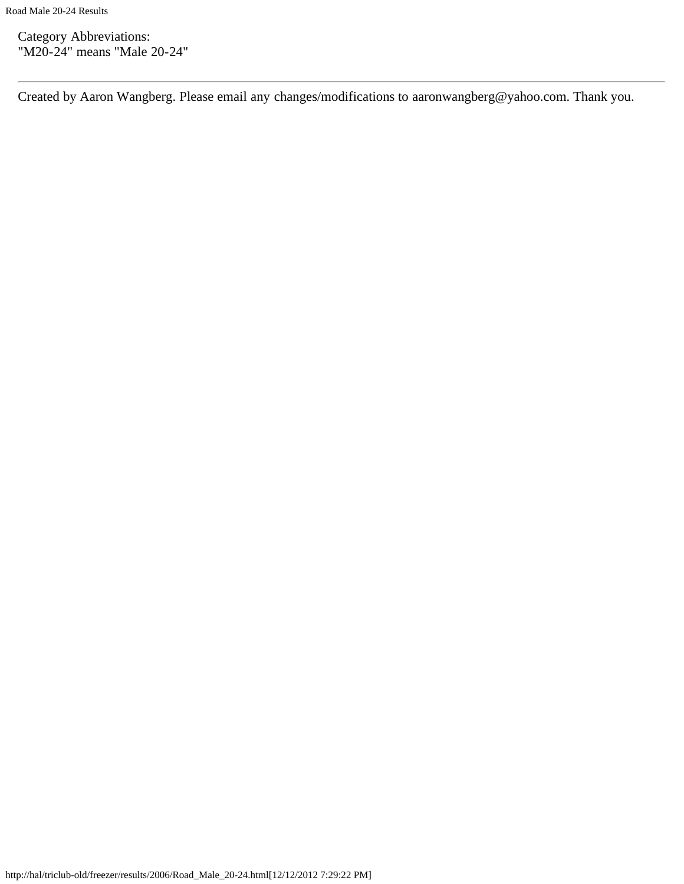Category Abbreviations: "M20-24" means "Male 20-24"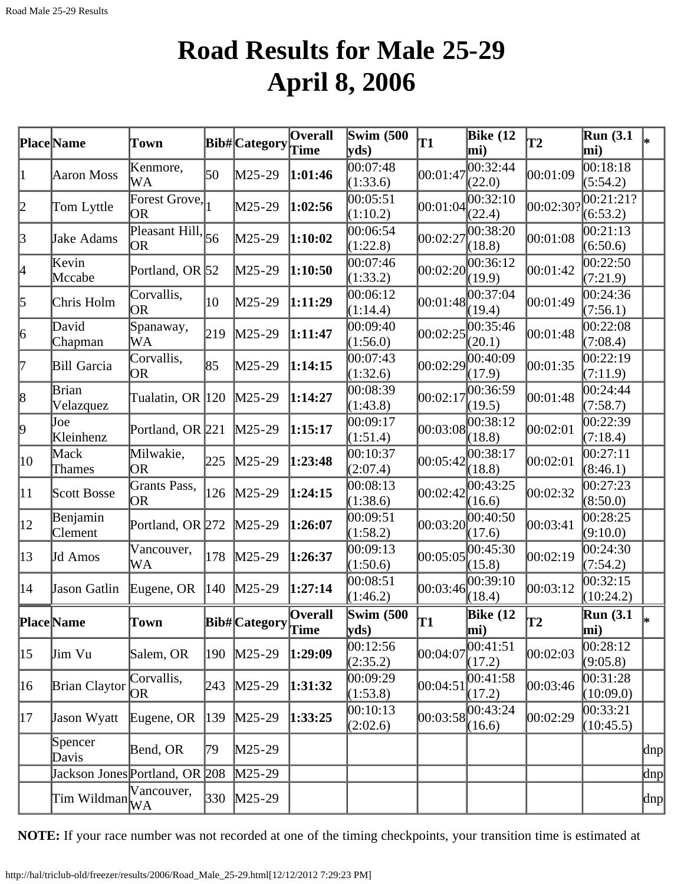## **Road Results for Male 25-29 April 8, 2006**

|                 | Place Name                                                   | <b>Town</b>                |               | Bib# Category                                                       | <b>Overall</b><br>Time | Swim $(500)$<br>yds  | <b>T1</b> | Bike $(12)$<br>mi)              | T2        | Run(3.1)<br>mi)       |     |
|-----------------|--------------------------------------------------------------|----------------------------|---------------|---------------------------------------------------------------------|------------------------|----------------------|-----------|---------------------------------|-----------|-----------------------|-----|
| 11              | Aaron Moss                                                   | Kenmore,<br>WA             | 50            | $M25-29$                                                            | 1:01:46                | 00:07:48<br>(1:33.6) | 00:01:47  | 00:32:44<br>(22.0)              | 00:01:09  | 00:18:18<br>(5:54.2)  |     |
| 12              | Tom Lyttle                                                   | Forest Grove,<br><b>OR</b> |               | M25-29                                                              | 1:02:56                | 00:05:51<br>(1:10.2) | 00:01:04  | 00:32:10<br>(22.4)              | 00:02:30? | 00:21:21?<br>(6:53.2) |     |
| $\beta$         | Jake Adams                                                   | Pleasant Hill, $56$<br>OR) |               | $M25-29$                                                            | 1:10:02                | 00:06:54<br>(1:22.8) | 00:02:27  | 00:38:20<br>(18.8)              | 00:01:08  | 00:21:13<br>(6:50.6)  |     |
| 4               | Kevin<br>Mccabe                                              | Portland, OR 52            |               | $M25-29$                                                            | 1:10:50                | 00:07:46<br>(1:33.2) | 00:02:20  | $\overline{0}0:36:12$<br>(19.9) | 00:01:42  | 00:22:50<br>(7:21.9)  |     |
| 5               | Chris Holm                                                   | Corvallis,<br><b>OR</b>    | 10            | $M25-29$                                                            | 1:11:29                | 00:06:12<br>(1:14.4) | 00:01:48  | 00:37:04<br>(19.4)              | 00:01:49  | 00:24:36<br>(7:56.1)  |     |
| $\vert 6 \vert$ | David<br>Chapman                                             | Spanaway,<br>WА            | 219           | $M25-29$                                                            | 1:11:47                | 00:09:40<br>(1:56.0) | 00:02:25  | 00:35:46<br>(20.1)              | 00:01:48  | 00:22:08<br>(7:08.4)  |     |
| 17              | Bill Garcia                                                  | Corvallis,<br>OR           | 85            | $M25-29$                                                            | 1:14:15                | 00:07:43<br>(1:32.6) | 00:02:29  | 00:40:09<br>(17.9)              | 00:01:35  | 00:22:19<br>(7:11.9)  |     |
| 8               | Brian<br>Velazquez                                           | Tualatin, OR 120           |               | $M25-29$                                                            | 1:14:27                | 00:08:39<br>(1:43.8) | 00:02:17  | 00:36:59<br>(19.5)              | 00:01:48  | 00:24:44<br>(7:58.7)  |     |
| þ,              | Joe<br>Kleinhenz                                             | Portland, OR 221           |               | $M25-29$                                                            | 1:15:17                | 00:09:17<br>(1:51.4) | 00:03:08  | 00:38:12<br>(18.8)              | 00:02:01  | 00:22:39<br>(7:18.4)  |     |
| 10              | Mack<br>Thames                                               | Milwakie,<br>OR.           | 225           | $M25-29$                                                            | 1:23:48                | 00:10:37<br>(2:07.4) | 00:05:42  | 00:38:17<br>(18.8)              | 00:02:01  | 00:27:11<br>(8:46.1)  |     |
| 11              | Scott Bosse                                                  | Grants Pass,<br>OR.        | 126           | $M25-29$                                                            | 1:24:15                | 00:08:13<br>(1:38.6) | 00:02:42  | 00:43:25<br>(16.6)              | 00:02:32  | 00:27:23<br>(8:50.0)  |     |
| $ 12\rangle$    | Benjamin<br>Clement                                          | Portland, OR 272           |               | $M25-29$                                                            | 1:26:07                | 00:09:51<br>(1:58.2) | 00:03:20  | 00:40:50<br>(17.6)              | 00:03:41  | 00:28:25<br>(9:10.0)  |     |
| $ 13\rangle$    | Jd Amos                                                      | Vancouver,<br>WA           | 178           | $M25-29$                                                            | 1:26:37                | 00:09:13<br>(1:50.6) | 00:05:05  | 00:45:30<br>(15.8)              | 00:02:19  | 00:24:30<br>(7:54.2)  |     |
| 14              | Jason Gatlin                                                 | Eugene, OR                 | $ 140\rangle$ | $M25-29$                                                            | 1:27:14                | 00:08:51<br>(1:46.2) | 00:03:46  | 00:39:10<br>(18.4)              | 00:03:12  | 00:32:15<br>(10:24.2) |     |
|                 | <b>PlaceName</b>                                             | Town                       |               | ${\bf \boxed{Bib\#}\begin{bmatrix} \text{Category} \end{bmatrix} }$ |                        | Swim $(500)$<br>yds  | T1        | Bike $(12)$<br>$\vert$ mi)      | T2        | Run(3.1)<br>mi)       | l∗  |
| 15              | Jim Vu                                                       | Salem, OR                  | 190           | $M25-29$                                                            | 1:29:09                | 00:12:56<br>(2:35.2) | 00:04:07  | 00:41:51<br>(17.2)              | 00:02:03  | 00:28:12<br>(9:05.8)  |     |
| 16              | Brian Claytor                                                | Corvallis,<br><b>OR</b>    | 243           | $M25-29$                                                            | 1:31:32                | 00:09:29<br>(1:53.8) | 00:04:51  | 00:41:58<br>(17.2)              | 00:03:46  | 00:31:28<br>(10:09.0) |     |
| 17              | Jason Wyatt                                                  | Eugene, OR                 | $ 139\rangle$ | $M25-29$                                                            | 1:33:25                | 00:10:13<br>(2:02.6) | 00:03:58  | 00:43:24<br>(16.6)              | 00:02:29  | 00:33:21<br>(10:45.5) |     |
|                 | Spencer<br>Davis                                             | Bend, OR                   | 79            | $M25-29$                                                            |                        |                      |           |                                 |           |                       | dnp |
|                 | Jackson Jones Portland, OR 208                               |                            |               | $M25-29$                                                            |                        |                      |           |                                 |           |                       | dnp |
|                 | $\lim$ Wildman $\bigvee_{\mathbf{W}\mathbf{A}}^{\mathbf{W}}$ | Vancouver,                 | 330           | $M25-29$                                                            |                        |                      |           |                                 |           |                       | dnp |

**NOTE:** If your race number was not recorded at one of the timing checkpoints, your transition time is estimated at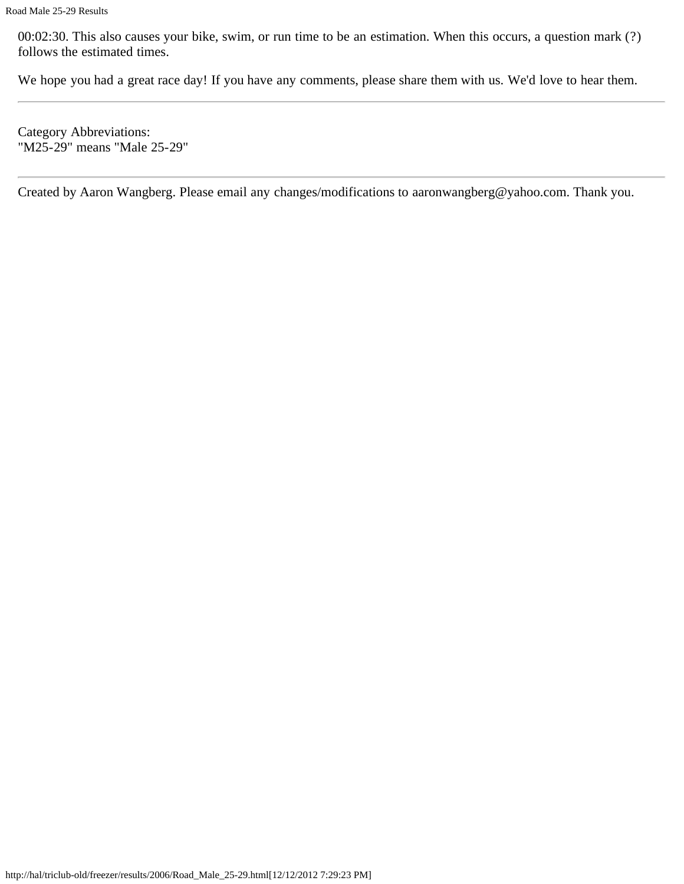00:02:30. This also causes your bike, swim, or run time to be an estimation. When this occurs, a question mark (?) follows the estimated times.

We hope you had a great race day! If you have any comments, please share them with us. We'd love to hear them.

Category Abbreviations: "M25-29" means "Male 25-29"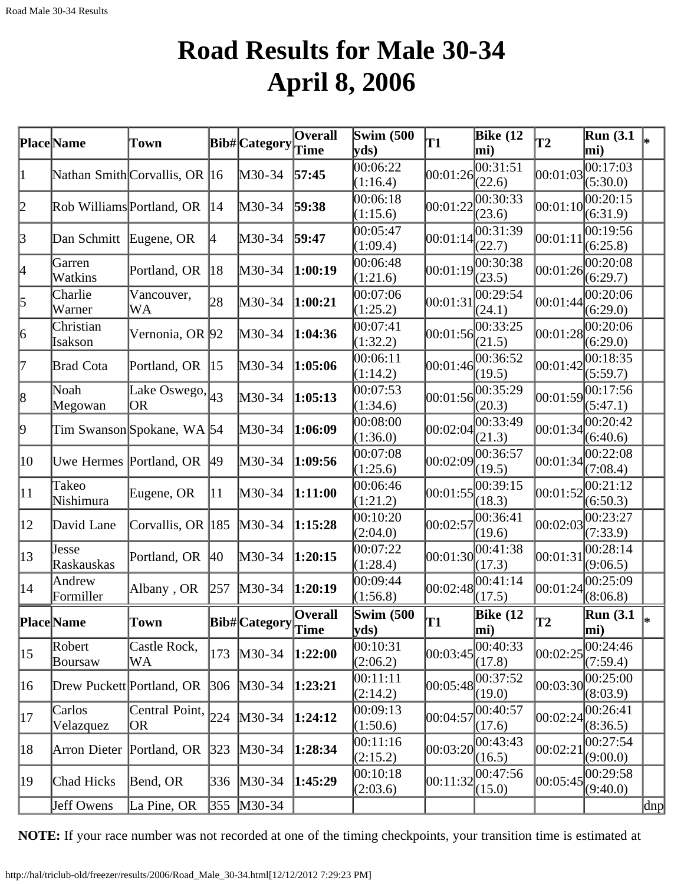## **Road Results for Male 30-34 April 8, 2006**

|                  | <b>Place</b> Name         | Town                          |               | Bib#Category         | $\overline{O}$ verall<br>Time | <b>Swim (500)</b><br>$ {\bf v} {\bf d} s\rangle$ | T1                  | Bike $(12)$<br>mi)             | $\mathbf{T2}$ | Run(3.1)<br>mi)                   |     |
|------------------|---------------------------|-------------------------------|---------------|----------------------|-------------------------------|--------------------------------------------------|---------------------|--------------------------------|---------------|-----------------------------------|-----|
| 1                |                           | Nathan Smith Corvallis, OR 16 |               | M30-34               | 57:45                         | 00:06:22<br>(1:16.4)                             | 00:01:26            | 00:31:51<br>(22.6)             | 00:01:03      | 00:17:03<br>(5:30.0)              |     |
| 2                | Rob Williams Portland, OR |                               | 14            | M30-34               | 59:38                         | 00:06:18<br>(1:15.6)                             | 00:01:22            | 00:30:33<br>(23.6)             | 00:01:10      | 00:20:15<br>(6:31.9)              |     |
| $\beta$          | Dan Schmitt               | Eugene, OR                    | $ 4\rangle$   | M30-34               | 59:47                         | 00:05:47<br>(1:09.4)                             | [00:01:14]          | 00:31:39<br>(22.7)             | 00:01:11      | 00:19:56<br>(6:25.8)              |     |
| 4                | Garren<br>Watkins         | Portland, OR                  | 18            | M30-34               | 1:00:19                       | 00:06:48<br>(1:21.6)                             | 00:01:19            | 00:30:38<br>(23.5)             | 00:01:26      | 00:20:08<br>(6:29.7)              |     |
| 5                | Charlie<br>Warner         | Vancouver,<br>WA              | 28            | M30-34               | 1:00:21                       | 00:07:06<br>(1:25.2)                             | 00:01:31            | 00:29:54<br>(24.1)             | 00:01:44      | $\overline{00:}20:06$<br>(6:29.0) |     |
| $\vert 6 \vert$  | Christian<br>Isakson      | Vernonia, OR 92               |               | M30-34               | 1:04:36                       | 00:07:41<br>(1:32.2)                             | 00:01:56            | 00:33:25<br>(21.5)             | 00:01:28      | 00:20:06<br>(6:29.0)              |     |
| 17               | <b>Brad Cota</b>          | Portland, OR                  | 15            | M30-34               | 1:05:06                       | 00:06:11<br>(1:14.2)                             | 00:01:46            | 00:36:52<br>(19.5)             | 00:01:42      | 00:18:35<br>(5:59.7)              |     |
| 8                | Noah<br>Megowan           | Lake Oswego, $ _{43}$<br>OR   |               | M30-34               | 1:05:13                       | 00:07:53<br>(1:34.6)                             | $ 00:01:56 $ (20.3) | 00:35:29                       | 00:01:59      | 00:17:56<br>(5:47.1)              |     |
| þ.               |                           | Tim Swanson Spokane, WA 54    |               | M30-34               | 1:06:09                       | 00:08:00<br>(1:36.0)                             | 00:02:04            | 00:33:49<br>(21.3)             | 00:01:34      | 00:20:42<br>(6:40.6)              |     |
| 10               | Uwe Hermes Portland, OR   |                               | 49            | M30-34               | 1:09:56                       | 00:07:08<br>(1:25.6)                             | 00:02:09            | 00:36:57<br>(19.5)             | 00:01:34      | 00:22:08<br>(7:08.4)              |     |
| $ 11\rangle$     | Takeo<br>Nishimura        | Eugene, OR                    | 11            | M30-34               | 1:11:00                       | 00:06:46<br>(1:21.2)                             | 00:01:55            | 00:39:15<br>(18.3)             | 00:01:52      | 00:21:12<br>(6:50.3)              |     |
| $ 12\rangle$     | David Lane                | Corvallis, OR 185             |               | M30-34               | 1:15:28                       | 00:10:20<br>(2:04.0)                             | 00:02:57            | 00:36:41<br>(19.6)             | 00:02:03      | 00:23:27<br>(7:33.9)              |     |
| $\vert 13 \vert$ | Jesse<br>Raskauskas       | Portland, OR                  | $ 40\rangle$  | M30-34               | 1:20:15                       | 00:07:22<br>(1:28.4)                             | 00:01:30            | 00:41:38<br>(17.3)             | 00:01:31      | 00:28:14<br>(9:06.5)              |     |
| 14               | Andrew<br>Formiller       | Albany, OR                    | 257           | $M30-34$             | 1:20:19                       | 00:09:44<br>(1:56.8)                             | 00:02:48            | 00:41:14<br>(17.5)             | 00:01:24      | 00:25:09<br>(8:06.8)              |     |
|                  | <b>Place</b> Name         | Town                          |               | Bib#Category Overall |                               | <b>Swim (500</b><br>$ {\rm vds})$                | T1                  | <b>Bike</b> (12<br>$\vert$ mi) | lT2           | <b>Run</b> (3.1<br>mi)            | l∗  |
| 15               | Robert<br>Boursaw         | Castle Rock,<br>WA            | 173           | $M30-34$             | 1:22:00                       | 00:10:31<br>(2:06.2)                             | 00:03:45            | 00:40:33<br>(17.8)             | 00:02:25      | 00:24:46<br>(7:59.4)              |     |
| 16               | Drew Puckett Portland, OR |                               | 306           | $M30-34$             | 1:23:21                       | 00:11:11<br>(2:14.2)                             | 00:05:48            | 00:37:52<br>(19.0)             | 00:03:30      | 00:25:00<br>(8:03.9)              |     |
| 17               | Carlos<br>Velazquez       | Central Point,<br>OR          | 224           | $M30-34$             | 1:24:12                       | 00:09:13<br>(1:50.6)                             | 00:04:57            | 00:40:57<br>(17.6)             | 00:02:24      | 00:26:41<br>(8:36.5)              |     |
| 18               | Arron Dieter              | Portland, OR                  | $ 323\rangle$ | M30-34               | 1:28:34                       | 00:11:16<br>(2:15.2)                             | 00:03:20            | 00:43:43<br>(16.5)             | 00:02:21      | 00:27:54<br>(9:00.0)              |     |
| 19               | Chad Hicks                | Bend, OR                      | 336           | $M30-34$             | 1:45:29                       | 00:10:18<br>(2:03.6)                             | 00:11:32            | 00:47:56<br>(15.0)             | 00:05:45      | 00:29:58<br>(9:40.0)              |     |
|                  | Jeff Owens                | La Pine, OR                   | 355           | $M30-34$             |                               |                                                  |                     |                                |               |                                   | dnp |

**NOTE:** If your race number was not recorded at one of the timing checkpoints, your transition time is estimated at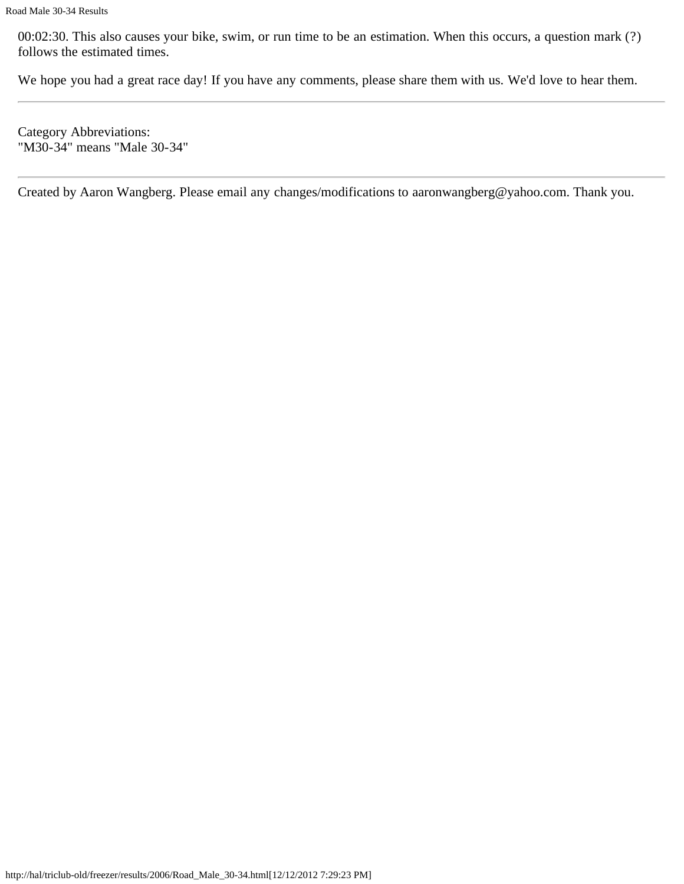00:02:30. This also causes your bike, swim, or run time to be an estimation. When this occurs, a question mark (?) follows the estimated times.

We hope you had a great race day! If you have any comments, please share them with us. We'd love to hear them.

Category Abbreviations: "M30-34" means "Male 30-34"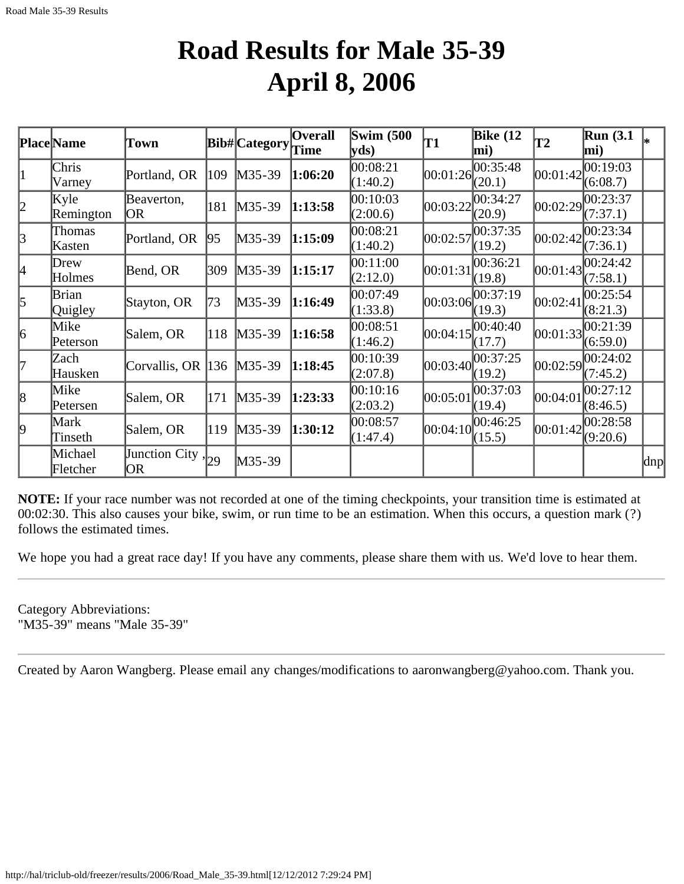#### **Road Results for Male 35-39 April 8, 2006**

| <b>Place</b> Name |           | Town                    |     | <b>Bib#</b> Category | <b>Overall</b> | <b>Swim (500)</b> | T1         | <b>Bike (12</b> | T2         | <b>Run</b> (3.1) |     |
|-------------------|-----------|-------------------------|-----|----------------------|----------------|-------------------|------------|-----------------|------------|------------------|-----|
|                   |           |                         |     |                      | Time           | yds               |            | mi)             |            | mi)              |     |
| 1                 | Chris     | Portland, OR            | 109 | $M35-39$             | 1:06:20        | 00:08:21          | 00:01:26   | 00:35:48        | 00:01:42   | 00:19:03         |     |
|                   | Varney    |                         |     |                      |                | (1:40.2)          |            | (20.1)          |            | (6:08.7)         |     |
| 2                 | Kyle      | Beaverton,              | 181 | $M35-39$             | 1:13:58        | 00:10:03          | 00:03:22   | 00:34:27        | 00:02:29   | 00:23:37         |     |
|                   | Remington | OR                      |     |                      |                | (2:00.6)          |            | (20.9)          |            | (7:37.1)         |     |
| $\beta$           | Thomas    | Portland, OR            | 95  | $M35-39$             | 1:15:09        | 00:08:21          | 00:02:57   | 00:37:35        | 00:02:42   | 00:23:34         |     |
|                   | Kasten    |                         |     |                      |                | (1:40.2)          |            | (19.2)          |            | (7:36.1)         |     |
| 4                 | Drew      | Bend, OR                | 309 | $M35-39$             | 1:15:17        | 00:11:00          | 00:01:31   | 00:36:21        | 00:01:43   | 00:24:42         |     |
|                   | Holmes    |                         |     |                      |                | (2:12.0)          |            | (19.8)          |            | (7:58.1)         |     |
| $\vert$ 5         | Brian     | Stayton, OR             | 73  | $M35-39$             | 1:16:49        | 00:07:49          | 00:03:06   | 00:37:19        | 00:02:41   | 00:25:54         |     |
|                   | Quigley   |                         |     |                      |                | (1:33.8)          |            | (19.3)          |            | (8:21.3)         |     |
| 6                 | Mike      | Salem, OR               | 118 | $M35-39$             | 1:16:58        | 00:08:51          | [00:04:15] | 00:40:40        | 00:01:33   | 00:21:39         |     |
|                   | Peterson  |                         |     |                      |                | (1:46.2)          |            | (17.7)          |            | (6:59.0)         |     |
| l7                | Zach      | Corvallis, OR 136       |     | $M35-39$             | 1:18:45        | 00:10:39          | 00:03:40   | 00:37:25        | 00:02:59   | 00:24:02         |     |
|                   | Hausken   |                         |     |                      |                | (2:07.8)          |            | (19.2)          |            | (7:45.2)         |     |
| $\vert 8 \vert$   | Mike      | Salem, OR               | 171 | $M35-39$             | 1:23:33        | 00:10:16          | 00:05:01   | 00:37:03        | 00:04:01   | 00:27:12         |     |
|                   | Petersen  |                         |     |                      |                | (2:03.2)          |            | (19.4)          |            | (8:46.5)         |     |
| $\vert 9 \vert$   | Mark      | Salem, OR               | 119 | $M35-39$             | 1:30:12        | 00:08:57          | 00:04:10   | 00:46:25        | [00:01:42] | 00:28:58         |     |
|                   | Tinseth   |                         |     |                      |                | (1:47.4)          |            | (15.5)          |            | (9:20.6)         |     |
|                   | Michael   | Junction City, $ _{29}$ |     | $M35-39$             |                |                   |            |                 |            |                  | dnp |
|                   | Fletcher  | OR)                     |     |                      |                |                   |            |                 |            |                  |     |

**NOTE:** If your race number was not recorded at one of the timing checkpoints, your transition time is estimated at 00:02:30. This also causes your bike, swim, or run time to be an estimation. When this occurs, a question mark (?) follows the estimated times.

We hope you had a great race day! If you have any comments, please share them with us. We'd love to hear them.

Category Abbreviations: "M35-39" means "Male 35-39"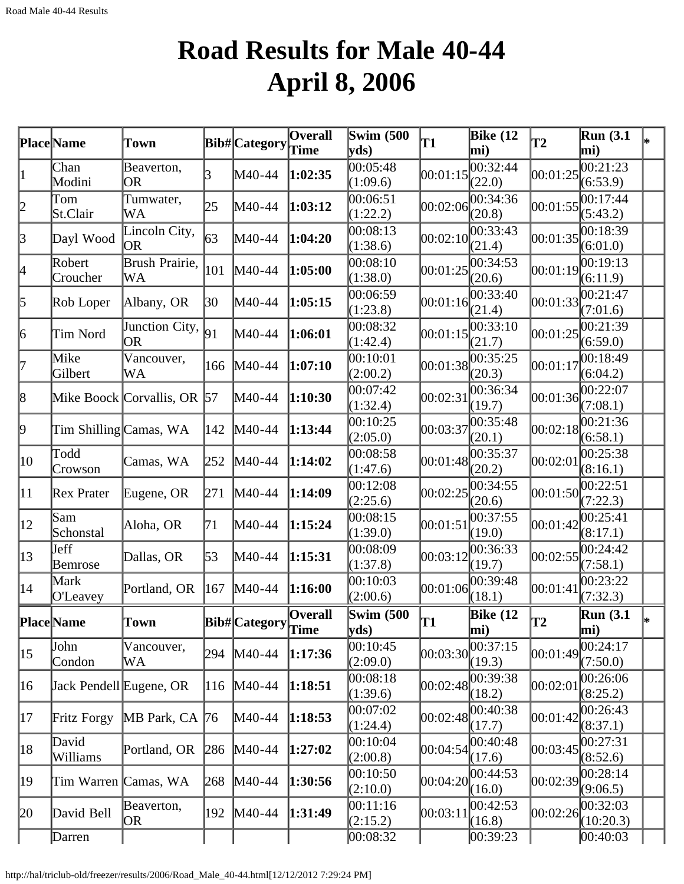# **Road Results for Male 40-44 April 8, 2006**

|              | Place Name              | Town                        |     | Bib#Category  | Overall         | <b>Swim (500)</b><br>$\mathbf{v}\mathbf{ds}$ | T1         | Bike $(12)$<br>mi)  | T <sub>2</sub> | <b>Run</b> (3.1)<br>mi)      |    |
|--------------|-------------------------|-----------------------------|-----|---------------|-----------------|----------------------------------------------|------------|---------------------|----------------|------------------------------|----|
|              | Chan<br>Modini          | Beaverton,<br>OR            | 3   | M40-44        | 1:02:35         | 00:05:48<br>(1:09.6)                         | 00:01:15   | 00:32:44<br>(22.0)  | 00:01:25       | 00:21:23<br>(6:53.9)         |    |
| 2            | Tom<br>St.Clair         | Tumwater,<br>WA             | 25  | M40-44        | 1:03:12         | 00:06:51<br>(1:22.2)                         | 00:02:06   | 00:34:36<br>(20.8)  | 00:01:55       | 00:17:44<br>(5:43.2)         |    |
| $\beta$      | Dayl Wood               | Lincoln City,<br>OR         | 63  | M40-44        | 1:04:20         | 00:08:13<br>(1:38.6)                         | [00:02:10] | 00:33:43<br>(21.4)  | 00:01:35       | 00:18:39<br>(6:01.0)         |    |
| 4            | Robert<br>Croucher      | Brush Prairie,<br>WA        | 101 | M40-44        | 1:05:00         | 00:08:10<br>(1:38.0)                         | 00:01:25   | 00:34:53<br>(20.6)  | 00:01:19       | 00:19:13<br>(6:11.9)         |    |
| 5            | Rob Loper               | Albany, OR                  | 30  | M40-44        | 1:05:15         | 00:06:59<br>(1:23.8)                         | 00:01:16   | 00:33:40<br>(21.4)  | 00:01:33       | 00:21:47<br>(7:01.6)         |    |
| 6            | Tim Nord                | Junction City,<br> OR       | 91  | M40-44        | 1:06:01         | 00:08:32<br>(1:42.4)                         | 00:01:15   | 00:33:10<br>(21.7)  | 00:01:25       | 00:21:39<br>(6:59.0)         |    |
| 17           | Mike<br>Gilbert         | Vancouver,<br>WA            | 166 | M40-44        | 1:07:10         | 00:10:01<br>(2:00.2)                         | 00:01:38   | 00:35:25<br>(20.3)  | 00:01:17       | 00:18:49<br>(6:04.2)         |    |
| 8            |                         | Mike Boock Corvallis, OR 57 |     | M40-44        | 1:10:30         | 00:07:42<br>(1:32.4)                         | 00:02:31   | 00:36:34<br>(19.7)  | 00:01:36       | 00:22:07<br>(7:08.1)         |    |
| 9            | Tim Shilling Camas, WA  |                             | 142 | M40-44        | 1:13:44         | 00:10:25<br>(2:05.0)                         | 00:03:37   | 00:35:48<br>(20.1)  | 00:02:18       | 00:21:36<br>(6:58.1)         |    |
| $ 10\rangle$ | Todd<br>Crowson         | Camas, WA                   | 252 | M40-44        | 1:14:02         | 00:08:58<br>(1:47.6)                         | 00:01:48   | 00:35:37<br>(20.2)  | 00:02:01       | 00:25:38<br>(8:16.1)         |    |
| $ 11\rangle$ | Rex Prater              | Eugene, OR                  | 271 | M40-44        | 1:14:09         | 00:12:08<br>(2:25.6)                         | 00:02:25   | 00:34:55<br>(20.6)  | [00:01:50]     | 00:22:51<br>(7:22.3)         |    |
| $ 12\rangle$ | Sam<br>Schonstal        | Aloha, OR                   | 71  | M40-44        | 1:15:24         | 00:08:15<br>(1:39.0)                         | 00:01:51   | 00:37:55<br>(19.0)  | 00:01:42       | 00:25:41<br>(8:17.1)         |    |
| 13           | Jeff<br>Bemrose         | Dallas, OR                  | 53  | M40-44        | 1:15:31         | 00:08:09<br>(1:37.8)                         | 00:03:12   | 00:36:33<br>(19.7)  | 00:02:55       | 00:24:42<br>(7:58.1)         |    |
| 14           | Mark<br>O'Leavey        | Portland, OR                | 167 | M40-44        | 1:16:00         | 00:10:03<br>(2:00.6)                         | 00:01:06   | 00:39:48<br>(18.1)  | 00:01:41       | 00:23:22<br>(7:32.3)         |    |
|              | <b>Place</b> Name       | Town                        |     | Bib# Category | Overall<br>Time | <b>Swim (500)</b><br> yds)                   | T1         | Bike $(12)$<br>mi)  | T2             | Run $(3.1)$<br>$ \text{mi})$ | l∗ |
| 15           | John<br>Condon          | Vancouver,<br>WA            | 294 | M40-44        | 1:17:36         | 00:10:45<br>(2:09.0)                         | 00:03:30   | 00:37:15<br>(19.3)  | 00:01:49       | 00:24:17<br>(7:50.0)         |    |
| $ 16\rangle$ | Jack Pendell Eugene, OR |                             | 116 | M40-44        | 1:18:51         | 00:08:18<br>(1:39.6)                         | 00:02:48   | 00:39:38<br>(18.2)  | 00:02:01       | 00:26:06<br>(8:25.2)         |    |
| 17           | Fritz Forgy             | MB Park, CA 76              |     | M40-44        | 1:18:53         | 00:07:02<br>(1:24.4)                         |            | 00:02:48 <br>(17.7) | 00:01:42       | 00:26:43<br>(8:37.1)         |    |
| 18           | David<br>Williams       | Portland, OR                | 286 | $M40-44$      | 1:27:02         | 00:10:04<br>(2:00.8)                         | 00:04:54   | 00:40:48<br>(17.6)  | 00:03:45       | 00:27:31<br>(8:52.6)         |    |
| 19           | Tim Warren Camas, WA    |                             | 268 | M40-44        | 1:30:56         | 00:10:50<br>(2:10.0)                         | 00:04:20   | 00:44:53<br>(16.0)  | 00:02:39       | 00:28:14<br>(9:06.5)         |    |
| 20           | David Bell              | Beaverton,<br>OR            | 192 | M40-44        | 1:31:49         | 00:11:16<br>(2:15.2)                         | 00:03:11   | 00:42:53<br>(16.8)  | 00:02:26       | 00:32:03<br>(10:20.3)        |    |
|              | Darren                  |                             |     |               |                 | 00:08:32                                     |            | 00:39:23            |                | 00:40:03                     |    |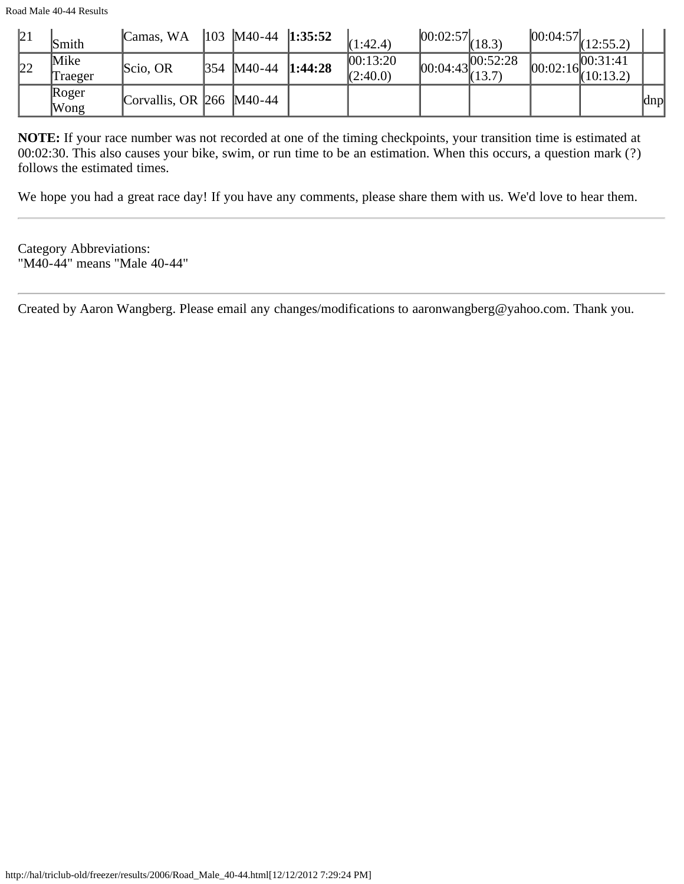| 21 | Smith                | Camas, WA                                 |      | $\parallel$ 103   M40-44   1:35:52 |         | (1:42.4)              | $[00:02:57]_{(18.3)}$ |                                  | $ 00:04:57 _{(12:55.2)}$            |     |
|----|----------------------|-------------------------------------------|------|------------------------------------|---------|-----------------------|-----------------------|----------------------------------|-------------------------------------|-----|
| 22 | Mike<br>Traeger      | Scio, OR                                  | 1354 | M40-44                             | 1:44:28 | 00:13:20 <br>(2:40.0) |                       | ,100:52:28<br>$100:04:43$ (13.7) | $ 00:02:16 ^{00:31:41}_{(10:13.2)}$ |     |
|    | Roger<br><b>Wong</b> | Corvallis, OR $\left  266 \right $ M40-44 |      |                                    |         |                       |                       |                                  |                                     | dnp |

**NOTE:** If your race number was not recorded at one of the timing checkpoints, your transition time is estimated at 00:02:30. This also causes your bike, swim, or run time to be an estimation. When this occurs, a question mark (?) follows the estimated times.

We hope you had a great race day! If you have any comments, please share them with us. We'd love to hear them.

Category Abbreviations: "M40-44" means "Male 40-44"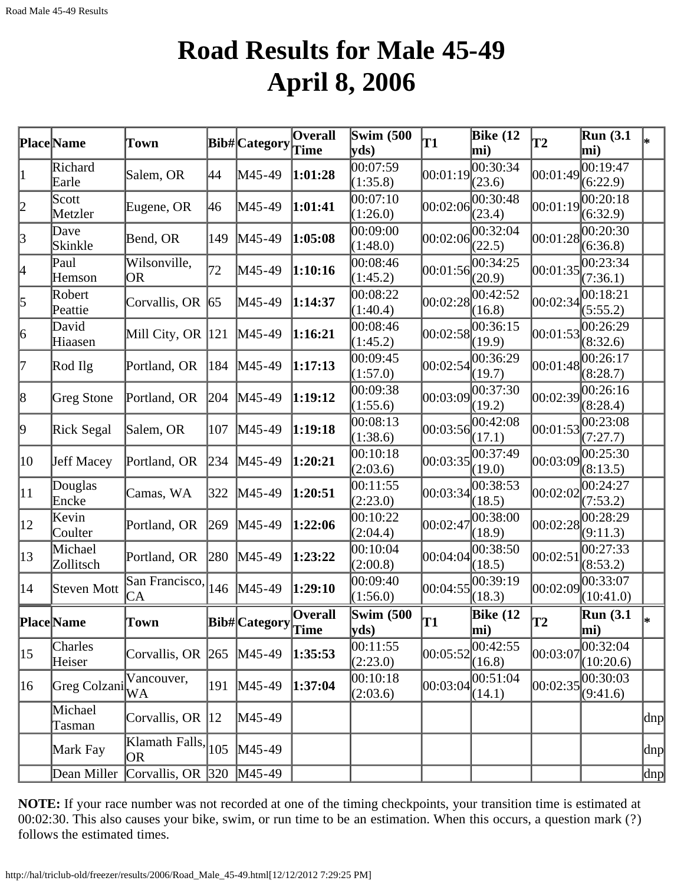## **Road Results for Male 45-49 April 8, 2006**

|                 | Place Name           | Town                                      |     | <b>Bib#</b> Category                                                                                                                | <b>Overall</b><br>Time | <b>Swim (500)</b><br>yds) | T1       | Bike $(12)$<br>mi)         | <b>T2</b>  | Run(3.1)<br>mi)                 |     |
|-----------------|----------------------|-------------------------------------------|-----|-------------------------------------------------------------------------------------------------------------------------------------|------------------------|---------------------------|----------|----------------------------|------------|---------------------------------|-----|
| 1               | Richard<br>Earle     | Salem, OR                                 | 44  | M45-49                                                                                                                              | 1:01:28                | 00:07:59<br>(1:35.8)      | 00:01:19 | 00:30:34<br>(23.6)         | 00:01:49   | 00:19:47<br>(6:22.9)            |     |
| $ 2\>$          | Scott<br>Metzler     | Eugene, OR                                | 46  | M45-49                                                                                                                              | 1:01:41                | 0.07:10<br>(1:26.0)       | 00:02:06 | 00:30:48<br>(23.4)         | 00:01:19   | 00:20:18<br>(6:32.9)            |     |
| $\beta$         | Dave<br>Skinkle      | Bend, OR                                  | 149 | M45-49                                                                                                                              | 1:05:08                | 00:09:00<br>(1:48.0)      | 00:02:06 | 00:32:04<br>(22.5)         |            | 00:01:28 <br>(6:36.8)           |     |
| 4               | Paul<br>Hemson       | Wilsonville,<br><b>OR</b>                 | 72  | M45-49                                                                                                                              | 1:10:16                | 00:08:46<br>(1:45.2)      | 00:01:56 | 00:34:25<br>(20.9)         | 00:01:35   | 00:23:34<br>(7:36.1)            |     |
| 5               | Robert<br>Peattie    | Corvallis, OR                             | 65  | M45-49                                                                                                                              | 1:14:37                | 00:08:22<br>(1:40.4)      | 00:02:28 | 00:42:52<br>(16.8)         | 00:02:34   | 00:18:21<br>(5:55.2)            |     |
| $\vert 6 \vert$ | David<br>Hiaasen     | Mill City, OR $ 121$                      |     | $M45-49$                                                                                                                            | 1:16:21                | 00:08:46<br>(1:45.2)      | 00:02:58 | 00:36:15<br>(19.9)         | 00:01:53   | 00:26:29<br>(8:32.6)            |     |
| 17              | Rod Ilg              | Portland, OR                              | 184 | $M45-49$                                                                                                                            | 1:17:13                | 00:09:45<br>(1:57.0)      | 00:02:54 | 00:36:29<br>(19.7)         | [00:01:48] | 00:26:17<br>(8:28.7)            |     |
| 8               | Greg Stone           | Portland, OR                              | 204 | $M45-49$                                                                                                                            | 1:19:12                | 00:09:38<br>(1:55.6)      | 00:03:09 | 00:37:30<br>(19.2)         |            | 00:02:39 <br>(8:28.4)           |     |
| þ.              | Rick Segal           | Salem, OR                                 | 107 | $M45-49$                                                                                                                            | 1:19:18                | 00:08:13<br>(1:38.6)      | 00:03:56 | 00:42:08<br>(17.1)         |            | 00:01:53 <br>(7:27.7)           |     |
| 10              | Jeff Macey           | Portland, OR                              | 234 | M45-49                                                                                                                              | 1:20:21                | 00:10:18<br>(2:03.6)      | 00:03:35 | 00:37:49<br>(19.0)         | 00:03:09   | 00:25:30<br>(8:13.5)            |     |
| $ 11\rangle$    | Douglas<br>Encke     | Camas, WA                                 | 322 | $MA5-49$                                                                                                                            | 1:20:51                | 00:11:55<br>(2:23.0)      | 00:03:34 | 00:38:53<br>(18.5)         | 00:02:02   | 00:24:27<br>(7:53.2)            |     |
| $ 12\rangle$    | Kevin<br>Coulter     | Portland, OR                              | 269 | $MA5-49$                                                                                                                            | 1:22:06                | 00:10:22<br>(2:04.4)      | 00:02:47 | 00:38:00<br>(18.9)         |            | 00:02:28 <br>(9:11.3)           |     |
| $ 13\rangle$    | Michael<br>Zollitsch | Portland, OR                              | 280 | M45-49                                                                                                                              | 1:23:22                | 00:10:04<br>(2:00.8)      | 00:04:04 | 00:38:50<br>(18.5)         | 00:02:51   | 00:27:33<br>(8:53.2)            |     |
| 14              | Steven Mott          | San Francisco,<br><b>CA</b>               | 146 | $M45-49$                                                                                                                            | 1:29:10                | 00:09:40<br>(1:56.0)      | 00:04:55 | 00:39:19<br>(18.3)         | 00:02:09   | 00:33:07<br>(10:41.0)           |     |
|                 | <b>Place</b> Name    | Town                                      |     | ${\bf \left[ \text{Bib\#}\! \middle  \!\text{Category} \right  \!\! \overbrace{ \text{Trim}\,\widehat{\text{}} }^{\text{VeralI}} }$ |                        | <b>Swim (500</b><br>yds)  | T1       | Bike $(12)$<br>$\vert$ mi) | lT2        | <b>Run</b> (3.1)<br>$\vert$ mi) | l*  |
| $ 15\rangle$    | Charles<br>Heiser    | Corvallis, OR $\left  265 \right $ M45-49 |     |                                                                                                                                     | 1:35:53                | 00:11:55<br>(2:23.0)      | 00:05:52 | 00:42:55<br>(16.8)         | 00:03:07   | 00:32:04<br>(10:20.6)           |     |
| 16              | Greg Colzani WA      | Vancouver,                                | 191 | $M45-49$                                                                                                                            | 1:37:04                | 00:10:18<br>(2:03.6)      | 00:03:04 | 00:51:04<br>(14.1)         |            | 00:02:35 <br>(9:41.6)           |     |
|                 | Michael<br>Tasman    | Corvallis, OR 12                          |     | M45-49                                                                                                                              |                        |                           |          |                            |            |                                 | dnp |
|                 | Mark Fay             | Klamath Falls, 105<br><b>OR</b>           |     | $M45-49$                                                                                                                            |                        |                           |          |                            |            |                                 | dnp |
|                 | Dean Miller          | Corvallis, OR $ 320 $                     |     | $M45-49$                                                                                                                            |                        |                           |          |                            |            |                                 | dnp |

**NOTE:** If your race number was not recorded at one of the timing checkpoints, your transition time is estimated at 00:02:30. This also causes your bike, swim, or run time to be an estimation. When this occurs, a question mark (?) follows the estimated times.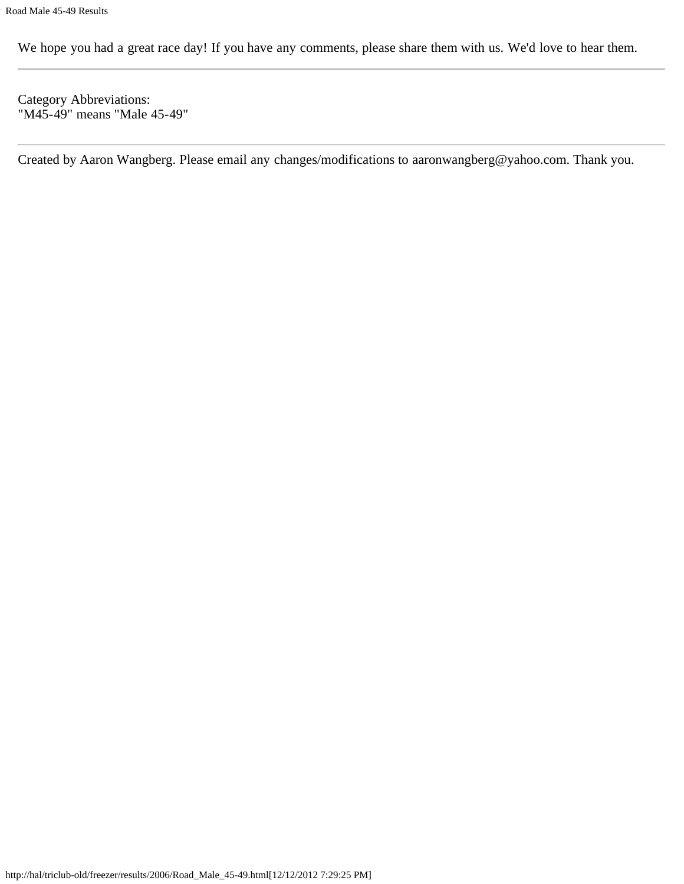We hope you had a great race day! If you have any comments, please share them with us. We'd love to hear them.

Category Abbreviations: "M45-49" means "Male 45-49"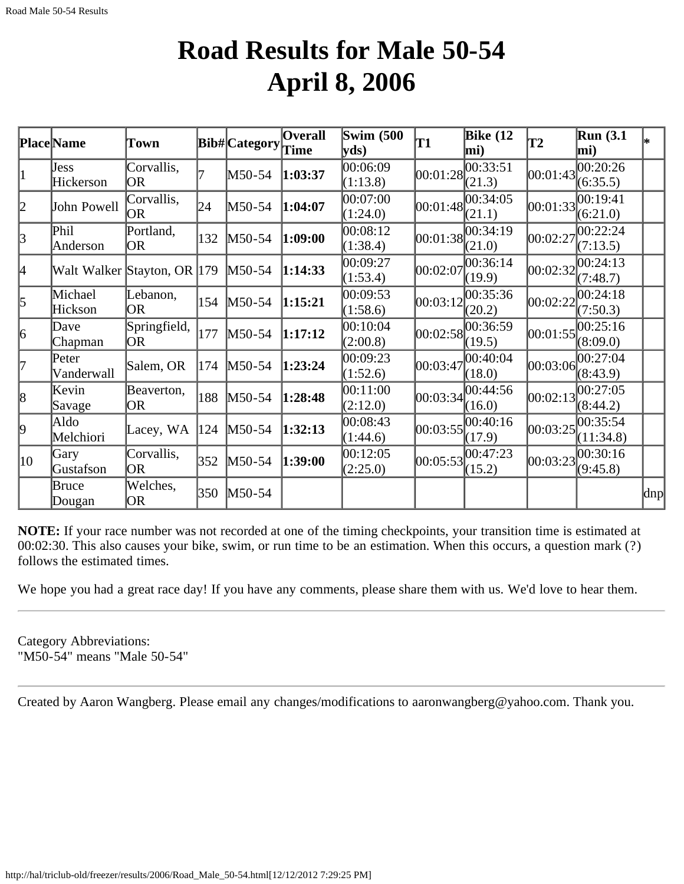## **Road Results for Male 50-54 April 8, 2006**

|                  | <b>Place Name</b>           | Town                    |     | Bib# Category | <b>Overall</b><br>Time | <b>Swim (500)</b><br>yds) | T1         | <b>Bike</b> (12<br>mi) | T2         | <b>Run</b> (3.1)<br>mi) |     |
|------------------|-----------------------------|-------------------------|-----|---------------|------------------------|---------------------------|------------|------------------------|------------|-------------------------|-----|
| 1                | Jess<br>Hickerson           | Corvallis,<br><b>OR</b> |     | M50-54        | 1:03:37                | 00:06:09<br>(1:13.8)      | [00:01:28] | 00:33:51<br>(21.3)     | [00:01:43] | 00:20:26<br>(6:35.5)    |     |
| 2                | John Powell                 | Corvallis,<br>OR        | 24  | M50-54        | 1:04:07                | 00:07:00 <br>(1:24.0)     |            | 00:01:48 <br>(21.1)    | 00:01:33   | 00:19:41<br>(6:21.0)    |     |
| $\beta$          | Phil<br>Anderson            | Portland,<br>OR         | 132 | M50-54        | 1:09:00                | 00:08:12<br>(1:38.4)      |            | 00:01:38 <br>(21.0)    | 00:02:27   | 00:22:24<br>(7:13.5)    |     |
| 4                | Walt Walker Stayton, OR 179 |                         |     | M50-54        | 1:14:33                | 00:09:27<br>(1:53.4)      | 00:02:07   | 00:36:14<br>(19.9)     | 00:02:32   | 00:24:13<br>(7:48.7)    |     |
| 5                | Michael<br>Hickson          | Lebanon,<br> OR         | 154 | M50-54        | 1:15:21                | 00:09:53<br>(1:58.6)      | 00:03:12   | 00:35:36<br>(20.2)     | 00:02:22   | 00:24:18<br>(7:50.3)    |     |
| 6                | Dave<br>Chapman             | Springfield,<br>OR.     | 177 | M50-54        | 1:17:12                | 00:10:04<br>(2:00.8)      | [00:02:58] | 00:36:59<br>(19.5)     | [00:01:55] | 00:25:16<br>(8:09.0)    |     |
| l7               | Peter<br>Vanderwall         | Salem, OR               | 174 | M50-54        | 1:23:24                | 00:09:23<br>(1:52.6)      | 00:03:47   | 00:40:04<br>(18.0)     |            | 00:03:06 <br>(8:43.9)   |     |
| 8                | Kevin<br>Savage             | Beaverton,<br>OR        | 188 | M50-54        | 1:28:48                | 00:11:00<br>(2:12.0)      | 00:03:34   | 00:44:56<br>(16.0)     | 00:02:13   | 00:27:05<br>(8:44.2)    |     |
| þ.               | Aldo<br>Melchiori           | Lacey, WA               | 124 | M50-54        | 1:32:13                | 00:08:43<br>(1:44.6)      | 00:03:55   | 00:40:16<br>(17.9)     | 00:03:25   | 00:35:54<br>(11:34.8)   |     |
| $\vert 10 \vert$ | Gary<br>Gustafson           | Corvallis,<br> OR       | 352 | M50-54        | 1:39:00                | 00:12:05<br>(2:25.0)      | [00:05:53] | 00:47:23<br>(15.2)     | 00:03:23   | 00:30:16<br>(9:45.8)    |     |
|                  | Bruce<br>Dougan             | Welches,<br>OR          | 350 | $M50-54$      |                        |                           |            |                        |            |                         | dnp |

**NOTE:** If your race number was not recorded at one of the timing checkpoints, your transition time is estimated at 00:02:30. This also causes your bike, swim, or run time to be an estimation. When this occurs, a question mark (?) follows the estimated times.

We hope you had a great race day! If you have any comments, please share them with us. We'd love to hear them.

Category Abbreviations: "M50-54" means "Male 50-54"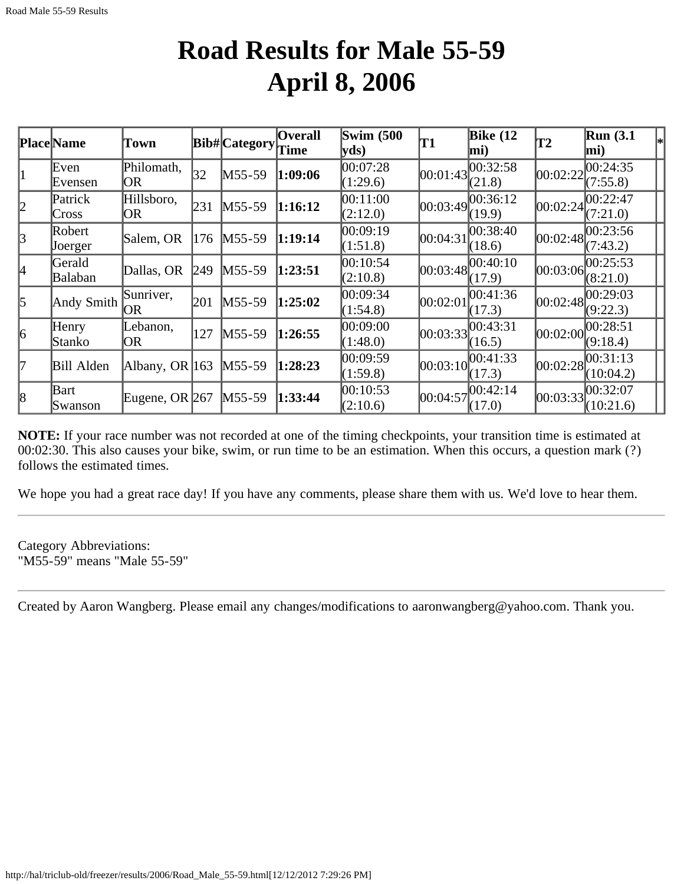### **Road Results for Male 55-59 April 8, 2006**

|                       | <b>Place Name</b> | Town               |     | Bib# Category Time | <b>Overall</b> | <b>Swim (500)</b><br> yds) | T1         | Bike $(12)$<br>mi) | T2       | <b>Run</b> (3.1)<br>mi) |
|-----------------------|-------------------|--------------------|-----|--------------------|----------------|----------------------------|------------|--------------------|----------|-------------------------|
| 1                     | Even<br>Evensen   | Philomath,<br>OR   | 32  | $M55-59$           | 1:09:06        | 00:07:28<br>(1:29.6)       | [00:01:43] | 00:32:58<br>(21.8) | 00:02:22 | 00:24:35<br>(7:55.8)    |
| 2                     | Patrick<br>Cross  | Hillsboro,<br>OR   | 231 | $M55-59$           | 1:16:12        | 00:11:00<br>(2:12.0)       | 00:03:49   | 00:36:12<br>(19.9) | 00:02:24 | 00:22:47<br>(7:21.0)    |
| $\mathbf{\mathbf{z}}$ | Robert<br>Joerger | Salem, OR          | 176 | $M55-59$           | 1:19:14        | 00:09:19<br>(1:51.8)       | 00:04:31   | 00:38:40<br>(18.6) | 00:02:48 | 00:23:56<br>(7:43.2)    |
| 4                     | Gerald<br>Balaban | Dallas, OR         | 249 | $M55-59$           | 1:23:51        | 00:10:54<br>(2:10.8)       | [00:03:48] | 00:40:10<br>(17.9) | 00:03:06 | 00:25:53<br>(8:21.0)    |
| $\vert$ 5             | Andy Smith        | Sunriver,<br>OR    | 201 | $M55-59$           | 1:25:02        | 00:09:34<br>(1:54.8)       | 00:02:01   | 00:41:36<br>(17.3) | 00:02:48 | 00:29:03<br>(9:22.3)    |
| $\vert 6 \vert$       | Henry<br>Stanko   | ebanon,<br> OR     | 127 | $M55-59$           | 1:26:55        | 00:09:00<br>(1:48.0)       | 00:03:33   | 00:43:31<br>(16.5) | 00:02:00 | 00:28:51<br>(9:18.4)    |
| 17                    | <b>Bill Alden</b> | Albany, OR $ 163 $ |     | $M55-59$           | 1:28:23        | 00:09:59<br>(1:59.8)       | 00:03:10   | 00:41:33<br>(17.3) | 00:02:28 | 00:31:13<br>(10:04.2)   |
| 8                     | Bart<br>Swanson   | Eugene, OR $267$   |     | $M55-59$           | 1:33:44        | 00:10:53<br>(2:10.6)       | 00:04:57   | 00:42:14<br>(17.0) | 00:03:33 | 00:32:07<br>(10:21.6)   |

**NOTE:** If your race number was not recorded at one of the timing checkpoints, your transition time is estimated at 00:02:30. This also causes your bike, swim, or run time to be an estimation. When this occurs, a question mark (?) follows the estimated times.

We hope you had a great race day! If you have any comments, please share them with us. We'd love to hear them.

Category Abbreviations: "M55-59" means "Male 55-59"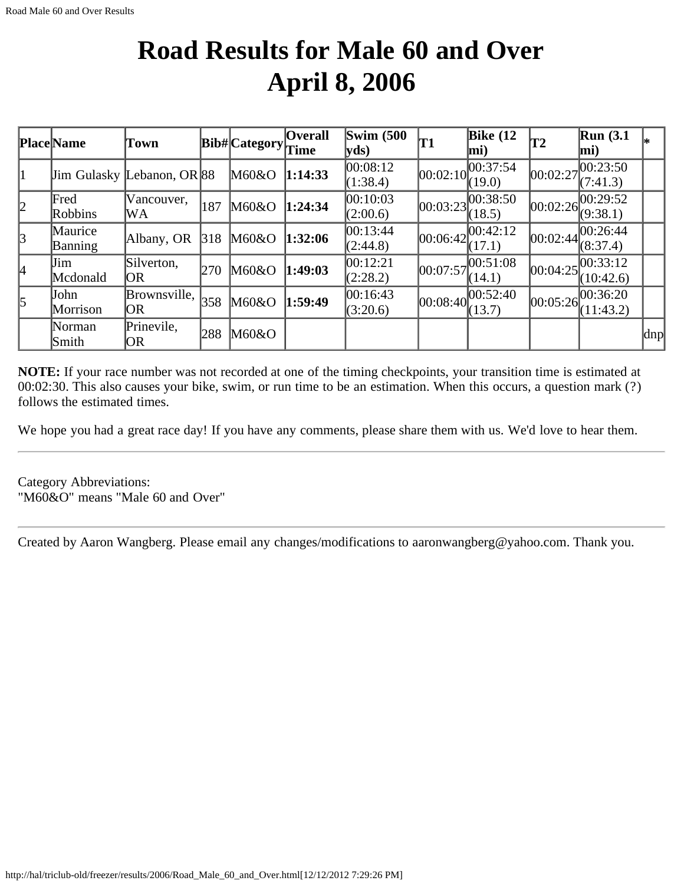## **Road Results for Male 60 and Over April 8, 2006**

|           | <b>Place Name</b>         | Town                               |     | $ Bib\# $ Category $ Time$ | <b>Overall</b> | Swim $(500)$<br>yds  | Τ1         | Bike $(12)$<br>$ mi$ )                       | T2       | $\mathbb{R}$ un (3.1<br>mi)                  | l*            |
|-----------|---------------------------|------------------------------------|-----|----------------------------|----------------|----------------------|------------|----------------------------------------------|----------|----------------------------------------------|---------------|
| 11        |                           | <b>Jim Gulasky Lebanon</b> , OR 88 |     | M60&O                      | 1:14:33        | 00:08:12<br>(1:38.4) | 00:02:10   | 00:37:54<br>(19.0)                           | 00:02:27 | ,00:23:50<br>(7:41.3)                        |               |
| 2         | Fred<br>Robbins           | Vancouver,<br>WA                   | 187 | M60&O                      | 1:24:34        | 00:10:03<br>(2:00.6) | [00:03:23] | 00:38:50<br>(18.5)                           |          | [00:02:26]<br>(9:38.1)                       |               |
| 3         | Maurice<br><b>Banning</b> | Albany, OR                         | 318 | M60&O                      | 1:32:06        | 00:13:44<br>(2:44.8) |            | 00:06:42 <br>(17.1)                          | 00:02:44 | 00:26:44 <br>(8:37.4)                        |               |
| I4        | Jim<br>Mcdonald           | Silverton,<br>OR                   | 270 | M60&O                      | 1:49:03        | 00:12:21<br>(2:28.2) | 00:07:57   | 00:51:08<br>(14.1)                           |          | $ 00:04:25 \overline{00:33:12}$<br>(10:42.6) |               |
| $\vert$ 5 | John<br>Morrison          | Brownsville,<br>OR                 | 358 | M60&O                      | 1:59:49        | 00:16:43<br>(3:20.6) |            | $[00:08:40]$ $\overline{00:52:40}$<br>(13.7) |          | 00:05:26 <br>(11:43.2)                       |               |
|           | Norman<br>Smith           | Prinevile,<br>OR                   | 288 | M60&O                      |                |                      |            |                                              |          |                                              | $ {\rm d}np $ |

**NOTE:** If your race number was not recorded at one of the timing checkpoints, your transition time is estimated at 00:02:30. This also causes your bike, swim, or run time to be an estimation. When this occurs, a question mark (?) follows the estimated times.

We hope you had a great race day! If you have any comments, please share them with us. We'd love to hear them.

Category Abbreviations: "M60&O" means "Male 60 and Over"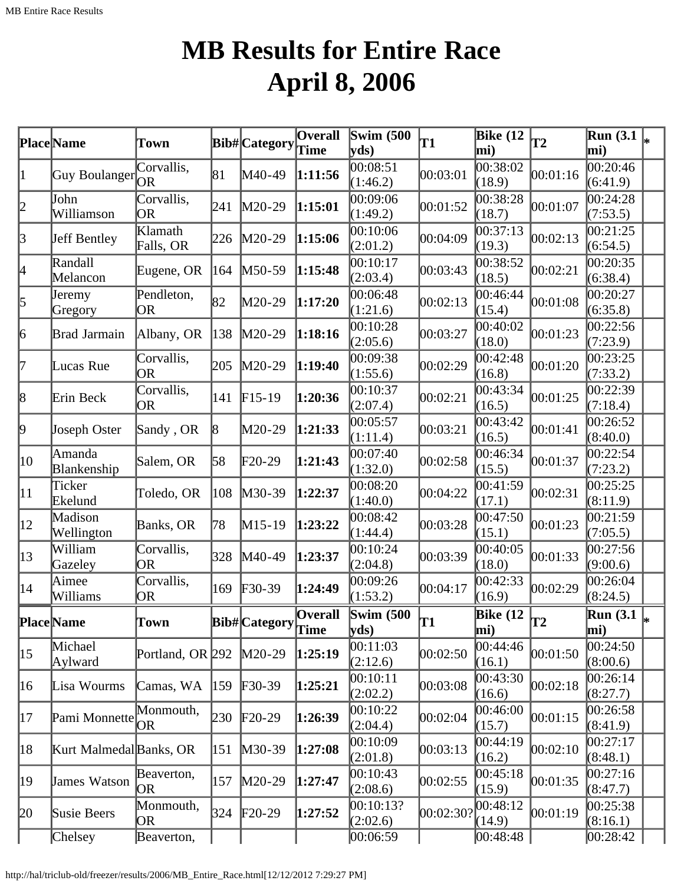# **MB Results for Entire Race April 8, 2006**

|              | Place Name              | Town                    |     | Bib# Category              | <b>Overall</b><br>Time | Swim $(500)$<br>$ {\bf v} {\bf ds})$ | T1       | Bike $(12)$<br>mi)                     | $\mathbf{T2}$ | $\overline{\text{Run}}(3.1\vert_{\ast})$<br>mi) |  |
|--------------|-------------------------|-------------------------|-----|----------------------------|------------------------|--------------------------------------|----------|----------------------------------------|---------------|-------------------------------------------------|--|
| 1            | Guy Boulanger           | Corvallis,              | 81  | M40-49                     | 1:11:56                | 00:08:51<br>(1:46.2)                 | 00:03:01 | 00:38:02<br>(18.9)                     | 00:01:16      | 00:20:46<br>(6:41.9)                            |  |
| 2            | John<br>Williamson      | Corvallis,<br>OR        | 241 | $M20-29$                   | 1:15:01                | 00:09:06<br>(1:49.2)                 | 00:01:52 | 00:38:28<br>(18.7)                     | 00:01:07      | 00:24:28<br>(7:53.5)                            |  |
| 3            | Jeff Bentley            | Klamath<br>Falls, OR    | 226 | $M20-29$                   | 1:15:06                | 00:10:06<br>(2:01.2)                 | 00:04:09 | [00:37:13]<br>(19.3)                   | 00:02:13      | 00:21:25<br>(6:54.5)                            |  |
| 4            | Randall<br>Melancon     | Eugene, OR              | 164 | $M50-59$                   | 1:15:48                | 00:10:17<br>(2:03.4)                 | 00:03:43 | 00:38:52<br>(18.5)                     | 00:02:21      | 00:20:35<br>(6:38.4)                            |  |
| 5            | Jeremy<br>Gregory       | Pendleton,<br>OR        | 82  | M20-29                     | 1:17:20                | 00:06:48<br>(1:21.6)                 | 00:02:13 | 00:46:44<br>(15.4)                     | 00:01:08      | 00:20:27<br>(6:35.8)                            |  |
| 6            | Brad Jarmain            | Albany, OR              | 138 | M20-29                     | 1:18:16                | 00:10:28<br>(2:05.6)                 | 00:03:27 | 00:40:02<br>(18.0)                     | 00:01:23      | 00:22:56<br>(7:23.9)                            |  |
| 17           | Lucas Rue               | Corvallis,<br><b>OR</b> | 205 | $M20-29$                   | 1:19:40                | 00:09:38<br>(1:55.6)                 | 00:02:29 | 00:42:48<br>(16.8)                     | 00:01:20      | 00:23:25<br>(7:33.2)                            |  |
| 8            | Erin Beck               | Corvallis,<br><b>OR</b> | 141 | $F15-19$                   | 1:20:36                | 00:10:37<br>(2:07.4)                 | 00:02:21 | 00:43:34<br>(16.5)                     | 00:01:25      | 00:22:39<br>(7:18.4)                            |  |
| þ,           | Joseph Oster            | Sandy, OR               | 8   | M20-29                     | 1:21:33                | 00:05:57<br>(1:11.4)                 | 00:03:21 | 00:43:42<br>(16.5)                     | 00:01:41      | 00:26:52<br>(8:40.0)                            |  |
| 10           | Amanda<br>Blankenship   | Salem, OR               | 58  | $F20-29$                   | 1:21:43                | 00:07:40<br>(1:32.0)                 | 00:02:58 | 00:46:34<br>(15.5)                     | 00:01:37      | 00:22:54<br>(7:23.2)                            |  |
| $ 11\rangle$ | Ticker<br>Ekelund       | Toledo, OR              | 108 | $M30-39$                   | 1:22:37                | 00:08:20<br>(1:40.0)                 | 00:04:22 | 00:41:59<br>(17.1)                     | 00:02:31      | 00:25:25<br>(8:11.9)                            |  |
| $ 12\rangle$ | Madison<br>Wellington   | Banks, OR               | 78  | M15-19                     | 1:23:22                | 00:08:42<br>(1:44.4)                 | 00:03:28 | 00:47:50<br>(15.1)                     | 00:01:23      | 00:21:59<br>(7:05.5)                            |  |
| $ 13\rangle$ | William<br>Gazeley      | Corvallis,<br>OR        | 328 | M40-49                     | 1:23:37                | 00:10:24<br>(2:04.8)                 | 00:03:39 | 00:40:05<br>(18.0)                     | 00:01:33      | 00:27:56<br>(9:00.6)                            |  |
| 14           | Aimee<br>Williams       | Corvallis,<br>OR        | 169 | $\textcolor{blue}{F30-39}$ | 1:24:49                | 00:09:26<br>(1:53.2)                 | 00:04:17 | 00:42:33<br>(16.9)                     | 00:02:29      | 00:26:04<br>(8:24.5)                            |  |
|              | <b>Place</b> Name       | Town                    |     | Bib# Category              | Overall<br>Time        | Swim $(500)$<br> yds)                | lT1      | Bike $(12)$ <sub>T2</sub><br>$\bf{mi}$ |               | $\overline{\text{Run}}(3.1)$<br>$\vert$ mi)     |  |
| $ 15\rangle$ | Michael<br>Aylward      | Portland, OR 292        |     | $M20-29$                   | 1:25:19                | [00:11:03]<br>(2:12.6)               | 00:02:50 | 00:44:46<br>(16.1)                     | 00:01:50      | 00:24:50<br>(8:00.6)                            |  |
| 16           | Lisa Wourms             | Camas, WA               | 159 | $F30-39$                   | 1:25:21                | [00:10:11]<br>(2:02.2)               | 00:03:08 | 00:43:30<br>(16.6)                     | 00:02:18      | 00:26:14<br>(8:27.7)                            |  |
| 17           | Pami Monnette           | Monmouth,<br>OR         | 230 | $\text{F}20-29$            | 1:26:39                | [00:10:22]<br>(2:04.4)               | 00:02:04 | 00:46:00<br>(15.7)                     | 00:01:15      | 00:26:58<br>(8:41.9)                            |  |
| 18           | Kurt Malmedal Banks, OR |                         | 151 | $M30-39$                   | 1:27:08                | 00:10:09<br>(2:01.8)                 | 00:03:13 | 00:44:19<br>(16.2)                     | 00:02:10      | 00:27:17<br>(8:48.1)                            |  |
| 19           | James Watson            | Beaverton,<br>OR        | 157 | $M20-29$                   | 1:27:47                | [00:10:43]<br>(2:08.6)               | 00:02:55 | 00:45:18<br>(15.9)                     | 00:01:35      | 00:27:16<br>(8:47.7)                            |  |
| 20           | Susie Beers             | Monmouth,<br>OR         | 324 | $F20-29$                   | 1:27:52                | [00:10:13?<br>(2:02.6)               | 00:02:30 | 00:48:12<br>(14.9)                     | 00:01:19      | 00:25:38<br>(8:16.1)                            |  |
|              | Chelsey                 | Beaverton,              |     |                            |                        | 00:06:59                             |          | 00:48:48                               |               | $ 00:28:42\rangle$                              |  |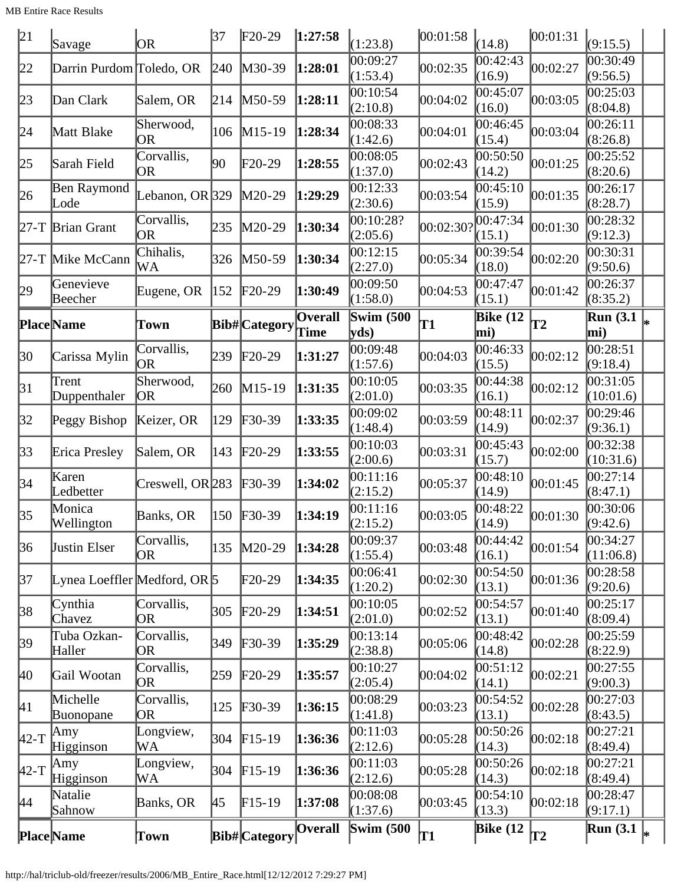MB Entire Race Results

| 21       | Savage                       | OR.               | 37  | $F20-29$             | 1:27:58                | (1:23.8)                  | 00:01:58           | (14.8)                 | 00:01:31      | (9:15.5)                               |  |
|----------|------------------------------|-------------------|-----|----------------------|------------------------|---------------------------|--------------------|------------------------|---------------|----------------------------------------|--|
| 22       | Darrin Purdom Toledo, OR     |                   | 240 | $M30-39$             | 1:28:01                | 00:09:27<br>(1:53.4)      | 00:02:35           | 00:42:43 <br>(16.9)    | 00:02:27      | 00:30:49<br>(9:56.5)                   |  |
| 23       | Dan Clark                    | Salem, OR         | 214 | $M50-59$             | 1:28:11                | 00:10:54<br>(2:10.8)      | 00:04:02           | 00:45:07<br>(16.0)     | 00:03:05      | 00:25:03<br>(8:04.8)                   |  |
| 24       | Matt Blake                   | Sherwood,<br>OR   | 106 | $M15-19$             | 1:28:34                | 00:08:33<br>(1:42.6)      | 00:04:01           | 00:46:45<br>(15.4)     | 00:03:04      | 0.26:11<br>(8:26.8)                    |  |
| 25       | Sarah Field                  | Corvallis,<br>OR  | 90  | $F20-29$             | 1:28:55                | 00:08:05<br>(1:37.0)      | 00:02:43           | 00:50:50<br>(14.2)     | 00:01:25      | 00:25:52<br>(8:20.6)                   |  |
| 26       | Ben Raymond<br>Lode          | Lebanon, OR $329$ |     | $M20-29$             | 1:29:29                | 00:12:33<br>(2:30.6)      | 00:03:54           | 00:45:10<br>(15.9)     | 00:01:35      | 00:26:17<br>(8:28.7)                   |  |
|          | $27-T$ Brian Grant           | Corvallis,<br>OR  | 235 | M20-29               | 1:30:34                | 00:10:28?<br>(2:05.6)     | $ 00:02:30\rangle$ | 00:47:34<br>(15.1)     | 00:01:30      | 00:28:32<br>(9:12.3)                   |  |
|          | 27-T Mike McCann             | Chihalis,<br>WА   | 326 | $M50-59$             | 1:30:34                | 00:12:15<br>(2:27.0)      | 00:05:34           | 00:39:54<br>(18.0)     | 00:02:20      | 00:30:31<br>(9:50.6)                   |  |
| 29       | Genevieve<br>Beecher         | Eugene, OR        | 152 | $F20-29$             | 1:30:49                | 00:09:50<br>(1:58.0)      | 00:04:53           | 00:47:47<br>(15.1)     | 00:01:42      | 00:26:37<br>(8:35.2)                   |  |
|          | <b>Place</b> Name            | Town              |     | <b>Bib#</b> Category | <b>Overall</b><br>Time | <b>Swim (500)</b><br>yds) | T1                 | <b>Bike</b> (12<br>mi) | $\mathbf{T2}$ | Run (3.1 $\vert_{\ast}$ )<br>mi)       |  |
| 30       | Carissa Mylin                | Corvallis,        | 239 | $F20-29$             | 1:31:27                | 00:09:48                  | 00:04:03           | 00:46:33               | 00:02:12      | 00:28:51                               |  |
|          |                              | <b>OR</b>         |     |                      |                        | (1:57.6)                  |                    | (15.5)                 |               | (9:18.4)                               |  |
| 31       | Trent<br>Duppenthaler        | Sherwood,<br>OR)  | 260 | $M15-19$             | 1:31:35                | 00:10:05<br>(2:01.0)      | 00:03:35           | 00:44:38<br>(16.1)     | 00:02:12      | 00:31:05<br>(10:01.6)                  |  |
| 32       | Peggy Bishop                 | Keizer, OR        | 129 | $F30-39$             | 1:33:35                | 00:09:02<br>(1:48.4)      | 00:03:59           | 00:48:11<br>(14.9)     | 00:02:37      | 00:29:46<br>(9:36.1)                   |  |
| 33       | Erica Presley                | Salem, OR         | 143 | $F20-29$             | 1:33:55                | 00:10:03<br>(2:00.6)      | 00:03:31           | 00:45:43<br>(15.7)     | 00:02:00      | 00:32:38<br>(10:31.6)                  |  |
| 34       | Karen<br>Ledbetter           | Creswell, OR 283  |     | $F30-39$             | 1:34:02                | 00:11:16<br>(2:15.2)      | 00:05:37           | 00:48:10<br>(14.9)     | 00:01:45      | 00:27:14<br>(8:47.1)                   |  |
| 35       | Monica<br>Wellington         | Banks, OR         |     | 150 F30-39           | 1:34:19                | 00:11:16<br>(2:15.2)      | 00:03:05           | 00:48:22<br>(14.9)     | 00:01:30      | 00:30:06<br>(9:42.6)                   |  |
| 36       | <b>Justin Elser</b>          | Corvallis,<br>OR  | 135 | $M20-29$             | 1:34:28                | 00:09:37<br>(1:55.4)      | 00:03:48           | 00:44:42<br>(16.1)     | 00:01:54      | 00:34:27<br>(11:06.8)                  |  |
| 37       | Lynea Loeffler Medford, OR 5 |                   |     | $F20-29$             | 1:34:35                | 00:06:41<br>(1:20.2)      | 00:02:30           | 00:54:50<br>(13.1)     | 00:01:36      | 00:28:58<br>(9:20.6)                   |  |
| 38       | Cynthia<br>Chavez            | Corvallis,<br>OR  | 305 | $F20-29$             | 1:34:51                | 00:10:05<br>(2:01.0)      | 00:02:52           | 00:54:57<br>(13.1)     | 00:01:40      | 00:25:17<br>(8:09.4)                   |  |
| 39       | Tuba Ozkan-<br>Haller        | Corvallis,<br>OR) | 349 | $F30-39$             | 1:35:29                | 00:13:14<br>(2:38.8)      | 00:05:06           | 00:48:42<br>(14.8)     | 00:02:28      | 00:25:59<br>(8:22.9)                   |  |
| 40       | Gail Wootan                  | Corvallis,<br>OR. | 259 | $F20-29$             | 1:35:57                | 00:10:27<br>(2:05.4)      | 00:04:02           | 00:51:12<br>(14.1)     | 00:02:21      | 00:27:55<br>(9:00.3)                   |  |
| 41       | Michelle<br>Buonopane        | Corvallis,<br>OR  | 125 | $F30-39$             | 1:36:15                | 00:08:29<br>(1:41.8)      | 00:03:23           | 00:54:52<br>(13.1)     | 00:02:28      | 00:27:03<br>(8:43.5)                   |  |
| $ 42-T $ | $\vert$ Amy<br>Higginson     | Longview,<br>WА   | 304 | $F15-19$             | 1:36:36                | 00:11:03<br>(2:12.6)      | 00:05:28           | 00:50:26<br>(14.3)     | 00:02:18      | 00:27:21<br>(8:49.4)                   |  |
| $ 42-T$  | Amy<br>Higginson             | Longview,<br>WА   | 304 | $F15-19$             | 1:36:36                | 00:11:03<br>(2:12.6)      | 00:05:28           | 00:50:26<br>(14.3)     | 00:02:18      | 00:27:21<br>(8:49.4)                   |  |
| 44       | Natalie<br>Sahnow            | Banks, OR         | 45  | $F15-19$             | 1:37:08                | 00:08:08<br>(1:37.6)      | 00:03:45           | 00:54:10<br>(13.3)     | 00:02:18      | 00:28:47<br>(9:17.1)                   |  |
|          | <b>Place</b> Name            | Town              |     | Bib# Category        | <b>Overall</b>         | <b>Swim (500)</b>         | T1                 | Bike $(12)$            | T2            | $\overline{\text{Run}}$ (3.1 $\vert_*$ |  |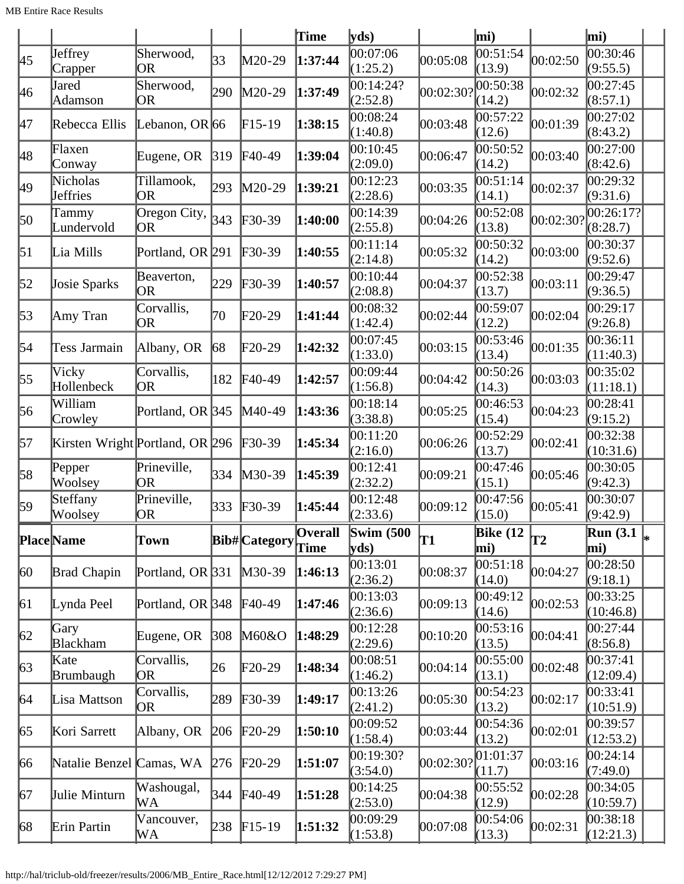|                    |                                                                                                                                                                                                                                                                                                                                                              |                          |                                                                                                                                                                                                                                     | <b>Time</b>                                                                                                                                                                                                                                                                                    |                       |                                                                                                                                                              |          |                                                                                                                                                                                                                                                                                                                                                                                                                                                                                                                                 | mi)                         |                      |
|--------------------|--------------------------------------------------------------------------------------------------------------------------------------------------------------------------------------------------------------------------------------------------------------------------------------------------------------------------------------------------------------|--------------------------|-------------------------------------------------------------------------------------------------------------------------------------------------------------------------------------------------------------------------------------|------------------------------------------------------------------------------------------------------------------------------------------------------------------------------------------------------------------------------------------------------------------------------------------------|-----------------------|--------------------------------------------------------------------------------------------------------------------------------------------------------------|----------|---------------------------------------------------------------------------------------------------------------------------------------------------------------------------------------------------------------------------------------------------------------------------------------------------------------------------------------------------------------------------------------------------------------------------------------------------------------------------------------------------------------------------------|-----------------------------|----------------------|
| Jeffrey<br>Crapper | Sherwood,<br>OR                                                                                                                                                                                                                                                                                                                                              | 33                       |                                                                                                                                                                                                                                     | 1:37:44                                                                                                                                                                                                                                                                                        | 00:07:06<br>(1:25.2)  | 00:05:08                                                                                                                                                     |          | 00:02:50                                                                                                                                                                                                                                                                                                                                                                                                                                                                                                                        | 00:30:46<br>(9:55.5)        |                      |
| Jared<br>Adamson   | Sherwood,<br><b>OR</b>                                                                                                                                                                                                                                                                                                                                       | 290                      |                                                                                                                                                                                                                                     | 1:37:49                                                                                                                                                                                                                                                                                        | (2:52.8)              | $ 00:02:30\rangle$                                                                                                                                           |          | 00:02:32                                                                                                                                                                                                                                                                                                                                                                                                                                                                                                                        | 00:27:45<br>(8:57.1)        |                      |
|                    |                                                                                                                                                                                                                                                                                                                                                              |                          |                                                                                                                                                                                                                                     | 1:38:15                                                                                                                                                                                                                                                                                        | 00:08:24<br>(1:40.8)  | 00:03:48                                                                                                                                                     |          | 00:01:39                                                                                                                                                                                                                                                                                                                                                                                                                                                                                                                        | 00:27:02<br>(8:43.2)        |                      |
|                    | Eugene, OR                                                                                                                                                                                                                                                                                                                                                   | 319                      |                                                                                                                                                                                                                                     | 1:39:04                                                                                                                                                                                                                                                                                        | 00:10:45<br>(2:09.0)  | 00:06:47                                                                                                                                                     |          | 00:03:40                                                                                                                                                                                                                                                                                                                                                                                                                                                                                                                        | 00:27:00<br>(8:42.6)        |                      |
|                    | Tillamook,<br>OR                                                                                                                                                                                                                                                                                                                                             | 293                      |                                                                                                                                                                                                                                     | 1:39:21                                                                                                                                                                                                                                                                                        | 00:12:23<br>(2:28.6)  | 00:03:35                                                                                                                                                     |          | 00:02:37                                                                                                                                                                                                                                                                                                                                                                                                                                                                                                                        | 00:29:32<br>(9:31.6)        |                      |
| Tammy              | OR                                                                                                                                                                                                                                                                                                                                                           |                          |                                                                                                                                                                                                                                     | 1:40:00                                                                                                                                                                                                                                                                                        | (2:55.8)              | 00:04:26                                                                                                                                                     |          | 00:02:30?                                                                                                                                                                                                                                                                                                                                                                                                                                                                                                                       | 00:26:17?<br>(8:28.7)       |                      |
|                    |                                                                                                                                                                                                                                                                                                                                                              |                          |                                                                                                                                                                                                                                     | 1:40:55                                                                                                                                                                                                                                                                                        | (2:14.8)              | 00:05:32                                                                                                                                                     |          | 00:03:00                                                                                                                                                                                                                                                                                                                                                                                                                                                                                                                        | 00:30:37<br>(9:52.6)        |                      |
|                    | Beaverton,<br>OR                                                                                                                                                                                                                                                                                                                                             |                          |                                                                                                                                                                                                                                     | 1:40:57                                                                                                                                                                                                                                                                                        | 00:10:44<br>(2:08.8)  | 00:04:37                                                                                                                                                     |          | 00:03:11                                                                                                                                                                                                                                                                                                                                                                                                                                                                                                                        | 00:29:47<br>(9:36.5)        |                      |
|                    | Corvallis,<br>OR                                                                                                                                                                                                                                                                                                                                             | 70                       |                                                                                                                                                                                                                                     | 1:41:44                                                                                                                                                                                                                                                                                        | 00:08:32<br>(1:42.4)  | 00:02:44                                                                                                                                                     |          | 00:02:04                                                                                                                                                                                                                                                                                                                                                                                                                                                                                                                        | 00:29:17<br>(9:26.8)        |                      |
|                    | Albany, OR                                                                                                                                                                                                                                                                                                                                                   |                          |                                                                                                                                                                                                                                     | 1:42:32                                                                                                                                                                                                                                                                                        | (1:33.0)              | 00:03:15                                                                                                                                                     |          | 00:01:35                                                                                                                                                                                                                                                                                                                                                                                                                                                                                                                        | 00:36:11<br>(11:40.3)       |                      |
| Vicky              | Corvallis,<br>OR                                                                                                                                                                                                                                                                                                                                             | 182                      |                                                                                                                                                                                                                                     | 1:42:57                                                                                                                                                                                                                                                                                        | (1:56.8)              | 00:04:42                                                                                                                                                     |          | 00:03:03                                                                                                                                                                                                                                                                                                                                                                                                                                                                                                                        | 00:35:02<br>(11:18.1)       |                      |
| William            |                                                                                                                                                                                                                                                                                                                                                              |                          |                                                                                                                                                                                                                                     | 1:43:36                                                                                                                                                                                                                                                                                        | 00:18:14<br>(3:38.8)  | 00:05:25                                                                                                                                                     |          | 00:04:23                                                                                                                                                                                                                                                                                                                                                                                                                                                                                                                        | 00:28:41<br>(9:15.2)        |                      |
|                    |                                                                                                                                                                                                                                                                                                                                                              |                          |                                                                                                                                                                                                                                     | 1:45:34                                                                                                                                                                                                                                                                                        | 00:11:20<br>(2:16.0)  | 00:06:26                                                                                                                                                     | 00:52:29 | 00:02:41                                                                                                                                                                                                                                                                                                                                                                                                                                                                                                                        | (10:31.6)                   |                      |
| Woolsey            | Prineville,<br>OR                                                                                                                                                                                                                                                                                                                                            | 334                      |                                                                                                                                                                                                                                     | 1:45:39                                                                                                                                                                                                                                                                                        | 00:12:41<br>(2:32.2)  | 00:09:21                                                                                                                                                     |          | 00:05:46                                                                                                                                                                                                                                                                                                                                                                                                                                                                                                                        | (9:42.3)                    |                      |
|                    | Prineville,<br>OR                                                                                                                                                                                                                                                                                                                                            | 333                      |                                                                                                                                                                                                                                     | 1:45:44                                                                                                                                                                                                                                                                                        | (2:33.6)              | 00:09:12                                                                                                                                                     |          | 00:05:41                                                                                                                                                                                                                                                                                                                                                                                                                                                                                                                        | 00:30:07<br>(9:42.9)        |                      |
|                    | Town                                                                                                                                                                                                                                                                                                                                                         |                          |                                                                                                                                                                                                                                     | Overall<br>Time                                                                                                                                                                                                                                                                                |                       | T1                                                                                                                                                           |          | T2                                                                                                                                                                                                                                                                                                                                                                                                                                                                                                                              | Run (3.1 $\vert_{*}$<br>mi) |                      |
|                    |                                                                                                                                                                                                                                                                                                                                                              |                          |                                                                                                                                                                                                                                     | 1:46:13                                                                                                                                                                                                                                                                                        | 00:13:01<br>(2:36.2)  | 00:08:37                                                                                                                                                     |          | 00:04:27                                                                                                                                                                                                                                                                                                                                                                                                                                                                                                                        | 00:28:50<br>(9:18.1)        |                      |
|                    |                                                                                                                                                                                                                                                                                                                                                              |                          |                                                                                                                                                                                                                                     | 1:47:46                                                                                                                                                                                                                                                                                        | 00:13:03<br>(2:36.6)  | 00:09:13                                                                                                                                                     | 00:49:12 | 00:02:53                                                                                                                                                                                                                                                                                                                                                                                                                                                                                                                        | 00:33:25<br>(10:46.8)       |                      |
|                    | Eugene, OR                                                                                                                                                                                                                                                                                                                                                   |                          |                                                                                                                                                                                                                                     | 1:48:29                                                                                                                                                                                                                                                                                        | 00:12:28<br>(2:29.6)  | 00:10:20                                                                                                                                                     |          | 00:04:41                                                                                                                                                                                                                                                                                                                                                                                                                                                                                                                        | 00:27:44<br>(8:56.8)        |                      |
|                    | Corvallis,<br>OR                                                                                                                                                                                                                                                                                                                                             | 26                       |                                                                                                                                                                                                                                     | 1:48:34                                                                                                                                                                                                                                                                                        | (1:46.2)              | 00:04:14                                                                                                                                                     |          | 00:02:48                                                                                                                                                                                                                                                                                                                                                                                                                                                                                                                        | 00:37:41<br>(12:09.4)       |                      |
|                    | Corvallis,<br>OR)                                                                                                                                                                                                                                                                                                                                            |                          |                                                                                                                                                                                                                                     | 1:49:17                                                                                                                                                                                                                                                                                        | 00:13:26<br>(2:41.2)  | 00:05:30                                                                                                                                                     | 00:54:23 | 00:02:17                                                                                                                                                                                                                                                                                                                                                                                                                                                                                                                        | 00:33:41<br>(10:51.9)       |                      |
|                    | Albany, OR                                                                                                                                                                                                                                                                                                                                                   |                          |                                                                                                                                                                                                                                     | 1:50:10                                                                                                                                                                                                                                                                                        | 00:09:52<br>(1:58.4)  | 00:03:44                                                                                                                                                     | 00:54:36 | 00:02:01                                                                                                                                                                                                                                                                                                                                                                                                                                                                                                                        | 00:39:57<br>(12:53.2)       |                      |
|                    |                                                                                                                                                                                                                                                                                                                                                              |                          |                                                                                                                                                                                                                                     | 1:51:07                                                                                                                                                                                                                                                                                        | 00:19:30?<br>(3:54.0) | 00:02:30?                                                                                                                                                    |          | 00:03:16                                                                                                                                                                                                                                                                                                                                                                                                                                                                                                                        | 00:24:14<br>(7:49.0)        |                      |
|                    | Washougal,<br>WА                                                                                                                                                                                                                                                                                                                                             | 344                      |                                                                                                                                                                                                                                     | 1:51:28                                                                                                                                                                                                                                                                                        | (2:53.0)              | 00:04:38                                                                                                                                                     |          | 00:02:28                                                                                                                                                                                                                                                                                                                                                                                                                                                                                                                        | 00:34:05<br>(10:59.7)       |                      |
|                    | Vancouver,<br>WА                                                                                                                                                                                                                                                                                                                                             |                          |                                                                                                                                                                                                                                     | 1:51:32                                                                                                                                                                                                                                                                                        | 00:09:29              | 00:07:08                                                                                                                                                     |          | 00:02:31                                                                                                                                                                                                                                                                                                                                                                                                                                                                                                                        | 00:38:18<br>(12:21.3)       |                      |
|                    | Rebecca Ellis<br>Flaxen<br>Conway<br>Nicholas<br>Jeffries<br>Lundervold<br>Lia Mills<br>Josie Sparks<br>Amy Tran<br>Tess Jarmain<br>Hollenbeck<br>Crowley<br>Pepper<br>Steffany<br>Woolsey<br><b>Place</b> Name<br>Brad Chapin<br>Lynda Peel<br>Gary<br><b>Blackham</b><br>Kate<br>Brumbaugh<br>Lisa Mattson<br>Kori Sarrett<br>Julie Minturn<br>Erin Partin | Natalie Benzel Camas, WA | Lebanon, OR $66$<br>Oregon City, $\left  \frac{343}{2}\right $<br>Portland, OR 291<br>229<br>68<br>Portland, OR 345<br>Kirsten Wright Portland, OR 296<br>Portland, OR 331<br>Portland, OR 348<br> 308 <br>289<br>206<br>276<br>238 | M20-29<br>$M20-29$<br>$F15-19$<br>$F40-49$<br>$M20-29$<br>$F30-39$<br>$F30-39$<br>$F30-39$<br>$\text{F20-29}$<br>$F20-29$<br>$F40-49$<br>$M40-49$<br>$F30-39$<br>$M30-39$<br>$F30-39$<br>$M30-39$<br>$F40-49$<br>M60&O<br>$F20-29$<br>$F30-39$<br>$F20-29$<br>$F20-29$<br>$F40-49$<br>$F15-19$ | <b>Bib#</b> Category  | yds<br>00:14:24?<br>00:14:39<br> 00:11:14<br>00:07:45<br>00:09:44<br>00:12:48<br>Swim $(500)$<br>$\mathbf{v}\mathbf{ds}$<br>00:08:51<br>00:14:25<br>(1:53.8) |          | mi)<br> 00:51:54<br>(13.9)<br> 00:50:38<br>(14.2)<br>00:57:22<br>(12.6)<br>00:50:52<br>(14.2)<br> 00:51:14<br>(14.1)<br>00:52:08<br>(13.8)<br>00:50:32<br>(14.2)<br>00:52:38<br>(13.7)<br>00:59:07<br>(12.2)<br>00:53:46<br>(13.4)<br>00:50:26<br>(14.3)<br>00:46:53<br>(15.4)<br>(13.7)<br>00:47:46<br>(15.1)<br>00:47:56<br>(15.0)<br>Bike $(12)$<br>mi)<br>00:51:18<br>(14.0)<br>(14.6)<br> 00:53:16<br>(13.5)<br>00:55:00<br>(13.1)<br>(13.2)<br>(13.2)<br>[01:01:37]<br>(11.7)<br>00:55:52<br>(12.9)<br>00:54:06<br>(13.3) |                             | 00:32:38<br>00:30:05 |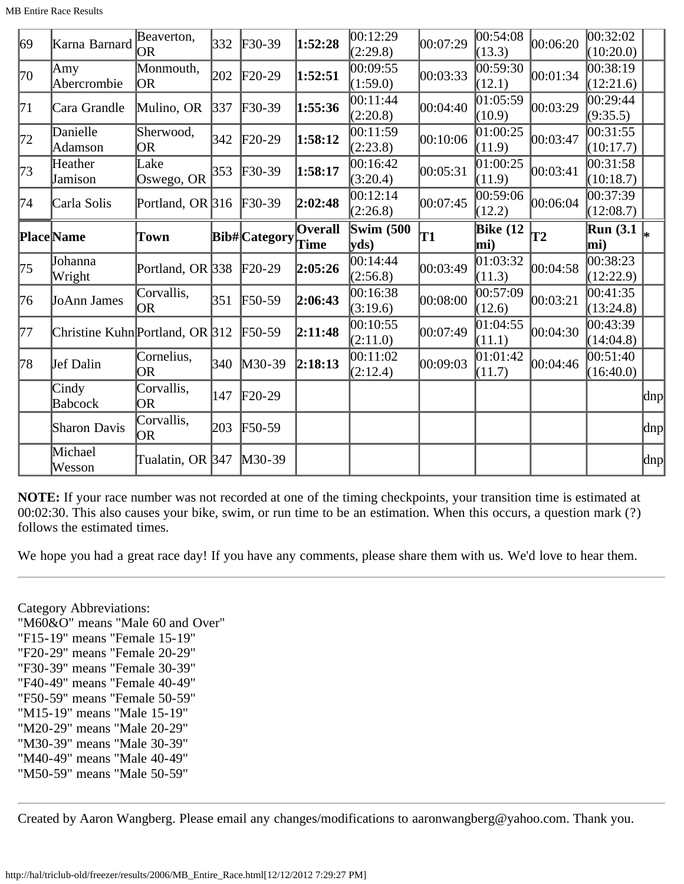| 69  | Karna Barnard                   | Beaverton,<br> OR       | 332               | $F30-39$                   | 1:52:28                | 00:12:29<br>(2:29.8) | 00:07:29 | 00:54:08<br>(13.3)     | 00:06:20 | 00:32:02<br>(10:20.0)                                |              |
|-----|---------------------------------|-------------------------|-------------------|----------------------------|------------------------|----------------------|----------|------------------------|----------|------------------------------------------------------|--------------|
| 170 | Amy<br>Abercrombie              | Monmouth,<br> OR        | 202               | $F20-29$                   | 1:52:51                | 00:09:55<br>(1:59.0) | 00:03:33 | 00:59:30<br>(12.1)     | 00:01:34 | 00:38:19<br>(12:21.6)                                |              |
| 71  | Cara Grandle                    | Mulino, OR              | $\vert 337 \vert$ | $F30-39$                   | 1:55:36                | 00:11:44<br>(2:20.8) | 00:04:40 | 01:05:59<br>(10.9)     | 00:03:29 | 00:29:44<br>(9:35.5)                                 |              |
| 72  | Danielle<br>Adamson             | Sherwood,<br>OR         | 342               | $F20-29$                   | 1:58:12                | 00:11:59<br>(2:23.8) | 00:10:06 | 01:00:25 <br>(11.9)    | 00:03:47 | 00:31:55<br>(10:17.7)                                |              |
| 73  | Heather<br>Jamison              | Lake<br>Oswego, OR      | 353               | $\textcolor{blue}{F30-39}$ | 1:58:17                | 00:16:42<br>(3:20.4) | 00:05:31 | 01:00:25<br>(11.9)     | 00:03:41 | 00:31:58<br>(10:18.7)                                |              |
| 74  | Carla Solis                     | Portland, OR 316 F30-39 |                   |                            | 2:02:48                | 00:12:14<br>(2:26.8) | 00:07:45 | 00:59:06<br>(12.2)     | 00:06:04 | 00:37:39<br>(12:08.7)                                |              |
|     | <b>PlaceName</b>                | Town                    |                   | <b>Bib#</b> Category       | <b>Overall</b><br>Time | Swim $(500)$<br>yds) | T1       | <b>Bike (12</b><br>mi) | lT2      | $\overline{\text{Run}}$ (3.1 $\vert_{\ast}$ )<br>mi) |              |
| 175 | Johanna<br>Wright               | Portland, OR $ 338 $    |                   | $F20-29$                   | 2:05:26                | 00:14:44<br>(2:56.8) | 00:03:49 | 01:03:32<br>(11.3)     | 00:04:58 | 00:38:23<br>(12:22.9)                                |              |
| 76  | JoAnn James                     | Corvallis,<br>lOR.      | 351               | $F50-59$                   | 2:06:43                | 00:16:38<br>(3:19.6) | 00:08:00 | 00:57:09<br>(12.6)     | 00:03:21 | 00:41:35<br>(13:24.8)                                |              |
| 177 | Christine Kuhn Portland, OR 312 |                         |                   | $F50-59$                   | 2:11:48                | 00:10:55<br>(2:11.0) | 00:07:49 | 01:04:55<br>(11.1)     | 00:04:30 | 00:43:39<br>(14:04.8)                                |              |
| 78  | Jef Dalin                       | Cornelius,<br>OR        | 340               | $M30-39$                   | 2:18:13                | 00:11:02<br>(2:12.4) | 00:09:03 | 01:01:42<br>(11.7)     | 00:04:46 | 00:51:40<br>(16:40.0)                                |              |
|     | Cindy<br><b>Babcock</b>         | Corvallis,<br>OR        | 147               | $F20-29$                   |                        |                      |          |                        |          |                                                      | $\alpha$     |
|     | <b>Sharon Davis</b>             | Corvallis,<br>OR.       | 203               | $F50-59$                   |                        |                      |          |                        |          |                                                      | $\text{dnp}$ |
|     |                                 |                         |                   |                            |                        |                      |          |                        |          |                                                      |              |

**NOTE:** If your race number was not recorded at one of the timing checkpoints, your transition time is estimated at 00:02:30. This also causes your bike, swim, or run time to be an estimation. When this occurs, a question mark (?) follows the estimated times.

We hope you had a great race day! If you have any comments, please share them with us. We'd love to hear them.

Category Abbreviations: "M60&O" means "Male 60 and Over" "F15-19" means "Female 15-19" "F20-29" means "Female 20-29" "F30-39" means "Female 30-39" "F40-49" means "Female 40-49" "F50-59" means "Female 50-59" "M15-19" means "Male 15-19" "M20-29" means "Male 20-29" "M30-39" means "Male 30-39" "M40-49" means "Male 40-49" "M50-59" means "Male 50-59"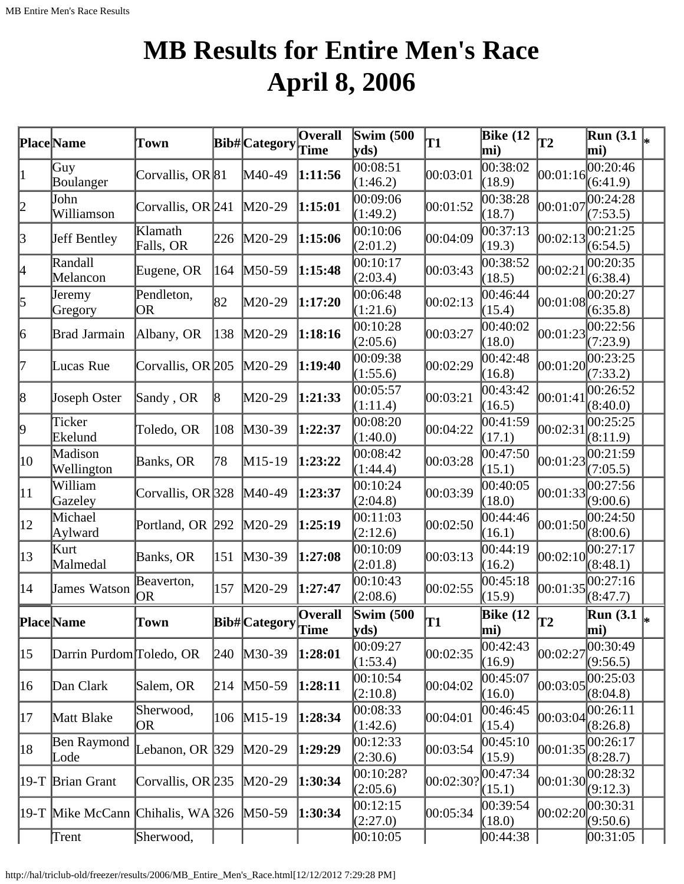# **MB Results for Entire Men's Race April 8, 2006**

|                 | <b>Place</b> Name                     | Town                 |                 | <b>Bib#</b> Category                                                | Overall<br>Time | <b>Swim (500)</b><br>yds) | T1        | <b>Bike</b> (12<br>mi)         | $\overline{12}$ | <b>Run</b> (3.1)<br>mi)           |    |
|-----------------|---------------------------------------|----------------------|-----------------|---------------------------------------------------------------------|-----------------|---------------------------|-----------|--------------------------------|-----------------|-----------------------------------|----|
| $\vert 1 \vert$ | Guy<br>Boulanger                      | Corvallis, OR 81     |                 | $M40-49$                                                            | 1:11:56         | 00:08:51<br>(1:46.2)      | 00:03:01  | 00:38:02<br>(18.9)             | 00:01:16        | $\overline{00:20:46}$<br>(6:41.9) |    |
| 2               | John<br>Williamson                    | Corvallis, OR 241    |                 | $M20-29$                                                            | 1:15:01         | 00:09:06<br>(1:49.2)      | 00:01:52  | 0.38:28<br>(18.7)              | 00:01:07        | 0.24:28<br>(7:53.5)               |    |
| 3               | Jeff Bentley                          | Klamath<br>Falls, OR | 226             | $M20-29$                                                            | 1:15:06         | 00:10:06<br>(2:01.2)      | 00:04:09  | 00:37:13<br>(19.3)             | 00:02:13        | 00:21:25<br>(6:54.5)              |    |
| 4               | Randall<br>Melancon                   | Eugene, OR           | 164             | $M50-59$                                                            | 1:15:48         | 00:10:17<br>(2:03.4)      | 00:03:43  | 00:38:52<br>(18.5)             | 00:02:21        | 00:20:35<br>(6:38.4)              |    |
| 5               | Jeremy<br>Gregory                     | Pendleton,<br>OR     | 82              | M20-29                                                              | 1:17:20         | 00:06:48<br>(1:21.6)      | 00:02:13  | 00:46:44<br>(15.4)             | 00:01:08        | 00:20:27<br>(6:35.8)              |    |
| 6               | Brad Jarmain                          | Albany, OR           | 138             | $M20-29$                                                            | 1:18:16         | 00:10:28<br>(2:05.6)      | 00:03:27  | 00:40:02<br>(18.0)             | 00:01:23        | 00:22:56<br>(7:23.9)              |    |
| 17              | Lucas Rue                             | Corvallis, OR 205    |                 | $M20-29$                                                            | 1:19:40         | 00:09:38<br>(1:55.6)      | 00:02:29  | 00:42:48<br>(16.8)             | 00:01:20        | 00:23:25<br>(7:33.2)              |    |
| 8               | Joseph Oster                          | Sandy, OR            | $\vert 8 \vert$ | M20-29                                                              | 1:21:33         | 00:05:57<br>(1:11.4)      | 00:03:21  | 00:43:42<br>(16.5)             | 00:01:41        | 00:26:52<br>(8:40.0)              |    |
| þ.              | Ticker<br>Ekelund                     | Toledo, OR           | 108             | $M30-39$                                                            | 1:22:37         | 00:08:20<br>(1:40.0)      | 00:04:22  | 00:41:59<br>(17.1)             | 00:02:31        | 00:25:25<br>(8:11.9)              |    |
| 10              | Madison<br>Wellington                 | Banks, OR            | 78              | $M15-19$                                                            | 1:23:22         | 00:08:42<br>(1:44.4)      | 00:03:28  | 00:47:50<br>(15.1)             | 00:01:23        | 00:21:59<br>(7:05.5)              |    |
| $ 11\rangle$    | William<br>Gazeley                    | Corvallis, OR 328    |                 | $M40-49$                                                            | 1:23:37         | 00:10:24<br>(2:04.8)      | 00:03:39  | 00:40:05<br>(18.0)             | 00:01:33        | 00:27:56<br>(9:00.6)              |    |
| $ 12\rangle$    | Michael<br>Aylward                    | Portland, OR 292     |                 | $M20-29$                                                            | 1:25:19         | 00:11:03<br>(2:12.6)      | 00:02:50  | 00:44:46<br>(16.1)             | 00:01:50        | 00:24:50<br>(8:00.6)              |    |
| $ 13\rangle$    | Kurt<br>Malmedal                      | Banks, OR            | 151             | $M30-39$                                                            | 1:27:08         | 00:10:09<br>(2:01.8)      | 00:03:13  | 00:44:19<br>(16.2)             | 00:02:10        | 00:27:17<br>(8:48.1)              |    |
| 14              | James Watson                          | Beaverton,<br> OR    | 157             | $M20-29$                                                            | 1:27:47         | 00:10:43<br>(2:08.6)      | 00:02:55  | 00:45:18<br>(15.9)             | 00:01:35        | 00:27:16<br>(8:47.7)              |    |
|                 | <b>PlaceName</b>                      | Town                 |                 | ${\bf \boxed{Bib\#}\begin{bmatrix} \text{Category} \end{bmatrix} }$ |                 | <b>Swim (500)</b><br>yds  | T1        | <b>Bike (12</b><br>$\vert$ mi) | T2              | <b>Run</b> (3.1)<br>mi)           | I∗ |
| $ 15\rangle$    | Darrin Purdom Toledo, OR              |                      | 240             | $M30-39$                                                            | 1:28:01         | 00:09:27<br>(1:53.4)      | 00:02:35  | 00:42:43<br>(16.9)             | 00:02:27        | 00:30:49<br>(9:56.5)              |    |
| 16              | Dan Clark                             | Salem, OR            | 214             | $M50-59$                                                            | 1:28:11         | 00:10:54<br>(2:10.8)      | 00:04:02  | 00:45:07<br>(16.0)             | 00:03:05        | 00:25:03<br>(8:04.8)              |    |
| 17              | Matt Blake                            | Sherwood,<br>OR      | 106             | $M15-19$                                                            | 1:28:34         | 00:08:33<br>(1:42.6)      | 00:04:01  | 00:46:45<br>(15.4)             | 00:03:04        | 00:26:11<br>(8:26.8)              |    |
| 18              | Ben Raymond<br>Lode                   | Lebanon, OR $ 329 $  |                 | $M20-29$                                                            | 1:29:29         | 00:12:33<br>(2:30.6)      | 00:03:54  | 00:45:10<br>(15.9)             | 00:01:35        | 00:26:17<br>(8:28.7)              |    |
|                 | 19-T Brian Grant                      | Corvallis, OR 235    |                 | $M20-29$                                                            | 1:30:34         | 00:10:28?<br>(2:05.6)     | 00:02:30? | 00:47:34<br>(15.1)             | 00:01:30        | 00:28:32<br>(9:12.3)              |    |
|                 | $ 19-T $ Mike McCann Chihalis, WA 326 |                      |                 | $M50-59$                                                            | 1:30:34         | 00:12:15<br>(2:27.0)      | 00:05:34  | 00:39:54<br>(18.0)             | 00:02:20        | 00:30:31<br>(9:50.6)              |    |
|                 | Trent                                 | Sherwood,            |                 |                                                                     |                 | 00:10:05                  |           | 00:44:38                       |                 | 00:31:05                          |    |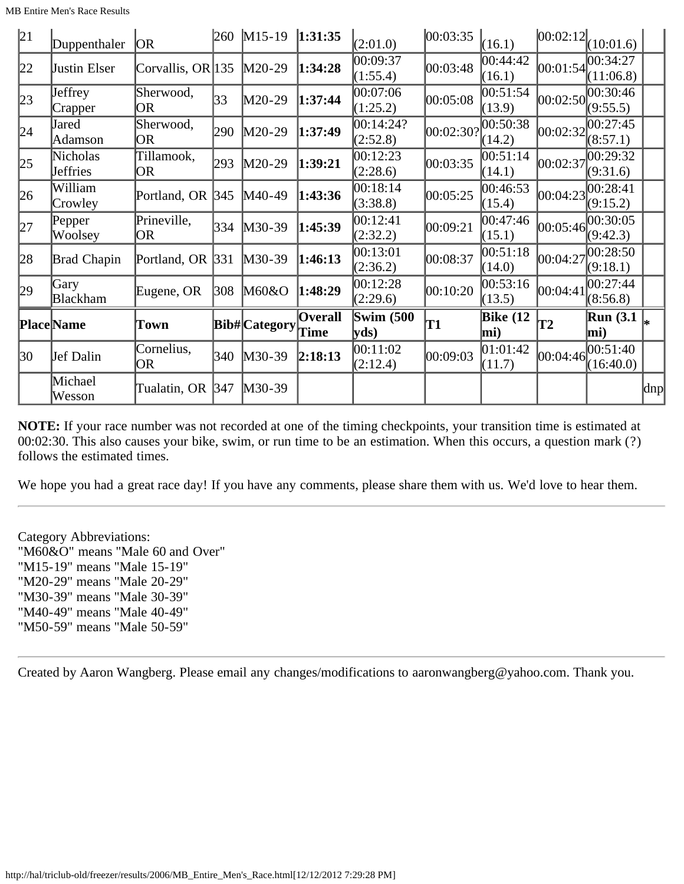|--|

| 21 | Duppenthaler            | <b>JOR</b>            |     | 260 M15-19          | 1:31:35                | (2:01.0)                  | 00:03:35  | (16.1)                 | [00:02:12]      | (10:01.6)              |     |
|----|-------------------------|-----------------------|-----|---------------------|------------------------|---------------------------|-----------|------------------------|-----------------|------------------------|-----|
| 22 | Justin Elser            | Corvallis, OR $ 135 $ |     | $M20-29$            | 1:34:28                | 00:09:37<br>(1:55.4)      | 00:03:48  | 00:44:42<br>(16.1)     | [00:01:54]      | 00:34:27<br>(11:06.8)  |     |
| 23 | Jeffrey<br>Crapper      | Sherwood,<br>OR       | 33  | $M20-29$            | 1:37:44                | 00:07:06<br>(1:25.2)      | 00:05:08  | 00:51:54<br>(13.9)     | [00:02:50]      | 00:30:46<br>(9:55.5)   |     |
| 24 | Jared<br>Adamson        | Sherwood,<br>OR       | 290 | $M20-29$            | 1:37:49                | 00:14:24?<br>(2:52.8)     | 00:02:30? | 00:50:38<br>(14.2)     | [00:02:32]      | 00:27:45<br>(8:57.1)   |     |
| 25 | Nicholas<br>Jeffries    | Tillamook,<br>OR.     | 293 | $M20-29$            | 1:39:21                | 00:12:23<br>(2:28.6)      | 00:03:35  | 00:51:14<br>(14.1)     | 00:02:37        | 00:29:32<br>(9:31.6)   |     |
| 26 | William<br>Crowley      | Portland, OR 345      |     | M40-49              | 1:43:36                | 00:18:14<br>(3:38.8)      | 00:05:25  | 00:46:53<br>(15.4)     | 00:04:23        | 00:28:41<br>(9:15.2)   |     |
| 27 | Pepper<br>Woolsey       | Prineville,<br>OR     | 334 | $M30-39$            | 1:45:39                | 00:12:41<br>(2:32.2)      | 00:09:21  | 00:47:46<br>(15.1)     | [00:05:46]      | 00:30:05<br>(9:42.3)   |     |
| 28 | <b>Brad Chapin</b>      | Portland, OR          | 331 | $M30-39$            | 1:46:13                | 00:13:01<br>(2:36.2)      | 00:08:37  | 00:51:18<br>(14.0)     | 00:04:27        | 00:28:50<br>(9:18.1)   |     |
| 29 | Gary<br><b>Blackham</b> | Eugene, OR            | 308 | M60&O               | 1:48:29                | 00:12:28<br>(2:29.6)      | 00:10:20  | 00:53:16<br>(13.5)     | 00:04:41        | 00:27:44<br>(8:56.8)   |     |
|    | <b>Place</b> Name       | Town                  |     | <b>Bib#Category</b> | <b>Overall</b><br>Time | <b>Swim (500)</b><br>yds) | T1        | <b>Bike</b> (12<br>mi) | $\overline{12}$ | <b>Run</b> (3.1<br>mi) |     |
| 30 | Jef Dalin               | Cornelius,<br> OR     | 340 | $M30-39$            | 2:18:13                | 00:11:02<br>(2:12.4)      | 00:09:03  | 01:01:42<br>(11.7)     | 00:04:46        | 00:51:40<br>(16:40.0)  |     |
|    | Michael<br>Wesson       | Tualatin, OR          | 347 | $M30-39$            |                        |                           |           |                        |                 |                        | dnp |

**NOTE:** If your race number was not recorded at one of the timing checkpoints, your transition time is estimated at 00:02:30. This also causes your bike, swim, or run time to be an estimation. When this occurs, a question mark (?) follows the estimated times.

We hope you had a great race day! If you have any comments, please share them with us. We'd love to hear them.

Category Abbreviations: "M60&O" means "Male 60 and Over" "M15-19" means "Male 15-19" "M20-29" means "Male 20-29" "M30-39" means "Male 30-39" "M40-49" means "Male 40-49" "M50-59" means "Male 50-59"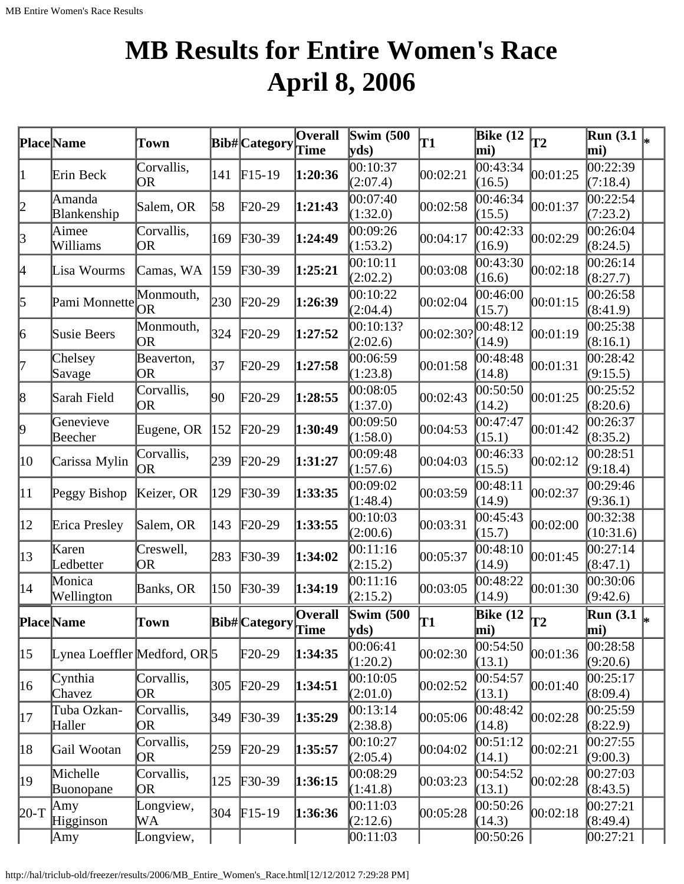# **MB Results for Entire Women's Race April 8, 2006**

|              | Place Name                     | Town                    |     | Bib# Category              | <b>Overall</b><br><b>Time</b> | <b>Swim (500)</b><br>$\mathbf{v}\mathbf{ds}$ | T1        | Bike $(12)$<br>mi)         | <b>T2</b> | <b>Run</b> (3.1)<br>mi)                      |  |
|--------------|--------------------------------|-------------------------|-----|----------------------------|-------------------------------|----------------------------------------------|-----------|----------------------------|-----------|----------------------------------------------|--|
| $\vert$ 1    | Erin Beck                      | Corvallis,<br><b>OR</b> | 141 | $F15-19$                   | 1:20:36                       | 00:10:37<br>(2:07.4)                         | 00:02:21  | 00:43:34<br>(16.5)         | 00:01:25  | 00:22:39<br>(7:18.4)                         |  |
| 2            | Amanda<br>Blankenship          | Salem, OR               | 58  | F20-29                     | 1:21:43                       | 00:07:40<br>(1:32.0)                         | 00:02:58  | 00:46:34<br>(15.5)         | 00:01:37  | 00:22:54<br>(7:23.2)                         |  |
| 3            | Aimee<br>Williams              | Corvallis,<br>OR        | 169 | $F30-39$                   | 1:24:49                       | 00:09:26<br>(1:53.2)                         | 00:04:17  | 00:42:33<br>(16.9)         | 00:02:29  | 00:26:04<br>(8:24.5)                         |  |
| 4            | Lisa Wourms                    | Camas, WA               | 159 | $F30-39$                   | 1:25:21                       | 00:10:11<br>(2:02.2)                         | 00:03:08  | 00:43:30<br>(16.6)         | 00:02:18  | 00:26:14<br>(8:27.7)                         |  |
| 5            | Pami Monnette                  | Monmouth,<br> OR        | 230 | $F20-29$                   | 1:26:39                       | 00:10:22<br>(2:04.4)                         | 00:02:04  | 00:46:00<br>(15.7)         | 00:01:15  | 00:26:58<br>(8:41.9)                         |  |
| 6            | Susie Beers                    | Monmouth,<br>OR         | 324 | $F20-29$                   | 1:27:52                       | 00:10:13?<br>(2:02.6)                        | 00:02:30? | 00:48:12<br>(14.9)         | 00:01:19  | 00:25:38<br>(8:16.1)                         |  |
| 17           | Chelsey<br>Savage              | Beaverton,<br><b>OR</b> | 37  | F20-29                     | 1:27:58                       | 00:06:59<br>(1:23.8)                         | 00:01:58  | 00:48:48<br>(14.8)         | 00:01:31  | 0.28:42<br>(9:15.5)                          |  |
| 8            | Sarah Field                    | Corvallis,<br>OR        | 90  | F20-29                     | 1:28:55                       | 00:08:05<br>(1:37.0)                         | 00:02:43  | 00:50:50<br>(14.2)         | 00:01:25  | 00:25:52<br>(8:20.6)                         |  |
| 9            | Genevieve<br>Beecher           | Eugene, OR              | 152 | $F20-29$                   | 1:30:49                       | 00:09:50<br>(1:58.0)                         | 00:04:53  | 00:47:47<br>(15.1)         | 00:01:42  | 00:26:37<br>(8:35.2)                         |  |
| 10           | Carissa Mylin                  | Corvallis,<br>OR        | 239 | $\text{F20-29}$            | 1:31:27                       | 00:09:48<br>(1:57.6)                         | 00:04:03  | 00:46:33<br>(15.5)         | 00:02:12  | 00:28:51<br>(9:18.4)                         |  |
| 11           | Peggy Bishop                   | Keizer, OR              | 129 | $F30-39$                   | 1:33:35                       | 00:09:02<br>(1:48.4)                         | 00:03:59  | 00:48:11<br>(14.9)         | 00:02:37  | 00:29:46<br>(9:36.1)                         |  |
| $ 12\rangle$ | Erica Presley                  | Salem, OR               | 143 | $\text{F20-29}$            | 1:33:55                       | 00:10:03<br>(2:00.6)                         | 00:03:31  | 00:45:43<br>(15.7)         | 00:02:00  | 00:32:38<br>(10:31.6)                        |  |
| $ 13\rangle$ | Karen<br>Ledbetter             | Creswell,<br>OR         | 283 | $\textcolor{blue}{F30-39}$ | 1:34:02                       | 00:11:16<br>(2:15.2)                         | 00:05:37  | 00:48:10<br>(14.9)         | 00:01:45  | 00:27:14<br>(8:47.1)                         |  |
| 14           | Monica<br>Wellington           | Banks, OR               | 150 | $F30-39$                   | 1:34:19                       | 00:11:16<br>(2:15.2)                         | 00:03:05  | 00:48:22<br>(14.9)         | 00:01:30  | 00:30:06<br>(9:42.6)                         |  |
|              | <b>Place</b> Name              | Town                    |     | Bib# Category              | Overall<br>Time               | Swim $(500)$<br>$\mathbf{v}\mathbf{ds}$      | lT1       | Bike $(12)$<br>$\bf{m}$ i) | T2        | $\overline{\text{Run}}(3.1\vert_{*})$<br>mi) |  |
| $ 15\rangle$ | Lynea Loeffler Medford, OR $5$ |                         |     | $F20-29$                   | 1:34:35                       | 00:06:41<br>(1:20.2)                         | 00:02:30  | 00:54:50<br>(13.1)         | 00:01:36  | 00:28:58<br>(9:20.6)                         |  |
| 16           | Cynthia<br>Chavez              | Corvallis,<br>OR        | 305 | $\text{F20-29}$            | 1:34:51                       | 00:10:05<br>(2:01.0)                         | 00:02:52  | 00:54:57<br>(13.1)         | 00:01:40  | 00:25:17<br>(8:09.4)                         |  |
| 17           | Tuba Ozkan-<br>Haller          | Corvallis,<br>OR        | 349 | $F30-39$                   | 1:35:29                       | 00:13:14<br>(2:38.8)                         | 00:05:06  | 00:48:42<br>(14.8)         | 00:02:28  | 00:25:59<br>(8:22.9)                         |  |
| 18           | Gail Wootan                    | Corvallis,<br>OR        | 259 | $F20-29$                   | 1:35:57                       | 00:10:27<br>(2:05.4)                         | 00:04:02  | 00:51:12<br>(14.1)         | 00:02:21  | 00:27:55<br>(9:00.3)                         |  |
| 19           | Michelle<br>Buonopane          | Corvallis,<br>OR        | 125 | $F30-39$                   | 1:36:15                       | 00:08:29<br>(1:41.8)                         | 00:03:23  | 00:54:52<br>(13.1)         | 00:02:28  | 00:27:03<br>(8:43.5)                         |  |
| $20-T$       | Amy<br>Higginson               | Longview,<br>WA         | 304 | $F15-19$                   | 1:36:36                       | [00:11:03]<br>(2:12.6)                       | 00:05:28  | 00:50:26<br>(14.3)         | 00:02:18  | 00:27:21<br>(8:49.4)                         |  |
|              | Amy                            | Longview,               |     |                            |                               | [00:11:03]                                   |           | 00:50:26                   |           | 00:27:21                                     |  |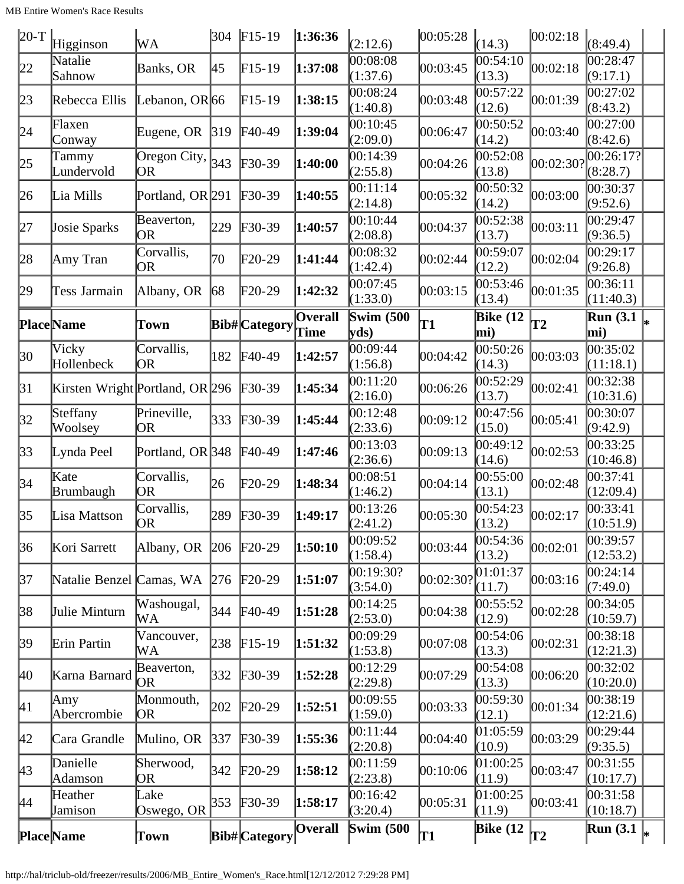| $20-T$       | Higginson                         | WA                                               | 304           | $F15-19$             | 1:36:36                | (2:12.6)                  | 00:05:28  | (14.3)                 | 00:02:18  | (8:49.4)                               |  |
|--------------|-----------------------------------|--------------------------------------------------|---------------|----------------------|------------------------|---------------------------|-----------|------------------------|-----------|----------------------------------------|--|
| 22           | Natalie<br>Sahnow                 | Banks, OR                                        | 45            | $F15-19$             | 1:37:08                | 00:08:08<br>(1:37.6)      | 00:03:45  | 00:54:10<br>(13.3)     | 00:02:18  | 00:28:47<br>(9:17.1)                   |  |
| 23           | Rebecca Ellis                     | Lebanon, OR 66                                   |               | $F15-19$             | 1:38:15                | 00:08:24<br>(1:40.8)      | 00:03:48  | 00:57:22<br>(12.6)     | 00:01:39  | 00:27:02<br>(8:43.2)                   |  |
| 24           | Flaxen<br>Conway                  | Eugene, OR                                       | $ 319\rangle$ | $F40-49$             | 1:39:04                | 00:10:45<br>(2:09.0)      | 00:06:47  | 00:50:52<br>(14.2)     | 00:03:40  | 00:27:00<br>(8:42.6)                   |  |
| 25           | Tammy<br>Lundervold               | Oregon City, $\left  \frac{343}{2}\right $<br>OR |               | $F30-39$             | 1:40:00                | 00:14:39<br>(2:55.8)      | 00:04:26  | 00:52:08<br>(13.8)     | 00:02:30? | 00:26:17?<br>(8:28.7)                  |  |
| 26           | Lia Mills                         | Portland, OR 291                                 |               | $F30-39$             | 1:40:55                | 00:11:14<br>(2:14.8)      | 00:05:32  | 00:50:32<br>(14.2)     | 00:03:00  | 00:30:37<br>(9:52.6)                   |  |
| 27           | Josie Sparks                      | Beaverton,<br> OR                                | 229           | $F30-39$             | 1:40:57                | 00:10:44<br>(2:08.8)      | 00:04:37  | 00:52:38<br>(13.7)     | 00:03:11  | 00:29:47<br>(9:36.5)                   |  |
| 28           | Amy Tran                          | Corvallis,<br>OR                                 | 70            | $F20-29$             | 1:41:44                | 00:08:32<br>(1:42.4)      | 00:02:44  | 00:59:07<br>(12.2)     | 00:02:04  | 00:29:17<br>(9:26.8)                   |  |
| 29           | Tess Jarmain                      | Albany, OR                                       | 68            | $F20-29$             | 1:42:32                | 00:07:45<br>(1:33.0)      | 00:03:15  | 00:53:46<br>(13.4)     | 00:01:35  | 00:36:11<br>(11:40.3)                  |  |
|              | <b>Place</b> Name                 | Town                                             |               | <b>Bib#</b> Category | <b>Overall</b><br>Time | <b>Swim (500)</b><br>yds) | T1        | <b>Bike</b> (12<br>mi) | T2        | <b>Run</b> (3.1)<br>mi)                |  |
| 30           | Vicky<br>Hollenbeck               | Corvallis,<br> OR                                | 182           | $F40-49$             | 1:42:57                | 00:09:44<br>(1:56.8)      | 00:04:42  | 00:50:26<br>(14.3)     | 00:03:03  | 00:35:02<br>(11:18.1)                  |  |
| $\beta$ 1    | Kirsten Wright Portland, OR $296$ |                                                  |               | $\text{F}30-39$      | 1:45:34                | 00:11:20<br>(2:16.0)      | 00:06:26  | 00:52:29<br>(13.7)     | 00:02:41  | 00:32:38<br>(10:31.6)                  |  |
| 32           | Steffany<br>Woolsey               | Prineville,<br>OR                                | 333           | $F30-39$             | 1:45:44                | 00:12:48<br>(2:33.6)      | 00:09:12  | 00:47:56<br>(15.0)     | 00:05:41  | 00:30:07<br>(9:42.9)                   |  |
| 33           | Lynda Peel                        | Portland, OR 348                                 |               | $F40-49$             | 1:47:46                | 00:13:03<br>(2:36.6)      | 00:09:13  | 00:49:12<br>(14.6)     | 00:02:53  | 00:33:25<br>(10:46.8)                  |  |
| 34           | Kate<br>Brumbaugh                 | Corvallis,<br>OR.                                | 26            | F20-29               | 1:48:34                | 00:08:51<br>(1:46.2)      | 00:04:14  | 00:55:00<br>(13.1)     | 00:02:48  | 00:37:41<br>(12:09.4)                  |  |
| 35           | Lisa Mattson                      | Corvallis,<br> OR                                | 289           | $F30-39$             | 1:49:17                | 00:13:26<br>(2:41.2)      | 00:05:30  | 00:54:23<br>(13.2)     | 00:02:17  | 00:33:41<br>(10:51.9)                  |  |
| 36           | Kori Sarrett                      | Albany, OR                                       | 206           | $F20-29$             | 1:50:10                | 00:09:52<br>(1:58.4)      | 00:03:44  | 00:54:36<br>(13.2)     | 00:02:01  | 00:39:57<br>(12:53.2)                  |  |
| 37           | Natalie Benzel Camas, WA          |                                                  | 276           | $F20-29$             | 1:51:07                | 00:19:30?<br>(3:54.0)     | 00:02:30? | [01:01:37]<br>(11.7)   | 00:03:16  | 00:24:14<br>(7:49.0)                   |  |
| 38           | Julie Minturn                     | Washougal,<br>WА                                 | 344           | $F40-49$             | 1:51:28                | 00:14:25<br>(2:53.0)      | 00:04:38  | 00:55:52<br>(12.9)     | 00:02:28  | 00:34:05<br>(10:59.7)                  |  |
| 39           | Erin Partin                       | Vancouver,<br>WА                                 | 238           | $F15-19$             | 1:51:32                | 00:09:29<br>(1:53.8)      | 00:07:08  | 00:54:06<br>(13.3)     | 00:02:31  | 00:38:18<br>(12:21.3)                  |  |
| 40           | Karna Barnard                     | Beaverton,<br>OR.                                | 332           | $F30-39$             | 1:52:28                | 00:12:29<br>(2:29.8)      | 00:07:29  | 00:54:08<br>(13.3)     | 00:06:20  | 00:32:02<br>(10:20.0)                  |  |
| 41           | Amy<br>Abercrombie                | Monmouth,<br>OR)                                 | 202           | $F20-29$             | 1:52:51                | 00:09:55<br>(1:59.0)      | 00:03:33  | 00:59:30<br>(12.1)     | 00:01:34  | 00:38:19<br>(12:21.6)                  |  |
| 42           | Cara Grandle                      | Mulino, OR                                       | 337           | $F30-39$             | 1:55:36                | 00:11:44<br>(2:20.8)      | 00:04:40  | [01:05:59]<br>(10.9)   | 00:03:29  | 00:29:44<br>(9:35.5)                   |  |
| $ 43\rangle$ | Danielle<br>Adamson               | Sherwood,<br>OR                                  | 342           | $F20-29$             | 1:58:12                | 00:11:59<br>(2:23.8)      | 00:10:06  | 01:00:25<br>(11.9)     | 00:03:47  | 00:31:55<br>(10:17.7)                  |  |
| 44           | Heather<br>Jamison                | Lake<br>Oswego, OR                               | 353           | $F30-39$             | 1:58:17                | 00:16:42<br>(3:20.4)      | 00:05:31  | 01:00:25<br>(11.9)     | 00:03:41  | 00:31:58<br>(10:18.7)                  |  |
|              | <b>Place</b> Name                 | Town                                             |               | Bib# Category        | <b>Overall</b>         | <b>Swim (500</b>          | T1        | Bike $(12)$            | T2        | $\overline{\text{Run}}(3.1 \vert_{*})$ |  |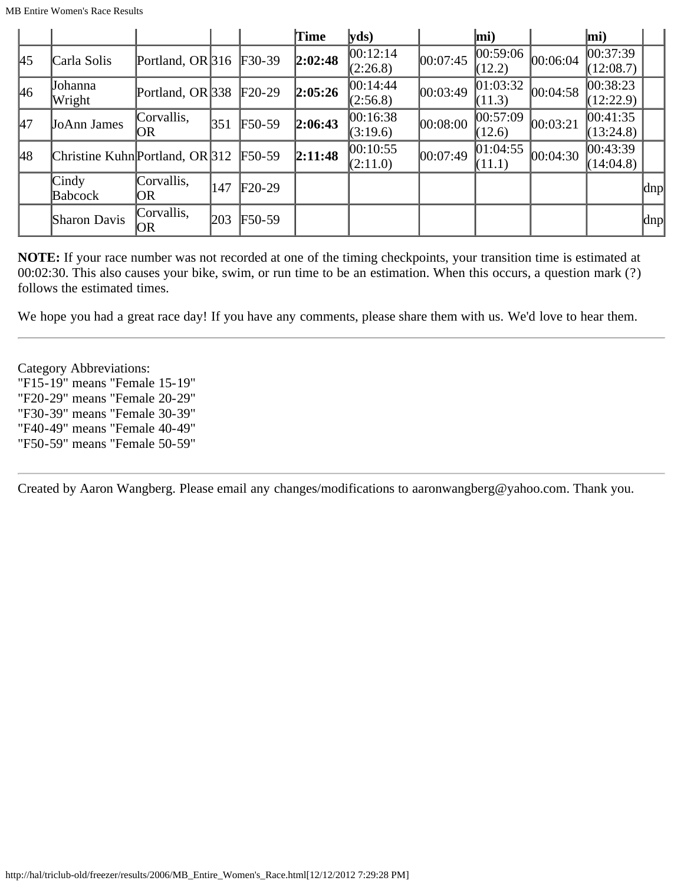|    |                                     |                                 |     |          | <b>Time</b> | yds      |          | mi)                |          | $\vert$ mi)        |               |
|----|-------------------------------------|---------------------------------|-----|----------|-------------|----------|----------|--------------------|----------|--------------------|---------------|
| 45 | Carla Solis                         | Portland, OR $ 316 \tF30-39 \t$ |     |          | 2:02:48     | 00:12:14 | 00:07:45 | 00:59:06           | 00:06:04 | $ 00:37:39\rangle$ |               |
|    |                                     |                                 |     |          |             | (2:26.8) |          | (12.2)             |          | (12:08.7)          |               |
| 46 | Johanna                             | Portland, OR $338$              |     | $F20-29$ | 2:05:26     | 00:14:44 | 00:03:49 | 01:03:32           | 00:04:58 | 00:38:23           |               |
|    | Wright                              |                                 |     |          |             | (2:56.8) |          | (11.3)             |          | (12:22.9)          |               |
| 47 | <b>JoAnn James</b>                  | Corvallis,                      | 351 | $F50-59$ | 2:06:43     | 00:16:38 | 00:08:00 | $ 00:57:09\rangle$ | 00:03:21 | 00:41:35           |               |
|    |                                     | IOR.                            |     |          |             | (3:19.6) |          | (12.6)             |          | (13:24.8)          |               |
| 48 | Christine Kuhn Portland, OR $ 312 $ |                                 |     | $F50-59$ | 2:11:48     | 00:10:55 | 00:07:49 | 01:04:55           | 00:04:30 | $ 00:43:39\rangle$ |               |
|    |                                     |                                 |     |          |             | (2:11.0) |          | (11.1)             |          | (14:04.8)          |               |
|    | $\operatorname{Cind}_y$             | Corvallis,                      | 147 | $F20-29$ |             |          |          |                    |          |                    |               |
|    | Babcock                             | OR                              |     |          |             |          |          |                    |          |                    | dnp           |
|    | Sharon Davis                        | Corvallis,                      | 203 | $F50-59$ |             |          |          |                    |          |                    | $ {\rm d}np $ |
|    |                                     | OR                              |     |          |             |          |          |                    |          |                    |               |

**NOTE:** If your race number was not recorded at one of the timing checkpoints, your transition time is estimated at 00:02:30. This also causes your bike, swim, or run time to be an estimation. When this occurs, a question mark (?) follows the estimated times.

We hope you had a great race day! If you have any comments, please share them with us. We'd love to hear them.

Category Abbreviations: "F15-19" means "Female 15-19" "F20-29" means "Female 20-29" "F30-39" means "Female 30-39" "F40-49" means "Female 40-49" "F50-59" means "Female 50-59"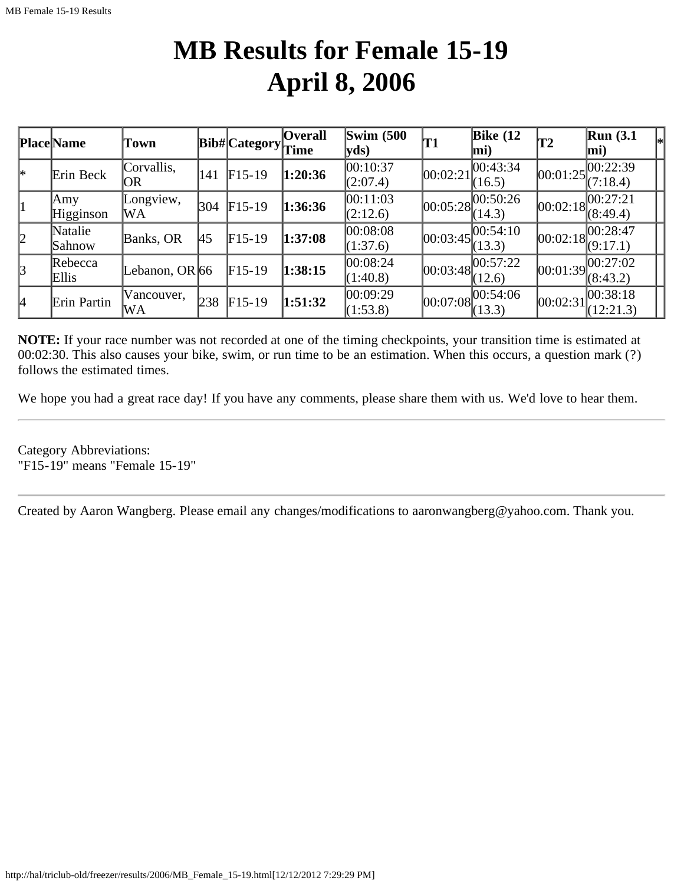## **MB Results for Female 15-19 April 8, 2006**

|               | <b>Place</b> Name | Town              |                | Bib# Category | <b>Overall</b><br>Time | $\mathbf{Swim}\;$ (500<br>$ yds\rangle$ | 'T1        | Bike $(12)$<br>$\vert$ mi)                          | T2       | Run(3.1)<br>$ \text{mi}\rangle$         | l∗ |
|---------------|-------------------|-------------------|----------------|---------------|------------------------|-----------------------------------------|------------|-----------------------------------------------------|----------|-----------------------------------------|----|
| l*            | Erin Beck         | Corvallis,<br>OR  | 141            | $F15-19$      | 1:20:36                | 00:10:37<br>(2:07.4)                    | 00:02:21   | 00:43:34 <br>(16.5)                                 |          | 00:01:25 <br>(7:18.4)                   |    |
| 1             | Amy<br>Higginson  | Longview,<br>WA   | 304            | $F15-19$      | 1:36:36                | 00:11:03<br>(2:12.6)                    |            | [00:05:28]<br>(14.3)                                |          | $ 00:02:18 \sqrt{00:27:21}$<br>(8:49.4) |    |
| 2             | Natalie<br>Sahnow | Banks, OR         | <sup>145</sup> | $F15-19$      | 1:37:08                | 00:08:08<br>(1:37.6)                    |            | $[00:03:45]^{00:54:10}_{\cdot\cdot\cdot}$<br>(13.3) |          | 00:02:18 <br>(9:17.1)                   |    |
| $\mathcal{B}$ | Rebecca<br>Ellis  | Lebanon, OR $ 66$ |                | $F15-19$      | 1:38:15                | 00:08:24<br>(1:40.8)                    |            | $[00:03:48]^{00:57:22}$<br>(12.6)                   |          | 00:01:39 <br>(8:43.2)                   |    |
| 14            | Erin Partin       | Vancouver,<br>WA  | 238            | $F15-19$      | 1:51:32                | 00:09:29<br>(1:53.8)                    | [00:07:08] | 00:54:06<br>(13.3)                                  | 00:02:31 | 00:38:18<br>(12:21.3)                   |    |

**NOTE:** If your race number was not recorded at one of the timing checkpoints, your transition time is estimated at 00:02:30. This also causes your bike, swim, or run time to be an estimation. When this occurs, a question mark (?) follows the estimated times.

We hope you had a great race day! If you have any comments, please share them with us. We'd love to hear them.

Category Abbreviations: "F15-19" means "Female 15-19"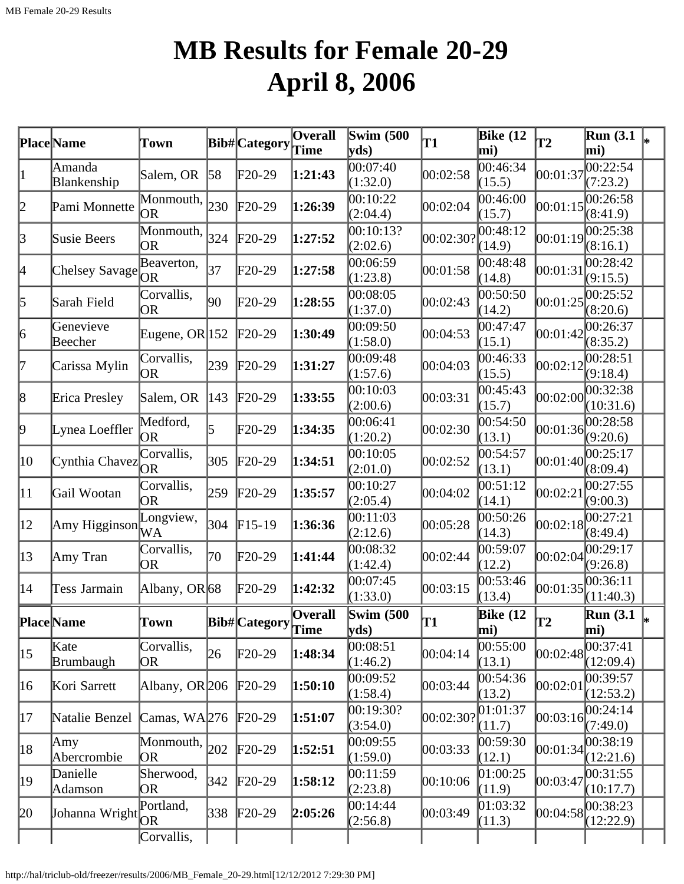# **MB Results for Female 20-29 April 8, 2006**

|              | Place Name                      | Town                    |            | <b>Bib#</b> Category | <b>Overall</b><br>Time | Swim $(500)$<br>$ {\bf v} {\bf d} s\rangle$ | T1        | Bike $(12)$<br>mi)           | $\overline{12}$ | Run(3.1)<br>mi)               |  |
|--------------|---------------------------------|-------------------------|------------|----------------------|------------------------|---------------------------------------------|-----------|------------------------------|-----------------|-------------------------------|--|
| $\vert$ 1    | Amanda<br>Blankenship           | Salem, OR               | $\vert$ 58 | $F20-29$             | 1:21:43                | 00:07:40<br>(1:32.0)                        | 00:02:58  | 00:46:34<br>(15.5)           | 00:01:37        | 00:22:54<br>(7:23.2)          |  |
| 2            | Pami Monnette                   | Monmouth,<br>OR         | 230        | $F20-29$             | 1:26:39                | 00:10:22<br>(2:04.4)                        | 00:02:04  | 00:46:00<br>(15.7)           | 00:01:15        | 00:26:58<br>(8:41.9)          |  |
| 3            | Susie Beers                     | Monmouth,<br><b>OR</b>  | 324        | $F20-29$             | 1:27:52                | 00:10:13?<br>(2:02.6)                       | 00:02:30? | 00:48:12<br>(14.9)           | 00:01:19        | 00:25:38<br>(8:16.1)          |  |
| 4            | <b>Chelsey Savage</b>           | Beaverton,<br>OR.       | 37         | $F20-29$             | 1:27:58                | 00:06:59<br>(1:23.8)                        | 00:01:58  | 00:48:48<br>(14.8)           | 00:01:31        | 00:28:42<br>(9:15.5)          |  |
| 5            | Sarah Field                     | Corvallis,<br> OR       | 90         | $F20-29$             | 1:28:55                | 00:08:05<br>(1:37.0)                        | 00:02:43  | 00:50:50<br>(14.2)           | 00:01:25        | 00:25:52<br>(8:20.6)          |  |
| 6            | Genevieve<br>Beecher            | Eugene, OR $ 152 $      |            | $F20-29$             | 1:30:49                | 00:09:50<br>(1:58.0)                        | 00:04:53  | 00:47:47<br>(15.1)           | 00:01:42        | 00:26:37<br>(8:35.2)          |  |
| 17           | Carissa Mylin                   | Corvallis,<br><b>OR</b> | 239        | $F20-29$             | 1:31:27                | 00:09:48<br>(1:57.6)                        | 00:04:03  | 00:46:33<br>(15.5)           | 00:02:12        | 00:28:51<br>(9:18.4)          |  |
| 8            | Erica Presley                   | Salem, OR               | 143        | $F20-29$             | 1:33:55                | 00:10:03<br>(2:00.6)                        | 00:03:31  | 00:45:43<br>(15.7)           | 00:02:00        | 00:32:38<br>(10:31.6)         |  |
| þ,           | Lynea Loeffler                  | Medford,<br><b>OR</b>   | 5          | F20-29               | 1:34:35                | 00:06:41<br>(1:20.2)                        | 00:02:30  | 00:54:50<br>(13.1)           | 00:01:36        | 00:28:58<br>(9:20.6)          |  |
| 10           | Cynthia Chavez                  | Corvallis,<br>OR        | 305        | $F20-29$             | 1:34:51                | 00:10:05<br>(2:01.0)                        | 00:02:52  | 00:54:57<br>(13.1)           | 00:01:40        | 00:25:17<br>(8:09.4)          |  |
| $ 11\rangle$ | Gail Wootan                     | Corvallis,<br><b>OR</b> | 259        | $\text{F20-29}$      | 1:35:57                | 00:10:27<br>(2:05.4)                        | 00:04:02  | 00:51:12<br>(14.1)           | 00:02:21        | 00:27:55<br>(9:00.3)          |  |
| $ 12\rangle$ | Amy Higginson $\widetilde{W}$ A | Longview,               | 304        | $F15-19$             | 1:36:36                | 00:11:03<br>(2:12.6)                        | 00:05:28  | 00:50:26<br>(14.3)           | 00:02:18        | 00:27:21<br>(8:49.4)          |  |
| $ 13\rangle$ | Amy Tran                        | Corvallis,<br>OR        | 70         | $F20-29$             | 1:41:44                | 00:08:32<br>(1:42.4)                        | 00:02:44  | 00:59:07<br>(12.2)           | 00:02:04        | 00:29:17<br>(9:26.8)          |  |
| 14           | Tess Jarmain                    | Albany, OR $68$         |            | $F20-29$             | 1:42:32                | 00:07:45<br>(1:33.0)                        | 00:03:15  | 00:53:46<br>(13.4)           | 00:01:35        | 00:36:11<br>(11:40.3)         |  |
|              | <b>Place</b> Name               | Town                    |            | Bib# Category        | <b>Overall</b><br>Time | <b>Swim (500</b><br> yds)                   | T1        | <b>Bike</b> (12<br>$\bf{mi}$ | lT2             | <b>Run</b> (3.1)<br>$\bf{mi}$ |  |
| $ 15\rangle$ | Kate<br>Brumbaugh               | Corvallis,<br>OR        | 26         | $\text{F20-29}$      | 1:48:34                | 00:08:51<br>(1:46.2)                        | 00:04:14  | 00:55:00<br>(13.1)           | 00:02:48        | 00:37:41<br>(12:09.4)         |  |
| 16           | Kori Sarrett                    | Albany, OR 206          |            | $\text{F20-29}$      | 1:50:10                | 00:09:52<br>(1:58.4)                        | 00:03:44  | 00:54:36<br>(13.2)           | 00:02:01        | 00:39:57<br>(12:53.2)         |  |
| 17           | Natalie Benzel                  | Camas, $WA 276$         |            | $F20-29$             | 1:51:07                | 00:19:30?<br>(3:54.0)                       | 00:02:30? | 01:01:37<br>(11.7)           | 00:03:16        | 00:24:14<br>(7:49.0)          |  |
| 18           | Amy<br>Abercrombie              | Monmouth,<br>OR         | 202        | $F20-29$             | 1:52:51                | 00:09:55<br>(1:59.0)                        | 00:03:33  | 00:59:30<br>(12.1)           | 00:01:34        | 00:38:19<br>(12:21.6)         |  |
| 19           | Danielle<br>Adamson             | Sherwood,<br>OR         | 342        | $F20-29$             | 1:58:12                | 00:11:59<br>(2:23.8)                        | 00:10:06  | 01:00:25<br>(11.9)           | 00:03:47        | 00:31:55<br>(10:17.7)         |  |
| 20           | Johanna Wright                  | Portland,               | 338        | $F20-29$             | 2:05:26                | 00:14:44<br>(2:56.8)                        | 00:03:49  | 01:03:32<br>(11.3)           | 00:04:58        | 00:38:23<br>(12:22.9)         |  |
|              |                                 | Corvallis,              |            |                      |                        |                                             |           |                              |                 |                               |  |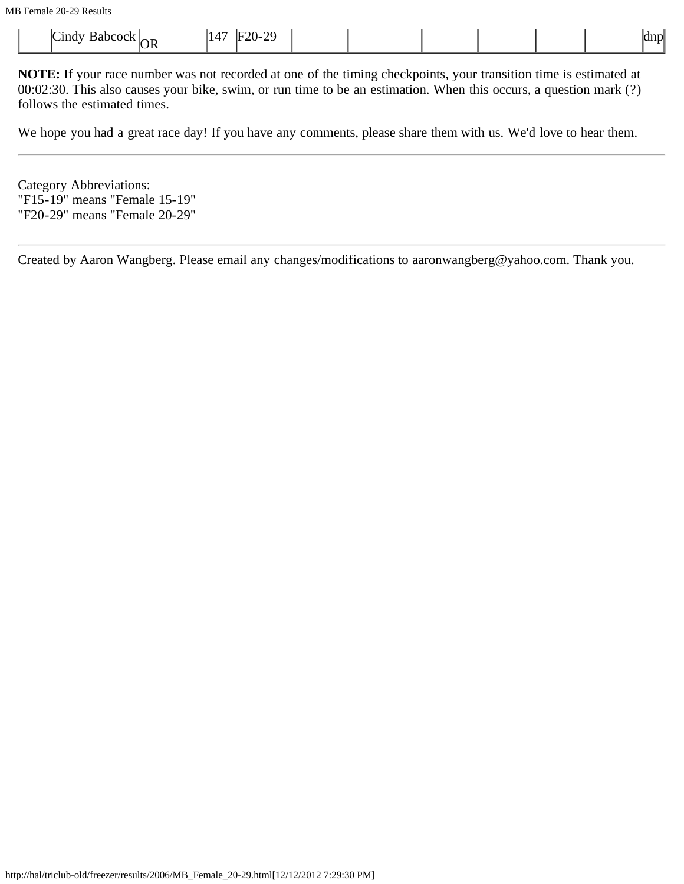| $\rightarrow$<br>-<br>"20.<br>⊪<br>ındy<br>าek<br>$\perp$<br>sanc<br>. | 20<br>- |  | na n |
|------------------------------------------------------------------------|---------|--|------|
|------------------------------------------------------------------------|---------|--|------|

**NOTE:** If your race number was not recorded at one of the timing checkpoints, your transition time is estimated at 00:02:30. This also causes your bike, swim, or run time to be an estimation. When this occurs, a question mark (?) follows the estimated times.

We hope you had a great race day! If you have any comments, please share them with us. We'd love to hear them.

Category Abbreviations: "F15-19" means "Female 15-19" "F20-29" means "Female 20-29"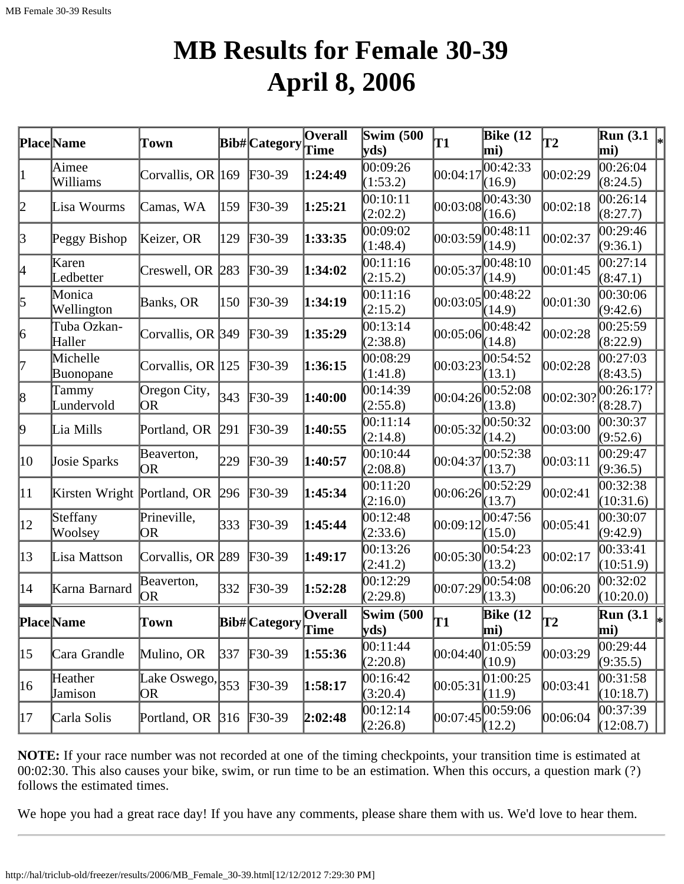## **MB Results for Female 30-39 April 8, 2006**

|              | <b>Place</b> Name               | Town                      |     | Bib#Category               | $\overline{\mathbf{O}}$ verall | <b>Swim (500)</b><br>yds | T1       | <b>Bike (12</b><br>mi)         | <b>T2</b> | Run(3.1)<br>mi)                 | $\vert_*$ |
|--------------|---------------------------------|---------------------------|-----|----------------------------|--------------------------------|--------------------------|----------|--------------------------------|-----------|---------------------------------|-----------|
|              | Aimee<br>Williams               | Corvallis, OR 169         |     | $F30-39$                   | 1:24:49                        | 00:09:26<br>(1:53.2)     | 00:04:17 | 00:42:33<br>(16.9)             | 00:02:29  | 00:26:04<br>(8:24.5)            |           |
| 2            | Lisa Wourms                     | Camas, WA                 | 159 | $F30-39$                   | 1:25:21                        | 00:10:11<br>(2:02.2)     | 00:03:08 | 00:43:30<br>(16.6)             | 00:02:18  | 00:26:14<br>(8:27.7)            |           |
| $\beta$      | Peggy Bishop                    | Keizer, OR                | 129 | $F30-39$                   | 1:33:35                        | 0.09:02<br>(1:48.4)      | 00:03:59 | 00:48:11<br>(14.9)             | 00:02:37  | 00:29:46<br>(9:36.1)            |           |
| 4            | Karen<br>Ledbetter              | Creswell, OR 283          |     | $F30-39$                   | 1:34:02                        | 00:11:16<br>(2:15.2)     | 00:05:37 | 00:48:10<br>(14.9)             | 00:01:45  | 00:27:14<br>(8:47.1)            |           |
| 5            | Monica<br>Wellington            | Banks, OR                 | 150 | $F30-39$                   | 1:34:19                        | 00:11:16<br>(2:15.2)     | 00:03:05 | 00:48:22<br>(14.9)             | 00:01:30  | 00:30:06<br>(9:42.6)            |           |
| 6            | Tuba Ozkan-<br>Haller           | Corvallis, OR 349         |     | $F30-39$                   | 1:35:29                        | 00:13:14<br>(2:38.8)     | 00:05:06 | 00:48:42<br>(14.8)             | 00:02:28  | 00:25:59<br>(8:22.9)            |           |
| 17           | Michelle<br>Buonopane           | Corvallis, OR 125         |     | $F30-39$                   | 1:36:15                        | 00:08:29<br>(1:41.8)     | 00:03:23 | 00:54:52<br>(13.1)             | 00:02:28  | 00:27:03<br>(8:43.5)            |           |
| 8            | Tammy<br>Lundervold             | Oregon City,<br>OR.       | 343 | $F30-39$                   | 1:40:00                        | 00:14:39<br>(2:55.8)     | 00:04:26 | 00:52:08<br>(13.8)             | 00:02:30? | 00:26:17?<br>(8:28.7)           |           |
| þ.           | Lia Mills                       | Portland, OR              | 291 | $F30-39$                   | 1:40:55                        | 00:11:14<br>(2:14.8)     | 00:05:32 | 00:50:32<br>(14.2)             | 00:03:00  | 00:30:37<br>(9:52.6)            |           |
| 10           | Josie Sparks                    | Beaverton,<br>OR.         | 229 | $\textcolor{blue}{F30-39}$ | 1:40:57                        | 00:10:44<br>(2:08.8)     | 00:04:37 | 00:52:38<br>(13.7)             | 00:03:11  | 00:29:47<br>(9:36.5)            |           |
| 11           | Kirsten Wright Portland, OR 296 |                           |     | $F30-39$                   | 1:45:34                        | 00:11:20<br>(2:16.0)     | 00:06:26 | 00:52:29<br>(13.7)             | 00:02:41  | 00:32:38<br>(10:31.6)           |           |
| $ 12\rangle$ | Steffany<br>Woolsey             | Prineville,<br>OR.        | 333 | $F30-39$                   | 1:45:44                        | 00:12:48<br>(2:33.6)     | 00:09:12 | 00:47:56<br>(15.0)             | 00:05:41  | 00:30:07<br>(9:42.9)            |           |
| $ 13\rangle$ | Lisa Mattson                    | Corvallis, OR 289         |     | $\textcolor{blue}{F30-39}$ | 1:49:17                        | 00:13:26<br>(2:41.2)     | 00:05:30 | 00:54:23<br>(13.2)             | 00:02:17  | 00:33:41<br>(10:51.9)           |           |
| $ 14\rangle$ | Karna Barnard                   | Beaverton,<br>OR)         | 332 | $F30-39$                   | 1:52:28                        | 00:12:29<br>(2:29.8)     | 00:07:29 | 00:54:08<br>(13.3)             | 00:06:20  | 00:32:02<br>(10:20.0)           |           |
|              | <b>Place</b> Name               | Town                      |     | Bib#Category Overall       |                                | <b>Swim (500)</b><br>yds | lT1      | <b>Bike</b> (12<br>$\vert$ mi) | T2        | <b>Run</b> (3.1)<br>$\vert$ mi) | ∗∣        |
| $ 15\rangle$ | Cara Grandle                    | Mulino, OR                | 337 | $F30-39$                   | 1:55:36                        | 00:11:44<br>(2:20.8)     | 00:04:40 | 01:05:59<br>(10.9)             | 00:03:29  | 00:29:44 <br>(9:35.5)           |           |
| $ 16\rangle$ | Heather<br>Jamison              | Lake Oswego, $353$<br>OR) |     | $F30-39$                   | 1:58:17                        | 00:16:42<br>(3:20.4)     | 00:05:31 | 01:00:25<br>(11.9)             | 00:03:41  | 00:31:58<br>(10:18.7)           |           |
| 17           | Carla Solis                     | Portland, OR 316          |     | $F30-39$                   | 2:02:48                        | 00:12:14<br>(2:26.8)     | 00:07:45 | 00:59:06<br>(12.2)             | 00:06:04  | 00:37:39<br>(12:08.7)           |           |

**NOTE:** If your race number was not recorded at one of the timing checkpoints, your transition time is estimated at 00:02:30. This also causes your bike, swim, or run time to be an estimation. When this occurs, a question mark (?) follows the estimated times.

We hope you had a great race day! If you have any comments, please share them with us. We'd love to hear them.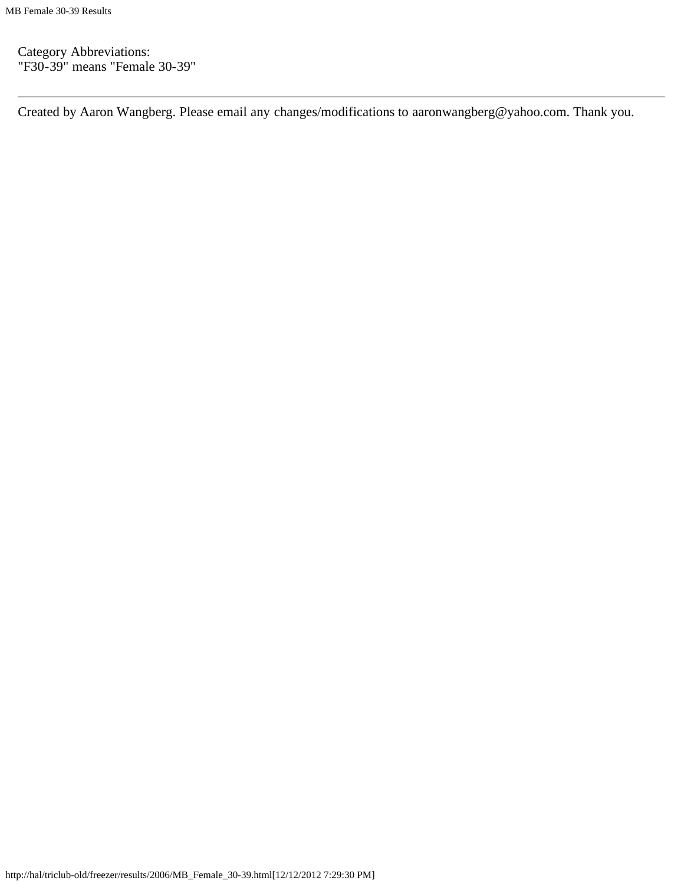Category Abbreviations: "F30-39" means "Female 30-39"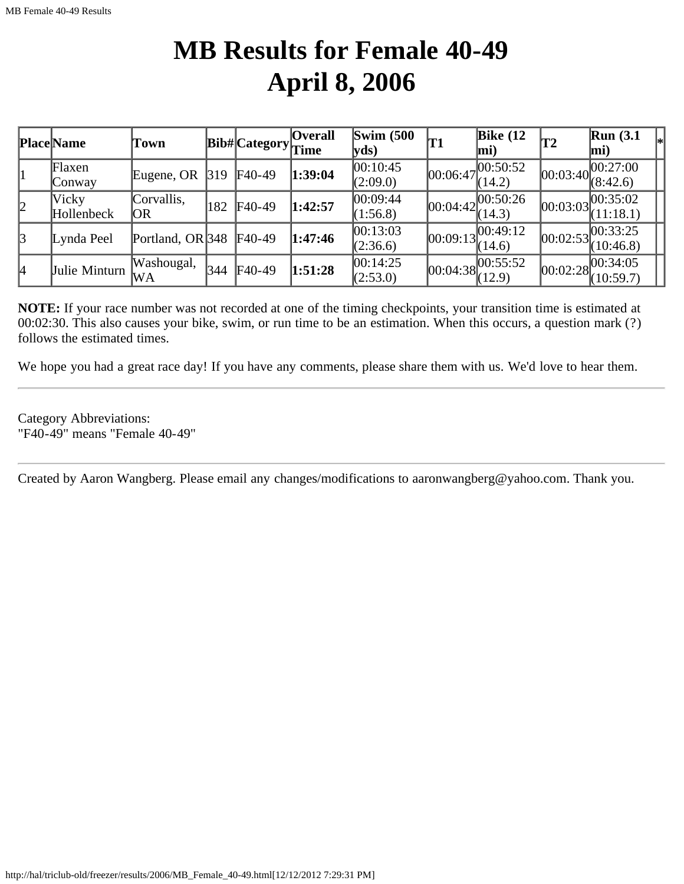## **MB Results for Female 40-49 April 8, 2006**

|           | Place Name          | Town              |                     | Bib# Category | <b>Overall</b><br>Time | $\mathbf{Swim}\;$ (500<br>yds | 'T1 | Bike $(12)$<br>$ mi$ )            | T2         | Run(3.1)<br>$\left _*\right $<br>$ mi$ ) |
|-----------|---------------------|-------------------|---------------------|---------------|------------------------|-------------------------------|-----|-----------------------------------|------------|------------------------------------------|
|           | Flaxen<br>Conway    | Eugene, OR        | $\vert 319 \rangle$ | F40-49        | 1:39:04                | 00:10:45<br>(2:09.0)          |     | $ 00:06:47 ^{00:50:52}$<br>(14.2) | [00:03:40] | 00:27:00<br>(8:42.6)                     |
| 2         | Vicky<br>Hollenbeck | Corvallis,<br> OR | 182                 | F40-49        | 1:42:57                | 00:09:44<br>(1:56.8)          |     | 00:04:42 <br>(14.3)               | 00:03:03   | 00:35:02<br>(11:18.1)                    |
| $\vert$ 3 | Lynda Peel          | Portland, OR 348  |                     | F40-49        | 1:47:46                | 00:13:03<br>(2:36.6)          |     | $ 00:09:13 ^{00:49:12}$<br>(14.6) | 00:02:53   | 00:33:25<br>(10:46.8)                    |
| 14        | Julie Minturn       | Washougal,<br>WA  | 344                 | F40-49        | 1:51:28                | 00:14:25<br>(2:53.0)          |     | $ 00:04:38 ^{00:55:52}_{(12.9)}$  |            | 00:02:28 <br>(10:59.7)                   |

**NOTE:** If your race number was not recorded at one of the timing checkpoints, your transition time is estimated at 00:02:30. This also causes your bike, swim, or run time to be an estimation. When this occurs, a question mark (?) follows the estimated times.

We hope you had a great race day! If you have any comments, please share them with us. We'd love to hear them.

Category Abbreviations: "F40-49" means "Female 40-49"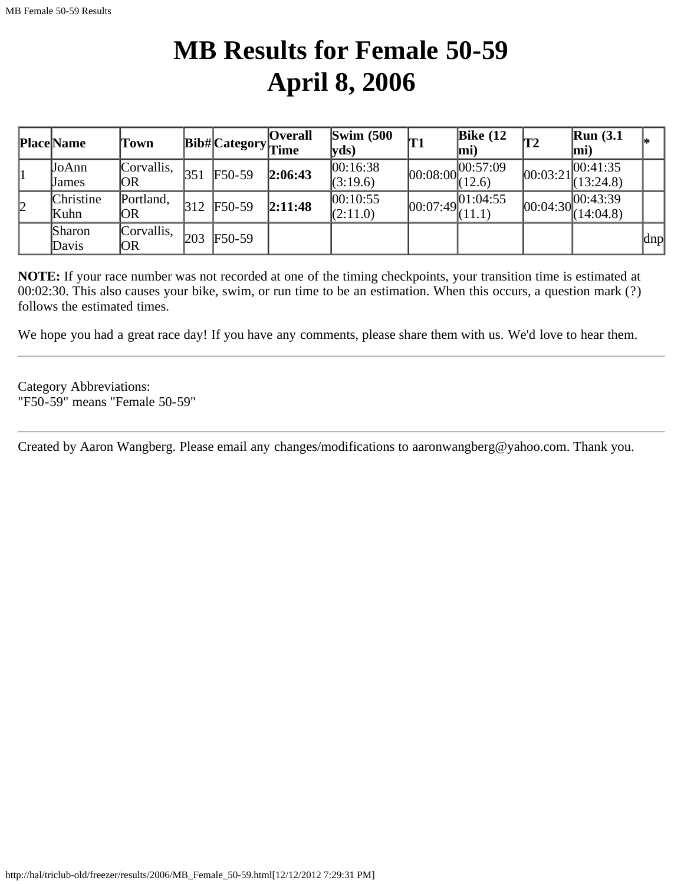## **MB Results for Female 50-59 April 8, 2006**

|   | <b>Place</b> Name | Town       |     | <b>Bib#</b> Category <sub>Time</sub> | <b>Overall</b> | $\text{Swim}\ (500$<br> yds) | <b>T1</b>         | Bike $(12)$<br>mi) | T2       | <b>Run</b> (3.1)<br>$\vert$ mi)       | I∗  |
|---|-------------------|------------|-----|--------------------------------------|----------------|------------------------------|-------------------|--------------------|----------|---------------------------------------|-----|
| 1 | JoAnn             | Corvallis, | 351 | $F50-59$                             | 2:06:43        | 00:16:38                     | 00:08:00          |                    | 00:03:21 | 00:41:35                              |     |
|   | Uames             | OR         |     |                                      |                | (3:19.6)                     |                   | (12.6)             |          | (13:24.8)                             |     |
| 2 | Christine         | Portland,  | 312 | $F50-59$                             | 2:11:48        | 00:10:55                     | 00:07:49 01:04:55 |                    |          | $\sim$ $ 00:04:30 $ $\sqrt{00:43:39}$ |     |
|   | Kuhn              | OR         |     |                                      |                | (2:11.0)                     |                   | (11.1)             |          | (14:04.8)                             |     |
|   | <b>Sharon</b>     | Corvallis, | 203 | $F50-59$                             |                |                              |                   |                    |          |                                       |     |
|   | Davis             | OR         |     |                                      |                |                              |                   |                    |          |                                       | dnp |

**NOTE:** If your race number was not recorded at one of the timing checkpoints, your transition time is estimated at 00:02:30. This also causes your bike, swim, or run time to be an estimation. When this occurs, a question mark (?) follows the estimated times.

We hope you had a great race day! If you have any comments, please share them with us. We'd love to hear them.

Category Abbreviations: "F50-59" means "Female 50-59"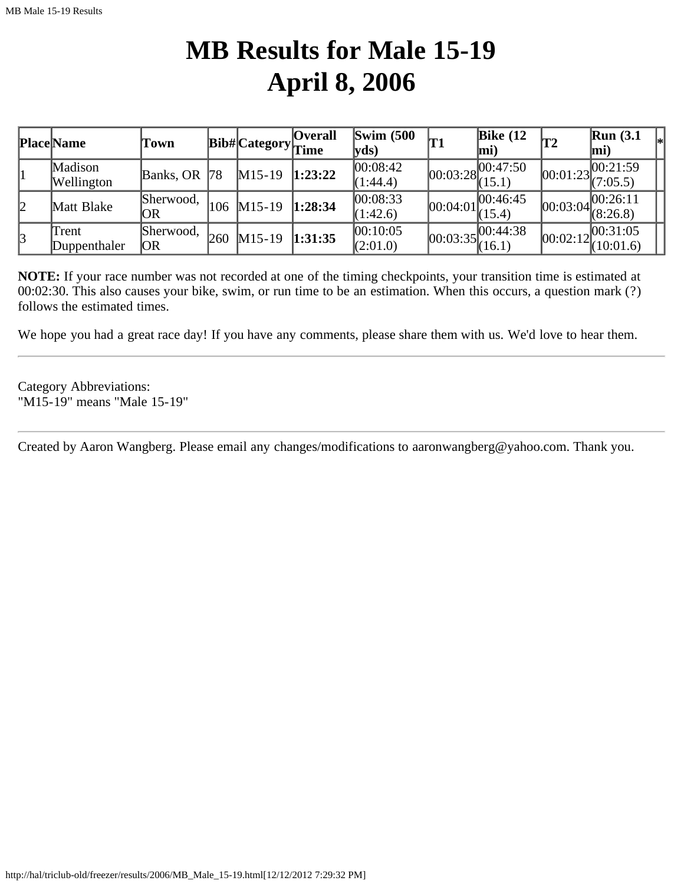## **MB Results for Male 15-19 April 8, 2006**

|    | <b>Place Name</b>     | Town             |     | <b>Bib#</b> Category <sub>Time</sub> | <b>Overall</b> | Swim $(500)$<br> yds) | 'T1                              | Bike $(12)$<br>lmi) | T2         | <b>Run</b> (3.1)<br>mi) |  |
|----|-----------------------|------------------|-----|--------------------------------------|----------------|-----------------------|----------------------------------|---------------------|------------|-------------------------|--|
|    | Madison<br>Wellington | Banks, OR $ 78$  |     | $M15-19$                             | 1:23:22        | 00:08:42 <br>(1:44.4) | $[00:03:28]^{00.47}_{(15.1)}$    | 00:47:50            | [00:01:23] | 00:21:59<br>(7:05.5)    |  |
| 12 | Matt Blake            | Sherwood,<br>OR  | 106 | $M15-19$ 1:28:34                     |                | 00:08:33<br>(1:42.6)  | [00:04:01]                       | 00:46:45<br>(15.4)  | [00:03:04] | 00:26:11<br>(8:26.8)    |  |
| 3  | Trent<br>Duppenthaler | Sherwood,<br> OR | 260 | $M15-19$ 1:31:35                     |                | 00:10:05<br>(2:01.0)  | $ 00:03:35 ^{00:44:38}_{(16.1)}$ |                     | [00:02:12] | [00:31:05]<br>(10:01.6) |  |

**NOTE:** If your race number was not recorded at one of the timing checkpoints, your transition time is estimated at 00:02:30. This also causes your bike, swim, or run time to be an estimation. When this occurs, a question mark (?) follows the estimated times.

We hope you had a great race day! If you have any comments, please share them with us. We'd love to hear them.

Category Abbreviations: "M15-19" means "Male 15-19"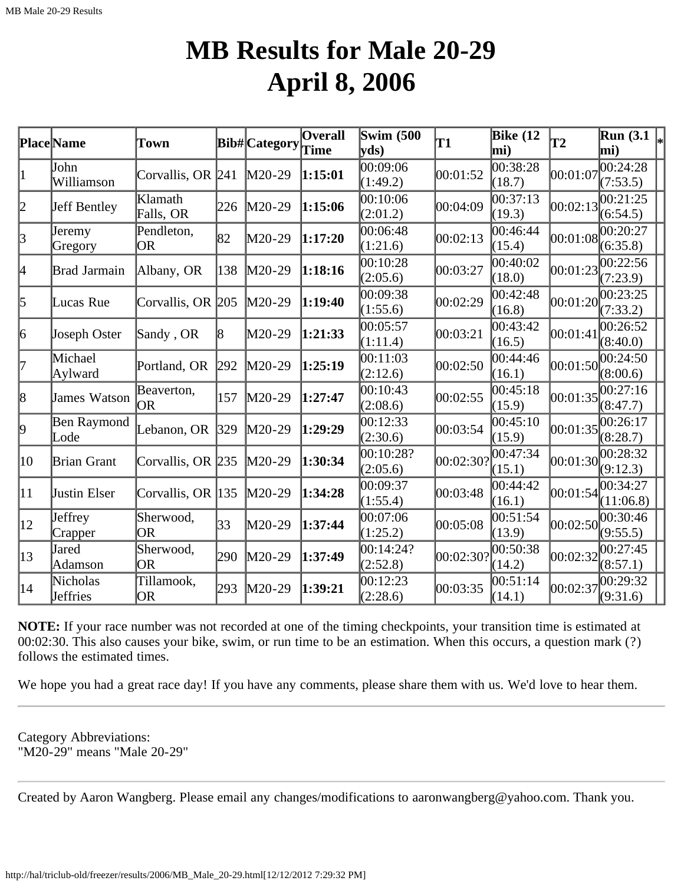#### **MB Results for Male 20-29 April 8, 2006**

|              | <b>Place</b> Name    | Town                    |     | <b>Bib#</b> Category | <b>Overall</b><br>Time | <b>Swim (500)</b><br>$ {\rm vds})$ | <b>T1</b> | <b>Bike</b> (12<br>mi) | $\overline{12}$ | $\overline{\text{Run}}$ (3.1 $\vert_*$ )<br>mi) |  |
|--------------|----------------------|-------------------------|-----|----------------------|------------------------|------------------------------------|-----------|------------------------|-----------------|-------------------------------------------------|--|
| $\vert$ 1    | John<br>Williamson   | Corvallis, OR 241       |     | $M20-29$             | 1:15:01                | 00:09:06<br>(1:49.2)               | 00:01:52  | 00:38:28<br>(18.7)     | 00:01:07        | 00:24:28<br>(7:53.5)                            |  |
| 2            | Jeff Bentley         | Klamath<br>Falls, OR    | 226 | M20-29               | 1:15:06                | 00:10:06<br>(2:01.2)               | 00:04:09  | 00:37:13<br>(19.3)     | 00:02:13        | 00:21:25<br>(6:54.5)                            |  |
| 3            | Jeremy<br>Gregory    | Pendleton,<br><b>OR</b> | 82  | M20-29               | 1:17:20                | 00:06:48<br>(1:21.6)               | 00:02:13  | 00:46:44<br>(15.4)     | 00:01:08        | 00:20:27<br>(6:35.8)                            |  |
| 4            | Brad Jarmain         | Albany, OR              | 138 | M20-29               | 1:18:16                | 00:10:28<br>(2:05.6)               | 00:03:27  | 00:40:02<br>(18.0)     | 00:01:23        | 00:22:56<br>(7:23.9)                            |  |
| 5            | Lucas Rue            | Corvallis, OR 205       |     | $M20-29$             | 1:19:40                | 00:09:38<br>(1:55.6)               | 00:02:29  | 00:42:48<br>(16.8)     | 00:01:20        | 00:23:25<br>(7:33.2)                            |  |
| 6            | Joseph Oster         | Sandy, OR               | 8   | M20-29               | 1:21:33                | 00:05:57<br>(1:11.4)               | 00:03:21  | 00:43:42<br>(16.5)     | 00:01:41        | 00:26:52<br>(8:40.0)                            |  |
| 7            | Michael<br>Aylward   | Portland, OR            | 292 | M20-29               | 1:25:19                | 00:11:03<br>(2:12.6)               | 00:02:50  | 00:44:46<br>(16.1)     | 00:01:50        | 00:24:50<br>(8:00.6)                            |  |
| 8            | James Watson         | Beaverton,<br>OR.       | 157 | M20-29               | 1:27:47                | 00:10:43<br>(2:08.6)               | 00:02:55  | 00:45:18<br>(15.9)     | 00:01:35        | 00:27:16<br>(8:47.7)                            |  |
| þ.           | Ben Raymond<br>Lode  | Lebanon, OR             | 329 | M20-29               | 1:29:29                | 00:12:33<br>(2:30.6)               | 00:03:54  | 00:45:10<br>(15.9)     | 00:01:35        | 00:26:17<br>(8:28.7)                            |  |
| 10           | Brian Grant          | Corvallis, OR 235       |     | $M20-29$             | 1:30:34                | 00:10:28?<br>(2:05.6)              | 00:02:30? | 00:47:34<br>(15.1)     | 00:01:30        | 00:28:32<br>(9:12.3)                            |  |
| $ 11\rangle$ | Justin Elser         | Corvallis, OR 135       |     | $M20-29$             | 1:34:28                | 00:09:37<br>(1:55.4)               | 00:03:48  | 00:44:42<br>(16.1)     | 00:01:54        | 00:34:27<br>(11:06.8)                           |  |
| $ 12\rangle$ | Jeffrey<br>Crapper   | Sherwood,<br><b>OR</b>  | 33  | M20-29               | 1:37:44                | 00:07:06<br>(1:25.2)               | 00:05:08  | 00:51:54<br>(13.9)     | 00:02:50        | 00:30:46<br>(9:55.5)                            |  |
| $ 13\rangle$ | Jared<br>Adamson     | Sherwood,<br><b>OR</b>  | 290 | M20-29               | 1:37:49                | 00:14:24?<br>(2:52.8)              | 00:02:30? | 00:50:38<br>(14.2)     | 00:02:32        | 00:27:45<br>(8:57.1)                            |  |
| $ 14\rangle$ | Nicholas<br>Jeffries | Tillamook,<br>OR        | 293 | M20-29               | 1:39:21                | 00:12:23<br>(2:28.6)               | 00:03:35  | 00:51:14<br>(14.1)     | 00:02:37        | 00:29:32<br>(9:31.6)                            |  |

**NOTE:** If your race number was not recorded at one of the timing checkpoints, your transition time is estimated at 00:02:30. This also causes your bike, swim, or run time to be an estimation. When this occurs, a question mark (?) follows the estimated times.

We hope you had a great race day! If you have any comments, please share them with us. We'd love to hear them.

Category Abbreviations: "M20-29" means "Male 20-29"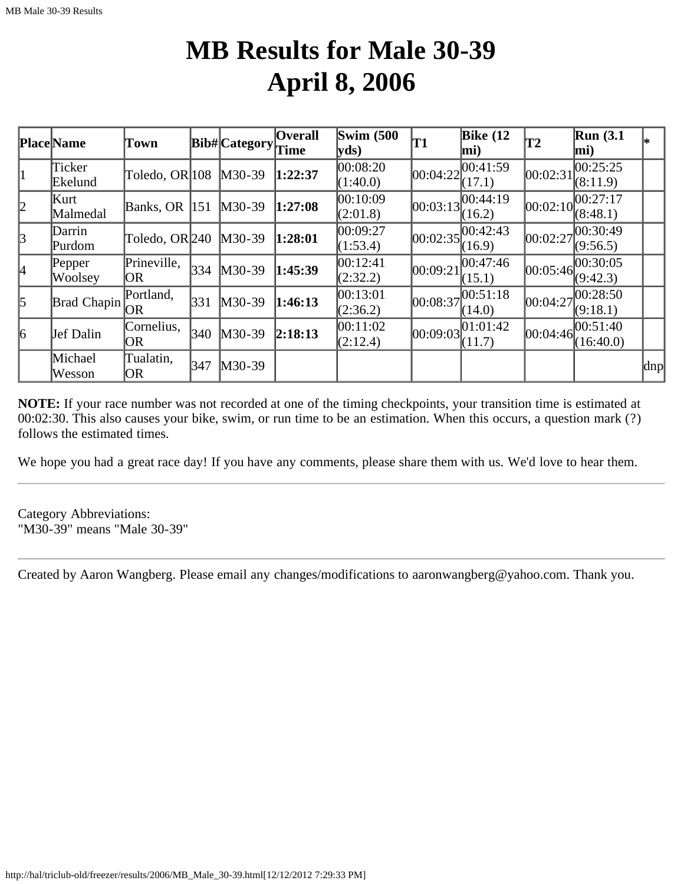#### **MB Results for Male 30-39 April 8, 2006**

|           | Place Name        | Town               |     | <b>Bib#</b> Category | <b>Overall</b><br>Time | $\text{Swim}\ (500$<br>$ {\bf y}$ ds) | <b>T1</b>  | Bike $(12)$<br>mi)   | T2         | $\mathbb{R}$ un (3.1<br>mi) | l∗. |
|-----------|-------------------|--------------------|-----|----------------------|------------------------|---------------------------------------|------------|----------------------|------------|-----------------------------|-----|
| 1         | Ticker<br>Ekelund | Toledo, OR 108     |     | $M30-39$             | 1:22:37                | 00:08:20<br>(1:40.0)                  | 00:04:22   | [00:41:59]<br>(17.1) | 00:02:31   | 00:25:25<br>(8:11.9)        |     |
| 2         | Kurt<br>Malmedal  | Banks, OR $ 151$   |     | $M30-39$             | 1:27:08                | 00:10:09<br>(2:01.8)                  | [00:03:13] | 00:44:19<br>(16.2)   | [00:02:10] | 00:27:17<br>(8:48.1)        |     |
| 3         | Darrin<br>Purdom  | Toledo, OR 240     |     | $M30-39$             | 1:28:01                | 00:09:27<br>(1:53.4)                  | 00:02:35   | 100:42:43<br>(16.9)  | 00:02:27   | 00:30:49<br>(9:56.5)        |     |
| 4         | Pepper<br>Woolsey | Prineville,<br>OR. | 334 | $M30-39$             | 1:45:39                | 00:12:41<br>(2:32.2)                  | 00:09:21   | 00:47:46<br>(15.1)   | [00:05:46] | 00:30:05<br>(9:42.3)        |     |
| $\vert$ 5 | Brad Chapin       | Portland,<br>OR.   | 331 | $M30-39$             | 1:46:13                | 00:13:01<br>(2:36.2)                  | 00:08:37   | 00:51:18<br>(14.0)   | 00:04:27   | 00:28:50,<br>(9:18.1)       |     |
| 6         | Jef Dalin         | Cornelius,<br> OR  | 340 | $M30-39$             | 2:18:13                | 00:11:02<br>(2:12.4)                  | 00:09:03   | [01:01:42]<br>(11.7) | 00:04:46   | 100:51:40<br>(16:40.0)      |     |
|           | Michael<br>Wesson | Tualatin,<br> OR   | 347 | $M30-39$             |                        |                                       |            |                      |            |                             | dnp |

**NOTE:** If your race number was not recorded at one of the timing checkpoints, your transition time is estimated at 00:02:30. This also causes your bike, swim, or run time to be an estimation. When this occurs, a question mark (?) follows the estimated times.

We hope you had a great race day! If you have any comments, please share them with us. We'd love to hear them.

Category Abbreviations: "M30-39" means "Male 30-39"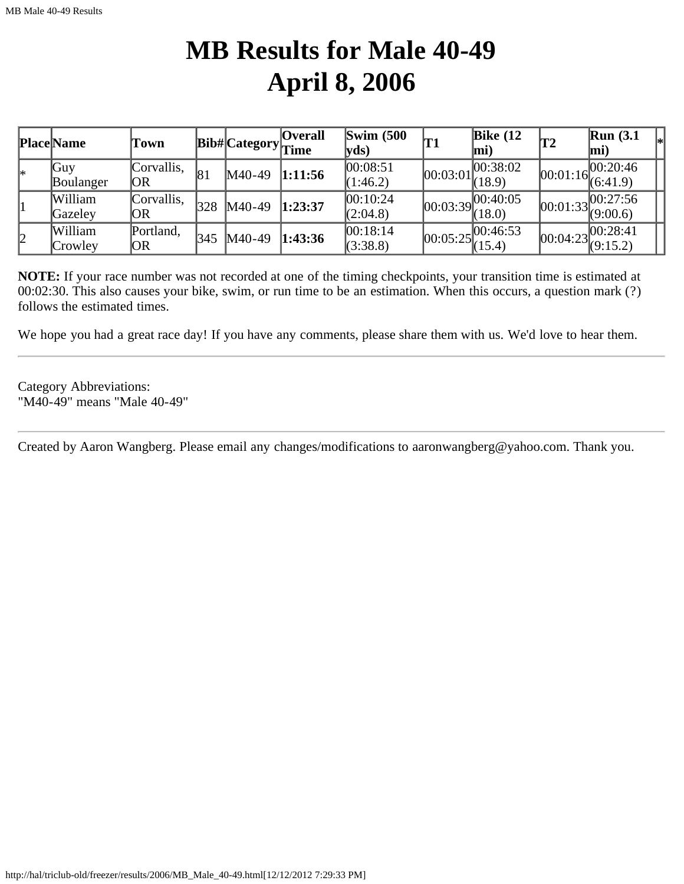### **MB Results for Male 40-49 April 8, 2006**

|    | <b>Place Name</b> | Town       |     | <b>Bib#Category</b> Time | <b>Overall</b> | $\text{Swim}\ (500$<br>$ {\bf v} {\bf d} s)$ | T1                               | Bike $(12)$<br>mi) | T2         | Run(3.1)<br>$\vert$ mi) |  |
|----|-------------------|------------|-----|--------------------------|----------------|----------------------------------------------|----------------------------------|--------------------|------------|-------------------------|--|
| l∗ | Guy               | Corvallis, | 81  | $M40-49$                 | 1:11:56        | 00:08:51                                     | 00:03:01                         | 00:38:02           | [00:01:16] | 100:20:46               |  |
|    | Boulanger         | OR         |     |                          |                | (1:46.2)                                     |                                  | (18.9)             |            | (6:41.9)                |  |
|    | William           | Corvallis, | 328 | $M40-49$                 | 1:23:37        | 00:10:24                                     | [00:03:39]                       | 00:40:05           | [00:01:33] | 00:27:56                |  |
|    | Gazeley           | OR         |     |                          |                | (2:04.8)                                     |                                  | (18.0)             |            | (9:00.6)                |  |
| 2  | William           | Portland,  | 345 | $M40-49$                 | 1:43:36        | 00:18:14                                     | $ 00:05:25 ^{00:46:53}_{(15.4)}$ |                    | [00:04:23] | 00:28:41                |  |
|    | Crowley           | OR         |     |                          |                | (3:38.8)                                     |                                  |                    |            | (9:15.2)                |  |

**NOTE:** If your race number was not recorded at one of the timing checkpoints, your transition time is estimated at 00:02:30. This also causes your bike, swim, or run time to be an estimation. When this occurs, a question mark (?) follows the estimated times.

We hope you had a great race day! If you have any comments, please share them with us. We'd love to hear them.

Category Abbreviations: "M40-49" means "Male 40-49"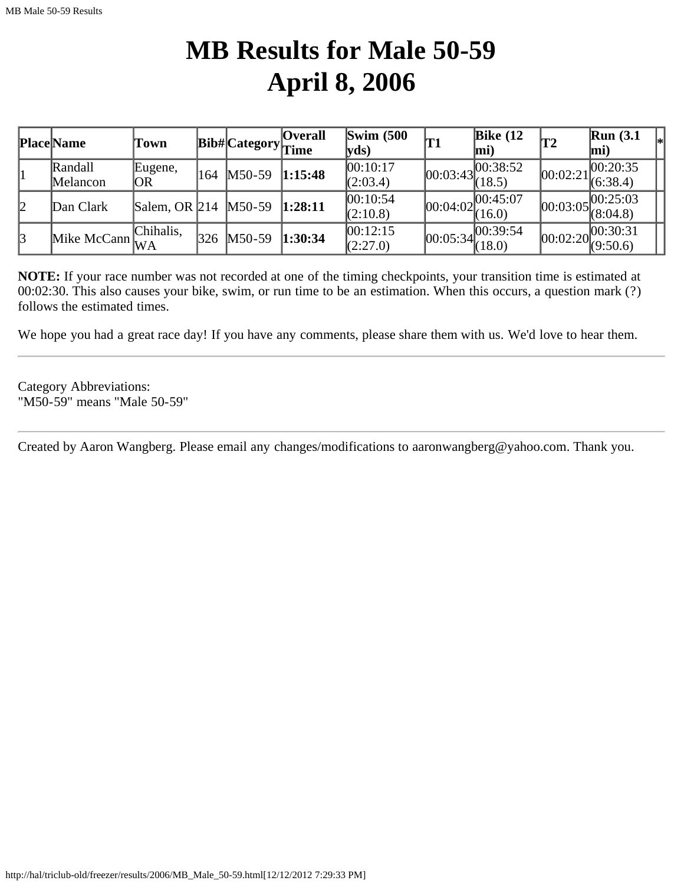### **MB Results for Male 50-59 April 8, 2006**

|    | <b>Place Name</b> | Town                 |     | Bib# Category  Time | <b>Overall</b> | $\text{Swim}\ (500$<br>$ {\bf v}$ ds) | 'T1 | Bike $(12)$<br>$\vert$ mi)                                            | T2       | Run(3.1)<br>mi)                                                      |  |
|----|-------------------|----------------------|-----|---------------------|----------------|---------------------------------------|-----|-----------------------------------------------------------------------|----------|----------------------------------------------------------------------|--|
|    | Randall           | Eugene,              | 164 | $M50-59$            | 1:15:48        | 00:10:17                              |     | $\overline{00:03:43}\begin{bmatrix}00:38:52\\(18.5)\end{bmatrix}$     | 00:02:21 | 00:20:35                                                             |  |
|    | Melancon          | OR                   |     |                     |                | (2:03.4)                              |     |                                                                       |          | (6:38.4)                                                             |  |
| 12 | Dan Clark         | Salem, OR 214 M50-59 |     |                     | 1:28:11        | 00:10:54                              |     | $\overline{00:04:02}\begin{bmatrix} 00:45:07 \\ (16.0) \end{bmatrix}$ |          | 00:25:03                                                             |  |
|    |                   |                      |     |                     |                | (2:10.8)                              |     |                                                                       |          | $[00:03:05]^{001}$ $(8:04.8)$                                        |  |
| 3  |                   | Chihalis.            | 326 | $M50-59$            | 1:30:34        | 00:12:15                              |     | $\overline{00:05:34} \overline{00:39:54}$<br>(18.0)                   |          | $\boxed{00:02:20\begin{bmatrix} 00:30:31 \\ (9:50.6) \end{bmatrix}}$ |  |
|    | Mike McCann       |                      |     |                     |                | (2:27.0)                              |     |                                                                       |          |                                                                      |  |

**NOTE:** If your race number was not recorded at one of the timing checkpoints, your transition time is estimated at 00:02:30. This also causes your bike, swim, or run time to be an estimation. When this occurs, a question mark (?) follows the estimated times.

We hope you had a great race day! If you have any comments, please share them with us. We'd love to hear them.

Category Abbreviations: "M50-59" means "Male 50-59"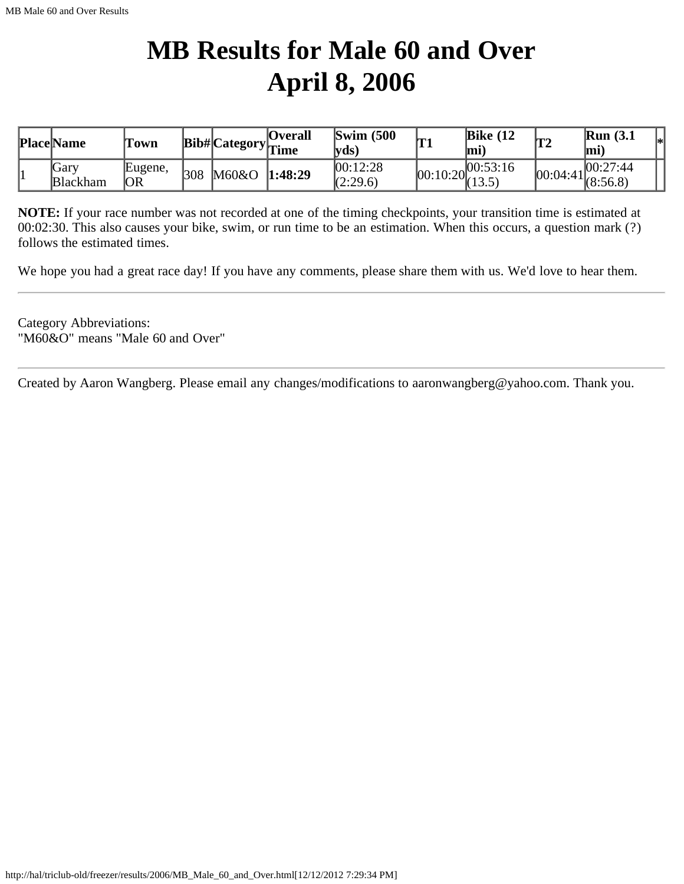# **MB Results for Male 60 and Over April 8, 2006**

| <b>Place Name</b>       | Town                 |     |       | <b>Overall</b><br>… <sub>n</sub> Bib# Category <sub> Time</sub> ← → | $\text{Swim}\ (500$<br> vds` | lm -<br>** | Bike $(12)$<br>lmi                                                  | <b>T2</b> | Run(3.1)<br>lmi                                                                     | l*l |
|-------------------------|----------------------|-----|-------|---------------------------------------------------------------------|------------------------------|------------|---------------------------------------------------------------------|-----------|-------------------------------------------------------------------------------------|-----|
| Gary<br><b>Blackham</b> | Eugene,<br><b>OR</b> | 308 | M60&O | 1:48:29                                                             | 00:12:28<br>(2:29.6)         |            | $\sqrt{00:10:20}$ $\begin{array}{l} 00:53:16 \\ (13.5) \end{array}$ |           | 00:27:44 <br>$\begin{array}{ccc} \cdots & 100:04:41 \\ \hline \end{array}$ (8:56.8) |     |

**NOTE:** If your race number was not recorded at one of the timing checkpoints, your transition time is estimated at 00:02:30. This also causes your bike, swim, or run time to be an estimation. When this occurs, a question mark (?) follows the estimated times.

We hope you had a great race day! If you have any comments, please share them with us. We'd love to hear them.

Category Abbreviations: "M60&O" means "Male 60 and Over"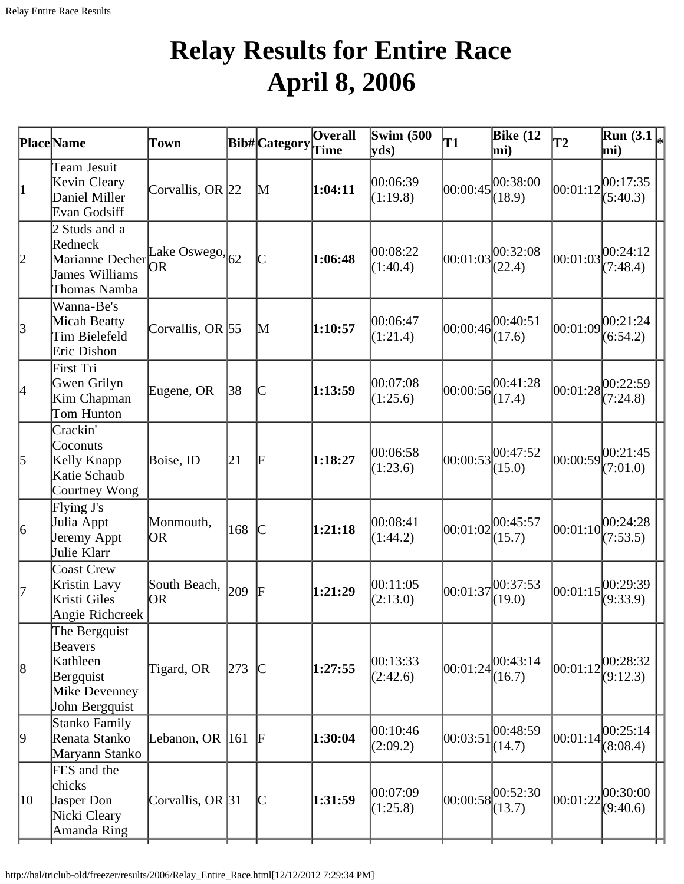# **Relay Results for Entire Race April 8, 2006**

|                 | <b>Place</b> Name                                                                                          | Town                     |     | Bib#Category                                                            | <b>Overall</b> | <b>Swim (500</b><br>yds) | T1       | <b>Bike</b> (12<br>mi) | T2       | $\overline{\text{Run}}(3.1\vert_{*})$<br>mi) |
|-----------------|------------------------------------------------------------------------------------------------------------|--------------------------|-----|-------------------------------------------------------------------------|----------------|--------------------------|----------|------------------------|----------|----------------------------------------------|
|                 | Team Jesuit<br>Kevin Cleary<br>Daniel Miller<br>Evan Godsiff                                               | Corvallis, OR 22         |     | $\mathbb{M}$                                                            | 1:04:11        | 00:06:39<br>(1:19.8)     | 00:00:45 | 00:38:00<br>(18.9)     | 00:01:12 | 00:17:35<br>(5:40.3)                         |
| 2               | 2 Studs and a<br>Redneck<br>$\mu$ Narianne Decher Lake Oswego, 62<br><b>James Williams</b><br>Thomas Namba | OR                       |     |                                                                         | 1:06:48        | 00:08:22<br>(1:40.4)     | 00:01:03 | 00:32:08<br>(22.4)     | 00:01:03 | 00:24:12<br>(7:48.4)                         |
| $\beta$         | Wanna-Be's<br>Micah Beatty<br>Tim Bielefeld<br>Eric Dishon                                                 | Corvallis, OR $\vert$ 55 |     | $\mathbf M$                                                             | 1:10:57        | 00:06:47<br>(1:21.4)     | 00:00:46 | 00:40:51<br>(17.6)     | 00:01:09 | 00:21:24<br>(6:54.2)                         |
| 4               | First Tri<br>Gwen Grilyn<br>Kim Chapman<br>Tom Hunton                                                      | Eugene, OR               | 38  | $\mathsf{C}% _{0}\!\left( t\right) \in\mathcal{C}_{0}\!\left( 0\right)$ | 1:13:59        | 00:07:08<br>(1:25.6)     | 00:00:56 | 00:41:28<br>(17.4)     |          | $ 00:01:28 ^{00:22:59}_{\sim}$<br>(7:24.8)   |
| 5               | Crackin'<br>Coconuts<br>Kelly Knapp<br>Katie Schaub<br>Courtney Wong                                       | Boise, ID                | 21  | F                                                                       | 1:18:27        | 00:06:58<br>(1:23.6)     | 00:00:53 | 00:47:52<br>(15.0)     | 00:00:59 | 00:21:45<br>(7:01.0)                         |
| $\vert 6 \vert$ | Flying J's<br>Julia Appt<br>Jeremy Appt<br>Julie Klarr                                                     | Monmouth,<br> OR         | 168 | $\mathsf{C}% _{0}\left( t\right) \sim\mathsf{C}\left( t\right)$         | 1:21:18        | 00:08:41<br>(1:44.2)     | 00:01:02 | 00:45:57<br>(15.7)     | 00:01:10 | 00:24:28<br>(7:53.5)                         |
| 17              | <b>Coast Crew</b><br>Kristin Lavy<br>Kristi Giles<br>Angie Richcreek                                       | South Beach,<br>OR.      | 209 | F                                                                       | 1:21:29        | 00:11:05<br>(2:13.0)     | 00:01:37 | 00:37:53<br>(19.0)     | 00:01:15 | 00:29:39<br>(9:33.9)                         |
| $\vert 8$       | The Bergquist<br>Beavers<br>Kathleen<br>Bergquist<br>Mike Devenney<br>John Bergquist                       | Tigard, OR               | 273 | $\mathcal{C}$                                                           | 1:27:55        | 00:13:33<br>(2:42.6)     | 00:01:24 | 00:43:14<br>(16.7)     | 00:01:12 | 00:28:32<br>(9:12.3)                         |
| $ 9\rangle$     | Stanko Family<br>Renata Stanko<br>Maryann Stanko                                                           | Lebanon, OR              | 161 | F                                                                       | 1:30:04        | 00:10:46<br>(2:09.2)     | 00:03:51 | 00:48:59<br>(14.7)     | 00:01:14 | 00:25:14<br>(8:08.4)                         |
| 10              | FES and the<br>chicks<br>Jasper Don<br>Nicki Cleary<br>Amanda Ring                                         | Corvallis, OR 31         |     | $\mathsf{C}% _{0}\!\left( t\right) \in\mathcal{C}_{0}\!\left( 0\right)$ | 1:31:59        | 00:07:09<br>(1:25.8)     | 00:00:58 | 00:52:30 <br>(13.7)    | 00:01:22 | 00:30:00<br>(9:40.6)                         |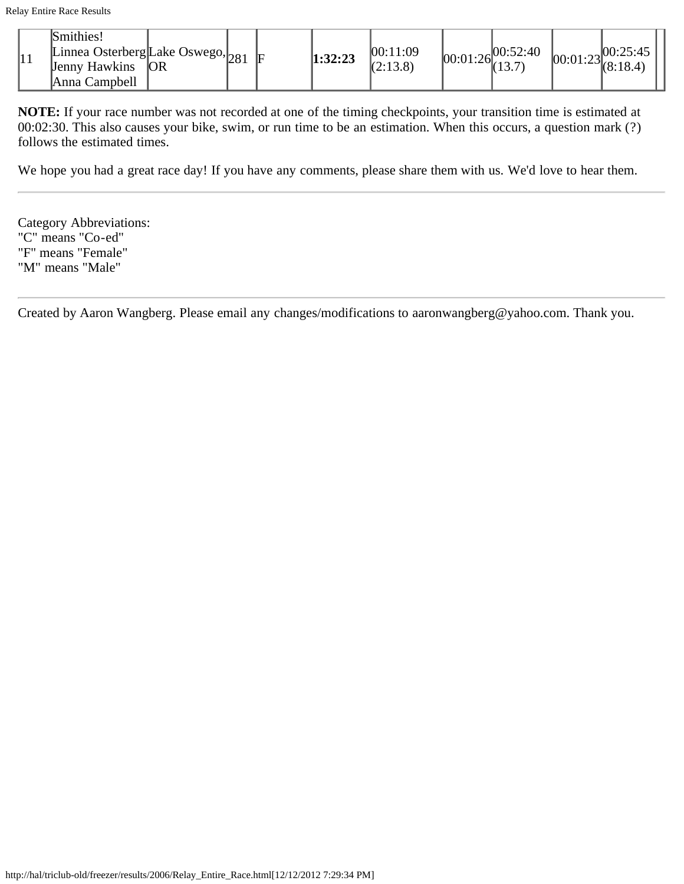|    | Smithies!                                                                  |    |  |         |                      |                                  |                                                                        |  |
|----|----------------------------------------------------------------------------|----|--|---------|----------------------|----------------------------------|------------------------------------------------------------------------|--|
| 11 | . Linnea Osterberg Lake Oswego, $_{281}$ $\vert$ F<br><b>Jenny Hawkins</b> | OR |  | 1:32:23 | 00:11:09<br>(2:13.8) | $[00:01:26]^{00:52:40}_{(12,7)}$ | $\log 100:25:45$<br>$\begin{bmatrix} 60:01:23 \\ 8:18.4 \end{bmatrix}$ |  |
|    | Anna Campbell                                                              |    |  |         |                      |                                  |                                                                        |  |

**NOTE:** If your race number was not recorded at one of the timing checkpoints, your transition time is estimated at 00:02:30. This also causes your bike, swim, or run time to be an estimation. When this occurs, a question mark (?) follows the estimated times.

We hope you had a great race day! If you have any comments, please share them with us. We'd love to hear them.

Category Abbreviations: "C" means "Co-ed" "F" means "Female" "M" means "Male"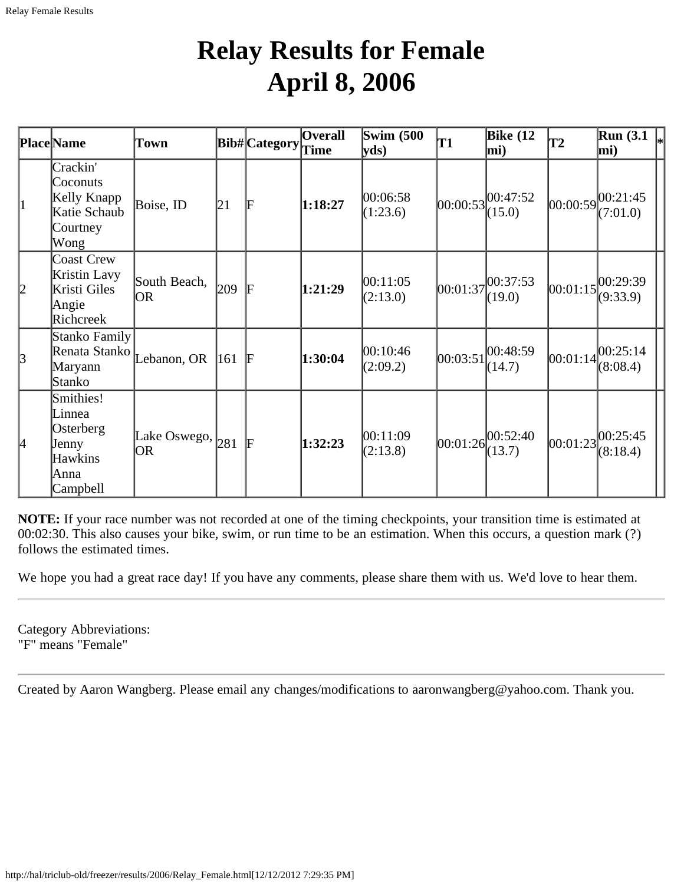### **Relay Results for Female April 8, 2006**

|             | <b>Place</b> Name                                                               | Town                                |     | Bib# Category | <b>Overall</b><br><b>Time</b> | <b>Swim (500</b><br>yds | T1       | <b>Bike (12</b><br>mi)       | T2       | Run(3.1)<br>mi)                            |
|-------------|---------------------------------------------------------------------------------|-------------------------------------|-----|---------------|-------------------------------|-------------------------|----------|------------------------------|----------|--------------------------------------------|
| 1           | Crackin'<br>Coconuts<br>Kelly Knapp<br>Katie Schaub<br>Courtney<br>Wong         | Boise, ID                           | 21  | F             | 1:18:27                       | 00:06:58<br>(1:23.6)    |          | 00:00:53 <br>(15.0)          |          | $ 00:00:59 ^{00:21:45}_{\sim}$<br>(7:01.0) |
| 2           | <b>Coast Crew</b><br>Kristin Lavy<br>Kristi Giles<br>Angie<br>Richcreek         | South Beach,<br>OR                  | 209 | lF            | 1:21:29                       | 00:11:05<br>(2:13.0)    | 00:01:37 | 00:37:53 <br>(19.0)          |          | $ 00:01:15 ^{00:29:39}_{\sim}$<br>(9:33.9) |
| $\vert$ 3   | Stanko Family<br>Renata Stanko<br>Maryann<br>Stanko                             | Lebanon, OR                         | 161 | F             | 1:30:04                       | 00:10:46<br>(2:09.2)    | 00:03:51 | 00:48:59<br>(14.7)           | 00:01:14 | 00:25:14<br>(8:08.4)                       |
| $ 4\rangle$ | Smithies!<br>Linnea<br>Osterberg<br>Jenny<br><b>Hawkins</b><br>Anna<br>Campbell | Lake Oswego, $ _{281}$<br><b>OR</b> |     | lF            | 1:32:23                       | 00:11:09<br>(2:13.8)    | 00:01:26 | $ 00:52:40\rangle$<br>(13.7) | 00:01:23 | 00:25:45<br>(8:18.4)                       |

**NOTE:** If your race number was not recorded at one of the timing checkpoints, your transition time is estimated at 00:02:30. This also causes your bike, swim, or run time to be an estimation. When this occurs, a question mark (?) follows the estimated times.

We hope you had a great race day! If you have any comments, please share them with us. We'd love to hear them.

Category Abbreviations: "F" means "Female"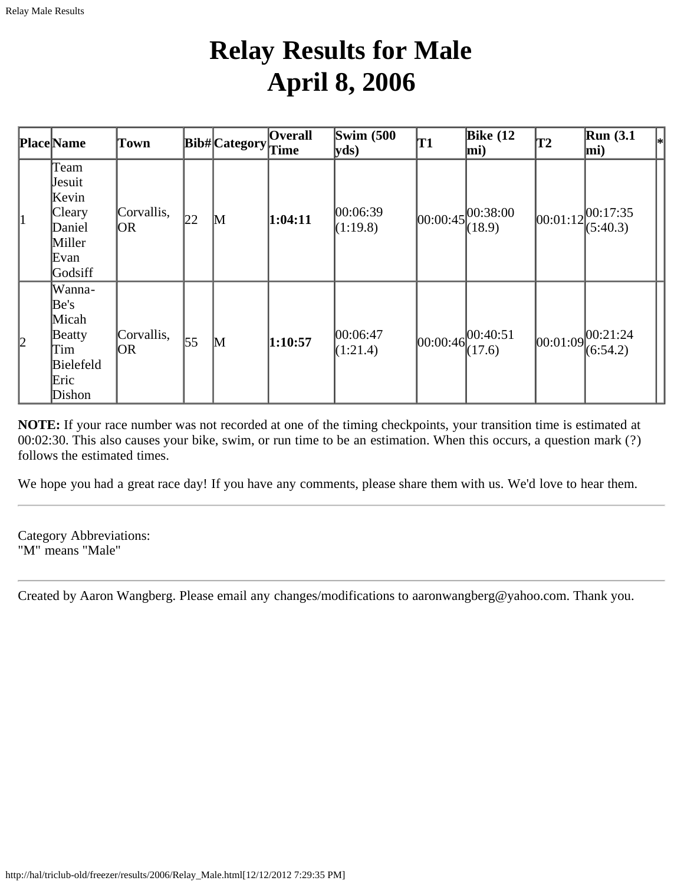# **Relay Results for Male April 8, 2006**

|           | <b>Place</b> Name                                                        | Town              |    | <b>Bib#</b> Category | <b>Overall</b><br>Time | Swim $(500)$<br>yds  | T1 | Bike $(12)$<br>mi)                           | T2       | <b>Run</b> (3.1)<br>$\left _{*}\right $<br>mi) |
|-----------|--------------------------------------------------------------------------|-------------------|----|----------------------|------------------------|----------------------|----|----------------------------------------------|----------|------------------------------------------------|
| 1         | Team<br>Jesuit<br>Kevin<br>Cleary<br>Daniel<br>Miller<br>Evan<br>Godsiff | Corvallis,<br> OR | 22 | $\mathbb{M}$         | 1:04:11                | 00:06:39<br>(1:19.8) |    | $ 00:00:45 ^{00:38:00}$<br>(18.9)            | 00:01:12 | 00:17:35<br>(5:40.3)                           |
| $\vert$ 2 | Wanna-<br>Be's<br>Micah<br>Beatty<br>Tim<br>Bielefeld<br>Eric<br>Dishon  | Corvallis,<br> OR | 55 | $\mathbb{M}$         | 1:10:57                | 00:06:47<br>(1:21.4) |    | $[00:00:46]$ <sub>2.1</sub> -40:51<br>(17.6) | 00:01:09 | 00:21:24<br>(6:54.2)                           |

**NOTE:** If your race number was not recorded at one of the timing checkpoints, your transition time is estimated at 00:02:30. This also causes your bike, swim, or run time to be an estimation. When this occurs, a question mark (?) follows the estimated times.

We hope you had a great race day! If you have any comments, please share them with us. We'd love to hear them.

Category Abbreviations: "M" means "Male"